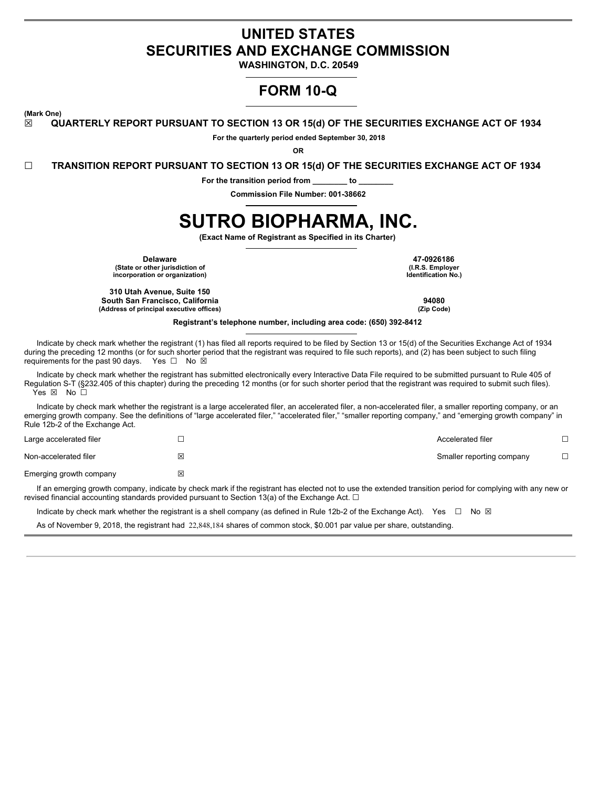# **UNITED STATES SECURITIES AND EXCHANGE COMMISSION**

**WASHINGTON, D.C. 20549**

# **FORM 10-Q**

**(Mark One)**

**☒ QUARTERLY REPORT PURSUANT TO SECTION 13 OR 15(d) OF THE SECURITIES EXCHANGE ACT OF 1934**

**For the quarterly period ended September 30, 2018**

**OR**

**☐ TRANSITION REPORT PURSUANT TO SECTION 13 OR 15(d) OF THE SECURITIES EXCHANGE ACT OF 1934**

**For the transition period from \_\_\_\_\_\_\_\_ to \_\_\_\_\_\_\_\_**

**Commission File Number: 001-38662**

# **SUTRO BIOPHARMA, INC.**

**(Exact Name of Registrant as Specified in its Charter)**

**(State or other jurisdiction of incorporation or organization)**

**310 Utah Avenue, Suite 150 South San Francisco, California 94080 (Address of principal executive offices) (Zip Code)**

**Delaware 47-0926186 (I.R.S. Employer Identification No.)**

**Registrant's telephone number, including area code: (650) 392-8412**

Indicate by check mark whether the registrant (1) has filed all reports required to be filed by Section 13 or 15(d) of the Securities Exchange Act of 1934 during the preceding 12 months (or for such shorter period that the registrant was required to file such reports), and (2) has been subject to such filing requirements for the past 90 days. Yes □ No ⊠

Indicate by check mark whether the registrant has submitted electronically every Interactive Data File required to be submitted pursuant to Rule 405 of Regulation S-T (§232.405 of this chapter) during the preceding 12 months (or for such shorter period that the registrant was required to submit such files). Yes ⊠ No □

Indicate by check mark whether the registrant is a large accelerated filer, an accelerated filer, a non-accelerated filer, a smaller reporting company, or an emerging growth company. See the definitions of "large accelerated filer," "accelerated filer," "smaller reporting company," and "emerging growth company" in Rule 12b-2 of the Exchange Act.

| Large accelerated filer |   | Accelerated filer         |  |
|-------------------------|---|---------------------------|--|
| Non-accelerated filer   | ⊠ | Smaller reporting company |  |
| Emerging growth company | ⊠ |                           |  |

If an emerging growth company, indicate by check mark if the registrant has elected not to use the extended transition period for complying with any new or revised financial accounting standards provided pursuant to Section 13(a) of the Exchange Act. □

Indicate by check mark whether the registrant is a shell company (as defined in Rule 12b-2 of the Exchange Act). Yes  $\Box$  No  $\boxtimes$ 

As of November 9, 2018, the registrant had 22,848,184 shares of common stock, \$0.001 par value per share, outstanding.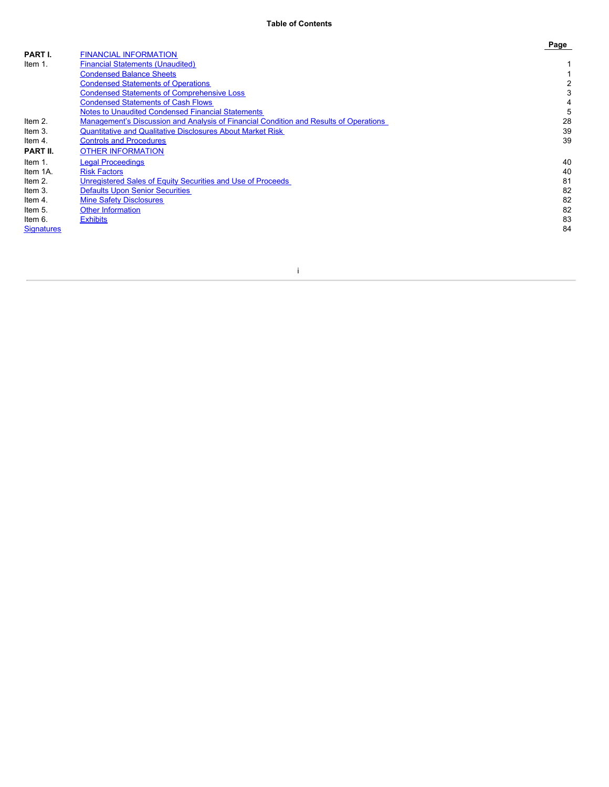|                   |                                                                                       | Page |
|-------------------|---------------------------------------------------------------------------------------|------|
| <b>PART I.</b>    | <b>FINANCIAL INFORMATION</b>                                                          |      |
| Item 1.           | <b>Financial Statements (Unaudited)</b>                                               |      |
|                   | <b>Condensed Balance Sheets</b>                                                       |      |
|                   | <b>Condensed Statements of Operations</b>                                             |      |
|                   | <b>Condensed Statements of Comprehensive Loss</b>                                     | З    |
|                   | <b>Condensed Statements of Cash Flows</b>                                             |      |
|                   | <b>Notes to Unaudited Condensed Financial Statements</b>                              | 5    |
| Item 2.           | Management's Discussion and Analysis of Financial Condition and Results of Operations | 28   |
| Item 3.           | <b>Quantitative and Qualitative Disclosures About Market Risk</b>                     | 39   |
| Item 4.           | <b>Controls and Procedures</b>                                                        | 39   |
| PART II.          | <b>OTHER INFORMATION</b>                                                              |      |
| Item 1.           | <b>Legal Proceedings</b>                                                              | 40   |
| Item 1A.          | <b>Risk Factors</b>                                                                   | 40   |
| Item 2.           | Unregistered Sales of Equity Securities and Use of Proceeds                           | 81   |
| Item 3.           | <b>Defaults Upon Senior Securities</b>                                                | 82   |
| ltem 4.           | <b>Mine Safety Disclosures</b>                                                        | 82   |
| Item 5.           | <b>Other Information</b>                                                              | 82   |
| Item 6.           | <b>Exhibits</b>                                                                       | 83   |
| <b>Signatures</b> |                                                                                       | 84   |

i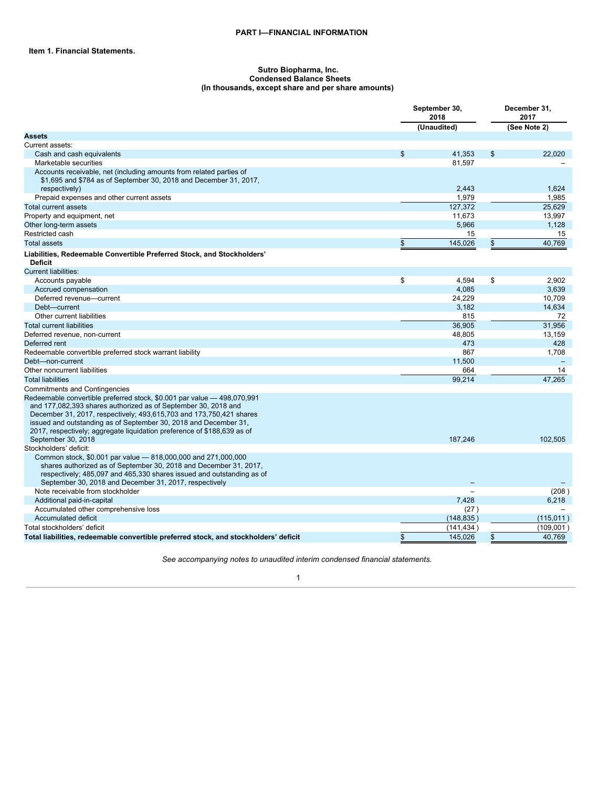#### <span id="page-2-2"></span><span id="page-2-0"></span>**Sutro Biopharma, Inc. Condensed Balance Sheets (In thousands, except share and per share amounts)**

<span id="page-2-1"></span>

|                                                                                                                                                                                                                                                                                                            | September 30,<br>2018 |                |              |
|------------------------------------------------------------------------------------------------------------------------------------------------------------------------------------------------------------------------------------------------------------------------------------------------------------|-----------------------|----------------|--------------|
|                                                                                                                                                                                                                                                                                                            | (Unaudited)           |                | (See Note 2) |
| <b>Assets</b>                                                                                                                                                                                                                                                                                              |                       |                |              |
| Current assets:                                                                                                                                                                                                                                                                                            |                       |                |              |
| Cash and cash equivalents                                                                                                                                                                                                                                                                                  | \$<br>41,353          | $\mathfrak{s}$ | 22,020       |
| Marketable securities                                                                                                                                                                                                                                                                                      | 81.597                |                |              |
| Accounts receivable, net (including amounts from related parties of<br>\$1,695 and \$784 as of September 30, 2018 and December 31, 2017,<br>respectively)                                                                                                                                                  | 2.443                 |                | 1.624        |
| Prepaid expenses and other current assets                                                                                                                                                                                                                                                                  | 1,979                 |                | 1,985        |
| <b>Total current assets</b>                                                                                                                                                                                                                                                                                | 127,372               |                | 25,629       |
| Property and equipment, net                                                                                                                                                                                                                                                                                | 11,673                |                | 13,997       |
| Other long-term assets                                                                                                                                                                                                                                                                                     | 5,966                 |                | 1,128        |
| Restricted cash                                                                                                                                                                                                                                                                                            | 15                    |                | 15           |
| <b>Total assets</b>                                                                                                                                                                                                                                                                                        | \$<br>145,026         | \$             | 40,769       |
| Liabilities, Redeemable Convertible Preferred Stock, and Stockholders'<br><b>Deficit</b>                                                                                                                                                                                                                   |                       |                |              |
| <b>Current liabilities:</b>                                                                                                                                                                                                                                                                                |                       |                |              |
| Accounts payable                                                                                                                                                                                                                                                                                           | \$<br>4,594           | \$             | 2,902        |
| Accrued compensation                                                                                                                                                                                                                                                                                       | 4,085                 |                | 3,639        |
| Deferred revenue-current                                                                                                                                                                                                                                                                                   | 24,229                |                | 10,709       |
| Debt-current                                                                                                                                                                                                                                                                                               | 3,182                 |                | 14,634       |
| Other current liabilities                                                                                                                                                                                                                                                                                  | 815                   |                | 72           |
| <b>Total current liabilities</b>                                                                                                                                                                                                                                                                           | 36,905                |                | 31,956       |
| Deferred revenue, non-current                                                                                                                                                                                                                                                                              | 48.805                |                | 13.159       |
| Deferred rent                                                                                                                                                                                                                                                                                              | 473                   |                | 428          |
| Redeemable convertible preferred stock warrant liability                                                                                                                                                                                                                                                   | 867                   |                | 1,708        |
| Debt-non-current                                                                                                                                                                                                                                                                                           | 11,500                |                | $\equiv$     |
| Other noncurrent liabilities                                                                                                                                                                                                                                                                               | 664                   |                | 14           |
| <b>Total liabilities</b>                                                                                                                                                                                                                                                                                   | 99,214                |                | 47,265       |
| <b>Commitments and Contingencies</b><br>Redeemable convertible preferred stock, \$0.001 par value - 498,070,991                                                                                                                                                                                            |                       |                |              |
| and 177,082,393 shares authorized as of September 30, 2018 and<br>December 31, 2017, respectively; 493,615,703 and 173,750,421 shares<br>issued and outstanding as of September 30, 2018 and December 31,<br>2017, respectively; aggregate liquidation preference of \$188,639 as of<br>September 30, 2018 | 187,246               |                | 102,505      |
| Stockholders' deficit:                                                                                                                                                                                                                                                                                     |                       |                |              |
| Common stock, \$0.001 par value - 818,000,000 and 271,000,000<br>shares authorized as of September 30, 2018 and December 31, 2017,<br>respectively; 485,097 and 465,330 shares issued and outstanding as of<br>September 30, 2018 and December 31, 2017, respectively                                      |                       |                |              |
| Note receivable from stockholder                                                                                                                                                                                                                                                                           |                       |                | (208)        |
| Additional paid-in-capital                                                                                                                                                                                                                                                                                 | 7,428                 |                | 6,218        |
| Accumulated other comprehensive loss                                                                                                                                                                                                                                                                       | (27)                  |                |              |
| Accumulated deficit                                                                                                                                                                                                                                                                                        | (148, 835)            |                | (115, 011)   |
| Total stockholders' deficit                                                                                                                                                                                                                                                                                | (141, 434)            |                | (109,001)    |
| Total liabilities, redeemable convertible preferred stock, and stockholders' deficit                                                                                                                                                                                                                       | \$<br>145,026         | \$             | 40,769       |

*See accompanying notes to unaudited interim condensed financial statements.*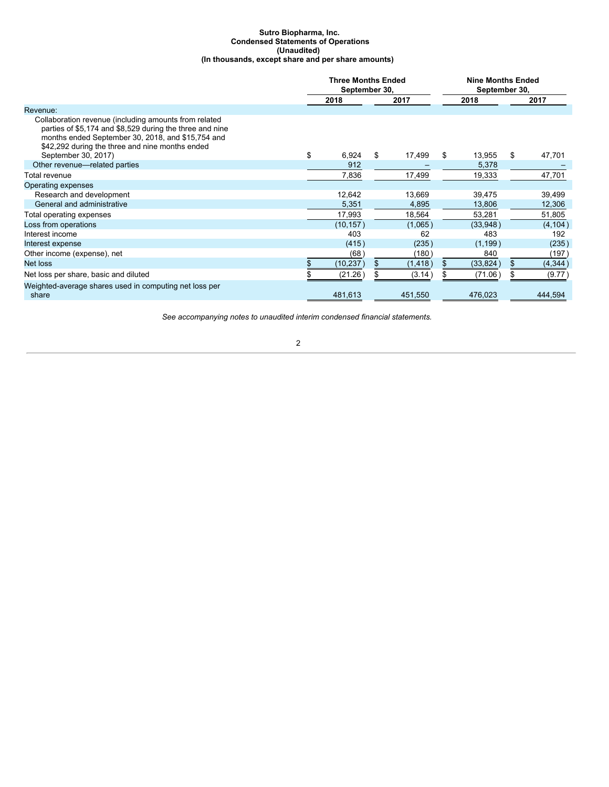#### <span id="page-3-0"></span>**Sutro Biopharma, Inc. Condensed Statements of Operations (Unaudited) (In thousands, except share and per share amounts)**

|                                                                                                                                                                                                                                                  | <b>Three Months Ended</b><br>September 30, |           |    |         | <b>Nine Months Ended</b><br>September 30, |           |     |          |
|--------------------------------------------------------------------------------------------------------------------------------------------------------------------------------------------------------------------------------------------------|--------------------------------------------|-----------|----|---------|-------------------------------------------|-----------|-----|----------|
|                                                                                                                                                                                                                                                  |                                            | 2018      |    | 2017    |                                           | 2018      |     | 2017     |
| Revenue:                                                                                                                                                                                                                                         |                                            |           |    |         |                                           |           |     |          |
| Collaboration revenue (including amounts from related<br>parties of \$5,174 and \$8,529 during the three and nine<br>months ended September 30, 2018, and \$15,754 and<br>\$42,292 during the three and nine months ended<br>September 30, 2017) | \$                                         | 6,924     | \$ | 17,499  | \$                                        | 13,955    | \$. | 47,701   |
| Other revenue-related parties                                                                                                                                                                                                                    |                                            | 912       |    |         |                                           | 5,378     |     |          |
| Total revenue                                                                                                                                                                                                                                    |                                            | 7,836     |    | 17,499  |                                           | 19,333    |     | 47,701   |
| Operating expenses                                                                                                                                                                                                                               |                                            |           |    |         |                                           |           |     |          |
| Research and development                                                                                                                                                                                                                         |                                            | 12,642    |    | 13,669  |                                           | 39,475    |     | 39,499   |
| General and administrative                                                                                                                                                                                                                       |                                            | 5,351     |    | 4,895   |                                           | 13,806    |     | 12,306   |
| Total operating expenses                                                                                                                                                                                                                         |                                            | 17,993    |    | 18,564  |                                           | 53,281    |     | 51,805   |
| Loss from operations                                                                                                                                                                                                                             |                                            | (10, 157) |    | (1,065) |                                           | (33,948)  |     | (4, 104) |
| Interest income                                                                                                                                                                                                                                  |                                            | 403       |    | 62      |                                           | 483       |     | 192      |
| Interest expense                                                                                                                                                                                                                                 |                                            | (415)     |    | (235)   |                                           | (1, 199)  |     | (235)    |
| Other income (expense), net                                                                                                                                                                                                                      |                                            | (68       |    | (180)   |                                           | 840       |     | (197)    |
| <b>Net loss</b>                                                                                                                                                                                                                                  |                                            | (10, 237) | \$ | (1,418) |                                           | (33, 824) |     | (4, 344) |
| Net loss per share, basic and diluted                                                                                                                                                                                                            |                                            | (21.26)   | S  | (3.14)  |                                           | (71.06)   |     | (9.77)   |
| Weighted-average shares used in computing net loss per<br>share                                                                                                                                                                                  |                                            | 481,613   |    | 451,550 |                                           | 476,023   |     | 444,594  |

*See accompanying notes to unaudited interim condensed financial statements.*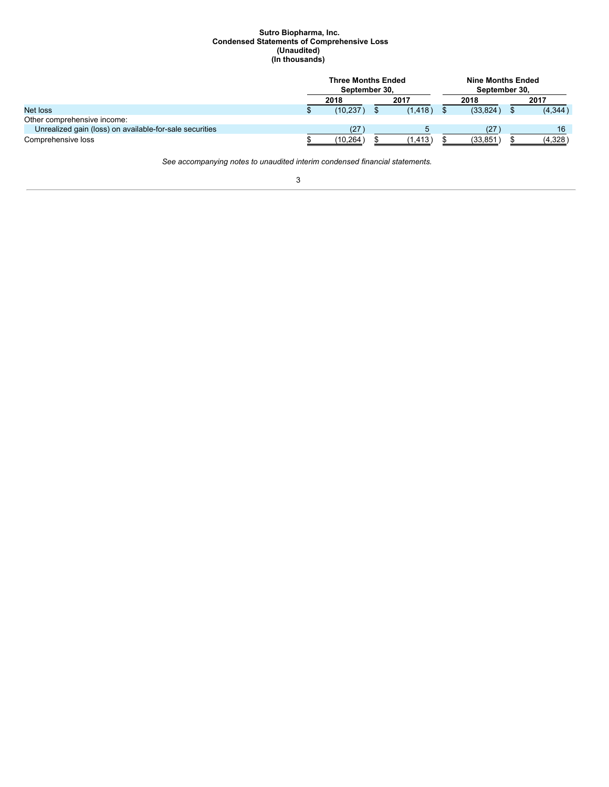#### <span id="page-4-0"></span>**Sutro Biopharma, Inc. Condensed Statements of Comprehensive Loss (Unaudited) (In thousands)**

|                                                         | <b>Three Months Ended</b><br>September 30. |           |  |          | <b>Nine Months Ended</b><br>September 30. |  |          |  |
|---------------------------------------------------------|--------------------------------------------|-----------|--|----------|-------------------------------------------|--|----------|--|
|                                                         |                                            | 2018      |  | 2017     | 2018                                      |  | 2017     |  |
| Net loss                                                |                                            | (10, 237) |  | (1, 418) | (33, 824)                                 |  | (4, 344) |  |
| Other comprehensive income:                             |                                            |           |  |          |                                           |  |          |  |
| Unrealized gain (loss) on available-for-sale securities |                                            | (27)      |  |          | (27)                                      |  | 16       |  |
| Comprehensive loss                                      |                                            | (10.264   |  | (1,413)  | (33, 851)                                 |  | (4,328)  |  |

*See accompanying notes to unaudited interim condensed financial statements.*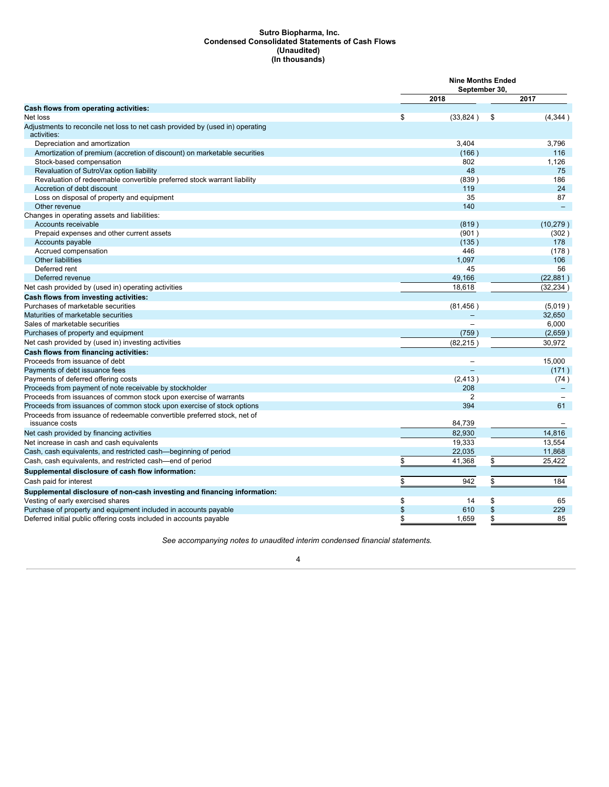#### <span id="page-5-0"></span>**Sutro Biopharma, Inc. Condensed Consolidated Statements of Cash Flows (Unaudited) (In thousands)**

|                                                                                              | <b>Nine Months Ended</b><br>September 30, |                          |  |  |  |  |
|----------------------------------------------------------------------------------------------|-------------------------------------------|--------------------------|--|--|--|--|
|                                                                                              | 2018                                      | 2017                     |  |  |  |  |
| Cash flows from operating activities:                                                        |                                           |                          |  |  |  |  |
| Net loss                                                                                     | \$<br>\$<br>(33, 824)                     | (4,344)                  |  |  |  |  |
| Adjustments to reconcile net loss to net cash provided by (used in) operating<br>activities: |                                           |                          |  |  |  |  |
| Depreciation and amortization                                                                | 3,404                                     | 3,796                    |  |  |  |  |
| Amortization of premium (accretion of discount) on marketable securities                     | (166)                                     | 116                      |  |  |  |  |
| Stock-based compensation                                                                     | 802                                       | 1,126                    |  |  |  |  |
| Revaluation of SutroVax option liability                                                     | 48                                        | 75                       |  |  |  |  |
| Revaluation of redeemable convertible preferred stock warrant liability                      | (839)                                     | 186                      |  |  |  |  |
| Accretion of debt discount                                                                   | 119                                       | 24                       |  |  |  |  |
| Loss on disposal of property and equipment                                                   | 35                                        | 87                       |  |  |  |  |
| Other revenue                                                                                | 140                                       | $\overline{\phantom{m}}$ |  |  |  |  |
| Changes in operating assets and liabilities:                                                 |                                           |                          |  |  |  |  |
| Accounts receivable                                                                          | (819)                                     | (10, 279)                |  |  |  |  |
| Prepaid expenses and other current assets                                                    | (901)                                     | (302)                    |  |  |  |  |
| Accounts payable                                                                             | (135)                                     | 178                      |  |  |  |  |
| Accrued compensation                                                                         | 446                                       | (178)                    |  |  |  |  |
| <b>Other liabilities</b>                                                                     | 1,097                                     | 106                      |  |  |  |  |
| Deferred rent                                                                                | 45                                        | 56                       |  |  |  |  |
| Deferred revenue                                                                             | 49,166                                    | (22, 881)                |  |  |  |  |
| Net cash provided by (used in) operating activities                                          | 18,618                                    | (32, 234)                |  |  |  |  |
| Cash flows from investing activities:                                                        |                                           |                          |  |  |  |  |
| Purchases of marketable securities                                                           | (81, 456)                                 | (5,019)                  |  |  |  |  |
| Maturities of marketable securities                                                          | $\overline{\phantom{m}}$                  | 32,650                   |  |  |  |  |
| Sales of marketable securities                                                               | $\overline{\phantom{0}}$                  | 6,000                    |  |  |  |  |
| Purchases of property and equipment                                                          | (759)                                     | (2,659)                  |  |  |  |  |
| Net cash provided by (used in) investing activities                                          | (82, 215)                                 | 30,972                   |  |  |  |  |
| Cash flows from financing activities:                                                        |                                           |                          |  |  |  |  |
| Proceeds from issuance of debt                                                               | $\equiv$                                  | 15,000                   |  |  |  |  |
| Payments of debt issuance fees                                                               | $\equiv$                                  | (171)                    |  |  |  |  |
| Payments of deferred offering costs                                                          | (2, 413)                                  | (74)                     |  |  |  |  |
| Proceeds from payment of note receivable by stockholder                                      | 208                                       |                          |  |  |  |  |
| Proceeds from issuances of common stock upon exercise of warrants                            | $\overline{2}$                            |                          |  |  |  |  |
| Proceeds from issuances of common stock upon exercise of stock options                       | 394                                       | 61                       |  |  |  |  |
| Proceeds from issuance of redeemable convertible preferred stock, net of<br>issuance costs   | 84,739                                    |                          |  |  |  |  |
| Net cash provided by financing activities                                                    | 82,930                                    | 14,816                   |  |  |  |  |
| Net increase in cash and cash equivalents                                                    | 19,333                                    | 13,554                   |  |  |  |  |
| Cash, cash equivalents, and restricted cash-beginning of period                              | 22,035                                    | 11,868                   |  |  |  |  |
| Cash, cash equivalents, and restricted cash-end of period                                    | \$<br>\$<br>41,368                        | 25.422                   |  |  |  |  |
| Supplemental disclosure of cash flow information:                                            |                                           |                          |  |  |  |  |
| Cash paid for interest                                                                       | \$<br>\$<br>942                           | 184                      |  |  |  |  |
| Supplemental disclosure of non-cash investing and financing information:                     |                                           |                          |  |  |  |  |
| Vesting of early exercised shares                                                            | \$<br>14<br>\$                            | 65                       |  |  |  |  |
| Purchase of property and equipment included in accounts payable                              | \$<br>\$<br>610                           | 229                      |  |  |  |  |
| Deferred initial public offering costs included in accounts payable                          | \$<br>\$<br>1.659                         | 85                       |  |  |  |  |
|                                                                                              |                                           |                          |  |  |  |  |

*See accompanying notes to unaudited interim condensed financial statements.*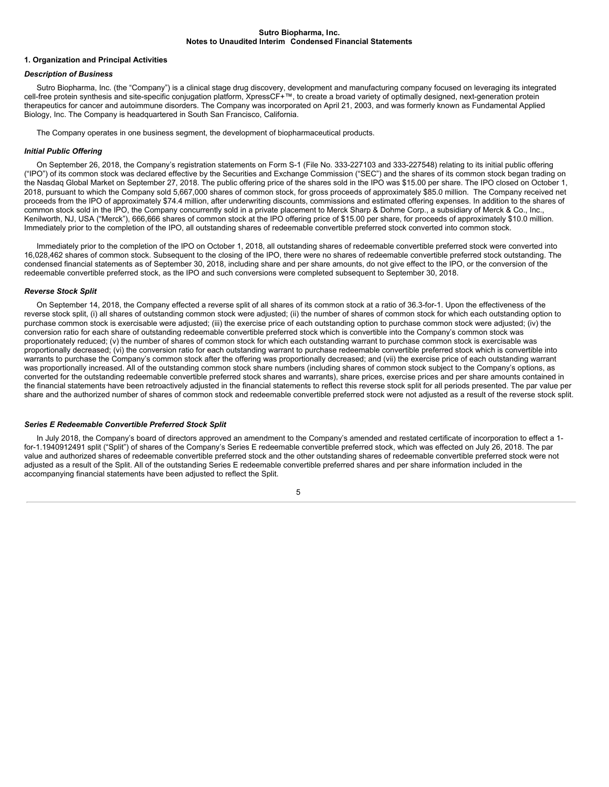#### <span id="page-6-0"></span>**Sutro Biopharma, Inc. Notes to Unaudited Interim Condensed Financial Statements**

#### **1. Organization and Principal Activities**

# *Description of Business*

Sutro Biopharma, Inc. (the "Company") is a clinical stage drug discovery, development and manufacturing company focused on leveraging its integrated cell-free protein synthesis and site-specific conjugation platform, XpressCF+™, to create a broad variety of optimally designed, next-generation protein therapeutics for cancer and autoimmune disorders. The Company was incorporated on April 21, 2003, and was formerly known as Fundamental Applied Biology, Inc. The Company is headquartered in South San Francisco, California.

The Company operates in one business segment, the development of biopharmaceutical products.

## *Initial Public Offering*

On September 26, 2018, the Company's registration statements on Form S-1 (File No. 333-227103 and 333-227548) relating to its initial public offering ("IPO") of its common stock was declared effective by the Securities and Exchange Commission ("SEC") and the shares of its common stock began trading on the Nasdaq Global Market on September 27, 2018. The public offering price of the shares sold in the IPO was \$15.00 per share. The IPO closed on October 1, 2018, pursuant to which the Company sold 5,667,000 shares of common stock, for gross proceeds of approximately \$85.0 million. The Company received net proceeds from the IPO of approximately \$74.4 million, after underwriting discounts, commissions and estimated offering expenses. In addition to the shares of common stock sold in the IPO, the Company concurrently sold in a private placement to Merck Sharp & Dohme Corp., a subsidiary of Merck & Co., Inc., Kenilworth, NJ, USA ("Merck"), 666,666 shares of common stock at the IPO offering price of \$15.00 per share, for proceeds of approximately \$10.0 million. Immediately prior to the completion of the IPO, all outstanding shares of redeemable convertible preferred stock converted into common stock.

Immediately prior to the completion of the IPO on October 1, 2018, all outstanding shares of redeemable convertible preferred stock were converted into 16,028,462 shares of common stock. Subsequent to the closing of the IPO, there were no shares of redeemable convertible preferred stock outstanding. The condensed financial statements as of September 30, 2018, including share and per share amounts, do not give effect to the IPO, or the conversion of the redeemable convertible preferred stock, as the IPO and such conversions were completed subsequent to September 30, 2018.

#### *Reverse Stock Split*

On September 14, 2018, the Company effected a reverse split of all shares of its common stock at a ratio of 36.3-for-1. Upon the effectiveness of the reverse stock split, (i) all shares of outstanding common stock were adjusted; (ii) the number of shares of common stock for which each outstanding option to purchase common stock is exercisable were adjusted; (iii) the exercise price of each outstanding option to purchase common stock were adjusted; (iv) the conversion ratio for each share of outstanding redeemable convertible preferred stock which is convertible into the Company's common stock was proportionately reduced; (v) the number of shares of common stock for which each outstanding warrant to purchase common stock is exercisable was proportionally decreased; (vi) the conversion ratio for each outstanding warrant to purchase redeemable convertible preferred stock which is convertible into warrants to purchase the Company's common stock after the offering was proportionally decreased; and (vii) the exercise price of each outstanding warrant was proportionally increased. All of the outstanding common stock share numbers (including shares of common stock subject to the Company's options, as converted for the outstanding redeemable convertible preferred stock shares and warrants), share prices, exercise prices and per share amounts contained in the financial statements have been retroactively adjusted in the financial statements to reflect this reverse stock split for all periods presented. The par value per share and the authorized number of shares of common stock and redeemable convertible preferred stock were not adjusted as a result of the reverse stock split.

# *Series E Redeemable Convertible Preferred Stock Split*

In July 2018, the Company's board of directors approved an amendment to the Company's amended and restated certificate of incorporation to effect a 1 for-1.1940912491 split ("Split") of shares of the Company's Series E redeemable convertible preferred stock, which was effected on July 26, 2018. The par value and authorized shares of redeemable convertible preferred stock and the other outstanding shares of redeemable convertible preferred stock were not adjusted as a result of the Split. All of the outstanding Series E redeemable convertible preferred shares and per share information included in the accompanying financial statements have been adjusted to reflect the Split.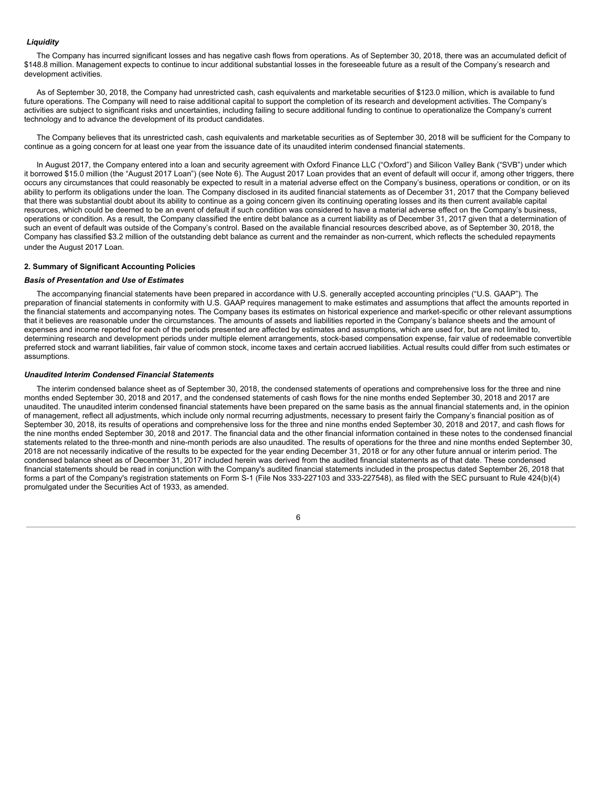# *Liquidity*

The Company has incurred significant losses and has negative cash flows from operations. As of September 30, 2018, there was an accumulated deficit of \$148.8 million. Management expects to continue to incur additional substantial losses in the foreseeable future as a result of the Company's research and development activities.

As of September 30, 2018, the Company had unrestricted cash, cash equivalents and marketable securities of \$123.0 million, which is available to fund future operations. The Company will need to raise additional capital to support the completion of its research and development activities. The Company's activities are subject to significant risks and uncertainties, including failing to secure additional funding to continue to operationalize the Company's current technology and to advance the development of its product candidates.

The Company believes that its unrestricted cash, cash equivalents and marketable securities as of September 30, 2018 will be sufficient for the Company to continue as a going concern for at least one year from the issuance date of its unaudited interim condensed financial statements.

In August 2017, the Company entered into a loan and security agreement with Oxford Finance LLC ("Oxford") and Silicon Valley Bank ("SVB") under which it borrowed \$15.0 million (the "August 2017 Loan") (see Note 6). The August 2017 Loan provides that an event of default will occur if, among other triggers, there occurs any circumstances that could reasonably be expected to result in a material adverse effect on the Company's business, operations or condition, or on its ability to perform its obligations under the loan. The Company disclosed in its audited financial statements as of December 31, 2017 that the Company believed that there was substantial doubt about its ability to continue as a going concern given its continuing operating losses and its then current available capital resources, which could be deemed to be an event of default if such condition was considered to have a material adverse effect on the Company's business, operations or condition. As a result, the Company classified the entire debt balance as a current liability as of December 31, 2017 given that a determination of such an event of default was outside of the Company's control. Based on the available financial resources described above, as of September 30, 2018, the Company has classified \$3.2 million of the outstanding debt balance as current and the remainder as non-current, which reflects the scheduled repayments under the August 2017 Loan.

# **2. Summary of Significant Accounting Policies**

# *Basis of Presentation and Use of Estimates*

The accompanying financial statements have been prepared in accordance with U.S. generally accepted accounting principles ("U.S. GAAP"). The preparation of financial statements in conformity with U.S. GAAP requires management to make estimates and assumptions that affect the amounts reported in the financial statements and accompanying notes. The Company bases its estimates on historical experience and market-specific or other relevant assumptions that it believes are reasonable under the circumstances. The amounts of assets and liabilities reported in the Company's balance sheets and the amount of expenses and income reported for each of the periods presented are affected by estimates and assumptions, which are used for, but are not limited to, determining research and development periods under multiple element arrangements, stock-based compensation expense, fair value of redeemable convertible preferred stock and warrant liabilities, fair value of common stock, income taxes and certain accrued liabilities. Actual results could differ from such estimates or assumptions.

# *Unaudited Interim Condensed Financial Statements*

The interim condensed balance sheet as of September 30, 2018, the condensed statements of operations and comprehensive loss for the three and nine months ended September 30, 2018 and 2017, and the condensed statements of cash flows for the nine months ended September 30, 2018 and 2017 are unaudited. The unaudited interim condensed financial statements have been prepared on the same basis as the annual financial statements and, in the opinion of management, reflect all adjustments, which include only normal recurring adjustments, necessary to present fairly the Company's financial position as of September 30, 2018, its results of operations and comprehensive loss for the three and nine months ended September 30, 2018 and 2017, and cash flows for the nine months ended September 30, 2018 and 2017. The financial data and the other financial information contained in these notes to the condensed financial statements related to the three-month and nine-month periods are also unaudited. The results of operations for the three and nine months ended September 30, 2018 are not necessarily indicative of the results to be expected for the year ending December 31, 2018 or for any other future annual or interim period. The condensed balance sheet as of December 31, 2017 included herein was derived from the audited financial statements as of that date. These condensed financial statements should be read in conjunction with the Company's audited financial statements included in the prospectus dated September 26, 2018 that forms a part of the Company's registration statements on Form S-1 (File Nos 333-227103 and 333-227548), as filed with the SEC pursuant to Rule 424(b)(4) promulgated under the Securities Act of 1933, as amended.

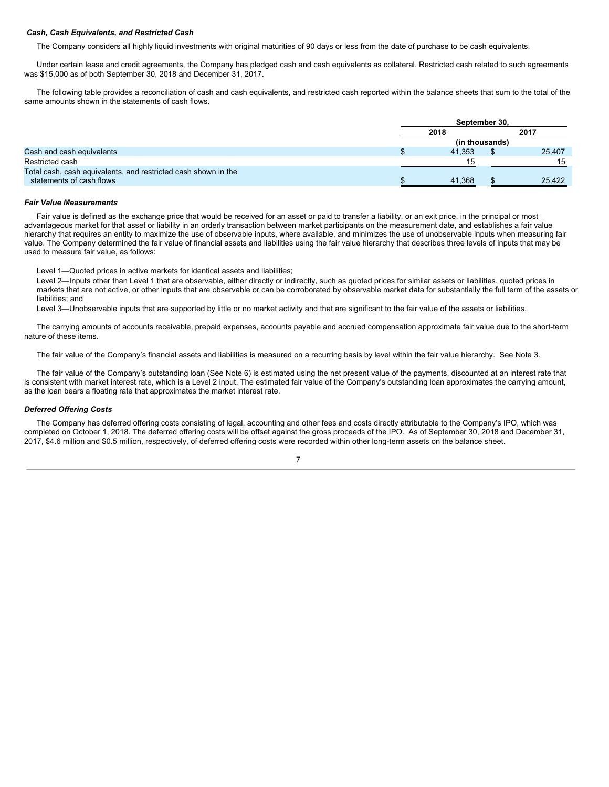## *Cash, Cash Equivalents, and Restricted Cash*

The Company considers all highly liquid investments with original maturities of 90 days or less from the date of purchase to be cash equivalents.

Under certain lease and credit agreements, the Company has pledged cash and cash equivalents as collateral. Restricted cash related to such agreements was \$15,000 as of both September 30, 2018 and December 31, 2017.

The following table provides a reconciliation of cash and cash equivalents, and restricted cash reported within the balance sheets that sum to the total of the same amounts shown in the statements of cash flows.

|                                                                |  | September 30.  |  |        |  |  |  |
|----------------------------------------------------------------|--|----------------|--|--------|--|--|--|
|                                                                |  | 2018           |  | 2017   |  |  |  |
|                                                                |  | (in thousands) |  |        |  |  |  |
| Cash and cash equivalents                                      |  | 41.353         |  | 25,407 |  |  |  |
| Restricted cash                                                |  | 15             |  | 15     |  |  |  |
| Total cash, cash equivalents, and restricted cash shown in the |  |                |  |        |  |  |  |
| statements of cash flows                                       |  | 41.368         |  | 25.422 |  |  |  |

#### *Fair Value Measurements*

Fair value is defined as the exchange price that would be received for an asset or paid to transfer a liability, or an exit price, in the principal or most advantageous market for that asset or liability in an orderly transaction between market participants on the measurement date, and establishes a fair value hierarchy that requires an entity to maximize the use of observable inputs, where available, and minimizes the use of unobservable inputs when measuring fair value. The Company determined the fair value of financial assets and liabilities using the fair value hierarchy that describes three levels of inputs that may be used to measure fair value, as follows:

Level 1—Quoted prices in active markets for identical assets and liabilities;

Level 2—Inputs other than Level 1 that are observable, either directly or indirectly, such as quoted prices for similar assets or liabilities, quoted prices in markets that are not active, or other inputs that are observable or can be corroborated by observable market data for substantially the full term of the assets or liabilities; and

Level 3—Unobservable inputs that are supported by little or no market activity and that are significant to the fair value of the assets or liabilities.

The carrying amounts of accounts receivable, prepaid expenses, accounts payable and accrued compensation approximate fair value due to the short-term nature of these items.

The fair value of the Company's financial assets and liabilities is measured on a recurring basis by level within the fair value hierarchy. See Note 3.

The fair value of the Company's outstanding loan (See Note 6) is estimated using the net present value of the payments, discounted at an interest rate that is consistent with market interest rate, which is a Level 2 input. The estimated fair value of the Company's outstanding loan approximates the carrying amount, as the loan bears a floating rate that approximates the market interest rate.

#### *Deferred Offering Costs*

The Company has deferred offering costs consisting of legal, accounting and other fees and costs directly attributable to the Company's IPO, which was completed on October 1, 2018. The deferred offering costs will be offset against the gross proceeds of the IPO. As of September 30, 2018 and December 31, 2017, \$4.6 million and \$0.5 million, respectively, of deferred offering costs were recorded within other long-term assets on the balance sheet.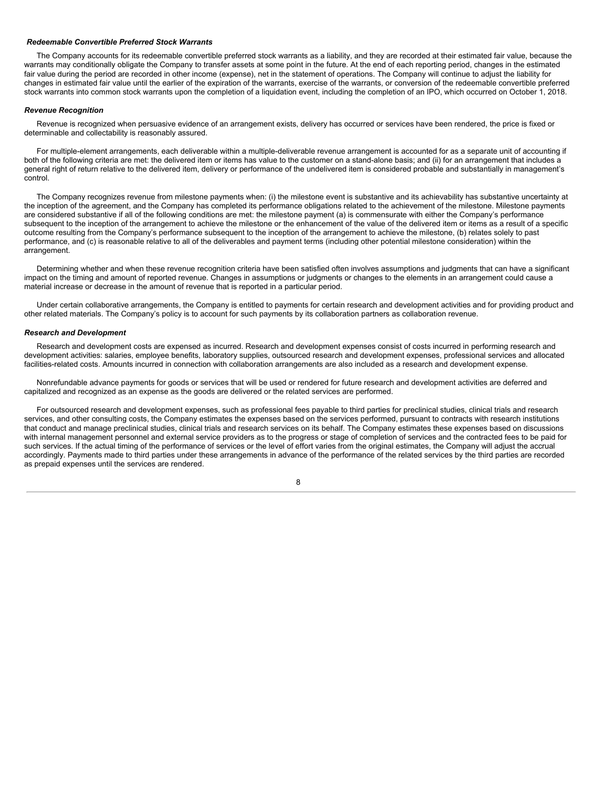#### *Redeemable Convertible Preferred Stock Warrants*

The Company accounts for its redeemable convertible preferred stock warrants as a liability, and they are recorded at their estimated fair value, because the warrants may conditionally obligate the Company to transfer assets at some point in the future. At the end of each reporting period, changes in the estimated fair value during the period are recorded in other income (expense), net in the statement of operations. The Company will continue to adjust the liability for changes in estimated fair value until the earlier of the expiration of the warrants, exercise of the warrants, or conversion of the redeemable convertible preferred stock warrants into common stock warrants upon the completion of a liquidation event, including the completion of an IPO, which occurred on October 1, 2018.

#### *Revenue Recognition*

Revenue is recognized when persuasive evidence of an arrangement exists, delivery has occurred or services have been rendered, the price is fixed or determinable and collectability is reasonably assured.

For multiple-element arrangements, each deliverable within a multiple-deliverable revenue arrangement is accounted for as a separate unit of accounting if both of the following criteria are met: the delivered item or items has value to the customer on a stand-alone basis; and (ii) for an arrangement that includes a general right of return relative to the delivered item, delivery or performance of the undelivered item is considered probable and substantially in management's control.

The Company recognizes revenue from milestone payments when: (i) the milestone event is substantive and its achievability has substantive uncertainty at the inception of the agreement, and the Company has completed its performance obligations related to the achievement of the milestone. Milestone payments are considered substantive if all of the following conditions are met: the milestone payment (a) is commensurate with either the Company's performance subsequent to the inception of the arrangement to achieve the milestone or the enhancement of the value of the delivered item or items as a result of a specific outcome resulting from the Company's performance subsequent to the inception of the arrangement to achieve the milestone, (b) relates solely to past performance, and (c) is reasonable relative to all of the deliverables and payment terms (including other potential milestone consideration) within the arrangement.

Determining whether and when these revenue recognition criteria have been satisfied often involves assumptions and judgments that can have a significant impact on the timing and amount of reported revenue. Changes in assumptions or judgments or changes to the elements in an arrangement could cause a material increase or decrease in the amount of revenue that is reported in a particular period.

Under certain collaborative arrangements, the Company is entitled to payments for certain research and development activities and for providing product and other related materials. The Company's policy is to account for such payments by its collaboration partners as collaboration revenue.

#### *Research and Development*

Research and development costs are expensed as incurred. Research and development expenses consist of costs incurred in performing research and development activities: salaries, employee benefits, laboratory supplies, outsourced research and development expenses, professional services and allocated facilities-related costs. Amounts incurred in connection with collaboration arrangements are also included as a research and development expense.

Nonrefundable advance payments for goods or services that will be used or rendered for future research and development activities are deferred and capitalized and recognized as an expense as the goods are delivered or the related services are performed.

For outsourced research and development expenses, such as professional fees payable to third parties for preclinical studies, clinical trials and research services, and other consulting costs, the Company estimates the expenses based on the services performed, pursuant to contracts with research institutions that conduct and manage preclinical studies, clinical trials and research services on its behalf. The Company estimates these expenses based on discussions with internal management personnel and external service providers as to the progress or stage of completion of services and the contracted fees to be paid for such services. If the actual timing of the performance of services or the level of effort varies from the original estimates, the Company will adjust the accrual accordingly. Payments made to third parties under these arrangements in advance of the performance of the related services by the third parties are recorded as prepaid expenses until the services are rendered.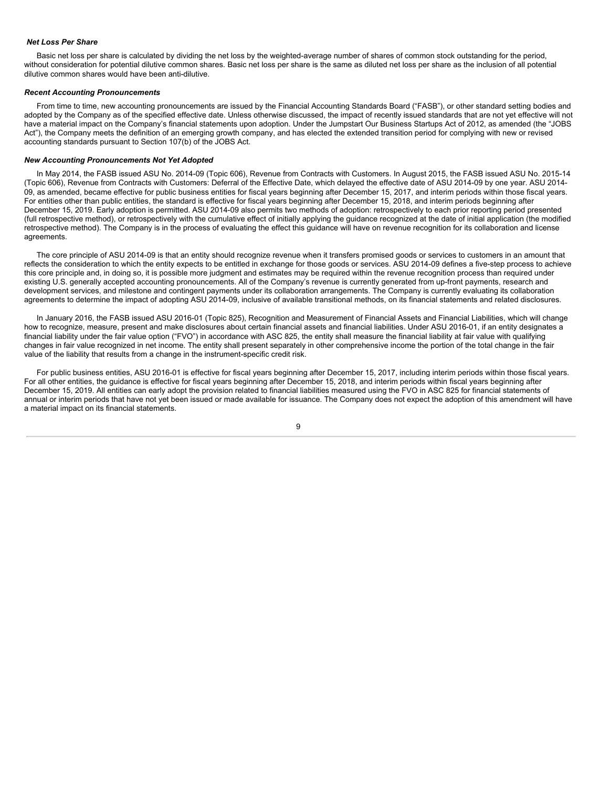# *Net Loss Per Share*

Basic net loss per share is calculated by dividing the net loss by the weighted-average number of shares of common stock outstanding for the period, without consideration for potential dilutive common shares. Basic net loss per share is the same as diluted net loss per share as the inclusion of all potential dilutive common shares would have been anti-dilutive.

#### *Recent Accounting Pronouncements*

From time to time, new accounting pronouncements are issued by the Financial Accounting Standards Board ("FASB"), or other standard setting bodies and adopted by the Company as of the specified effective date. Unless otherwise discussed, the impact of recently issued standards that are not yet effective will not have a material impact on the Company's financial statements upon adoption. Under the Jumpstart Our Business Startups Act of 2012, as amended (the "JOBS Act"), the Company meets the definition of an emerging growth company, and has elected the extended transition period for complying with new or revised accounting standards pursuant to Section 107(b) of the JOBS Act.

#### *New Accounting Pronouncements Not Yet Adopted*

In May 2014, the FASB issued ASU No. 2014-09 (Topic 606), Revenue from Contracts with Customers. In August 2015, the FASB issued ASU No. 2015-14 (Topic 606), Revenue from Contracts with Customers: Deferral of the Effective Date, which delayed the effective date of ASU 2014-09 by one year. ASU 2014- 09, as amended, became effective for public business entities for fiscal years beginning after December 15, 2017, and interim periods within those fiscal years. For entities other than public entities, the standard is effective for fiscal years beginning after December 15, 2018, and interim periods beginning after December 15, 2019. Early adoption is permitted. ASU 2014-09 also permits two methods of adoption: retrospectively to each prior reporting period presented (full retrospective method), or retrospectively with the cumulative effect of initially applying the guidance recognized at the date of initial application (the modified retrospective method). The Company is in the process of evaluating the effect this guidance will have on revenue recognition for its collaboration and license agreements.

The core principle of ASU 2014-09 is that an entity should recognize revenue when it transfers promised goods or services to customers in an amount that reflects the consideration to which the entity expects to be entitled in exchange for those goods or services. ASU 2014-09 defines a five-step process to achieve this core principle and, in doing so, it is possible more judgment and estimates may be required within the revenue recognition process than required under existing U.S. generally accepted accounting pronouncements. All of the Company's revenue is currently generated from up-front payments, research and development services, and milestone and contingent payments under its collaboration arrangements. The Company is currently evaluating its collaboration agreements to determine the impact of adopting ASU 2014-09, inclusive of available transitional methods, on its financial statements and related disclosures.

In January 2016, the FASB issued ASU 2016-01 (Topic 825), Recognition and Measurement of Financial Assets and Financial Liabilities, which will change how to recognize, measure, present and make disclosures about certain financial assets and financial liabilities. Under ASU 2016-01, if an entity designates a financial liability under the fair value option ("FVO") in accordance with ASC 825, the entity shall measure the financial liability at fair value with qualifying changes in fair value recognized in net income. The entity shall present separately in other comprehensive income the portion of the total change in the fair value of the liability that results from a change in the instrument-specific credit risk.

For public business entities, ASU 2016-01 is effective for fiscal years beginning after December 15, 2017, including interim periods within those fiscal years. For all other entities, the guidance is effective for fiscal years beginning after December 15, 2018, and interim periods within fiscal years beginning after December 15, 2019. All entities can early adopt the provision related to financial liabilities measured using the FVO in ASC 825 for financial statements of annual or interim periods that have not yet been issued or made available for issuance. The Company does not expect the adoption of this amendment will have a material impact on its financial statements.

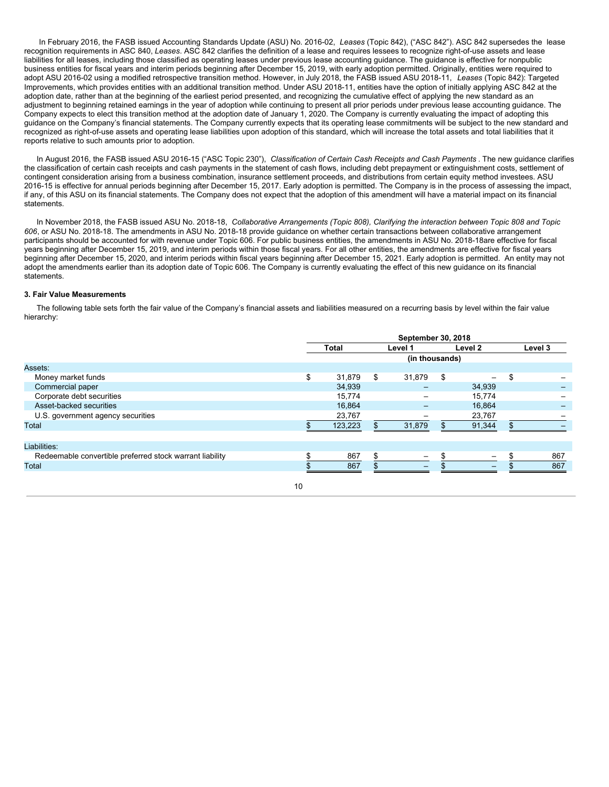In February 2016, the FASB issued Accounting Standards Update (ASU) No. 2016-02, *Leases* (Topic 842), ("ASC 842"). ASC 842 supersedes the lease recognition requirements in ASC 840, *Leases*. ASC 842 clarifies the definition of a lease and requires lessees to recognize right-of-use assets and lease liabilities for all leases, including those classified as operating leases under previous lease accounting guidance. The guidance is effective for nonpublic business entities for fiscal years and interim periods beginning after December 15, 2019, with early adoption permitted. Originally, entities were required to adopt ASU 2016-02 using a modified retrospective transition method. However, in July 2018, the FASB issued ASU 2018-11, *Leases* (Topic 842): Targeted Improvements, which provides entities with an additional transition method. Under ASU 2018-11, entities have the option of initially applying ASC 842 at the adoption date, rather than at the beginning of the earliest period presented, and recognizing the cumulative effect of applying the new standard as an adjustment to beginning retained earnings in the year of adoption while continuing to present all prior periods under previous lease accounting guidance. The Company expects to elect this transition method at the adoption date of January 1, 2020. The Company is currently evaluating the impact of adopting this guidance on the Company's financial statements. The Company currently expects that its operating lease commitments will be subject to the new standard and recognized as right-of-use assets and operating lease liabilities upon adoption of this standard, which will increase the total assets and total liabilities that it reports relative to such amounts prior to adoption.

In August 2016, the FASB issued ASU 2016-15 ("ASC Topic 230"), *Classification of Certain Cash Receipts and Cash Payments* . The new guidance clarifies the classification of certain cash receipts and cash payments in the statement of cash flows, including debt prepayment or extinguishment costs, settlement of contingent consideration arising from a business combination, insurance settlement proceeds, and distributions from certain equity method investees. ASU 2016-15 is effective for annual periods beginning after December 15, 2017. Early adoption is permitted. The Company is in the process of assessing the impact, if any, of this ASU on its financial statements. The Company does not expect that the adoption of this amendment will have a material impact on its financial statements.

In November 2018, the FASB issued ASU No. 2018-18, Collaborative Arrangements (Topic 808), Clarifying the interaction between Topic 808 and Topic *606*, or ASU No. 2018-18. The amendments in ASU No. 2018-18 provide guidance on whether certain transactions between collaborative arrangement participants should be accounted for with revenue under Topic 606. For public business entities, the amendments in ASU No. 2018-18are effective for fiscal years beginning after December 15, 2019, and interim periods within those fiscal years. For all other entities, the amendments are effective for fiscal years beginning after December 15, 2020, and interim periods within fiscal years beginning after December 15, 2021. Early adoption is permitted. An entity may not adopt the amendments earlier than its adoption date of Topic 606. The Company is currently evaluating the effect of this new guidance on its financial statements.

# **3. Fair Value Measurements**

The following table sets forth the fair value of the Company's financial assets and liabilities measured on a recurring basis by level within the fair value hierarchy:

|                                                          |    | <b>September 30, 2018</b> |    |                          |    |         |    |         |  |
|----------------------------------------------------------|----|---------------------------|----|--------------------------|----|---------|----|---------|--|
|                                                          |    | Total<br>Level 1          |    |                          |    | Level 2 |    | Level 3 |  |
|                                                          |    |                           |    |                          |    |         |    |         |  |
| Assets:                                                  |    |                           |    |                          |    |         |    |         |  |
| Money market funds                                       | \$ | 31,879                    | \$ | 31,879                   | \$ | —       | \$ |         |  |
| Commercial paper                                         |    | 34,939                    |    |                          |    | 34,939  |    |         |  |
| Corporate debt securities                                |    | 15,774                    |    | —                        |    | 15,774  |    |         |  |
| Asset-backed securities                                  |    | 16,864                    |    |                          |    | 16,864  |    | -       |  |
| U.S. government agency securities                        |    | 23,767                    |    |                          |    | 23,767  |    |         |  |
| Total                                                    |    | 123,223                   |    | 31,879                   |    | 91,344  |    |         |  |
|                                                          |    |                           |    |                          |    |         |    |         |  |
| Liabilities:                                             |    |                           |    |                          |    |         |    |         |  |
| Redeemable convertible preferred stock warrant liability |    | 867                       |    | $\overline{\phantom{m}}$ |    | -       | \$ | 867     |  |
| Total                                                    |    | 867                       |    |                          |    |         |    | 867     |  |
|                                                          |    |                           |    |                          |    |         |    |         |  |
|                                                          | 10 |                           |    |                          |    |         |    |         |  |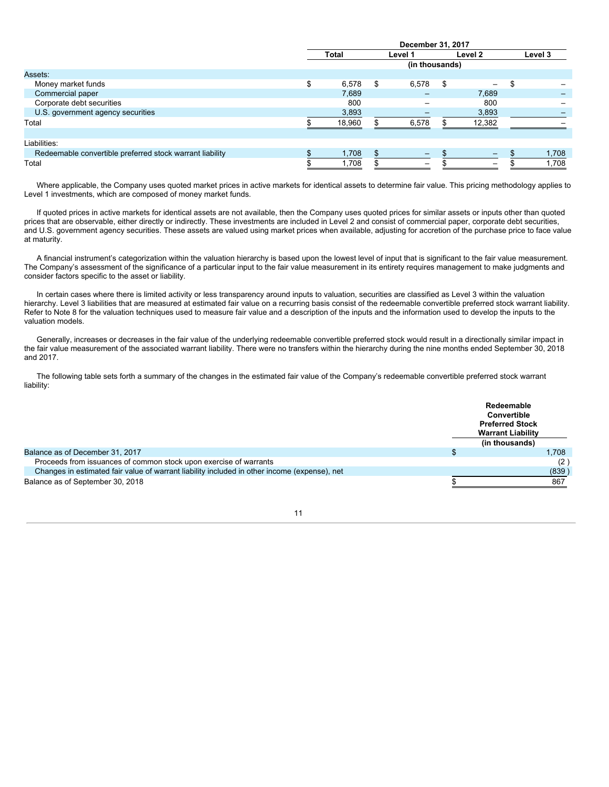|                                                          |       | December 31, 2017 |    |                   |         |        |  |         |  |
|----------------------------------------------------------|-------|-------------------|----|-------------------|---------|--------|--|---------|--|
|                                                          | Total |                   |    | Level 1           | Level 2 |        |  | Level 3 |  |
|                                                          |       |                   |    | (in thousands)    |         |        |  |         |  |
| Assets:                                                  |       |                   |    |                   |         |        |  |         |  |
| Money market funds                                       | \$    | 6,578             | \$ | 6,578             | \$      | —      |  |         |  |
| Commercial paper                                         |       | 7,689             |    |                   |         | 7,689  |  |         |  |
| Corporate debt securities                                |       | 800               |    |                   |         | 800    |  |         |  |
| U.S. government agency securities                        |       | 3,893             |    |                   |         | 3,893  |  |         |  |
| Total                                                    |       | 18,960            |    | 6,578             |         | 12,382 |  |         |  |
|                                                          |       |                   |    |                   |         |        |  |         |  |
| Liabilities:                                             |       |                   |    |                   |         |        |  |         |  |
| Redeemable convertible preferred stock warrant liability |       | 1,708             |    | $\qquad \qquad -$ |         |        |  | 1,708   |  |
| Total                                                    |       | 1,708             |    | -                 |         |        |  | 1,708   |  |

Where applicable, the Company uses quoted market prices in active markets for identical assets to determine fair value. This pricing methodology applies to Level 1 investments, which are composed of money market funds.

If quoted prices in active markets for identical assets are not available, then the Company uses quoted prices for similar assets or inputs other than quoted prices that are observable, either directly or indirectly. These investments are included in Level 2 and consist of commercial paper, corporate debt securities, and U.S. government agency securities. These assets are valued using market prices when available, adjusting for accretion of the purchase price to face value at maturity.

A financial instrument's categorization within the valuation hierarchy is based upon the lowest level of input that is significant to the fair value measurement. The Company's assessment of the significance of a particular input to the fair value measurement in its entirety requires management to make judgments and consider factors specific to the asset or liability.

In certain cases where there is limited activity or less transparency around inputs to valuation, securities are classified as Level 3 within the valuation hierarchy. Level 3 liabilities that are measured at estimated fair value on a recurring basis consist of the redeemable convertible preferred stock warrant liability. Refer to Note 8 for the valuation techniques used to measure fair value and a description of the inputs and the information used to develop the inputs to the valuation models.

Generally, increases or decreases in the fair value of the underlying redeemable convertible preferred stock would result in a directionally similar impact in the fair value measurement of the associated warrant liability. There were no transfers within the hierarchy during the nine months ended September 30, 2018 and 2017.

The following table sets forth a summary of the changes in the estimated fair value of the Company's redeemable convertible preferred stock warrant liability:

|                                                                                              | Redeemable<br><b>Preferred Stock</b><br><b>Warrant Liability</b><br>(in thousands) | Convertible |
|----------------------------------------------------------------------------------------------|------------------------------------------------------------------------------------|-------------|
| Balance as of December 31, 2017                                                              |                                                                                    | 1.708       |
| Proceeds from issuances of common stock upon exercise of warrants                            |                                                                                    | (2)         |
| Changes in estimated fair value of warrant liability included in other income (expense), net |                                                                                    | (839)       |
| Balance as of September 30, 2018                                                             |                                                                                    | 867         |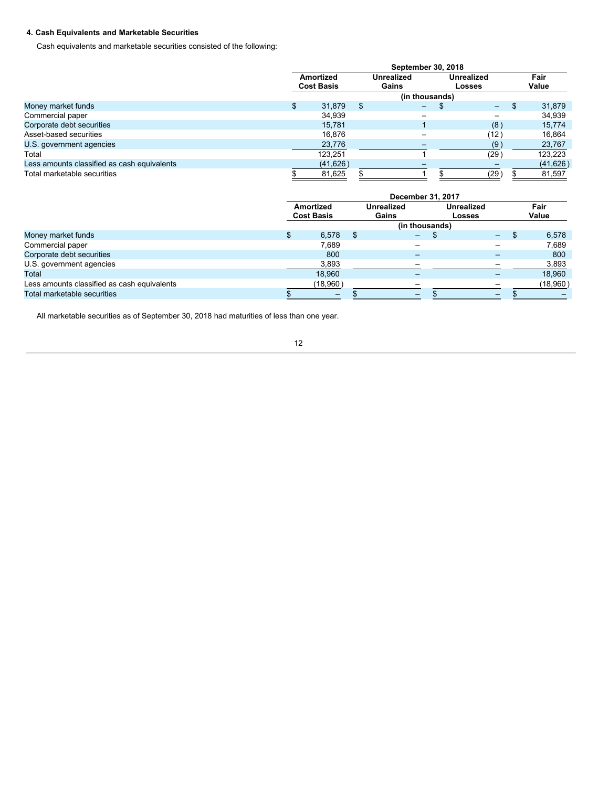# **4. Cash Equivalents and Marketable Securities**

Cash equivalents and marketable securities consisted of the following:

|                                             | <b>September 30, 2018</b>      |      |                          |  |                             |               |  |  |  |
|---------------------------------------------|--------------------------------|------|--------------------------|--|-----------------------------|---------------|--|--|--|
|                                             | Amortized<br><b>Cost Basis</b> |      | Unrealized<br>Gains      |  | <b>Unrealized</b><br>Losses | Fair<br>Value |  |  |  |
|                                             |                                |      | (in thousands)           |  |                             |               |  |  |  |
| Money market funds                          | \$<br>31.879                   | - \$ | $\qquad \qquad -$        |  | $-$                         | \$.<br>31.879 |  |  |  |
| Commercial paper                            | 34.939                         |      | $\overline{\phantom{0}}$ |  | -                           | 34,939        |  |  |  |
| Corporate debt securities                   | 15.781                         |      |                          |  | (8)                         | 15,774        |  |  |  |
| Asset-based securities                      | 16,876                         |      |                          |  | (12)                        | 16,864        |  |  |  |
| U.S. government agencies                    | 23,776                         |      | $\overline{\phantom{0}}$ |  | (9)                         | 23,767        |  |  |  |
| Total                                       | 123,251                        |      |                          |  | (29)                        | 123,223       |  |  |  |
| Less amounts classified as cash equivalents | (41, 626)                      |      |                          |  | -                           | (41, 626)     |  |  |  |
| Total marketable securities                 | 81,625                         |      |                          |  | (29)                        | 81,597        |  |  |  |

|                                             | December 31, 2017 |                                |    |                            |                |                             |  |               |  |
|---------------------------------------------|-------------------|--------------------------------|----|----------------------------|----------------|-----------------------------|--|---------------|--|
|                                             |                   | Amortized<br><b>Cost Basis</b> |    | <b>Unrealized</b><br>Gains |                | <b>Unrealized</b><br>Losses |  | Fair<br>Value |  |
|                                             |                   |                                |    |                            | (in thousands) |                             |  |               |  |
| Money market funds                          |                   | 6,578                          | -S |                            |                | $\qquad \qquad -$           |  | 6,578         |  |
| Commercial paper                            |                   | 7,689                          |    |                            |                |                             |  | 7,689         |  |
| Corporate debt securities                   |                   | 800                            |    |                            |                |                             |  | 800           |  |
| U.S. government agencies                    |                   | 3,893                          |    |                            |                |                             |  | 3,893         |  |
| Total                                       |                   | 18.960                         |    |                            |                |                             |  | 18,960        |  |
| Less amounts classified as cash equivalents |                   | (18,960)                       |    |                            |                |                             |  | (18,960)      |  |
| Total marketable securities                 |                   |                                |    |                            |                | -                           |  |               |  |

All marketable securities as of September 30, 2018 had maturities of less than one year.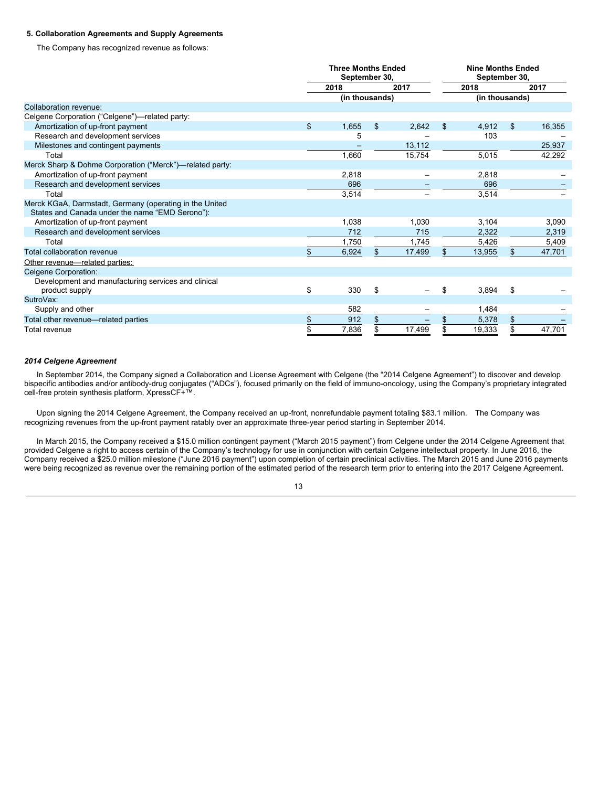# **5. Collaboration Agreements and Supply Agreements**

The Company has recognized revenue as follows:

|                                                                                                            | <b>Three Months Ended</b><br>September 30, |                |    | <b>Nine Months Ended</b><br>September 30, |                |     |        |
|------------------------------------------------------------------------------------------------------------|--------------------------------------------|----------------|----|-------------------------------------------|----------------|-----|--------|
|                                                                                                            |                                            | 2018           |    | 2017                                      | 2018           |     | 2017   |
|                                                                                                            |                                            | (in thousands) |    |                                           | (in thousands) |     |        |
| Collaboration revenue:                                                                                     |                                            |                |    |                                           |                |     |        |
| Celgene Corporation ("Celgene")—related party:                                                             |                                            |                |    |                                           |                |     |        |
| Amortization of up-front payment                                                                           | $\mathfrak{L}$                             | 1,655          | \$ | 2,642                                     | \$<br>4,912    | \$  | 16,355 |
| Research and development services                                                                          |                                            | 5              |    |                                           | 103            |     |        |
| Milestones and contingent payments                                                                         |                                            |                |    | 13,112                                    |                |     | 25,937 |
| Total                                                                                                      |                                            | 1,660          |    | 15,754                                    | 5,015          |     | 42,292 |
| Merck Sharp & Dohme Corporation ("Merck")—related party:                                                   |                                            |                |    |                                           |                |     |        |
| Amortization of up-front payment                                                                           |                                            | 2,818          |    | $\qquad \qquad$                           | 2,818          |     |        |
| Research and development services                                                                          |                                            | 696            |    |                                           | 696            |     |        |
| Total                                                                                                      |                                            | 3,514          |    |                                           | 3,514          |     |        |
| Merck KGaA, Darmstadt, Germany (operating in the United<br>States and Canada under the name "EMD Serono"): |                                            |                |    |                                           |                |     |        |
| Amortization of up-front payment                                                                           |                                            | 1,038          |    | 1,030                                     | 3,104          |     | 3,090  |
| Research and development services                                                                          |                                            | 712            |    | 715                                       | 2,322          |     | 2,319  |
| Total                                                                                                      |                                            | 1,750          |    | 1,745                                     | 5,426          |     | 5,409  |
| Total collaboration revenue                                                                                |                                            | 6,924          | \$ | 17,499                                    | \$<br>13,955   | S.  | 47,701 |
| Other revenue-related parties:                                                                             |                                            |                |    |                                           |                |     |        |
| Celgene Corporation:                                                                                       |                                            |                |    |                                           |                |     |        |
| Development and manufacturing services and clinical<br>product supply                                      | \$                                         | 330            | \$ |                                           | \$<br>3,894    | -\$ |        |
| SutroVax:                                                                                                  |                                            |                |    |                                           |                |     |        |
| Supply and other                                                                                           |                                            | 582            |    |                                           | 1,484          |     |        |
| Total other revenue-related parties                                                                        | \$                                         | 912            | \$ |                                           | \$<br>5,378    | \$  |        |
| Total revenue                                                                                              |                                            | 7,836          |    | 17,499                                    | 19,333         |     | 47,701 |

#### *2014 Celgene Agreement*

In September 2014, the Company signed a Collaboration and License Agreement with Celgene (the "2014 Celgene Agreement") to discover and develop bispecific antibodies and/or antibody-drug conjugates ("ADCs"), focused primarily on the field of immuno-oncology, using the Company's proprietary integrated cell-free protein synthesis platform, XpressCF+™.

Upon signing the 2014 Celgene Agreement, the Company received an up-front, nonrefundable payment totaling \$83.1 million. The Company was recognizing revenues from the up-front payment ratably over an approximate three-year period starting in September 2014.

In March 2015, the Company received a \$15.0 million contingent payment ("March 2015 payment") from Celgene under the 2014 Celgene Agreement that provided Celgene a right to access certain of the Company's technology for use in conjunction with certain Celgene intellectual property. In June 2016, the Company received a \$25.0 million milestone ("June 2016 payment") upon completion of certain preclinical activities. The March 2015 and June 2016 payments were being recognized as revenue over the remaining portion of the estimated period of the research term prior to entering into the 2017 Celgene Agreement.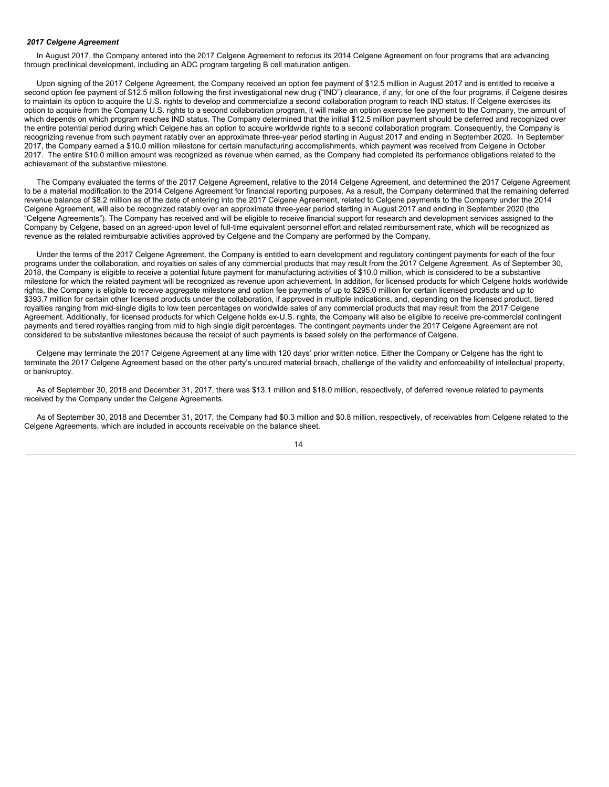# *2017 Celgene Agreement*

In August 2017, the Company entered into the 2017 Celgene Agreement to refocus its 2014 Celgene Agreement on four programs that are advancing through preclinical development, including an ADC program targeting B cell maturation antigen.

Upon signing of the 2017 Celgene Agreement, the Company received an option fee payment of \$12.5 million in August 2017 and is entitled to receive a second option fee payment of \$12.5 million following the first investigational new drug ("IND") clearance, if any, for one of the four programs, if Celgene desires to maintain its option to acquire the U.S. rights to develop and commercialize a second collaboration program to reach IND status. If Celgene exercises its option to acquire from the Company U.S. rights to a second collaboration program, it will make an option exercise fee payment to the Company, the amount of which depends on which program reaches IND status. The Company determined that the initial \$12.5 million payment should be deferred and recognized over the entire potential period during which Celgene has an option to acquire worldwide rights to a second collaboration program. Consequently, the Company is recognizing revenue from such payment ratably over an approximate three-year period starting in August 2017 and ending in September 2020. In September 2017, the Company earned a \$10.0 million milestone for certain manufacturing accomplishments, which payment was received from Celgene in October 2017. The entire \$10.0 million amount was recognized as revenue when earned, as the Company had completed its performance obligations related to the achievement of the substantive milestone.

The Company evaluated the terms of the 2017 Celgene Agreement, relative to the 2014 Celgene Agreement, and determined the 2017 Celgene Agreement to be a material modification to the 2014 Celgene Agreement for financial reporting purposes. As a result, the Company determined that the remaining deferred revenue balance of \$8.2 million as of the date of entering into the 2017 Celgene Agreement, related to Celgene payments to the Company under the 2014 Celgene Agreement, will also be recognized ratably over an approximate three-year period starting in August 2017 and ending in September 2020 (the "Celgene Agreements"). The Company has received and will be eligible to receive financial support for research and development services assigned to the Company by Celgene, based on an agreed-upon level of full-time equivalent personnel effort and related reimbursement rate, which will be recognized as revenue as the related reimbursable activities approved by Celgene and the Company are performed by the Company.

Under the terms of the 2017 Celgene Agreement, the Company is entitled to earn development and regulatory contingent payments for each of the four programs under the collaboration, and royalties on sales of any commercial products that may result from the 2017 Celgene Agreement. As of September 30, 2018, the Company is eligible to receive a potential future payment for manufacturing activities of \$10.0 million, which is considered to be a substantive milestone for which the related payment will be recognized as revenue upon achievement. In addition, for licensed products for which Celgene holds worldwide rights, the Company is eligible to receive aggregate milestone and option fee payments of up to \$295.0 million for certain licensed products and up to \$393.7 million for certain other licensed products under the collaboration, if approved in multiple indications, and, depending on the licensed product, tiered royalties ranging from mid-single digits to low teen percentages on worldwide sales of any commercial products that may result from the 2017 Celgene Agreement. Additionally, for licensed products for which Celgene holds ex-U.S. rights, the Company will also be eligible to receive pre-commercial contingent payments and tiered royalties ranging from mid to high single digit percentages. The contingent payments under the 2017 Celgene Agreement are not considered to be substantive milestones because the receipt of such payments is based solely on the performance of Celgene.

Celgene may terminate the 2017 Celgene Agreement at any time with 120 days' prior written notice. Either the Company or Celgene has the right to terminate the 2017 Celgene Agreement based on the other party's uncured material breach, challenge of the validity and enforceability of intellectual property, or bankruptcy.

As of September 30, 2018 and December 31, 2017, there was \$13.1 million and \$18.0 million, respectively, of deferred revenue related to payments received by the Company under the Celgene Agreements.

As of September 30, 2018 and December 31, 2017, the Company had \$0.3 million and \$0.8 million, respectively, of receivables from Celgene related to the Celgene Agreements, which are included in accounts receivable on the balance sheet.

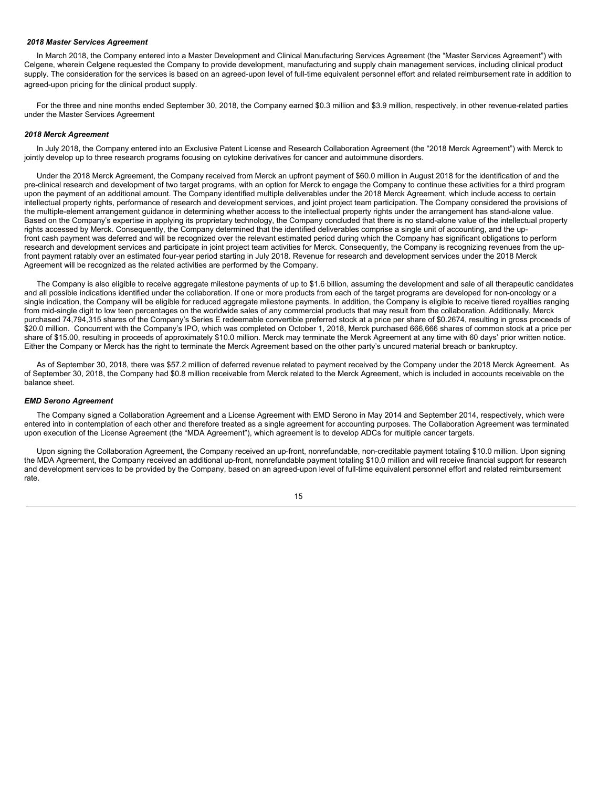#### *2018 Master Services Agreement*

In March 2018, the Company entered into a Master Development and Clinical Manufacturing Services Agreement (the "Master Services Agreement") with Celgene, wherein Celgene requested the Company to provide development, manufacturing and supply chain management services, including clinical product supply. The consideration for the services is based on an agreed-upon level of full-time equivalent personnel effort and related reimbursement rate in addition to agreed-upon pricing for the clinical product supply.

For the three and nine months ended September 30, 2018, the Company earned \$0.3 million and \$3.9 million, respectively, in other revenue-related parties under the Master Services Agreement

#### *2018 Merck Agreement*

In July 2018, the Company entered into an Exclusive Patent License and Research Collaboration Agreement (the "2018 Merck Agreement") with Merck to jointly develop up to three research programs focusing on cytokine derivatives for cancer and autoimmune disorders.

Under the 2018 Merck Agreement, the Company received from Merck an upfront payment of \$60.0 million in August 2018 for the identification of and the pre-clinical research and development of two target programs, with an option for Merck to engage the Company to continue these activities for a third program upon the payment of an additional amount. The Company identified multiple deliverables under the 2018 Merck Agreement, which include access to certain intellectual property rights, performance of research and development services, and joint project team participation. The Company considered the provisions of the multiple-element arrangement guidance in determining whether access to the intellectual property rights under the arrangement has stand-alone value. Based on the Company's expertise in applying its proprietary technology, the Company concluded that there is no stand-alone value of the intellectual property rights accessed by Merck. Consequently, the Company determined that the identified deliverables comprise a single unit of accounting, and the upfront cash payment was deferred and will be recognized over the relevant estimated period during which the Company has significant obligations to perform research and development services and participate in joint project team activities for Merck. Consequently, the Company is recognizing revenues from the upfront payment ratably over an estimated four-year period starting in July 2018. Revenue for research and development services under the 2018 Merck Agreement will be recognized as the related activities are performed by the Company.

The Company is also eligible to receive aggregate milestone payments of up to \$1.6 billion, assuming the development and sale of all therapeutic candidates and all possible indications identified under the collaboration. If one or more products from each of the target programs are developed for non-oncology or a single indication, the Company will be eligible for reduced aggregate milestone payments. In addition, the Company is eligible to receive tiered royalties ranging from mid-single digit to low teen percentages on the worldwide sales of any commercial products that may result from the collaboration. Additionally, Merck purchased 74,794,315 shares of the Company's Series E redeemable convertible preferred stock at a price per share of \$0.2674, resulting in gross proceeds of \$20.0 million. Concurrent with the Company's IPO, which was completed on October 1, 2018, Merck purchased 666,666 shares of common stock at a price per share of \$15.00, resulting in proceeds of approximately \$10.0 million. Merck may terminate the Merck Agreement at any time with 60 days' prior written notice. Either the Company or Merck has the right to terminate the Merck Agreement based on the other party's uncured material breach or bankruptcy.

As of September 30, 2018, there was \$57.2 million of deferred revenue related to payment received by the Company under the 2018 Merck Agreement. As of September 30, 2018, the Company had \$0.8 million receivable from Merck related to the Merck Agreement, which is included in accounts receivable on the balance sheet.

#### *EMD Serono Agreement*

The Company signed a Collaboration Agreement and a License Agreement with EMD Serono in May 2014 and September 2014, respectively, which were entered into in contemplation of each other and therefore treated as a single agreement for accounting purposes. The Collaboration Agreement was terminated upon execution of the License Agreement (the "MDA Agreement"), which agreement is to develop ADCs for multiple cancer targets.

Upon signing the Collaboration Agreement, the Company received an up-front, nonrefundable, non-creditable payment totaling \$10.0 million. Upon signing the MDA Agreement, the Company received an additional up-front, nonrefundable payment totaling \$10.0 million and will receive financial support for research and development services to be provided by the Company, based on an agreed-upon level of full-time equivalent personnel effort and related reimbursement rate.

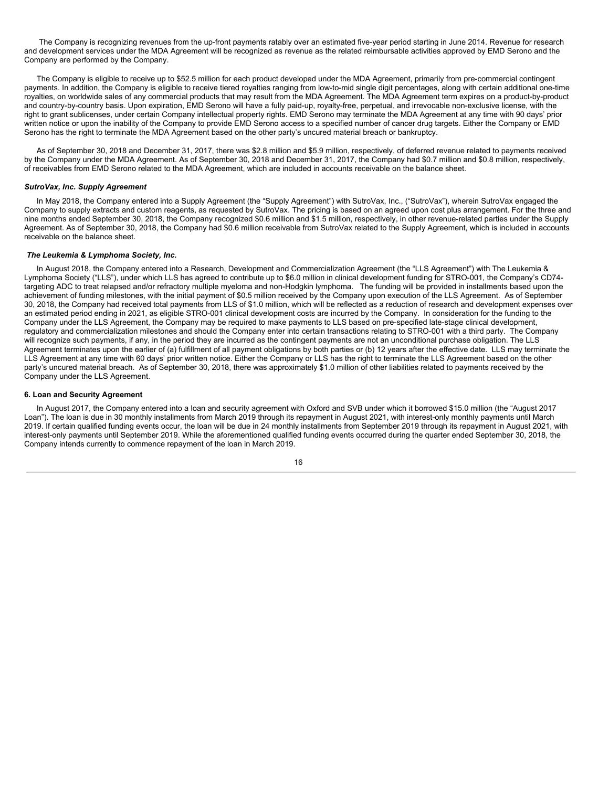The Company is recognizing revenues from the up-front payments ratably over an estimated five-year period starting in June 2014. Revenue for research and development services under the MDA Agreement will be recognized as revenue as the related reimbursable activities approved by EMD Serono and the Company are performed by the Company.

The Company is eligible to receive up to \$52.5 million for each product developed under the MDA Agreement, primarily from pre-commercial contingent payments. In addition, the Company is eligible to receive tiered royalties ranging from low-to-mid single digit percentages, along with certain additional one-time royalties, on worldwide sales of any commercial products that may result from the MDA Agreement. The MDA Agreement term expires on a product-by-product and country-by-country basis. Upon expiration, EMD Serono will have a fully paid-up, royalty-free, perpetual, and irrevocable non-exclusive license, with the right to grant sublicenses, under certain Company intellectual property rights. EMD Serono may terminate the MDA Agreement at any time with 90 days' prior written notice or upon the inability of the Company to provide EMD Serono access to a specified number of cancer drug targets. Either the Company or EMD Serono has the right to terminate the MDA Agreement based on the other party's uncured material breach or bankruptcy.

As of September 30, 2018 and December 31, 2017, there was \$2.8 million and \$5.9 million, respectively, of deferred revenue related to payments received by the Company under the MDA Agreement. As of September 30, 2018 and December 31, 2017, the Company had \$0.7 million and \$0.8 million, respectively, of receivables from EMD Serono related to the MDA Agreement, which are included in accounts receivable on the balance sheet.

#### *SutroVax, Inc. Supply Agreement*

In May 2018, the Company entered into a Supply Agreement (the "Supply Agreement") with SutroVax, Inc., ("SutroVax"), wherein SutroVax engaged the Company to supply extracts and custom reagents, as requested by SutroVax. The pricing is based on an agreed upon cost plus arrangement. For the three and nine months ended September 30, 2018, the Company recognized \$0.6 million and \$1.5 million, respectively, in other revenue-related parties under the Supply Agreement. As of September 30, 2018, the Company had \$0.6 million receivable from SutroVax related to the Supply Agreement, which is included in accounts receivable on the balance sheet.

#### *The Leukemia & Lymphoma Society, Inc.*

In August 2018, the Company entered into a Research, Development and Commercialization Agreement (the "LLS Agreement") with The Leukemia & Lymphoma Society ("LLS"), under which LLS has agreed to contribute up to \$6.0 million in clinical development funding for STRO-001, the Company's CD74 targeting ADC to treat relapsed and/or refractory multiple myeloma and non-Hodgkin lymphoma. The funding will be provided in installments based upon the achievement of funding milestones, with the initial payment of \$0.5 million received by the Company upon execution of the LLS Agreement. As of September 30, 2018, the Company had received total payments from LLS of \$1.0 million, which will be reflected as a reduction of research and development expenses over an estimated period ending in 2021, as eligible STRO-001 clinical development costs are incurred by the Company. In consideration for the funding to the Company under the LLS Agreement, the Company may be required to make payments to LLS based on pre-specified late-stage clinical development, regulatory and commercialization milestones and should the Company enter into certain transactions relating to STRO-001 with a third party. The Company will recognize such payments, if any, in the period they are incurred as the contingent payments are not an unconditional purchase obligation. The LLS Agreement terminates upon the earlier of (a) fulfillment of all payment obligations by both parties or (b) 12 years after the effective date. LLS may terminate the LLS Agreement at any time with 60 days' prior written notice. Either the Company or LLS has the right to terminate the LLS Agreement based on the other party's uncured material breach. As of September 30, 2018, there was approximately \$1.0 million of other liabilities related to payments received by the Company under the LLS Agreement.

#### **6. Loan and Security Agreement**

In August 2017, the Company entered into a loan and security agreement with Oxford and SVB under which it borrowed \$15.0 million (the "August 2017 Loan"). The loan is due in 30 monthly installments from March 2019 through its repayment in August 2021, with interest-only monthly payments until March 2019. If certain qualified funding events occur, the loan will be due in 24 monthly installments from September 2019 through its repayment in August 2021, with interest-only payments until September 2019. While the aforementioned qualified funding events occurred during the quarter ended September 30, 2018, the Company intends currently to commence repayment of the loan in March 2019.

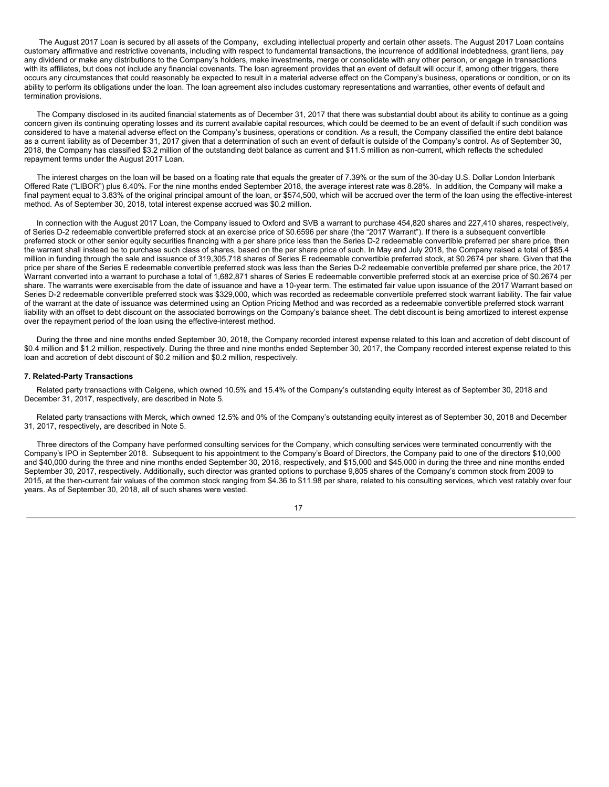The August 2017 Loan is secured by all assets of the Company, excluding intellectual property and certain other assets. The August 2017 Loan contains customary affirmative and restrictive covenants, including with respect to fundamental transactions, the incurrence of additional indebtedness, grant liens, pay any dividend or make any distributions to the Company's holders, make investments, merge or consolidate with any other person, or engage in transactions with its affiliates, but does not include any financial covenants. The loan agreement provides that an event of default will occur if, among other triggers, there occurs any circumstances that could reasonably be expected to result in a material adverse effect on the Company's business, operations or condition, or on its ability to perform its obligations under the loan. The loan agreement also includes customary representations and warranties, other events of default and termination provisions.

The Company disclosed in its audited financial statements as of December 31, 2017 that there was substantial doubt about its ability to continue as a going concern given its continuing operating losses and its current available capital resources, which could be deemed to be an event of default if such condition was considered to have a material adverse effect on the Company's business, operations or condition. As a result, the Company classified the entire debt balance as a current liability as of December 31, 2017 given that a determination of such an event of default is outside of the Company's control. As of September 30, 2018, the Company has classified \$3.2 million of the outstanding debt balance as current and \$11.5 million as non-current, which reflects the scheduled repayment terms under the August 2017 Loan.

The interest charges on the loan will be based on a floating rate that equals the greater of 7.39% or the sum of the 30-day U.S. Dollar London Interbank Offered Rate ("LIBOR") plus 6.40%. For the nine months ended September 2018, the average interest rate was 8.28%. In addition, the Company will make a final payment equal to 3.83% of the original principal amount of the loan, or \$574,500, which will be accrued over the term of the loan using the effective-interest method. As of September 30, 2018, total interest expense accrued was \$0.2 million.

In connection with the August 2017 Loan, the Company issued to Oxford and SVB a warrant to purchase 454,820 shares and 227,410 shares, respectively, of Series D-2 redeemable convertible preferred stock at an exercise price of \$0.6596 per share (the "2017 Warrant"). If there is a subsequent convertible preferred stock or other senior equity securities financing with a per share price less than the Series D-2 redeemable convertible preferred per share price, then the warrant shall instead be to purchase such class of shares, based on the per share price of such. In May and July 2018, the Company raised a total of \$85.4 million in funding through the sale and issuance of 319,305,718 shares of Series E redeemable convertible preferred stock, at \$0.2674 per share. Given that the price per share of the Series E redeemable convertible preferred stock was less than the Series D-2 redeemable convertible preferred per share price, the 2017 Warrant converted into a warrant to purchase a total of 1,682,871 shares of Series E redeemable convertible preferred stock at an exercise price of \$0.2674 per share. The warrants were exercisable from the date of issuance and have a 10-year term. The estimated fair value upon issuance of the 2017 Warrant based on Series D-2 redeemable convertible preferred stock was \$329,000, which was recorded as redeemable convertible preferred stock warrant liability. The fair value of the warrant at the date of issuance was determined using an Option Pricing Method and was recorded as a redeemable convertible preferred stock warrant liability with an offset to debt discount on the associated borrowings on the Company's balance sheet. The debt discount is being amortized to interest expense over the repayment period of the loan using the effective-interest method.

During the three and nine months ended September 30, 2018, the Company recorded interest expense related to this loan and accretion of debt discount of \$0.4 million and \$1.2 million, respectively. During the three and nine months ended September 30, 2017, the Company recorded interest expense related to this loan and accretion of debt discount of \$0.2 million and \$0.2 million, respectively.

#### **7. Related-Party Transactions**

Related party transactions with Celgene, which owned 10.5% and 15.4% of the Company's outstanding equity interest as of September 30, 2018 and December 31, 2017, respectively, are described in Note 5.

Related party transactions with Merck, which owned 12.5% and 0% of the Company's outstanding equity interest as of September 30, 2018 and December 31, 2017, respectively, are described in Note 5.

Three directors of the Company have performed consulting services for the Company, which consulting services were terminated concurrently with the Company's IPO in September 2018. Subsequent to his appointment to the Company's Board of Directors, the Company paid to one of the directors \$10,000 and \$40,000 during the three and nine months ended September 30, 2018, respectively, and \$15,000 and \$45,000 in during the three and nine months ended September 30, 2017, respectively. Additionally, such director was granted options to purchase 9,805 shares of the Company's common stock from 2009 to 2015, at the then-current fair values of the common stock ranging from \$4.36 to \$11.98 per share, related to his consulting services, which vest ratably over four years. As of September 30, 2018, all of such shares were vested.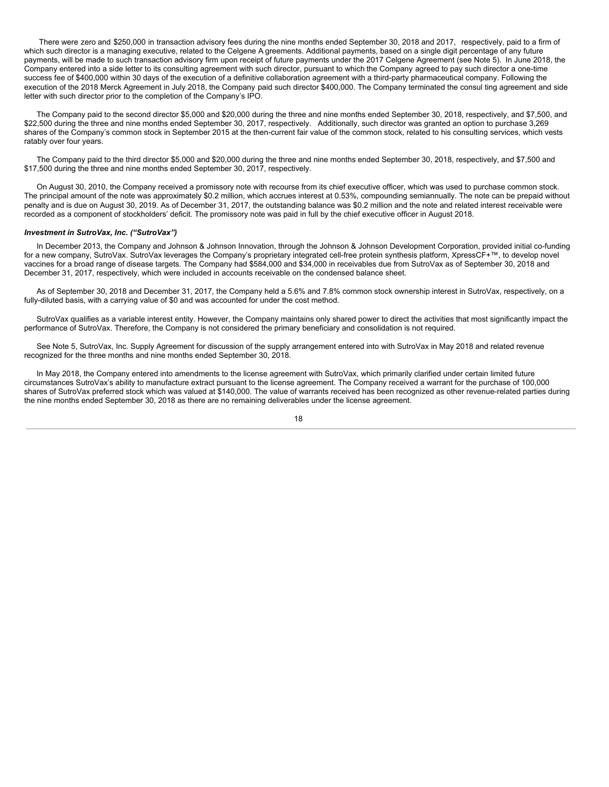There were zero and \$250,000 in transaction advisory fees during the nine months ended September 30, 2018 and 2017, respectively, paid to a firm of which such director is a managing executive, related to the Celgene A greements. Additional payments, based on a single digit percentage of any future payments, will be made to such transaction advisory firm upon receipt of future payments under the 2017 Celgene Agreement (see Note 5). In June 2018, the Company entered into a side letter to its consulting agreement with such director, pursuant to which the Company agreed to pay such director a one-time success fee of \$400,000 within 30 days of the execution of a definitive collaboration agreement with a third-party pharmaceutical company. Following the execution of the 2018 Merck Agreement in July 2018, the Company paid such director \$400,000. The Company terminated the consul ting agreement and side letter with such director prior to the completion of the Company's IPO.

The Company paid to the second director \$5,000 and \$20,000 during the three and nine months ended September 30, 2018, respectively, and \$7,500, and \$22,500 during the three and nine months ended September 30, 2017, respectively. Additionally, such director was granted an option to purchase 3,269 shares of the Company's common stock in September 2015 at the then-current fair value of the common stock, related to his consulting services, which vests ratably over four years.

The Company paid to the third director \$5,000 and \$20,000 during the three and nine months ended September 30, 2018, respectively, and \$7,500 and \$17,500 during the three and nine months ended September 30, 2017, respectively.

On August 30, 2010, the Company received a promissory note with recourse from its chief executive officer, which was used to purchase common stock. The principal amount of the note was approximately \$0.2 million, which accrues interest at 0.53%, compounding semiannually. The note can be prepaid without penalty and is due on August 30, 2019. As of December 31, 2017, the outstanding balance was \$0.2 million and the note and related interest receivable were recorded as a component of stockholders' deficit. The promissory note was paid in full by the chief executive officer in August 2018.

# *Investment in SutroVax, Inc. ("SutroVax")*

In December 2013, the Company and Johnson & Johnson Innovation, through the Johnson & Johnson Development Corporation, provided initial co-funding for a new company, SutroVax. SutroVax leverages the Company's proprietary integrated cell-free protein synthesis platform, XpressCF+™, to develop novel vaccines for a broad range of disease targets. The Company had \$584,000 and \$34,000 in receivables due from SutroVax as of September 30, 2018 and December 31, 2017, respectively, which were included in accounts receivable on the condensed balance sheet.

As of September 30, 2018 and December 31, 2017, the Company held a 5.6% and 7.8% common stock ownership interest in SutroVax, respectively, on a fully-diluted basis, with a carrying value of \$0 and was accounted for under the cost method.

SutroVax qualifies as a variable interest entity. However, the Company maintains only shared power to direct the activities that most significantly impact the performance of SutroVax. Therefore, the Company is not considered the primary beneficiary and consolidation is not required.

See Note 5, SutroVax, Inc. Supply Agreement for discussion of the supply arrangement entered into with SutroVax in May 2018 and related revenue recognized for the three months and nine months ended September 30, 2018.

In May 2018, the Company entered into amendments to the license agreement with SutroVax, which primarily clarified under certain limited future circumstances SutroVax's ability to manufacture extract pursuant to the license agreement. The Company received a warrant for the purchase of 100,000 shares of SutroVax preferred stock which was valued at \$140,000. The value of warrants received has been recognized as other revenue-related parties during the nine months ended September 30, 2018 as there are no remaining deliverables under the license agreement.

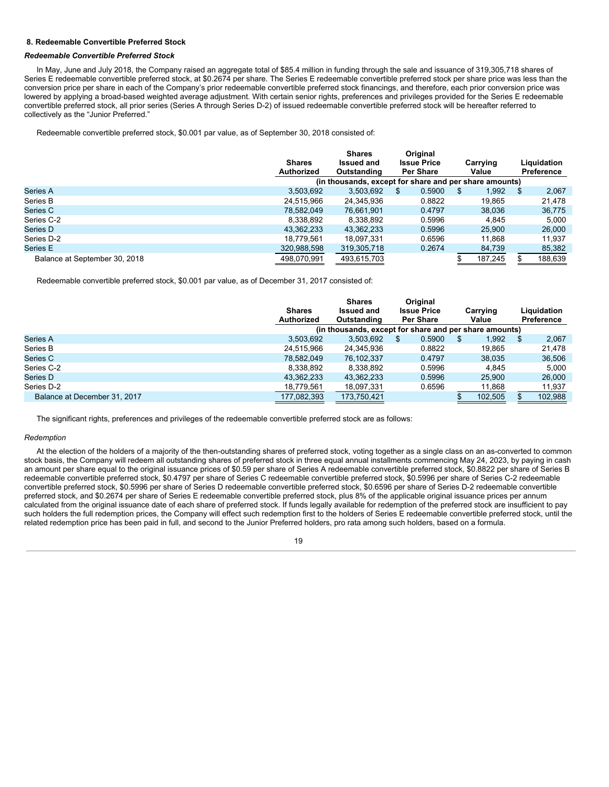# **8. Redeemable Convertible Preferred Stock**

# *Redeemable Convertible Preferred Stock*

In May, June and July 2018, the Company raised an aggregate total of \$85.4 million in funding through the sale and issuance of 319,305,718 shares of Series E redeemable convertible preferred stock, at \$0.2674 per share. The Series E redeemable convertible preferred stock per share price was less than the conversion price per share in each of the Company's prior redeemable convertible preferred stock financings, and therefore, each prior conversion price was lowered by applying a broad-based weighted average adjustment. With certain senior rights, preferences and privileges provided for the Series E redeemable convertible preferred stock, all prior series (Series A through Series D-2) of issued redeemable convertible preferred stock will be hereafter referred to collectively as the "Junior Preferred."

Redeemable convertible preferred stock, \$0.001 par value, as of September 30, 2018 consisted of:

|                               | <b>Shares</b> | <b>Shares</b><br><b>Issued and</b> | Original<br><b>Issue Price</b>                         |         |                   |     | Liquidation       |
|-------------------------------|---------------|------------------------------------|--------------------------------------------------------|---------|-------------------|-----|-------------------|
|                               | Authorized    | <b>Outstanding</b>                 | <b>Per Share</b>                                       |         | Carrying<br>Value |     | <b>Preference</b> |
|                               |               |                                    | (in thousands, except for share and per share amounts) |         |                   |     |                   |
| Series A                      | 3.503.692     | 3.503.692                          | 0.5900                                                 | \$.     | 1,992             | \$. | 2,067             |
| Series B                      | 24.515.966    | 24,345,936                         | 0.8822                                                 |         | 19.865            |     | 21,478            |
| Series C                      | 78,582,049    | 76,661,901                         | 0.4797                                                 |         | 38.036            |     | 36,775            |
| Series C-2                    | 8,338,892     | 8.338.892                          | 0.5996                                                 |         | 4.845             |     | 5.000             |
| Series D                      | 43,362,233    | 43,362,233                         | 0.5996                                                 |         | 25,900            |     | 26,000            |
| Series D-2                    | 18.779.561    | 18.097.331                         | 0.6596                                                 |         | 11.868            |     | 11.937            |
| Series E                      | 320,988,598   | 319,305,718                        | 0.2674                                                 |         | 84,739            |     | 85,382            |
| Balance at September 30, 2018 | 498.070.991   | 493,615,703                        |                                                        | 187,245 |                   |     | 188,639           |

Redeemable convertible preferred stock, \$0.001 par value, as of December 31, 2017 consisted of:

|                              | <b>Shares</b><br>Authorized | <b>Shares</b><br><b>Issued and</b><br><b>Outstanding</b> | Original<br><b>Issue Price</b><br><b>Per Share</b>     | Carrying<br>Value |    | Liauidation<br>Preference |
|------------------------------|-----------------------------|----------------------------------------------------------|--------------------------------------------------------|-------------------|----|---------------------------|
|                              |                             |                                                          | (in thousands, except for share and per share amounts) |                   |    |                           |
| Series A                     | 3,503,692                   | 3.503.692                                                | 0.5900                                                 | 1.992<br>S        | S. | 2,067                     |
| Series B                     | 24.515.966                  | 24,345,936                                               | 0.8822                                                 | 19.865            |    | 21.478                    |
| Series C                     | 78.582.049                  | 76.102.337                                               | 0.4797                                                 | 38.035            |    | 36.506                    |
| Series C-2                   | 8,338,892                   | 8,338,892                                                | 0.5996                                                 | 4.845             |    | 5.000                     |
| Series D                     | 43,362,233                  | 43,362,233                                               | 0.5996                                                 | 25,900            |    | 26,000                    |
| Series D-2                   | 18,779,561                  | 18,097,331                                               | 0.6596                                                 | 11.868            |    | 11,937                    |
| Balance at December 31, 2017 | 177,082,393                 | 173,750,421                                              |                                                        | 102,505           |    | 102,988                   |

The significant rights, preferences and privileges of the redeemable convertible preferred stock are as follows:

#### *Redemption*

At the election of the holders of a majority of the then-outstanding shares of preferred stock, voting together as a single class on an as-converted to common stock basis, the Company will redeem all outstanding shares of preferred stock in three equal annual installments commencing May 24, 2023, by paying in cash an amount per share equal to the original issuance prices of \$0.59 per share of Series A redeemable convertible preferred stock, \$0.8822 per share of Series B redeemable convertible preferred stock, \$0.4797 per share of Series C redeemable convertible preferred stock, \$0.5996 per share of Series C-2 redeemable convertible preferred stock, \$0.5996 per share of Series D redeemable convertible preferred stock, \$0.6596 per share of Series D-2 redeemable convertible preferred stock, and \$0.2674 per share of Series E redeemable convertible preferred stock, plus 8% of the applicable original issuance prices per annum calculated from the original issuance date of each share of preferred stock. If funds legally available for redemption of the preferred stock are insufficient to pay such holders the full redemption prices, the Company will effect such redemption first to the holders of Series E redeemable convertible preferred stock, until the related redemption price has been paid in full, and second to the Junior Preferred holders, pro rata among such holders, based on a formula.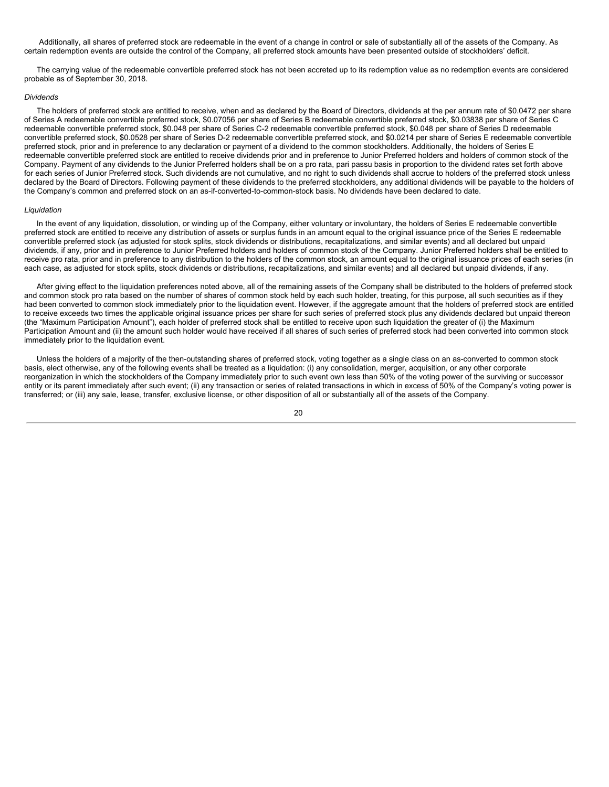Additionally, all shares of preferred stock are redeemable in the event of a change in control or sale of substantially all of the assets of the Company. As certain redemption events are outside the control of the Company, all preferred stock amounts have been presented outside of stockholders' deficit.

The carrying value of the redeemable convertible preferred stock has not been accreted up to its redemption value as no redemption events are considered probable as of September 30, 2018.

#### *Dividends*

The holders of preferred stock are entitled to receive, when and as declared by the Board of Directors, dividends at the per annum rate of \$0.0472 per share of Series A redeemable convertible preferred stock, \$0.07056 per share of Series B redeemable convertible preferred stock, \$0.03838 per share of Series C redeemable convertible preferred stock, \$0.048 per share of Series C-2 redeemable convertible preferred stock, \$0.048 per share of Series D redeemable convertible preferred stock, \$0.0528 per share of Series D-2 redeemable convertible preferred stock, and \$0.0214 per share of Series E redeemable convertible preferred stock, prior and in preference to any declaration or payment of a dividend to the common stockholders. Additionally, the holders of Series E redeemable convertible preferred stock are entitled to receive dividends prior and in preference to Junior Preferred holders and holders of common stock of the Company. Payment of any dividends to the Junior Preferred holders shall be on a pro rata, pari passu basis in proportion to the dividend rates set forth above for each series of Junior Preferred stock. Such dividends are not cumulative, and no right to such dividends shall accrue to holders of the preferred stock unless declared by the Board of Directors. Following payment of these dividends to the preferred stockholders, any additional dividends will be payable to the holders of the Company's common and preferred stock on an as-if-converted-to-common-stock basis. No dividends have been declared to date.

#### *Liquidation*

In the event of any liquidation, dissolution, or winding up of the Company, either voluntary or involuntary, the holders of Series E redeemable convertible preferred stock are entitled to receive any distribution of assets or surplus funds in an amount equal to the original issuance price of the Series E redeemable convertible preferred stock (as adjusted for stock splits, stock dividends or distributions, recapitalizations, and similar events) and all declared but unpaid dividends, if any, prior and in preference to Junior Preferred holders and holders of common stock of the Company. Junior Preferred holders shall be entitled to receive pro rata, prior and in preference to any distribution to the holders of the common stock, an amount equal to the original issuance prices of each series (in each case, as adjusted for stock splits, stock dividends or distributions, recapitalizations, and similar events) and all declared but unpaid dividends, if any.

After giving effect to the liquidation preferences noted above, all of the remaining assets of the Company shall be distributed to the holders of preferred stock and common stock pro rata based on the number of shares of common stock held by each such holder, treating, for this purpose, all such securities as if they had been converted to common stock immediately prior to the liquidation event. However, if the aggregate amount that the holders of preferred stock are entitled to receive exceeds two times the applicable original issuance prices per share for such series of preferred stock plus any dividends declared but unpaid thereon (the "Maximum Participation Amount"), each holder of preferred stock shall be entitled to receive upon such liquidation the greater of (i) the Maximum Participation Amount and (ii) the amount such holder would have received if all shares of such series of preferred stock had been converted into common stock immediately prior to the liquidation event.

Unless the holders of a majority of the then-outstanding shares of preferred stock, voting together as a single class on an as-converted to common stock basis, elect otherwise, any of the following events shall be treated as a liquidation: (i) any consolidation, merger, acquisition, or any other corporate reorganization in which the stockholders of the Company immediately prior to such event own less than 50% of the voting power of the surviving or successor entity or its parent immediately after such event; (ii) any transaction or series of related transactions in which in excess of 50% of the Company's voting power is transferred; or (iii) any sale, lease, transfer, exclusive license, or other disposition of all or substantially all of the assets of the Company.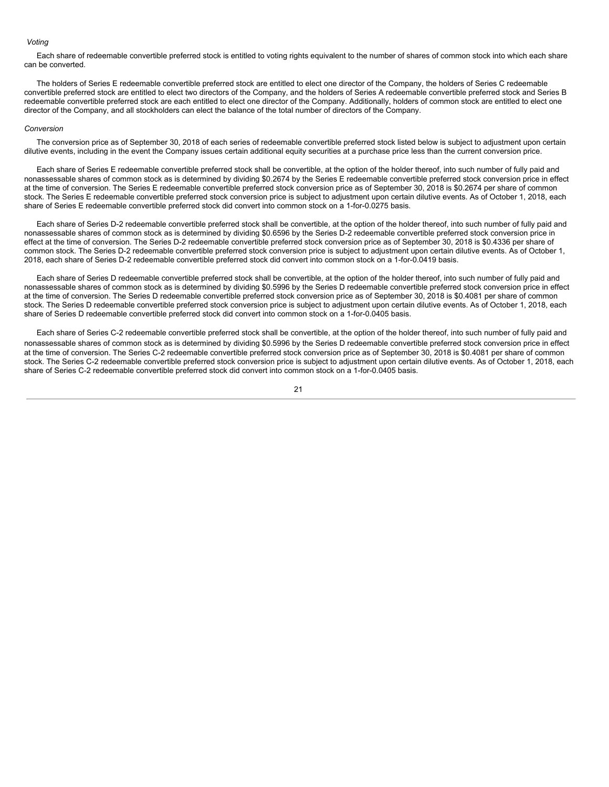# *Voting*

Each share of redeemable convertible preferred stock is entitled to voting rights equivalent to the number of shares of common stock into which each share can be converted.

The holders of Series E redeemable convertible preferred stock are entitled to elect one director of the Company, the holders of Series C redeemable convertible preferred stock are entitled to elect two directors of the Company, and the holders of Series A redeemable convertible preferred stock and Series B redeemable convertible preferred stock are each entitled to elect one director of the Company. Additionally, holders of common stock are entitled to elect one director of the Company, and all stockholders can elect the balance of the total number of directors of the Company.

#### *Conversion*

The conversion price as of September 30, 2018 of each series of redeemable convertible preferred stock listed below is subject to adjustment upon certain dilutive events, including in the event the Company issues certain additional equity securities at a purchase price less than the current conversion price.

Each share of Series E redeemable convertible preferred stock shall be convertible, at the option of the holder thereof, into such number of fully paid and nonassessable shares of common stock as is determined by dividing \$0.2674 by the Series E redeemable convertible preferred stock conversion price in effect at the time of conversion. The Series E redeemable convertible preferred stock conversion price as of September 30, 2018 is \$0.2674 per share of common stock. The Series E redeemable convertible preferred stock conversion price is subject to adjustment upon certain dilutive events. As of October 1, 2018, each share of Series E redeemable convertible preferred stock did convert into common stock on a 1-for-0.0275 basis.

Each share of Series D-2 redeemable convertible preferred stock shall be convertible, at the option of the holder thereof, into such number of fully paid and nonassessable shares of common stock as is determined by dividing \$0.6596 by the Series D-2 redeemable convertible preferred stock conversion price in effect at the time of conversion. The Series D-2 redeemable convertible preferred stock conversion price as of September 30, 2018 is \$0.4336 per share of common stock. The Series D-2 redeemable convertible preferred stock conversion price is subject to adjustment upon certain dilutive events. As of October 1, 2018, each share of Series D-2 redeemable convertible preferred stock did convert into common stock on a 1-for-0.0419 basis.

Each share of Series D redeemable convertible preferred stock shall be convertible, at the option of the holder thereof, into such number of fully paid and nonassessable shares of common stock as is determined by dividing \$0.5996 by the Series D redeemable convertible preferred stock conversion price in effect at the time of conversion. The Series D redeemable convertible preferred stock conversion price as of September 30, 2018 is \$0.4081 per share of common stock. The Series D redeemable convertible preferred stock conversion price is subject to adjustment upon certain dilutive events. As of October 1, 2018, each share of Series D redeemable convertible preferred stock did convert into common stock on a 1-for-0.0405 basis.

Each share of Series C-2 redeemable convertible preferred stock shall be convertible, at the option of the holder thereof, into such number of fully paid and nonassessable shares of common stock as is determined by dividing \$0.5996 by the Series D redeemable convertible preferred stock conversion price in effect at the time of conversion. The Series C-2 redeemable convertible preferred stock conversion price as of September 30, 2018 is \$0.4081 per share of common stock. The Series C-2 redeemable convertible preferred stock conversion price is subject to adjustment upon certain dilutive events. As of October 1, 2018, each share of Series C-2 redeemable convertible preferred stock did convert into common stock on a 1-for-0.0405 basis.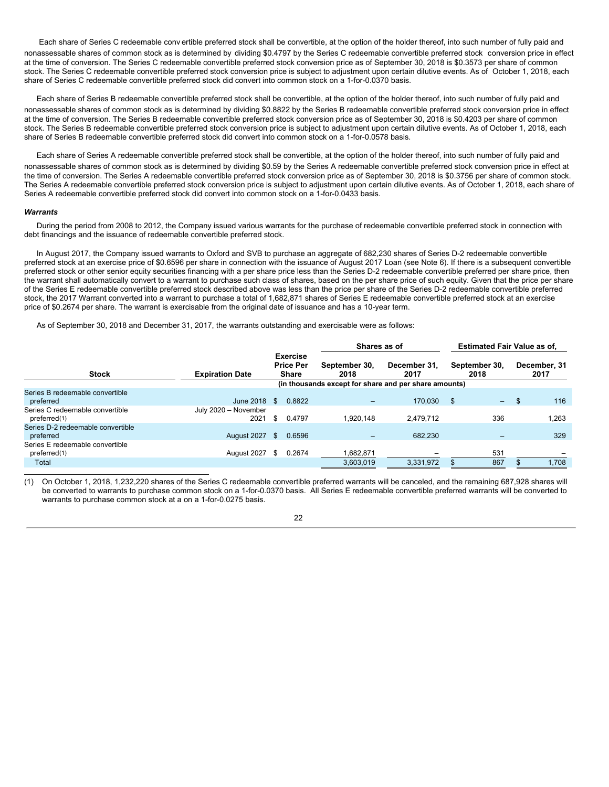Each share of Series C redeemable conv ertible preferred stock shall be convertible, at the option of the holder thereof, into such number of fully paid and nonassessable shares of common stock as is determined by dividing \$0.4797 by the Series C redeemable convertible preferred stock conversion price in effect at the time of conversion. The Series C redeemable convertible preferred stock conversion price as of September 30, 2018 is \$0.3573 per share of common stock. The Series C redeemable convertible preferred stock conversion price is subject to adjustment upon certain dilutive events. As of October 1, 2018, each share of Series C redeemable convertible preferred stock did convert into common stock on a 1-for-0.0370 basis.

Each share of Series B redeemable convertible preferred stock shall be convertible, at the option of the holder thereof, into such number of fully paid and nonassessable shares of common stock as is determined by dividing \$0.8822 by the Series B redeemable convertible preferred stock conversion price in effect at the time of conversion. The Series B redeemable convertible preferred stock conversion price as of September 30, 2018 is \$0.4203 per share of common stock. The Series B redeemable convertible preferred stock conversion price is subject to adjustment upon certain dilutive events. As of October 1, 2018, each share of Series B redeemable convertible preferred stock did convert into common stock on a 1-for-0.0578 basis.

Each share of Series A redeemable convertible preferred stock shall be convertible, at the option of the holder thereof, into such number of fully paid and nonassessable shares of common stock as is determined by dividing \$0.59 by the Series A redeemable convertible preferred stock conversion price in effect at the time of conversion. The Series A redeemable convertible preferred stock conversion price as of September 30, 2018 is \$0.3756 per share of common stock. The Series A redeemable convertible preferred stock conversion price is subject to adjustment upon certain dilutive events. As of October 1, 2018, each share of Series A redeemable convertible preferred stock did convert into common stock on a 1-for-0.0433 basis.

#### *Warrants*

During the period from 2008 to 2012, the Company issued various warrants for the purchase of redeemable convertible preferred stock in connection with debt financings and the issuance of redeemable convertible preferred stock.

In August 2017, the Company issued warrants to Oxford and SVB to purchase an aggregate of 682,230 shares of Series D-2 redeemable convertible preferred stock at an exercise price of \$0.6596 per share in connection with the issuance of August 2017 Loan (see Note 6). If there is a subsequent convertible preferred stock or other senior equity securities financing with a per share price less than the Series D-2 redeemable convertible preferred per share price, then the warrant shall automatically convert to a warrant to purchase such class of shares, based on the per share price of such equity. Given that the price per share of the Series E redeemable convertible preferred stock described above was less than the price per share of the Series D-2 redeemable convertible preferred stock, the 2017 Warrant converted into a warrant to purchase a total of 1,682,871 shares of Series E redeemable convertible preferred stock at an exercise price of \$0.2674 per share. The warrant is exercisable from the original date of issuance and has a 10-year term.

As of September 30, 2018 and December 31, 2017, the warrants outstanding and exercisable were as follows:

|                              |  |              | Shares as of                                        |                      |    |                                                       |                       |                                    |
|------------------------------|--|--------------|-----------------------------------------------------|----------------------|----|-------------------------------------------------------|-----------------------|------------------------------------|
| <b>Expiration Date</b>       |  |              | September 30,<br>2018                               | December 31.<br>2017 |    |                                                       |                       | December, 31<br>2017               |
|                              |  |              |                                                     |                      |    |                                                       |                       |                                    |
|                              |  | 0.8822       |                                                     | 170.030              | -S | -                                                     | \$.                   | 116                                |
| July 2020 - November<br>2021 |  | 0.4797       | 1.920.148                                           | 2.479.712            |    | 336                                                   |                       | 1,263                              |
| August 2027                  |  | 0.6596       |                                                     | 682,230              |    |                                                       |                       | 329                                |
| August 2027                  |  | 0.2674       | 1,682,871                                           |                      |    | 531                                                   |                       |                                    |
|                              |  |              | 3,603,019                                           | 3,331,972            |    | 867                                                   |                       | 1,708                              |
|                              |  | June 2018 \$ | <b>Exercise</b><br><b>Price Per</b><br><b>Share</b> |                      |    | (in thousands except for share and per share amounts) | September 30,<br>2018 | <b>Estimated Fair Value as of,</b> |

(1) On October 1, 2018, 1,232,220 shares of the Series C redeemable convertible preferred warrants will be canceled, and the remaining 687,928 shares will be converted to warrants to purchase common stock on a 1-for-0.0370 basis. All Series E redeemable convertible preferred warrants will be converted to warrants to purchase common stock at a on a 1-for-0.0275 basis.

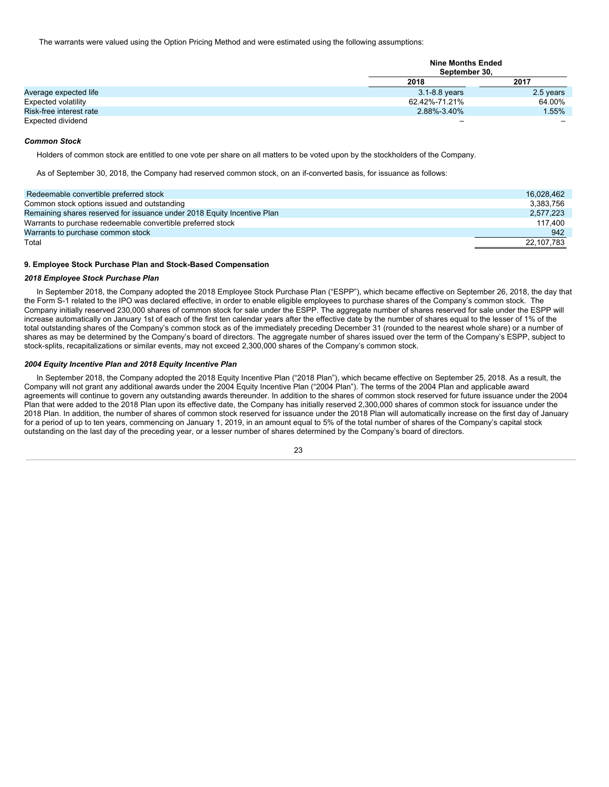The warrants were valued using the Option Pricing Method and were estimated using the following assumptions:

|                         |                   | Nine Months Ended<br>September 30. |  |  |  |
|-------------------------|-------------------|------------------------------------|--|--|--|
|                         | 2018              | 2017                               |  |  |  |
| Average expected life   | $3.1 - 8.8$ years | 2.5 years                          |  |  |  |
| Expected volatility     | 62.42%-71.21%     | 64.00%                             |  |  |  |
| Risk-free interest rate | 2.88%-3.40%       | 1.55%                              |  |  |  |
| Expected dividend       |                   |                                    |  |  |  |

#### *Common Stock*

Holders of common stock are entitled to one vote per share on all matters to be voted upon by the stockholders of the Company.

As of September 30, 2018, the Company had reserved common stock, on an if-converted basis, for issuance as follows:

| Redeemable convertible preferred stock                                  | 16.028.462 |
|-------------------------------------------------------------------------|------------|
| Common stock options issued and outstanding                             | 3.383.756  |
| Remaining shares reserved for issuance under 2018 Equity Incentive Plan | 2,577,223  |
| Warrants to purchase redeemable convertible preferred stock             | 117.400    |
| Warrants to purchase common stock                                       | 942        |
| Total                                                                   | 22,107,783 |

#### **9. Employee Stock Purchase Plan and Stock-Based Compensation**

# *2018 Employee Stock Purchase Plan*

In September 2018, the Company adopted the 2018 Employee Stock Purchase Plan ("ESPP"), which became effective on September 26, 2018, the day that the Form S-1 related to the IPO was declared effective, in order to enable eligible employees to purchase shares of the Company's common stock. The Company initially reserved 230,000 shares of common stock for sale under the ESPP. The aggregate number of shares reserved for sale under the ESPP will increase automatically on January 1st of each of the first ten calendar years after the effective date by the number of shares equal to the lesser of 1% of the total outstanding shares of the Company's common stock as of the immediately preceding December 31 (rounded to the nearest whole share) or a number of shares as may be determined by the Company's board of directors. The aggregate number of shares issued over the term of the Company's ESPP, subject to stock-splits, recapitalizations or similar events, may not exceed 2,300,000 shares of the Company's common stock.

# *2004 Equity Incentive Plan and 2018 Equity Incentive Plan*

In September 2018, the Company adopted the 2018 Equity Incentive Plan ("2018 Plan"), which became effective on September 25, 2018. As a result, the Company will not grant any additional awards under the 2004 Equity Incentive Plan ("2004 Plan"). The terms of the 2004 Plan and applicable award agreements will continue to govern any outstanding awards thereunder. In addition to the shares of common stock reserved for future issuance under the 2004 Plan that were added to the 2018 Plan upon its effective date, the Company has initially reserved 2,300,000 shares of common stock for issuance under the 2018 Plan. In addition, the number of shares of common stock reserved for issuance under the 2018 Plan will automatically increase on the first day of January for a period of up to ten years, commencing on January 1, 2019, in an amount equal to 5% of the total number of shares of the Company's capital stock outstanding on the last day of the preceding year, or a lesser number of shares determined by the Company's board of directors.

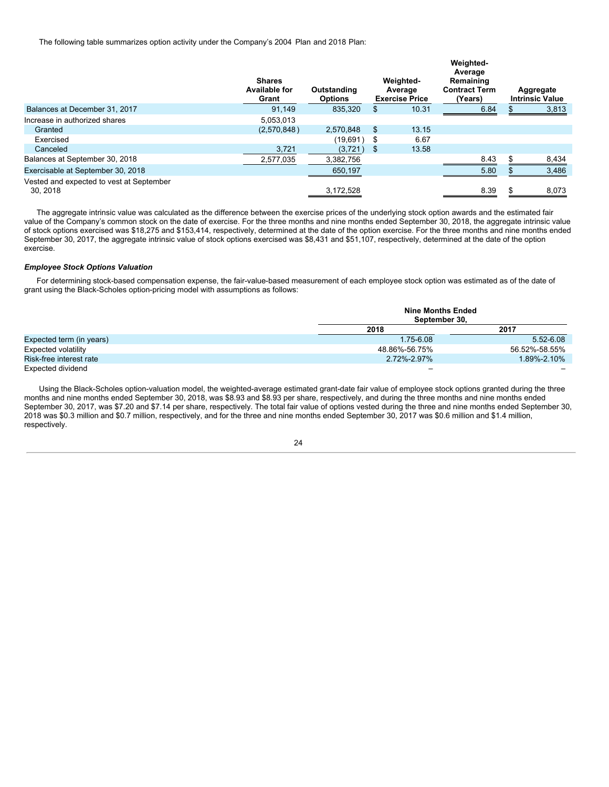The following table summarizes option activity under the Company's 2004 Plan and 2018 Plan:

|                                                     | <b>Shares</b><br><b>Available for</b><br>Grant | Outstanding<br><b>Options</b> |      | Weighted-<br>Average<br><b>Exercise Price</b> | Weighted-<br>Average<br>Remaining<br><b>Contract Term</b><br>(Years) | Aggregate<br><b>Intrinsic Value</b> |
|-----------------------------------------------------|------------------------------------------------|-------------------------------|------|-----------------------------------------------|----------------------------------------------------------------------|-------------------------------------|
| Balances at December 31, 2017                       | 91.149                                         | 835.320                       | \$.  | 10.31                                         | 6.84                                                                 | 3,813                               |
| Increase in authorized shares                       | 5.053.013                                      |                               |      |                                               |                                                                      |                                     |
| Granted                                             | (2,570,848)                                    | 2.570.848                     | \$.  | 13.15                                         |                                                                      |                                     |
| Exercised                                           |                                                | (19,691)                      | - \$ | 6.67                                          |                                                                      |                                     |
| Canceled                                            | 3,721                                          | (3,721)                       | \$   | 13.58                                         |                                                                      |                                     |
| Balances at September 30, 2018                      | 2,577,035                                      | 3,382,756                     |      |                                               | 8.43                                                                 | 8,434                               |
| Exercisable at September 30, 2018                   |                                                | 650,197                       |      |                                               | 5.80                                                                 | 3,486                               |
| Vested and expected to vest at September<br>30.2018 |                                                | 3,172,528                     |      |                                               | 8.39                                                                 | 8,073                               |

The aggregate intrinsic value was calculated as the difference between the exercise prices of the underlying stock option awards and the estimated fair value of the Company's common stock on the date of exercise. For the three months and nine months ended September 30, 2018, the aggregate intrinsic value of stock options exercised was \$18,275 and \$153,414, respectively, determined at the date of the option exercise. For the three months and nine months ended September 30, 2017, the aggregate intrinsic value of stock options exercised was \$8,431 and \$51,107, respectively, determined at the date of the option exercise.

# *Employee Stock Options Valuation*

For determining stock-based compensation expense, the fair-value-based measurement of each employee stock option was estimated as of the date of grant using the Black-Scholes option-pricing model with assumptions as follows:

|                            |                          | Nine Months Ended<br>September 30. |  |  |  |  |
|----------------------------|--------------------------|------------------------------------|--|--|--|--|
|                            | 2018                     | 2017                               |  |  |  |  |
| Expected term (in years)   | 1.75-6.08                | 5.52-6.08                          |  |  |  |  |
| <b>Expected volatility</b> | 48.86%-56.75%            | 56.52%-58.55%                      |  |  |  |  |
| Risk-free interest rate    | 2.72%-2.97%              | 1.89%-2.10%                        |  |  |  |  |
| Expected dividend          | $\overline{\phantom{0}}$ |                                    |  |  |  |  |

Using the Black-Scholes option-valuation model, the weighted-average estimated grant-date fair value of employee stock options granted during the three months and nine months ended September 30, 2018, was \$8.93 and \$8.93 per share, respectively, and during the three months and nine months ended September 30, 2017, was \$7.20 and \$7.14 per share, respectively. The total fair value of options vested during the three and nine months ended September 30, 2018 was \$0.3 million and \$0.7 million, respectively, and for the three and nine months ended September 30, 2017 was \$0.6 million and \$1.4 million, respectively.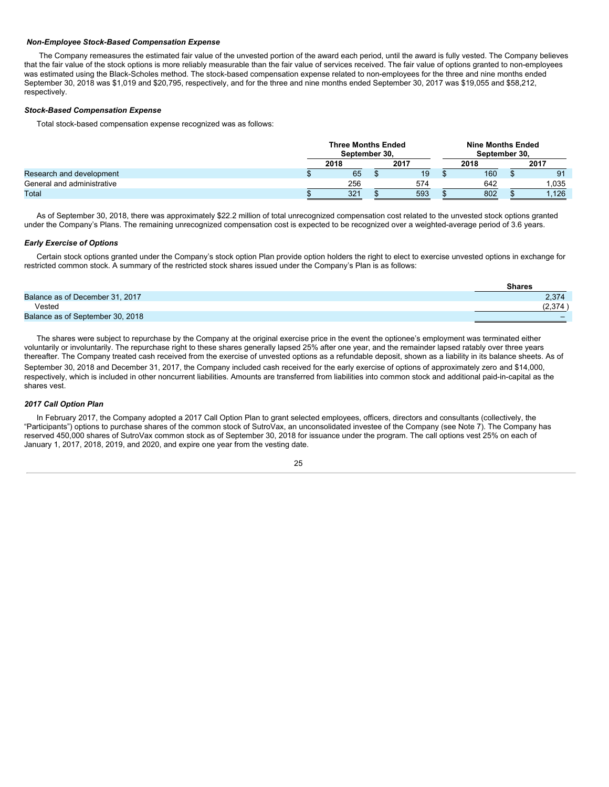# *Non-Employee Stock-Based Compensation Expense*

The Company remeasures the estimated fair value of the unvested portion of the award each period, until the award is fully vested. The Company believes that the fair value of the stock options is more reliably measurable than the fair value of services received. The fair value of options granted to non-employees was estimated using the Black-Scholes method. The stock-based compensation expense related to non-employees for the three and nine months ended September 30, 2018 was \$1,019 and \$20,795, respectively, and for the three and nine months ended September 30, 2017 was \$19,055 and \$58,212, respectively.

# *Stock-Based Compensation Expense*

Total stock-based compensation expense recognized was as follows:

|                            | <b>Three Months Ended</b><br>September 30. |      |  | <b>Nine Months Ended</b><br>September 30. |  |      |  |       |
|----------------------------|--------------------------------------------|------|--|-------------------------------------------|--|------|--|-------|
|                            |                                            | 2018 |  | 2017                                      |  | 2018 |  | 2017  |
| Research and development   |                                            | 65   |  | 19                                        |  | 160  |  | 91    |
| General and administrative |                                            | 256  |  | 574                                       |  | 642  |  | 1.035 |
| Total                      |                                            | 321  |  | 593                                       |  | 802  |  | . 126 |

As of September 30, 2018, there was approximately \$22.2 million of total unrecognized compensation cost related to the unvested stock options granted under the Company's Plans. The remaining unrecognized compensation cost is expected to be recognized over a weighted-average period of 3.6 years.

#### *Early Exercise of Options*

Certain stock options granted under the Company's stock option Plan provide option holders the right to elect to exercise unvested options in exchange for restricted common stock. A summary of the restricted stock shares issued under the Company's Plan is as follows:

|                                  | <b>Shares</b>            |
|----------------------------------|--------------------------|
| Balance as of December 31, 2017  | 2,374                    |
| Vested                           | (2,374                   |
| Balance as of September 30, 2018 | $\overline{\phantom{0}}$ |

The shares were subject to repurchase by the Company at the original exercise price in the event the optionee's employment was terminated either voluntarily or involuntarily. The repurchase right to these shares generally lapsed 25% after one year, and the remainder lapsed ratably over three years thereafter. The Company treated cash received from the exercise of unvested options as a refundable deposit, shown as a liability in its balance sheets. As of September 30, 2018 and December 31, 2017, the Company included cash received for the early exercise of options of approximately zero and \$14,000, respectively, which is included in other noncurrent liabilities. Amounts are transferred from liabilities into common stock and additional paid-in-capital as the shares vest.

# *2017 Call Option Plan*

In February 2017, the Company adopted a 2017 Call Option Plan to grant selected employees, officers, directors and consultants (collectively, the "Participants") options to purchase shares of the common stock of SutroVax, an unconsolidated investee of the Company (see Note 7). The Company has reserved 450,000 shares of SutroVax common stock as of September 30, 2018 for issuance under the program. The call options vest 25% on each of January 1, 2017, 2018, 2019, and 2020, and expire one year from the vesting date.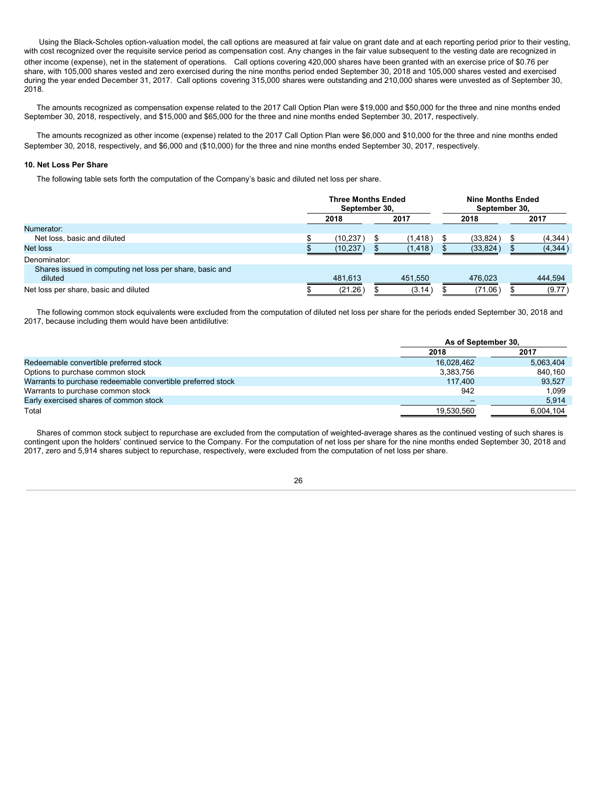Using the Black-Scholes option-valuation model, the call options are measured at fair value on grant date and at each reporting period prior to their vesting, with cost recognized over the requisite service period as compensation cost. Any changes in the fair value subsequent to the vesting date are recognized in other income (expense), net in the statement of operations. Call options covering 420,000 shares have been granted with an exercise price of \$0.76 per share, with 105,000 shares vested and zero exercised during the nine months period ended September 30, 2018 and 105,000 shares vested and exercised during the year ended December 31, 2017. Call options covering 315,000 shares were outstanding and 210,000 shares were unvested as of September 30, 2018.

The amounts recognized as compensation expense related to the 2017 Call Option Plan were \$19,000 and \$50,000 for the three and nine months ended September 30, 2018, respectively, and \$15,000 and \$65,000 for the three and nine months ended September 30, 2017, respectively.

The amounts recognized as other income (expense) related to the 2017 Call Option Plan were \$6,000 and \$10,000 for the three and nine months ended September 30, 2018, respectively, and \$6,000 and (\$10,000) for the three and nine months ended September 30, 2017, respectively.

# **10. Net Loss Per Share**

The following table sets forth the computation of the Company's basic and diluted net loss per share.

|                                                                     | <b>Three Months Ended</b><br>September 30, |  |          | <b>Nine Months Ended</b><br>September 30, |           |  |          |
|---------------------------------------------------------------------|--------------------------------------------|--|----------|-------------------------------------------|-----------|--|----------|
|                                                                     | 2018                                       |  | 2017     |                                           | 2018      |  | 2017     |
| Numerator:                                                          |                                            |  |          |                                           |           |  |          |
| Net loss, basic and diluted                                         | (10,237                                    |  | (1, 418) |                                           | (33, 824) |  | (4, 344) |
| Net loss                                                            | (10, 237)                                  |  | (1, 418) |                                           | (33, 824) |  | (4, 344) |
| Denominator:                                                        |                                            |  |          |                                           |           |  |          |
| Shares issued in computing net loss per share, basic and<br>diluted | 481.613                                    |  | 451.550  |                                           | 476.023   |  | 444.594  |
| Net loss per share, basic and diluted                               | (21.26)                                    |  | (3.14)   |                                           | (71.06)   |  | (9.77)   |

The following common stock equivalents were excluded from the computation of diluted net loss per share for the periods ended September 30, 2018 and 2017, because including them would have been antidilutive:

|                                                             | As of September 30. |           |
|-------------------------------------------------------------|---------------------|-----------|
|                                                             | 2018                | 2017      |
| Redeemable convertible preferred stock                      | 16,028,462          | 5,063,404 |
| Options to purchase common stock                            | 3,383,756           | 840.160   |
| Warrants to purchase redeemable convertible preferred stock | 117.400             | 93,527    |
| Warrants to purchase common stock                           | 942                 | 1.099     |
| Early exercised shares of common stock                      |                     | 5,914     |
| Total                                                       | 19.530.560          | 6,004,104 |

Shares of common stock subject to repurchase are excluded from the computation of weighted-average shares as the continued vesting of such shares is contingent upon the holders' continued service to the Company. For the computation of net loss per share for the nine months ended September 30, 2018 and 2017, zero and 5,914 shares subject to repurchase, respectively, were excluded from the computation of net loss per share.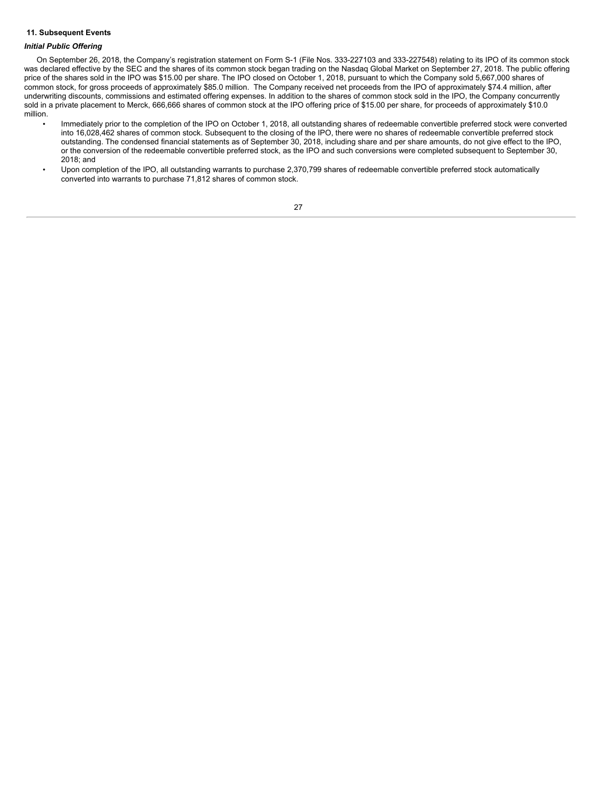# **11. Subsequent Events**

# *Initial Public Offering*

On September 26, 2018, the Company's registration statement on Form S-1 (File Nos. 333-227103 and 333-227548) relating to its IPO of its common stock was declared effective by the SEC and the shares of its common stock began trading on the Nasdaq Global Market on September 27, 2018. The public offering price of the shares sold in the IPO was \$15.00 per share. The IPO closed on October 1, 2018, pursuant to which the Company sold 5,667,000 shares of common stock, for gross proceeds of approximately \$85.0 million. The Company received net proceeds from the IPO of approximately \$74.4 million, after underwriting discounts, commissions and estimated offering expenses. In addition to the shares of common stock sold in the IPO, the Company concurrently sold in a private placement to Merck, 666,666 shares of common stock at the IPO offering price of \$15.00 per share, for proceeds of approximately \$10.0 million.

- Immediately prior to the completion of the IPO on October 1, 2018, all outstanding shares of redeemable convertible preferred stock were converted into 16,028,462 shares of common stock. Subsequent to the closing of the IPO, there were no shares of redeemable convertible preferred stock outstanding. The condensed financial statements as of September 30, 2018, including share and per share amounts, do not give effect to the IPO, or the conversion of the redeemable convertible preferred stock, as the IPO and such conversions were completed subsequent to September 30, 2018; and
- Upon completion of the IPO, all outstanding warrants to purchase 2,370,799 shares of redeemable convertible preferred stock automatically converted into warrants to purchase 71,812 shares of common stock.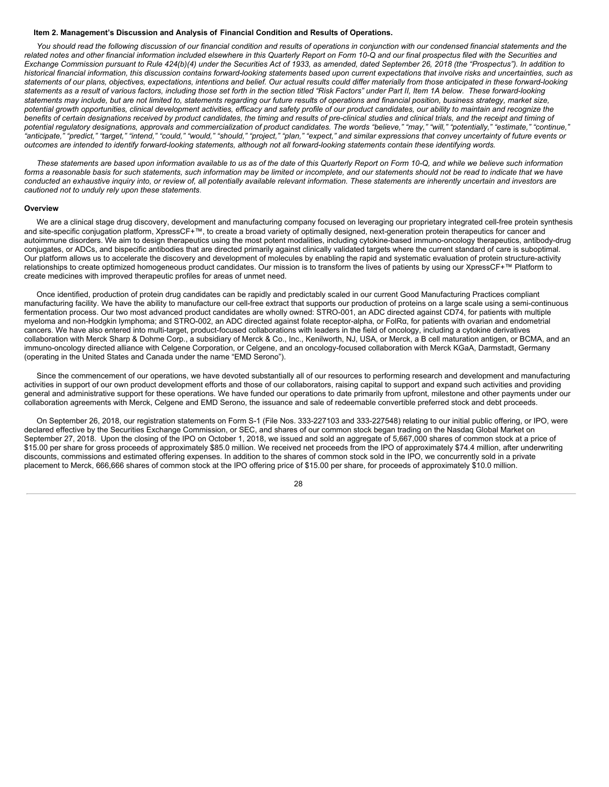#### <span id="page-29-0"></span>**Item 2. Management's Discussion and Analysis of Financial Condition and Results of Operations.**

You should read the following discussion of our financial condition and results of operations in conjunction with our condensed financial statements and the related notes and other financial information included elsewhere in this Quarterly Report on Form 10-Q and our final prospectus filed with the Securities and Exchange Commission pursuant to Rule 424(b)(4) under the Securities Act of 1933, as amended, dated September 26, 2018 (the "Prospectus"). In addition to historical financial information, this discussion contains forward-looking statements based upon current expectations that involve risks and uncertainties, such as statements of our plans, objectives, expectations, intentions and belief. Our actual results could differ materially from those anticipated in these forward-looking statements as a result of various factors, including those set forth in the section titled "Risk Factors" under Part II, Item 1A below. These forward-looking statements may include, but are not limited to, statements regarding our future results of operations and financial position, business strategy, market size, potential growth opportunities, clinical development activities, efficacy and safety profile of our product candidates, our ability to maintain and recognize the benefits of certain designations received by product candidates, the timing and results of pre-clinical studies and clinical trials, and the receipt and timing of potential regulatory designations, approvals and commercialization of product candidates. The words "believe," "may," "will," "potentially," "estimate," "continue," "anticipate," "predict," "target," "intend," "could," "would," "should," "project," "plan," "expect," and similar expressions that convey uncertainty of future events or outcomes are intended to identify forward-looking statements, although not all forward-looking statements contain these identifying words.

These statements are based upon information available to us as of the date of this Quarterly Report on Form 10-Q, and while we believe such information forms a reasonable basis for such statements, such information may be limited or incomplete, and our statements should not be read to indicate that we have conducted an exhaustive inquiry into, or review of, all potentially available relevant information. These statements are inherently uncertain and investors are *cautioned not to unduly rely upon these statements.*

#### **Overview**

We are a clinical stage drug discovery, development and manufacturing company focused on leveraging our proprietary integrated cell-free protein synthesis and site-specific conjugation platform, XpressCF+™, to create a broad variety of optimally designed, next-generation protein therapeutics for cancer and autoimmune disorders. We aim to design therapeutics using the most potent modalities, including cytokine-based immuno-oncology therapeutics, antibody-drug conjugates, or ADCs, and bispecific antibodies that are directed primarily against clinically validated targets where the current standard of care is suboptimal. Our platform allows us to accelerate the discovery and development of molecules by enabling the rapid and systematic evaluation of protein structure-activity relationships to create optimized homogeneous product candidates. Our mission is to transform the lives of patients by using our XpressCF+™ Platform to create medicines with improved therapeutic profiles for areas of unmet need.

Once identified, production of protein drug candidates can be rapidly and predictably scaled in our current Good Manufacturing Practices compliant manufacturing facility. We have the ability to manufacture our cell-free extract that supports our production of proteins on a large scale using a semi-continuous fermentation process. Our two most advanced product candidates are wholly owned: STRO-001, an ADC directed against CD74, for patients with multiple myeloma and non-Hodgkin lymphoma; and STRO-002, an ADC directed against folate receptor-alpha, or FolRα, for patients with ovarian and endometrial cancers. We have also entered into multi-target, product-focused collaborations with leaders in the field of oncology, including a cytokine derivatives collaboration with Merck Sharp & Dohme Corp., a subsidiary of Merck & Co., Inc., Kenilworth, NJ, USA, or Merck, a B cell maturation antigen, or BCMA, and an immuno-oncology directed alliance with Celgene Corporation, or Celgene, and an oncology-focused collaboration with Merck KGaA, Darmstadt, Germany (operating in the United States and Canada under the name "EMD Serono").

Since the commencement of our operations, we have devoted substantially all of our resources to performing research and development and manufacturing activities in support of our own product development efforts and those of our collaborators, raising capital to support and expand such activities and providing general and administrative support for these operations. We have funded our operations to date primarily from upfront, milestone and other payments under our collaboration agreements with Merck, Celgene and EMD Serono, the issuance and sale of redeemable convertible preferred stock and debt proceeds.

On September 26, 2018, our registration statements on Form S-1 (File Nos. 333-227103 and 333-227548) relating to our initial public offering, or IPO, were declared effective by the Securities Exchange Commission, or SEC, and shares of our common stock began trading on the Nasdaq Global Market on September 27, 2018. Upon the closing of the IPO on October 1, 2018, we issued and sold an aggregate of 5,667,000 shares of common stock at a price of \$15.00 per share for gross proceeds of approximately \$85.0 million. We received net proceeds from the IPO of approximately \$74.4 million, after underwriting discounts, commissions and estimated offering expenses. In addition to the shares of common stock sold in the IPO, we concurrently sold in a private placement to Merck, 666,666 shares of common stock at the IPO offering price of \$15.00 per share, for proceeds of approximately \$10.0 million.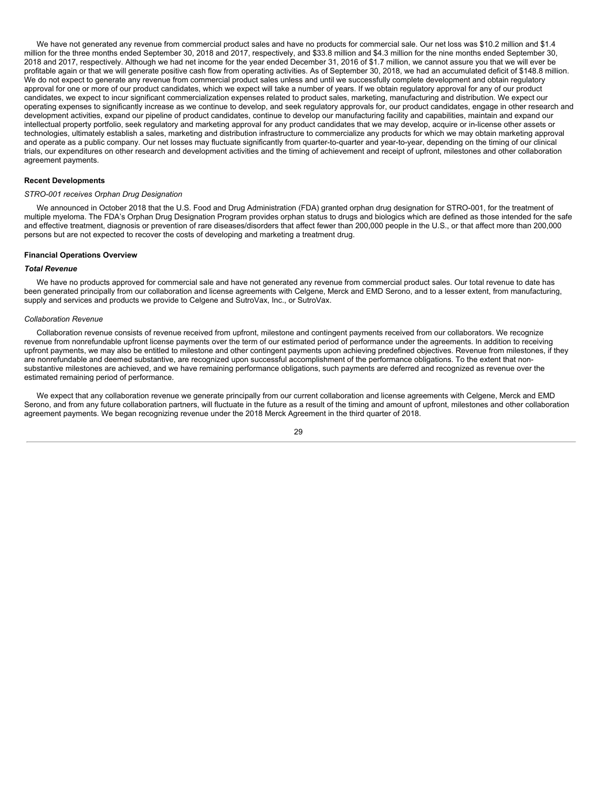We have not generated any revenue from commercial product sales and have no products for commercial sale. Our net loss was \$10.2 million and \$1.4 million for the three months ended September 30, 2018 and 2017, respectively, and \$33.8 million and \$4.3 million for the nine months ended September 30, 2018 and 2017, respectively. Although we had net income for the year ended December 31, 2016 of \$1.7 million, we cannot assure you that we will ever be profitable again or that we will generate positive cash flow from operating activities. As of September 30, 2018, we had an accumulated deficit of \$148.8 million. We do not expect to generate any revenue from commercial product sales unless and until we successfully complete development and obtain regulatory approval for one or more of our product candidates, which we expect will take a number of years. If we obtain regulatory approval for any of our product candidates, we expect to incur significant commercialization expenses related to product sales, marketing, manufacturing and distribution. We expect our operating expenses to significantly increase as we continue to develop, and seek regulatory approvals for, our product candidates, engage in other research and development activities, expand our pipeline of product candidates, continue to develop our manufacturing facility and capabilities, maintain and expand our intellectual property portfolio, seek regulatory and marketing approval for any product candidates that we may develop, acquire or in-license other assets or technologies, ultimately establish a sales, marketing and distribution infrastructure to commercialize any products for which we may obtain marketing approval and operate as a public company. Our net losses may fluctuate significantly from quarter-to-quarter and year-to-year, depending on the timing of our clinical trials, our expenditures on other research and development activities and the timing of achievement and receipt of upfront, milestones and other collaboration agreement payments.

# **Recent Developments**

# *STRO-001 receives Orphan Drug Designation*

We announced in October 2018 that the U.S. Food and Drug Administration (FDA) granted orphan drug designation for STRO-001, for the treatment of multiple myeloma. The FDA's Orphan Drug Designation Program provides orphan status to drugs and biologics which are defined as those intended for the safe and effective treatment, diagnosis or prevention of rare diseases/disorders that affect fewer than 200,000 people in the U.S., or that affect more than 200,000 persons but are not expected to recover the costs of developing and marketing a treatment drug.

#### **Financial Operations Overview**

#### *Total Revenue*

We have no products approved for commercial sale and have not generated any revenue from commercial product sales. Our total revenue to date has been generated principally from our collaboration and license agreements with Celgene, Merck and EMD Serono, and to a lesser extent, from manufacturing, supply and services and products we provide to Celgene and SutroVax, Inc., or SutroVax.

#### *Collaboration Revenue*

Collaboration revenue consists of revenue received from upfront, milestone and contingent payments received from our collaborators. We recognize revenue from nonrefundable upfront license payments over the term of our estimated period of performance under the agreements. In addition to receiving upfront payments, we may also be entitled to milestone and other contingent payments upon achieving predefined objectives. Revenue from milestones, if they are nonrefundable and deemed substantive, are recognized upon successful accomplishment of the performance obligations. To the extent that nonsubstantive milestones are achieved, and we have remaining performance obligations, such payments are deferred and recognized as revenue over the estimated remaining period of performance.

We expect that any collaboration revenue we generate principally from our current collaboration and license agreements with Celgene, Merck and EMD Serono, and from any future collaboration partners, will fluctuate in the future as a result of the timing and amount of upfront, milestones and other collaboration agreement payments. We began recognizing revenue under the 2018 Merck Agreement in the third quarter of 2018.

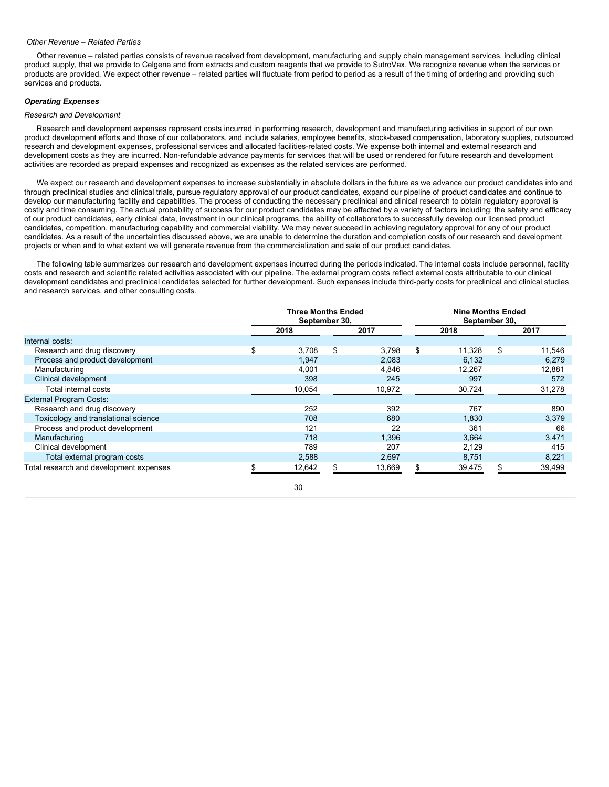#### *Other Revenue – Related Parties*

Other revenue – related parties consists of revenue received from development, manufacturing and supply chain management services, including clinical product supply, that we provide to Celgene and from extracts and custom reagents that we provide to SutroVax. We recognize revenue when the services or products are provided. We expect other revenue – related parties will fluctuate from period to period as a result of the timing of ordering and providing such services and products.

#### *Operating Expenses*

#### *Research and Development*

Research and development expenses represent costs incurred in performing research, development and manufacturing activities in support of our own product development efforts and those of our collaborators, and include salaries, employee benefits, stock-based compensation, laboratory supplies, outsourced research and development expenses, professional services and allocated facilities-related costs. We expense both internal and external research and development costs as they are incurred. Non-refundable advance payments for services that will be used or rendered for future research and development activities are recorded as prepaid expenses and recognized as expenses as the related services are performed.

We expect our research and development expenses to increase substantially in absolute dollars in the future as we advance our product candidates into and through preclinical studies and clinical trials, pursue regulatory approval of our product candidates, expand our pipeline of product candidates and continue to develop our manufacturing facility and capabilities. The process of conducting the necessary preclinical and clinical research to obtain regulatory approval is costly and time consuming. The actual probability of success for our product candidates may be affected by a variety of factors including: the safety and efficacy of our product candidates, early clinical data, investment in our clinical programs, the ability of collaborators to successfully develop our licensed product candidates, competition, manufacturing capability and commercial viability. We may never succeed in achieving regulatory approval for any of our product candidates. As a result of the uncertainties discussed above, we are unable to determine the duration and completion costs of our research and development projects or when and to what extent we will generate revenue from the commercialization and sale of our product candidates.

The following table summarizes our research and development expenses incurred during the periods indicated. The internal costs include personnel, facility costs and research and scientific related activities associated with our pipeline. The external program costs reflect external costs attributable to our clinical development candidates and preclinical candidates selected for further development. Such expenses include third-party costs for preclinical and clinical studies and research services, and other consulting costs.

|                                         |      | <b>Three Months Ended</b><br>September 30, |    |        | <b>Nine Months Ended</b><br>September 30, |        |      |        |  |  |
|-----------------------------------------|------|--------------------------------------------|----|--------|-------------------------------------------|--------|------|--------|--|--|
|                                         | 2018 |                                            |    | 2017   |                                           | 2018   | 2017 |        |  |  |
| Internal costs:                         |      |                                            |    |        |                                           |        |      |        |  |  |
| Research and drug discovery             | \$   | 3,708                                      | \$ | 3,798  | \$                                        | 11,328 | \$   | 11,546 |  |  |
| Process and product development         |      | 1,947                                      |    | 2,083  |                                           | 6,132  |      | 6.279  |  |  |
| Manufacturing                           |      | 4,001                                      |    | 4,846  |                                           | 12,267 |      | 12,881 |  |  |
| Clinical development                    |      | 398                                        |    | 245    |                                           | 997    |      | 572    |  |  |
| Total internal costs                    |      | 10,054                                     |    | 10,972 |                                           | 30,724 |      | 31,278 |  |  |
| <b>External Program Costs:</b>          |      |                                            |    |        |                                           |        |      |        |  |  |
| Research and drug discovery             |      | 252                                        |    | 392    |                                           | 767    |      | 890    |  |  |
| Toxicology and translational science    |      | 708                                        |    | 680    |                                           | 1.830  |      | 3.379  |  |  |
| Process and product development         |      | 121                                        |    | 22     |                                           | 361    |      | 66     |  |  |
| Manufacturing                           |      | 718                                        |    | 1,396  |                                           | 3,664  |      | 3,471  |  |  |
| Clinical development                    |      | 789                                        |    | 207    |                                           | 2,129  |      | 415    |  |  |
| Total external program costs            |      | 2,588                                      |    | 2,697  |                                           | 8,751  |      | 8,221  |  |  |
| Total research and development expenses |      | 12,642                                     |    | 13,669 |                                           | 39,475 |      | 39,499 |  |  |

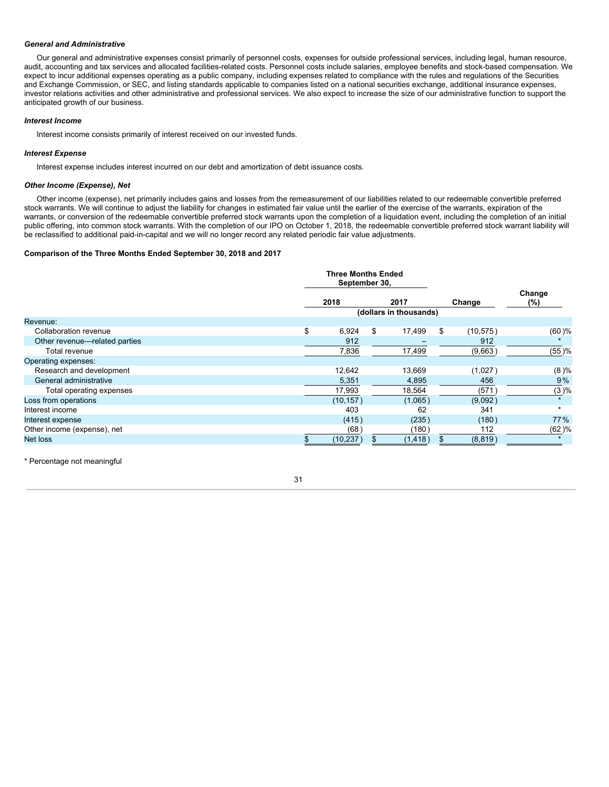# *General and Administrative*

Our general and administrative expenses consist primarily of personnel costs, expenses for outside professional services, including legal, human resource, audit, accounting and tax services and allocated facilities-related costs. Personnel costs include salaries, employee benefits and stock-based compensation. We expect to incur additional expenses operating as a public company, including expenses related to compliance with the rules and regulations of the Securities and Exchange Commission, or SEC, and listing standards applicable to companies listed on a national securities exchange, additional insurance expenses, investor relations activities and other administrative and professional services. We also expect to increase the size of our administrative function to support the anticipated growth of our business.

# *Interest Income*

Interest income consists primarily of interest received on our invested funds.

#### *Interest Expense*

Interest expense includes interest incurred on our debt and amortization of debt issuance costs.

## *Other Income (Expense), Net*

Other income (expense), net primarily includes gains and losses from the remeasurement of our liabilities related to our redeemable convertible preferred stock warrants. We will continue to adjust the liability for changes in estimated fair value until the earlier of the exercise of the warrants, expiration of the warrants, or conversion of the redeemable convertible preferred stock warrants upon the completion of a liquidation event, including the completion of an initial public offering, into common stock warrants. With the completion of our IPO on October 1, 2018, the redeemable convertible preferred stock warrant liability will be reclassified to additional paid-in-capital and we will no longer record any related periodic fair value adjustments.

#### **Comparison of the Three Months Ended September 30, 2018 and 2017**

|                               | <b>Three Months Ended</b><br>September 30, |           |                                |          |        |           |                  |
|-------------------------------|--------------------------------------------|-----------|--------------------------------|----------|--------|-----------|------------------|
|                               | 2018                                       |           | 2017<br>(dollars in thousands) |          | Change |           | Change<br>$(\%)$ |
|                               |                                            |           |                                |          |        |           |                  |
| Revenue:                      |                                            |           |                                |          |        |           |                  |
| Collaboration revenue         | \$                                         | 6,924     | \$                             | 17,499   | \$     | (10, 575) | $(60)$ %         |
| Other revenue-related parties |                                            | 912       |                                |          |        | 912       |                  |
| Total revenue                 |                                            | 7,836     |                                | 17,499   |        | (9,663)   | (55)%            |
| Operating expenses:           |                                            |           |                                |          |        |           |                  |
| Research and development      |                                            | 12,642    |                                | 13,669   |        | (1,027)   | (8)%             |
| General administrative        |                                            | 5,351     |                                | 4,895    |        | 456       | 9%               |
| Total operating expenses      |                                            | 17,993    |                                | 18,564   |        | (571)     | (3)%             |
| Loss from operations          |                                            | (10, 157) |                                | (1,065)  |        | (9,092)   |                  |
| Interest income               |                                            | 403       |                                | 62       |        | 341       | $\star$          |
| Interest expense              |                                            | (415)     |                                | (235)    |        | (180)     | 77%              |
| Other income (expense), net   |                                            | (68)      |                                | (180)    |        | 112       | (62)%            |
| Net loss                      |                                            | (10, 237) |                                | (1, 418) |        | (8, 819)  |                  |

\* Percentage not meaningful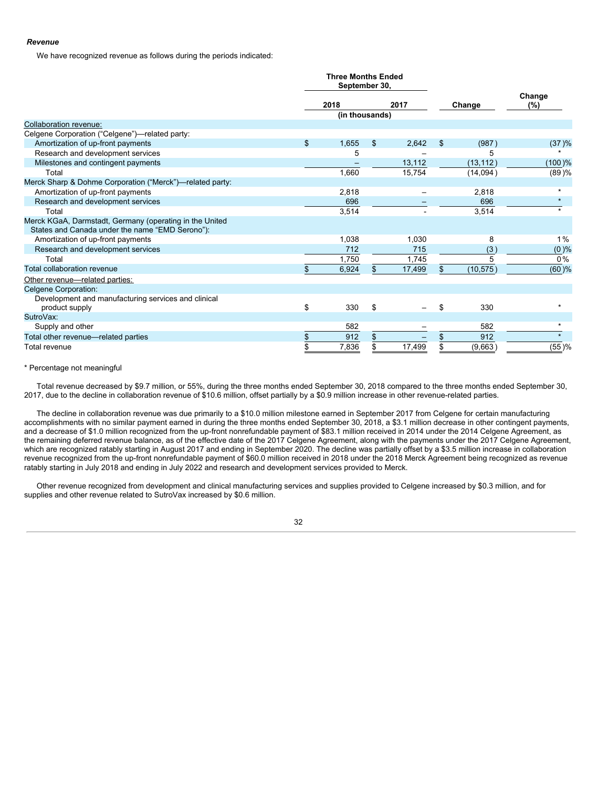# *Revenue*

We have recognized revenue as follows during the periods indicated:

|                                                                                                            | <b>Three Months Ended</b><br>September 30, |                |    |        |        |           |               |
|------------------------------------------------------------------------------------------------------------|--------------------------------------------|----------------|----|--------|--------|-----------|---------------|
|                                                                                                            |                                            | 2018           |    | 2017   | Change |           | Change<br>(%) |
|                                                                                                            |                                            | (in thousands) |    |        |        |           |               |
| Collaboration revenue:                                                                                     |                                            |                |    |        |        |           |               |
| Celgene Corporation ("Celgene")—related party:                                                             |                                            |                |    |        |        |           |               |
| Amortization of up-front payments                                                                          | $\mathfrak{S}$                             | 1,655          | \$ | 2,642  | \$     | (987)     | (37)%         |
| Research and development services                                                                          |                                            | 5              |    |        |        | 5         |               |
| Milestones and contingent payments                                                                         |                                            |                |    | 13,112 |        | (13, 112) | (100 )%       |
| Total                                                                                                      |                                            | 1,660          |    | 15,754 |        | (14,094)  | (89)%         |
| Merck Sharp & Dohme Corporation ("Merck")—related party:                                                   |                                            |                |    |        |        |           |               |
| Amortization of up-front payments                                                                          |                                            | 2,818          |    |        |        | 2,818     | $\star$       |
| Research and development services                                                                          |                                            | 696            |    |        |        | 696       | $\star$       |
| Total                                                                                                      |                                            | 3,514          |    |        |        | 3,514     | $\star$       |
| Merck KGaA, Darmstadt, Germany (operating in the United<br>States and Canada under the name "EMD Serono"): |                                            |                |    |        |        |           |               |
| Amortization of up-front payments                                                                          |                                            | 1,038          |    | 1,030  |        | 8         | 1%            |
| Research and development services                                                                          |                                            | 712            |    | 715    |        | (3)       | $(0)$ %       |
| Total                                                                                                      |                                            | 1,750          |    | 1,745  |        |           | $0\%$         |
| Total collaboration revenue                                                                                | \$.                                        | 6,924          | \$ | 17,499 | \$     | (10, 575) | $(60)$ %      |
| Other revenue-related parties:                                                                             |                                            |                |    |        |        |           |               |
| Celgene Corporation:                                                                                       |                                            |                |    |        |        |           |               |
| Development and manufacturing services and clinical<br>product supply                                      | \$                                         | 330            | \$ |        | \$     | 330       |               |
| SutroVax:                                                                                                  |                                            |                |    |        |        |           |               |
| Supply and other                                                                                           |                                            | 582            |    |        |        | 582       | $\star$       |
| Total other revenue-related parties                                                                        | \$                                         | 912            | \$ |        | S      | 912       | $\star$       |
| Total revenue                                                                                              |                                            | 7,836          | \$ | 17,499 |        | (9,663)   | (55)%         |

#### \* Percentage not meaningful

Total revenue decreased by \$9.7 million, or 55%, during the three months ended September 30, 2018 compared to the three months ended September 30, 2017, due to the decline in collaboration revenue of \$10.6 million, offset partially by a \$0.9 million increase in other revenue-related parties.

The decline in collaboration revenue was due primarily to a \$10.0 million milestone earned in September 2017 from Celgene for certain manufacturing accomplishments with no similar payment earned in during the three months ended September 30, 2018, a \$3.1 million decrease in other contingent payments, and a decrease of \$1.0 million recognized from the up-front nonrefundable payment of \$83.1 million received in 2014 under the 2014 Celgene Agreement, as the remaining deferred revenue balance, as of the effective date of the 2017 Celgene Agreement, along with the payments under the 2017 Celgene Agreement, which are recognized ratably starting in August 2017 and ending in September 2020. The decline was partially offset by a \$3.5 million increase in collaboration revenue recognized from the up-front nonrefundable payment of \$60.0 million received in 2018 under the 2018 Merck Agreement being recognized as revenue ratably starting in July 2018 and ending in July 2022 and research and development services provided to Merck.

Other revenue recognized from development and clinical manufacturing services and supplies provided to Celgene increased by \$0.3 million, and for supplies and other revenue related to SutroVax increased by \$0.6 million.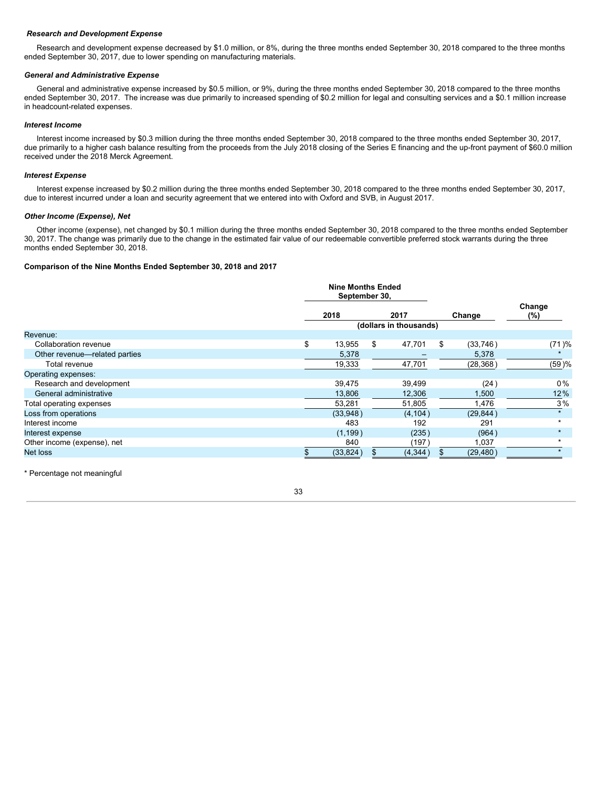#### *Research and Development Expense*

Research and development expense decreased by \$1.0 million, or 8%, during the three months ended September 30, 2018 compared to the three months ended September 30, 2017, due to lower spending on manufacturing materials.

#### *General and Administrative Expense*

General and administrative expense increased by \$0.5 million, or 9%, during the three months ended September 30, 2018 compared to the three months ended September 30, 2017. The increase was due primarily to increased spending of \$0.2 million for legal and consulting services and a \$0.1 million increase in headcount-related expenses.

#### *Interest Income*

Interest income increased by \$0.3 million during the three months ended September 30, 2018 compared to the three months ended September 30, 2017, due primarily to a higher cash balance resulting from the proceeds from the July 2018 closing of the Series E financing and the up-front payment of \$60.0 million received under the 2018 Merck Agreement.

#### *Interest Expense*

Interest expense increased by \$0.2 million during the three months ended September 30, 2018 compared to the three months ended September 30, 2017, due to interest incurred under a loan and security agreement that we entered into with Oxford and SVB, in August 2017.

#### *Other Income (Expense), Net*

Other income (expense), net changed by \$0.1 million during the three months ended September 30, 2018 compared to the three months ended September 30, 2017. The change was primarily due to the change in the estimated fair value of our redeemable convertible preferred stock warrants during the three months ended September 30, 2018.

## **Comparison of the Nine Months Ended September 30, 2018 and 2017**

|                               | <b>Nine Months Ended</b><br>September 30, |    |                                |    |           |               |
|-------------------------------|-------------------------------------------|----|--------------------------------|----|-----------|---------------|
|                               | 2018                                      |    | 2017<br>(dollars in thousands) |    | Change    | Change<br>(%) |
| Revenue:                      |                                           |    |                                |    |           |               |
| Collaboration revenue         | \$<br>13,955                              | \$ | 47,701                         | \$ | (33,746)  | (71)%         |
| Other revenue—related parties | 5,378                                     |    |                                |    | 5,378     |               |
| Total revenue                 | 19,333                                    |    | 47,701                         |    | (28, 368) | (59)%         |
| Operating expenses:           |                                           |    |                                |    |           |               |
| Research and development      | 39,475                                    |    | 39,499                         |    | (24)      | 0%            |
| General administrative        | 13,806                                    |    | 12,306                         |    | 1,500     | 12%           |
| Total operating expenses      | 53,281                                    |    | 51,805                         |    | 1,476     | 3%            |
| Loss from operations          | (33,948)                                  |    | (4, 104)                       |    | (29, 844) | $\star$       |
| Interest income               | 483                                       |    | 192                            |    | 291       | $\star$       |
| Interest expense              | (1, 199)                                  |    | (235)                          |    | (964)     | $\star$       |
| Other income (expense), net   | 840                                       |    | (197)                          |    | 1,037     | $\star$       |
| Net loss                      | (33, 824)                                 |    | (4, 344)                       |    | (29, 480) |               |

\* Percentage not meaningful

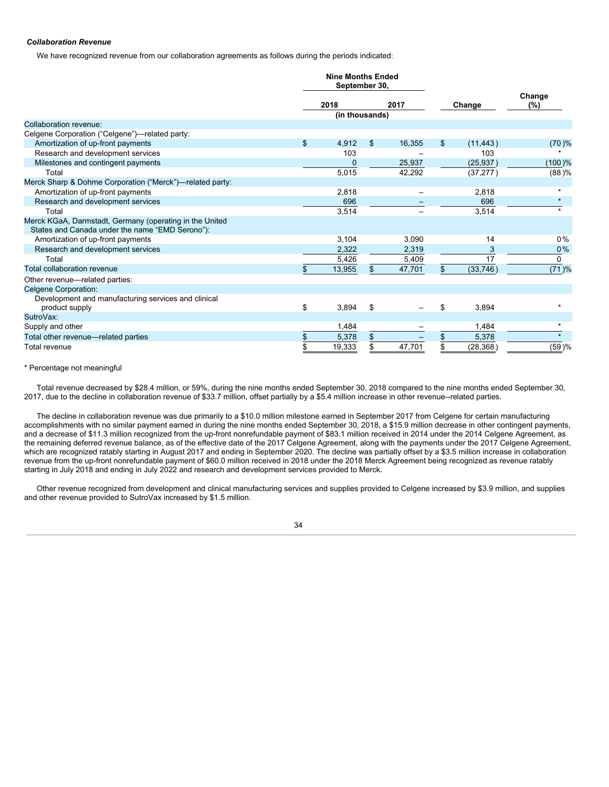# *Collaboration Revenue*

We have recognized revenue from our collaboration agreements as follows during the periods indicated:

|                                                                                                            | <b>Nine Months Ended</b><br>September 30, |              |     |        |    |           | Change<br>(%) |
|------------------------------------------------------------------------------------------------------------|-------------------------------------------|--------------|-----|--------|----|-----------|---------------|
|                                                                                                            |                                           | 2018<br>2017 |     | Change |    |           |               |
|                                                                                                            | (in thousands)                            |              |     |        |    |           |               |
| Collaboration revenue:                                                                                     |                                           |              |     |        |    |           |               |
| Celgene Corporation ("Celgene")—related party:                                                             |                                           |              |     |        |    |           |               |
| Amortization of up-front payments                                                                          | \$                                        | 4.912        | \$  | 16,355 | \$ | (11, 443) | (70)%         |
| Research and development services                                                                          |                                           | 103          |     |        |    | 103       |               |
| Milestones and contingent payments                                                                         |                                           | $\Omega$     |     | 25,937 |    | (25, 937) | (100 )%       |
| Total                                                                                                      |                                           | 5,015        |     | 42,292 |    | (37, 277) | (88)%         |
| Merck Sharp & Dohme Corporation ("Merck")-related party:                                                   |                                           |              |     |        |    |           |               |
| Amortization of up-front payments                                                                          |                                           | 2,818        |     |        |    | 2,818     | $\star$       |
| Research and development services                                                                          |                                           | 696          |     |        |    | 696       | $\star$       |
| Total                                                                                                      |                                           | 3,514        |     |        |    | 3,514     | $\star$       |
| Merck KGaA, Darmstadt, Germany (operating in the United<br>States and Canada under the name "EMD Serono"): |                                           |              |     |        |    |           |               |
| Amortization of up-front payments                                                                          |                                           | 3,104        |     | 3,090  |    | 14        | 0%            |
| Research and development services                                                                          |                                           | 2,322        |     | 2,319  |    | 3         | $0\%$         |
| Total                                                                                                      |                                           | 5,426        |     | 5,409  |    | 17        | 0             |
| Total collaboration revenue                                                                                |                                           | 13,955       | \$. | 47,701 | \$ | (33, 746) | (71)%         |
| Other revenue-related parties:                                                                             |                                           |              |     |        |    |           |               |
| <b>Celgene Corporation:</b>                                                                                |                                           |              |     |        |    |           |               |
| Development and manufacturing services and clinical<br>product supply                                      | \$                                        | 3,894        | \$  |        | \$ | 3,894     |               |
| SutroVax:                                                                                                  |                                           |              |     |        |    |           |               |
| Supply and other                                                                                           |                                           | 1,484        |     |        |    | 1,484     |               |
| Total other revenue-related parties                                                                        | \$                                        | 5,378        | \$  |        |    | 5,378     | $\star$       |
| Total revenue                                                                                              |                                           | 19,333       |     | 47,701 |    | (28, 368) | (59 )%        |

#### \* Percentage not meaningful

Total revenue decreased by \$28.4 million, or 59%, during the nine months ended September 30, 2018 compared to the nine months ended September 30, 2017, due to the decline in collaboration revenue of \$33.7 million, offset partially by a \$5.4 million increase in other revenue--related parties.

The decline in collaboration revenue was due primarily to a \$10.0 million milestone earned in September 2017 from Celgene for certain manufacturing accomplishments with no similar payment earned in during the nine months ended September 30, 2018, a \$15.9 million decrease in other contingent payments, and a decrease of \$11.3 million recognized from the up-front nonrefundable payment of \$83.1 million received in 2014 under the 2014 Celgene Agreement, as the remaining deferred revenue balance, as of the effective date of the 2017 Celgene Agreement, along with the payments under the 2017 Celgene Agreement, which are recognized ratably starting in August 2017 and ending in September 2020. The decline was partially offset by a \$3.5 million increase in collaboration revenue from the up-front nonrefundable payment of \$60.0 million received in 2018 under the 2018 Merck Agreement being recognized as revenue ratably starting in July 2018 and ending in July 2022 and research and development services provided to Merck.

Other revenue recognized from development and clinical manufacturing services and supplies provided to Celgene increased by \$3.9 million, and supplies and other revenue provided to SutroVax increased by \$1.5 million.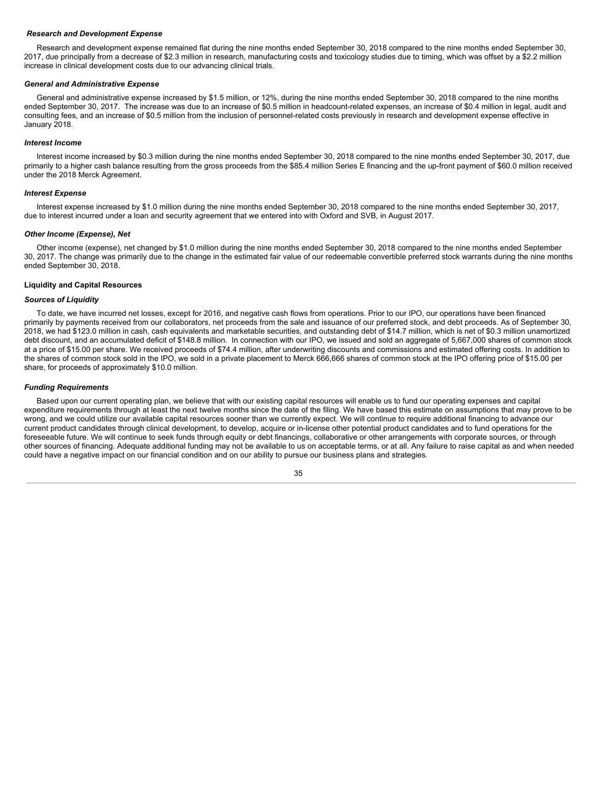# *Research and Development Expense*

Research and development expense remained flat during the nine months ended September 30, 2018 compared to the nine months ended September 30, 2017, due principally from a decrease of \$2.3 million in research, manufacturing costs and toxicology studies due to timing, which was offset by a \$2.2 million increase in clinical development costs due to our advancing clinical trials.

#### *General and Administrative Expense*

General and administrative expense increased by \$1.5 million, or 12%, during the nine months ended September 30, 2018 compared to the nine months ended September 30, 2017. The increase was due to an increase of \$0.5 million in headcount-related expenses, an increase of \$0.4 million in legal, audit and consulting fees, and an increase of \$0.5 million from the inclusion of personnel-related costs previously in research and development expense effective in January 2018.

#### *Interest Income*

Interest income increased by \$0.3 million during the nine months ended September 30, 2018 compared to the nine months ended September 30, 2017, due primarily to a higher cash balance resulting from the gross proceeds from the \$85.4 million Series E financing and the up-front payment of \$60.0 million received under the 2018 Merck Agreement.

#### *Interest Expense*

Interest expense increased by \$1.0 million during the nine months ended September 30, 2018 compared to the nine months ended September 30, 2017, due to interest incurred under a loan and security agreement that we entered into with Oxford and SVB, in August 2017.

#### *Other Income (Expense), Net*

Other income (expense), net changed by \$1.0 million during the nine months ended September 30, 2018 compared to the nine months ended September 30, 2017. The change was primarily due to the change in the estimated fair value of our redeemable convertible preferred stock warrants during the nine months ended September 30, 2018.

#### **Liquidity and Capital Resources**

# *Sources of Liquidity*

To date, we have incurred net losses, except for 2016, and negative cash flows from operations. Prior to our IPO, our operations have been financed primarily by payments received from our collaborators, net proceeds from the sale and issuance of our preferred stock, and debt proceeds. As of September 30, 2018, we had \$123.0 million in cash, cash equivalents and marketable securities, and outstanding debt of \$14.7 million, which is net of \$0.3 million unamortized debt discount, and an accumulated deficit of \$148.8 million. In connection with our IPO, we issued and sold an aggregate of 5,667,000 shares of common stock at a price of \$15.00 per share. We received proceeds of \$74.4 million, after underwriting discounts and commissions and estimated offering costs. In addition to the shares of common stock sold in the IPO, we sold in a private placement to Merck 666,666 shares of common stock at the IPO offering price of \$15.00 per share, for proceeds of approximately \$10.0 million.

#### *Funding Requirements*

Based upon our current operating plan, we believe that with our existing capital resources will enable us to fund our operating expenses and capital expenditure requirements through at least the next twelve months since the date of the filing. We have based this estimate on assumptions that may prove to be wrong, and we could utilize our available capital resources sooner than we currently expect. We will continue to require additional financing to advance our current product candidates through clinical development, to develop, acquire or in-license other potential product candidates and to fund operations for the foreseeable future. We will continue to seek funds through equity or debt financings, collaborative or other arrangements with corporate sources, or through other sources of financing. Adequate additional funding may not be available to us on acceptable terms, or at all. Any failure to raise capital as and when needed could have a negative impact on our financial condition and on our ability to pursue our business plans and strategies.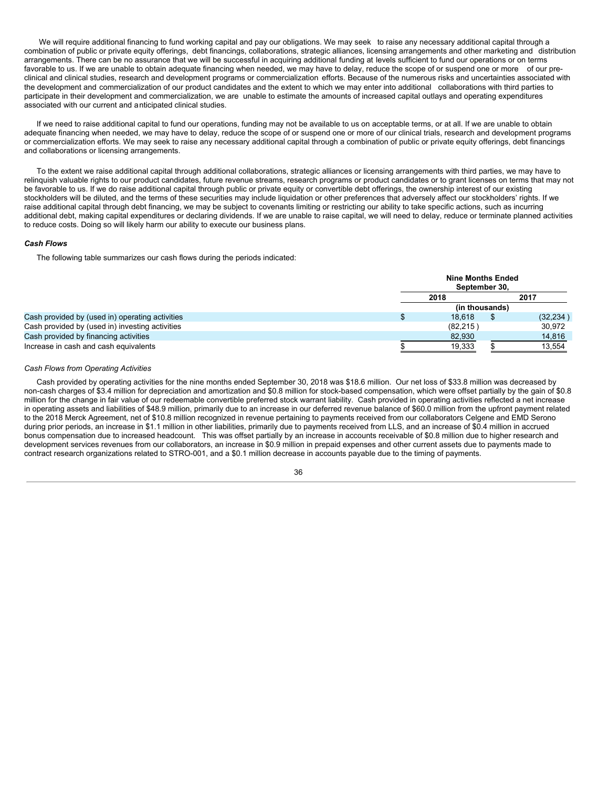We will require additional financing to fund working capital and pay our obligations. We may seek to raise any necessary additional capital through a combination of public or private equity offerings, debt financings, collaborations, strategic alliances, licensing arrangements and other marketing and distribution arrangements. There can be no assurance that we will be successful in acquiring additional funding at levels sufficient to fund our operations or on terms favorable to us. If we are unable to obtain adequate financing when needed, we may have to delay, reduce the scope of or suspend one or more of our preclinical and clinical studies, research and development programs or commercialization efforts. Because of the numerous risks and uncertainties associated with the development and commercialization of our product candidates and the extent to which we may enter into additional collaborations with third parties to participate in their development and commercialization, we are unable to estimate the amounts of increased capital outlays and operating expenditures associated with our current and anticipated clinical studies.

If we need to raise additional capital to fund our operations, funding may not be available to us on acceptable terms, or at all. If we are unable to obtain adequate financing when needed, we may have to delay, reduce the scope of or suspend one or more of our clinical trials, research and development programs or commercialization efforts. We may seek to raise any necessary additional capital through a combination of public or private equity offerings, debt financings and collaborations or licensing arrangements.

To the extent we raise additional capital through additional collaborations, strategic alliances or licensing arrangements with third parties, we may have to relinquish valuable rights to our product candidates, future revenue streams, research programs or product candidates or to grant licenses on terms that may not be favorable to us. If we do raise additional capital through public or private equity or convertible debt offerings, the ownership interest of our existing stockholders will be diluted, and the terms of these securities may include liquidation or other preferences that adversely affect our stockholders' rights. If we raise additional capital through debt financing, we may be subject to covenants limiting or restricting our ability to take specific actions, such as incurring additional debt, making capital expenditures or declaring dividends. If we are unable to raise capital, we will need to delay, reduce or terminate planned activities to reduce costs. Doing so will likely harm our ability to execute our business plans.

# *Cash Flows*

The following table summarizes our cash flows during the periods indicated:

|                                                 | <b>Nine Months Ended</b><br>September 30, |  |           |  |
|-------------------------------------------------|-------------------------------------------|--|-----------|--|
|                                                 | 2018                                      |  | 2017      |  |
|                                                 | (in thousands)                            |  |           |  |
| Cash provided by (used in) operating activities | 18.618                                    |  | (32, 234) |  |
| Cash provided by (used in) investing activities | (82, 215)                                 |  | 30.972    |  |
| Cash provided by financing activities           | 82,930                                    |  | 14,816    |  |
| Increase in cash and cash equivalents           | 19,333                                    |  | 13.554    |  |

# *Cash Flows from Operating Activities*

Cash provided by operating activities for the nine months ended September 30, 2018 was \$18.6 million. Our net loss of \$33.8 million was decreased by non-cash charges of \$3.4 million for depreciation and amortization and \$0.8 million for stock-based compensation, which were offset partially by the gain of \$0.8 million for the change in fair value of our redeemable convertible preferred stock warrant liability. Cash provided in operating activities reflected a net increase in operating assets and liabilities of \$48.9 million, primarily due to an increase in our deferred revenue balance of \$60.0 million from the upfront payment related to the 2018 Merck Agreement, net of \$10.8 million recognized in revenue pertaining to payments received from our collaborators Celgene and EMD Serono during prior periods, an increase in \$1.1 million in other liabilities, primarily due to payments received from LLS, and an increase of \$0.4 million in accrued bonus compensation due to increased headcount. This was offset partially by an increase in accounts receivable of \$0.8 million due to higher research and development services revenues from our collaborators, an increase in \$0.9 million in prepaid expenses and other current assets due to payments made to contract research organizations related to STRO-001, and a \$0.1 million decrease in accounts payable due to the timing of payments.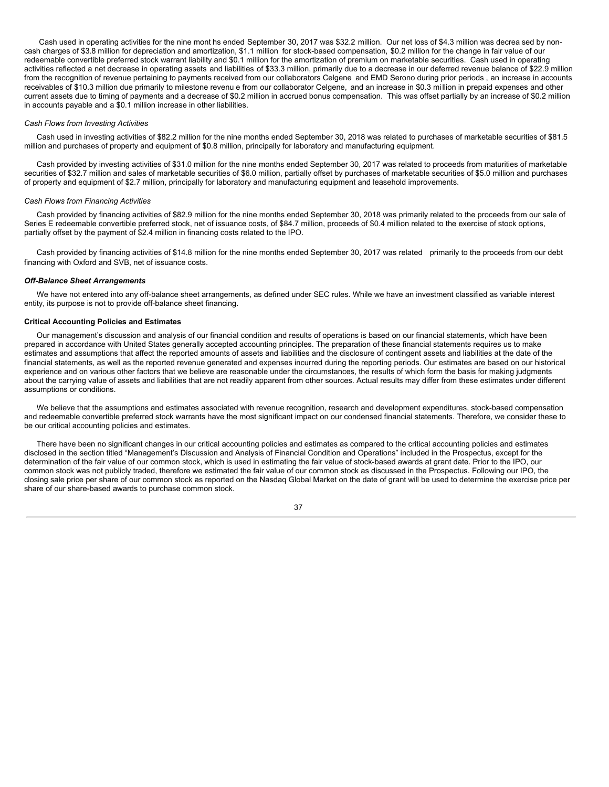Cash used in operating activities for the nine mont hs ended September 30, 2017 was \$32.2 million. Our net loss of \$4.3 million was decrea sed by noncash charges of \$3.8 million for depreciation and amortization, \$1.1 million for stock-based compensation, \$0.2 million for the change in fair value of our redeemable convertible preferred stock warrant liability and \$0.1 million for the amortization of premium on marketable securities. Cash used in operating activities reflected a net decrease in operating assets and liabilities of \$33.3 million, primarily due to a decrease in our deferred revenue balance of \$22.9 million from the recognition of revenue pertaining to payments received from our collaborators Celgene and EMD Serono during prior periods , an increase in accounts receivables of \$10.3 million due primarily to milestone revenu e from our collaborator Celgene, and an increase in \$0.3 mi llion in prepaid expenses and other current assets due to timing of payments and a decrease of \$0.2 million in accrued bonus compensation. This was offset partially by an increase of \$0.2 million in accounts payable and a \$0.1 million increase in other liabilities.

#### *Cash Flows from Investing Activities*

Cash used in investing activities of \$82.2 million for the nine months ended September 30, 2018 was related to purchases of marketable securities of \$81.5 million and purchases of property and equipment of \$0.8 million, principally for laboratory and manufacturing equipment.

Cash provided by investing activities of \$31.0 million for the nine months ended September 30, 2017 was related to proceeds from maturities of marketable securities of \$32.7 million and sales of marketable securities of \$6.0 million, partially offset by purchases of marketable securities of \$5.0 million and purchases of property and equipment of \$2.7 million, principally for laboratory and manufacturing equipment and leasehold improvements.

#### *Cash Flows from Financing Activities*

Cash provided by financing activities of \$82.9 million for the nine months ended September 30, 2018 was primarily related to the proceeds from our sale of Series E redeemable convertible preferred stock, net of issuance costs, of \$84.7 million, proceeds of \$0.4 million related to the exercise of stock options, partially offset by the payment of \$2.4 million in financing costs related to the IPO.

Cash provided by financing activities of \$14.8 million for the nine months ended September 30, 2017 was related primarily to the proceeds from our debt financing with Oxford and SVB, net of issuance costs.

# *Off-Balance Sheet Arrangements*

We have not entered into any off-balance sheet arrangements, as defined under SEC rules. While we have an investment classified as variable interest entity, its purpose is not to provide off-balance sheet financing.

#### **Critical Accounting Policies and Estimates**

Our management's discussion and analysis of our financial condition and results of operations is based on our financial statements, which have been prepared in accordance with United States generally accepted accounting principles. The preparation of these financial statements requires us to make estimates and assumptions that affect the reported amounts of assets and liabilities and the disclosure of contingent assets and liabilities at the date of the financial statements, as well as the reported revenue generated and expenses incurred during the reporting periods. Our estimates are based on our historical experience and on various other factors that we believe are reasonable under the circumstances, the results of which form the basis for making judgments about the carrying value of assets and liabilities that are not readily apparent from other sources. Actual results may differ from these estimates under different assumptions or conditions.

We believe that the assumptions and estimates associated with revenue recognition, research and development expenditures, stock-based compensation and redeemable convertible preferred stock warrants have the most significant impact on our condensed financial statements. Therefore, we consider these to be our critical accounting policies and estimates.

There have been no significant changes in our critical accounting policies and estimates as compared to the critical accounting policies and estimates disclosed in the section titled "Management's Discussion and Analysis of Financial Condition and Operations" included in the Prospectus, except for the determination of the fair value of our common stock, which is used in estimating the fair value of stock-based awards at grant date. Prior to the IPO, our common stock was not publicly traded, therefore we estimated the fair value of our common stock as discussed in the Prospectus. Following our IPO, the closing sale price per share of our common stock as reported on the Nasdaq Global Market on the date of grant will be used to determine the exercise price per share of our share-based awards to purchase common stock.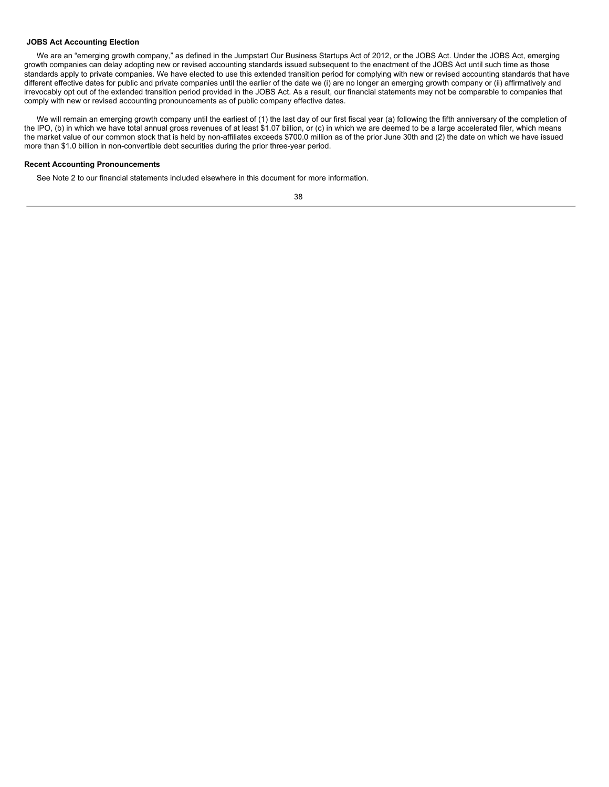# **JOBS Act Accounting Election**

We are an "emerging growth company," as defined in the Jumpstart Our Business Startups Act of 2012, or the JOBS Act. Under the JOBS Act, emerging growth companies can delay adopting new or revised accounting standards issued subsequent to the enactment of the JOBS Act until such time as those standards apply to private companies. We have elected to use this extended transition period for complying with new or revised accounting standards that have different effective dates for public and private companies until the earlier of the date we (i) are no longer an emerging growth company or (ii) affirmatively and irrevocably opt out of the extended transition period provided in the JOBS Act. As a result, our financial statements may not be comparable to companies that comply with new or revised accounting pronouncements as of public company effective dates.

We will remain an emerging growth company until the earliest of (1) the last day of our first fiscal year (a) following the fifth anniversary of the completion of the IPO, (b) in which we have total annual gross revenues of at least \$1.07 billion, or (c) in which we are deemed to be a large accelerated filer, which means the market value of our common stock that is held by non-affiliates exceeds \$700.0 million as of the prior June 30th and (2) the date on which we have issued more than \$1.0 billion in non-convertible debt securities during the prior three-year period.

# **Recent Accounting Pronouncements**

See Note 2 to our financial statements included elsewhere in this document for more information.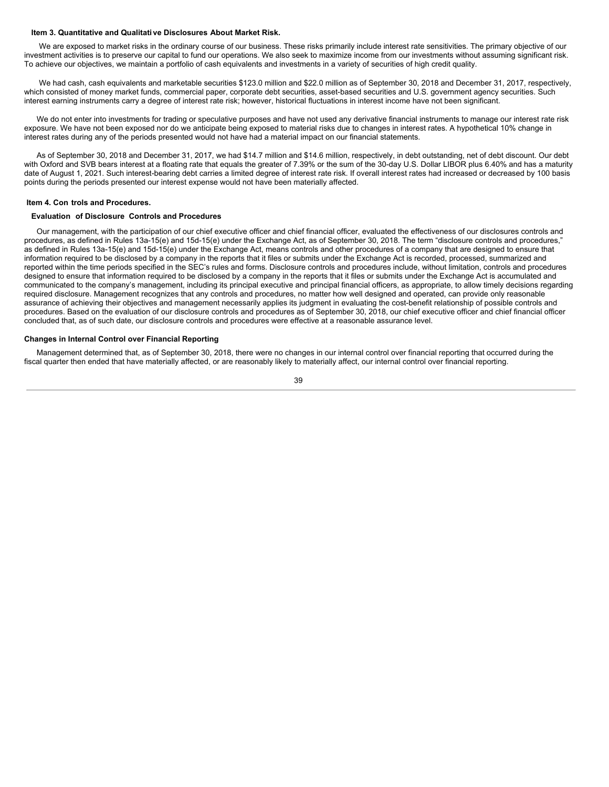# **Item 3. Quantitative and Qualitati ve Disclosures About Market Risk.**

We are exposed to market risks in the ordinary course of our business. These risks primarily include interest rate sensitivities. The primary objective of our investment activities is to preserve our capital to fund our operations. We also seek to maximize income from our investments without assuming significant risk. To achieve our objectives, we maintain a portfolio of cash equivalents and investments in a variety of securities of high credit quality.

We had cash, cash equivalents and marketable securities \$123.0 million and \$22.0 million as of September 30, 2018 and December 31, 2017, respectively, which consisted of money market funds, commercial paper, corporate debt securities, asset-based securities and U.S. government agency securities. Such interest earning instruments carry a degree of interest rate risk; however, historical fluctuations in interest income have not been significant.

We do not enter into investments for trading or speculative purposes and have not used any derivative financial instruments to manage our interest rate risk exposure. We have not been exposed nor do we anticipate being exposed to material risks due to changes in interest rates. A hypothetical 10% change in interest rates during any of the periods presented would not have had a material impact on our financial statements.

As of September 30, 2018 and December 31, 2017, we had \$14.7 million and \$14.6 million, respectively, in debt outstanding, net of debt discount. Our debt with Oxford and SVB bears interest at a floating rate that equals the greater of 7.39% or the sum of the 30-day U.S. Dollar LIBOR plus 6.40% and has a maturity date of August 1, 2021. Such interest-bearing debt carries a limited degree of interest rate risk. If overall interest rates had increased or decreased by 100 basis points during the periods presented our interest expense would not have been materially affected.

# **Item 4. Con trols and Procedures.**

# **Evaluation of Disclosure Controls and Procedures**

Our management, with the participation of our chief executive officer and chief financial officer, evaluated the effectiveness of our disclosures controls and procedures, as defined in Rules 13a-15(e) and 15d-15(e) under the Exchange Act, as of September 30, 2018. The term "disclosure controls and procedures," as defined in Rules 13a-15(e) and 15d-15(e) under the Exchange Act, means controls and other procedures of a company that are designed to ensure that information required to be disclosed by a company in the reports that it files or submits under the Exchange Act is recorded, processed, summarized and reported within the time periods specified in the SEC's rules and forms. Disclosure controls and procedures include, without limitation, controls and procedures designed to ensure that information required to be disclosed by a company in the reports that it files or submits under the Exchange Act is accumulated and communicated to the company's management, including its principal executive and principal financial officers, as appropriate, to allow timely decisions regarding required disclosure. Management recognizes that any controls and procedures, no matter how well designed and operated, can provide only reasonable assurance of achieving their objectives and management necessarily applies its judgment in evaluating the cost-benefit relationship of possible controls and procedures. Based on the evaluation of our disclosure controls and procedures as of September 30, 2018, our chief executive officer and chief financial officer concluded that, as of such date, our disclosure controls and procedures were effective at a reasonable assurance level.

# **Changes in Internal Control over Financial Reporting**

Management determined that, as of September 30, 2018, there were no changes in our internal control over financial reporting that occurred during the fiscal quarter then ended that have materially affected, or are reasonably likely to materially affect, our internal control over financial reporting.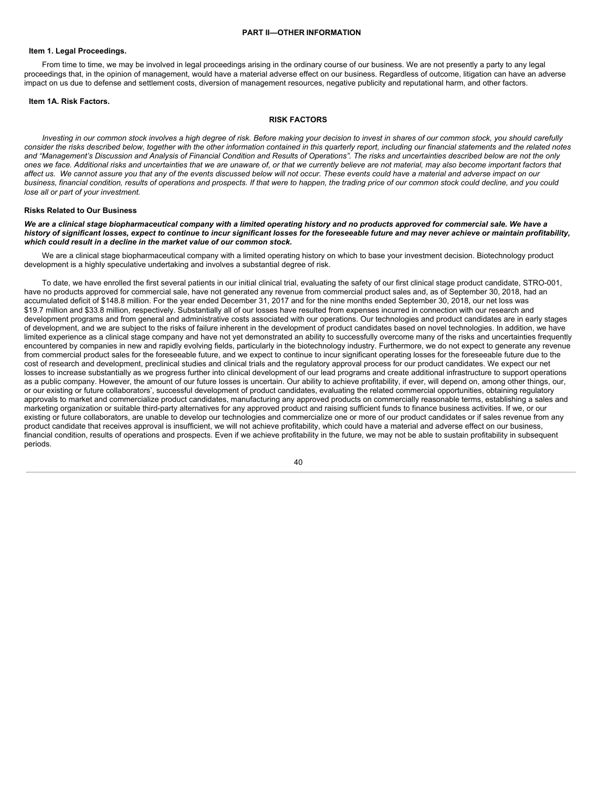# **Item 1. Legal Proceedings.**

From time to time, we may be involved in legal proceedings arising in the ordinary course of our business. We are not presently a party to any legal proceedings that, in the opinion of management, would have a material adverse effect on our business. Regardless of outcome, litigation can have an adverse impact on us due to defense and settlement costs, diversion of management resources, negative publicity and reputational harm, and other factors.

#### **Item 1A. Risk Factors.**

#### **RISK FACTORS**

Investing in our common stock involves a high degree of risk. Before making your decision to invest in shares of our common stock, you should carefully consider the risks described below, together with the other information contained in this quarterly report, including our financial statements and the related notes and "Management's Discussion and Analysis of Financial Condition and Results of Operations". The risks and uncertainties described below are not the only ones we face. Additional risks and uncertainties that we are unaware of, or that we currently believe are not material, may also become important factors that affect us. We cannot assure you that any of the events discussed below will not occur. These events could have a material and adverse impact on our business, financial condition, results of operations and prospects. If that were to happen, the trading price of our common stock could decline, and you could *lose all or part of your investment.*

## **Risks Related to Our Business**

We are a clinical stage biopharmaceutical company with a limited operating history and no products approved for commercial sale. We have a history of significant losses, expect to continue to incur significant losses for the foreseeable future and may never achieve or maintain profitability, *which could result in a decline in the market value of our common stock.*

We are a clinical stage biopharmaceutical company with a limited operating history on which to base your investment decision. Biotechnology product development is a highly speculative undertaking and involves a substantial degree of risk.

To date, we have enrolled the first several patients in our initial clinical trial, evaluating the safety of our first clinical stage product candidate, STRO-001, have no products approved for commercial sale, have not generated any revenue from commercial product sales and, as of September 30, 2018, had an accumulated deficit of \$148.8 million. For the year ended December 31, 2017 and for the nine months ended September 30, 2018, our net loss was \$19.7 million and \$33.8 million, respectively. Substantially all of our losses have resulted from expenses incurred in connection with our research and development programs and from general and administrative costs associated with our operations. Our technologies and product candidates are in early stages of development, and we are subject to the risks of failure inherent in the development of product candidates based on novel technologies. In addition, we have limited experience as a clinical stage company and have not yet demonstrated an ability to successfully overcome many of the risks and uncertainties frequently encountered by companies in new and rapidly evolving fields, particularly in the biotechnology industry. Furthermore, we do not expect to generate any revenue from commercial product sales for the foreseeable future, and we expect to continue to incur significant operating losses for the foreseeable future due to the cost of research and development, preclinical studies and clinical trials and the regulatory approval process for our product candidates. We expect our net losses to increase substantially as we progress further into clinical development of our lead programs and create additional infrastructure to support operations as a public company. However, the amount of our future losses is uncertain. Our ability to achieve profitability, if ever, will depend on, among other things, our, or our existing or future collaborators', successful development of product candidates, evaluating the related commercial opportunities, obtaining regulatory approvals to market and commercialize product candidates, manufacturing any approved products on commercially reasonable terms, establishing a sales and marketing organization or suitable third-party alternatives for any approved product and raising sufficient funds to finance business activities. If we, or our existing or future collaborators, are unable to develop our technologies and commercialize one or more of our product candidates or if sales revenue from any product candidate that receives approval is insufficient, we will not achieve profitability, which could have a material and adverse effect on our business, financial condition, results of operations and prospects. Even if we achieve profitability in the future, we may not be able to sustain profitability in subsequent periods.

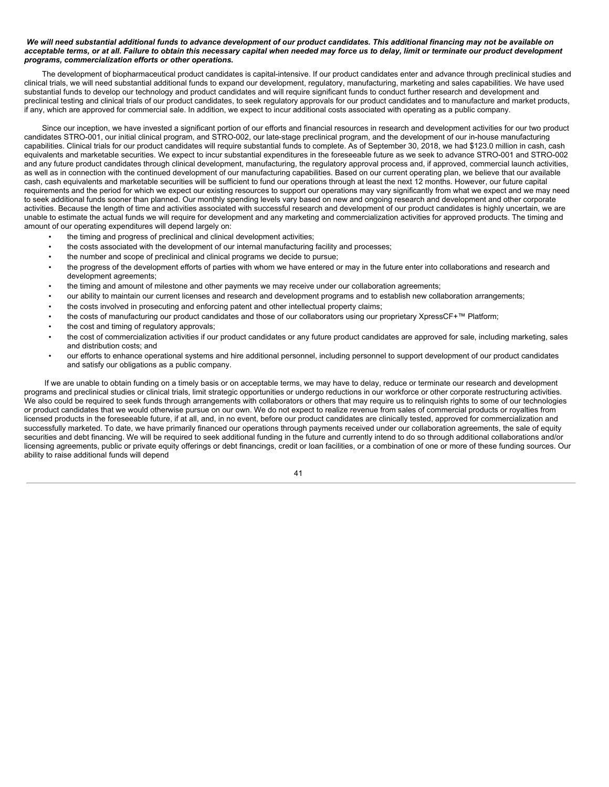# We will need substantial additional funds to advance development of our product candidates. This additional financing may not be available on acceptable terms, or at all. Failure to obtain this necessary capital when needed may force us to delay, limit or terminate our product development *programs, commercialization efforts or other operations.*

The development of biopharmaceutical product candidates is capital-intensive. If our product candidates enter and advance through preclinical studies and clinical trials, we will need substantial additional funds to expand our development, regulatory, manufacturing, marketing and sales capabilities. We have used substantial funds to develop our technology and product candidates and will require significant funds to conduct further research and development and preclinical testing and clinical trials of our product candidates, to seek regulatory approvals for our product candidates and to manufacture and market products, if any, which are approved for commercial sale. In addition, we expect to incur additional costs associated with operating as a public company.

Since our inception, we have invested a significant portion of our efforts and financial resources in research and development activities for our two product candidates STRO-001, our initial clinical program, and STRO-002, our late-stage preclinical program, and the development of our in-house manufacturing capabilities. Clinical trials for our product candidates will require substantial funds to complete. As of September 30, 2018, we had \$123.0 million in cash, cash equivalents and marketable securities. We expect to incur substantial expenditures in the foreseeable future as we seek to advance STRO-001 and STRO-002 and any future product candidates through clinical development, manufacturing, the regulatory approval process and, if approved, commercial launch activities, as well as in connection with the continued development of our manufacturing capabilities. Based on our current operating plan, we believe that our available cash, cash equivalents and marketable securities will be sufficient to fund our operations through at least the next 12 months. However, our future capital requirements and the period for which we expect our existing resources to support our operations may vary significantly from what we expect and we may need to seek additional funds sooner than planned. Our monthly spending levels vary based on new and ongoing research and development and other corporate activities. Because the length of time and activities associated with successful research and development of our product candidates is highly uncertain, we are unable to estimate the actual funds we will require for development and any marketing and commercialization activities for approved products. The timing and amount of our operating expenditures will depend largely on:

- the timing and progress of preclinical and clinical development activities;
- the costs associated with the development of our internal manufacturing facility and processes;
- the number and scope of preclinical and clinical programs we decide to pursue;
- the progress of the development efforts of parties with whom we have entered or may in the future enter into collaborations and research and development agreements;
- the timing and amount of milestone and other payments we may receive under our collaboration agreements;
- our ability to maintain our current licenses and research and development programs and to establish new collaboration arrangements;
- the costs involved in prosecuting and enforcing patent and other intellectual property claims;
- the costs of manufacturing our product candidates and those of our collaborators using our proprietary XpressCF+™ Platform;
- the cost and timing of regulatory approvals;
- the cost of commercialization activities if our product candidates or any future product candidates are approved for sale, including marketing, sales and distribution costs; and
- our efforts to enhance operational systems and hire additional personnel, including personnel to support development of our product candidates and satisfy our obligations as a public company.

If we are unable to obtain funding on a timely basis or on acceptable terms, we may have to delay, reduce or terminate our research and development programs and preclinical studies or clinical trials, limit strategic opportunities or undergo reductions in our workforce or other corporate restructuring activities. We also could be required to seek funds through arrangements with collaborators or others that may require us to relinquish rights to some of our technologies or product candidates that we would otherwise pursue on our own. We do not expect to realize revenue from sales of commercial products or royalties from licensed products in the foreseeable future, if at all, and, in no event, before our product candidates are clinically tested, approved for commercialization and successfully marketed. To date, we have primarily financed our operations through payments received under our collaboration agreements, the sale of equity securities and debt financing. We will be required to seek additional funding in the future and currently intend to do so through additional collaborations and/or licensing agreements, public or private equity offerings or debt financings, credit or loan facilities, or a combination of one or more of these funding sources. Our ability to raise additional funds will depend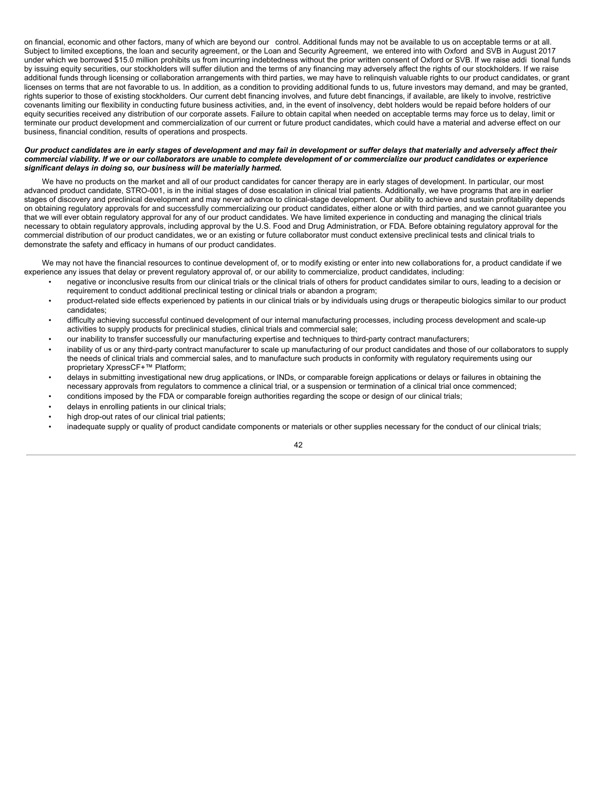on financial, economic and other factors, many of which are beyond our control. Additional funds may not be available to us on acceptable terms or at all. Subject to limited exceptions, the loan and security agreement, or the Loan and Security Agreement, we entered into with Oxford and SVB in August 2017 under which we borrowed \$15.0 million prohibits us from incurring indebtedness without the prior written consent of Oxford or SVB. If we raise addi tional funds by issuing equity securities, our stockholders will suffer dilution and the terms of any financing may adversely affect the rights of our stockholders. If we raise additional funds through licensing or collaboration arrangements with third parties, we may have to relinquish valuable rights to our product candidates, or grant licenses on terms that are not favorable to us. In addition, as a condition to providing additional funds to us, future investors may demand, and may be granted, rights superior to those of existing stockholders. Our current debt financing involves, and future debt financings, if available, are likely to involve, restrictive covenants limiting our flexibility in conducting future business activities, and, in the event of insolvency, debt holders would be repaid before holders of our equity securities received any distribution of our corporate assets. Failure to obtain capital when needed on acceptable terms may force us to delay, limit or terminate our product development and commercialization of our current or future product candidates, which could have a material and adverse effect on our business, financial condition, results of operations and prospects.

# Our product candidates are in early stages of development and may fail in development or suffer delays that materially and adversely affect their commercial viability. If we or our collaborators are unable to complete development of or commercialize our product candidates or experience *significant delays in doing so, our business will be materially harmed.*

We have no products on the market and all of our product candidates for cancer therapy are in early stages of development. In particular, our most advanced product candidate, STRO-001, is in the initial stages of dose escalation in clinical trial patients. Additionally, we have programs that are in earlier stages of discovery and preclinical development and may never advance to clinical-stage development. Our ability to achieve and sustain profitability depends on obtaining regulatory approvals for and successfully commercializing our product candidates, either alone or with third parties, and we cannot guarantee you that we will ever obtain regulatory approval for any of our product candidates. We have limited experience in conducting and managing the clinical trials necessary to obtain regulatory approvals, including approval by the U.S. Food and Drug Administration, or FDA. Before obtaining regulatory approval for the commercial distribution of our product candidates, we or an existing or future collaborator must conduct extensive preclinical tests and clinical trials to demonstrate the safety and efficacy in humans of our product candidates.

We may not have the financial resources to continue development of, or to modify existing or enter into new collaborations for, a product candidate if we experience any issues that delay or prevent regulatory approval of, or our ability to commercialize, product candidates, including:

- negative or inconclusive results from our clinical trials or the clinical trials of others for product candidates similar to ours, leading to a decision or requirement to conduct additional preclinical testing or clinical trials or abandon a program;
- product-related side effects experienced by patients in our clinical trials or by individuals using drugs or therapeutic biologics similar to our product candidates;
- difficulty achieving successful continued development of our internal manufacturing processes, including process development and scale-up activities to supply products for preclinical studies, clinical trials and commercial sale;
- our inability to transfer successfully our manufacturing expertise and techniques to third-party contract manufacturers;
- inability of us or any third-party contract manufacturer to scale up manufacturing of our product candidates and those of our collaborators to supply the needs of clinical trials and commercial sales, and to manufacture such products in conformity with regulatory requirements using our proprietary XpressCF+™ Platform;
- delays in submitting investigational new drug applications, or INDs, or comparable foreign applications or delays or failures in obtaining the necessary approvals from regulators to commence a clinical trial, or a suspension or termination of a clinical trial once commenced;
- conditions imposed by the FDA or comparable foreign authorities regarding the scope or design of our clinical trials;
- delays in enrolling patients in our clinical trials;
- high drop-out rates of our clinical trial patients;
- inadequate supply or quality of product candidate components or materials or other supplies necessary for the conduct of our clinical trials;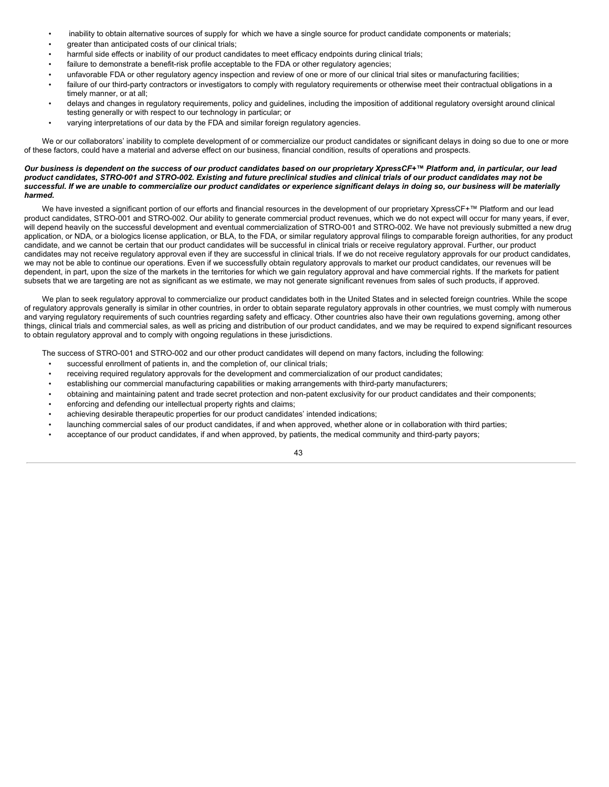- inability to obtain alternative sources of supply for which we have a single source for product candidate components or materials;
- greater than anticipated costs of our clinical trials;
- harmful side effects or inability of our product candidates to meet efficacy endpoints during clinical trials;
- failure to demonstrate a benefit-risk profile acceptable to the FDA or other regulatory agencies;
- unfavorable FDA or other regulatory agency inspection and review of one or more of our clinical trial sites or manufacturing facilities;
- failure of our third-party contractors or investigators to comply with regulatory requirements or otherwise meet their contractual obligations in a timely manner, or at all;
- delays and changes in regulatory requirements, policy and guidelines, including the imposition of additional regulatory oversight around clinical testing generally or with respect to our technology in particular; or
- varying interpretations of our data by the FDA and similar foreign regulatory agencies.

We or our collaborators' inability to complete development of or commercialize our product candidates or significant delays in doing so due to one or more of these factors, could have a material and adverse effect on our business, financial condition, results of operations and prospects.

# Our business is dependent on the success of our product candidates based on our proprietary XpressCF+™ Platform and, in particular, our lead product candidates, STRO-001 and STRO-002. Existing and future preclinical studies and clinical trials of our product candidates may not be successful. If we are unable to commercialize our product candidates or experience significant delays in doing so, our business will be materially *harmed.*

We have invested a significant portion of our efforts and financial resources in the development of our proprietary XpressCF+™ Platform and our lead product candidates, STRO-001 and STRO-002. Our ability to generate commercial product revenues, which we do not expect will occur for many years, if ever, will depend heavily on the successful development and eventual commercialization of STRO-001 and STRO-002. We have not previously submitted a new drug application, or NDA, or a biologics license application, or BLA, to the FDA, or similar regulatory approval filings to comparable foreign authorities, for any product candidate, and we cannot be certain that our product candidates will be successful in clinical trials or receive regulatory approval. Further, our product candidates may not receive regulatory approval even if they are successful in clinical trials. If we do not receive regulatory approvals for our product candidates, we may not be able to continue our operations. Even if we successfully obtain regulatory approvals to market our product candidates, our revenues will be dependent, in part, upon the size of the markets in the territories for which we gain regulatory approval and have commercial rights. If the markets for patient subsets that we are targeting are not as significant as we estimate, we may not generate significant revenues from sales of such products, if approved.

We plan to seek regulatory approval to commercialize our product candidates both in the United States and in selected foreign countries. While the scope of regulatory approvals generally is similar in other countries, in order to obtain separate regulatory approvals in other countries, we must comply with numerous and varying regulatory requirements of such countries regarding safety and efficacy. Other countries also have their own regulations governing, among other things, clinical trials and commercial sales, as well as pricing and distribution of our product candidates, and we may be required to expend significant resources to obtain regulatory approval and to comply with ongoing regulations in these jurisdictions.

The success of STRO-001 and STRO-002 and our other product candidates will depend on many factors, including the following:

- successful enrollment of patients in, and the completion of, our clinical trials;
- receiving required regulatory approvals for the development and commercialization of our product candidates;
- establishing our commercial manufacturing capabilities or making arrangements with third-party manufacturers;
- obtaining and maintaining patent and trade secret protection and non-patent exclusivity for our product candidates and their components;
- enforcing and defending our intellectual property rights and claims;
- achieving desirable therapeutic properties for our product candidates' intended indications;
- launching commercial sales of our product candidates, if and when approved, whether alone or in collaboration with third parties;
- acceptance of our product candidates, if and when approved, by patients, the medical community and third-party payors;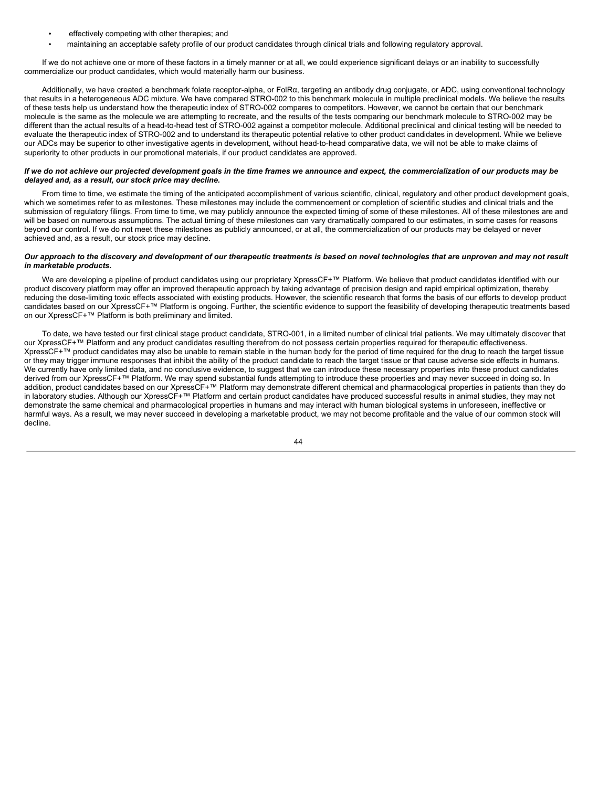- effectively competing with other therapies; and
- maintaining an acceptable safety profile of our product candidates through clinical trials and following regulatory approval.

If we do not achieve one or more of these factors in a timely manner or at all, we could experience significant delays or an inability to successfully commercialize our product candidates, which would materially harm our business.

Additionally, we have created a benchmark folate receptor-alpha, or FolRα, targeting an antibody drug conjugate, or ADC, using conventional technology that results in a heterogeneous ADC mixture. We have compared STRO-002 to this benchmark molecule in multiple preclinical models. We believe the results of these tests help us understand how the therapeutic index of STRO-002 compares to competitors. However, we cannot be certain that our benchmark molecule is the same as the molecule we are attempting to recreate, and the results of the tests comparing our benchmark molecule to STRO-002 may be different than the actual results of a head-to-head test of STRO-002 against a competitor molecule. Additional preclinical and clinical testing will be needed to evaluate the therapeutic index of STRO-002 and to understand its therapeutic potential relative to other product candidates in development. While we believe our ADCs may be superior to other investigative agents in development, without head-to-head comparative data, we will not be able to make claims of superiority to other products in our promotional materials, if our product candidates are approved.

# If we do not achieve our projected development goals in the time frames we announce and expect, the commercialization of our products may be *delayed and, as a result, our stock price may decline.*

From time to time, we estimate the timing of the anticipated accomplishment of various scientific, clinical, regulatory and other product development goals, which we sometimes refer to as milestones. These milestones may include the commencement or completion of scientific studies and clinical trials and the submission of regulatory filings. From time to time, we may publicly announce the expected timing of some of these milestones. All of these milestones are and will be based on numerous assumptions. The actual timing of these milestones can vary dramatically compared to our estimates, in some cases for reasons beyond our control. If we do not meet these milestones as publicly announced, or at all, the commercialization of our products may be delayed or never achieved and, as a result, our stock price may decline.

# Our approach to the discovery and development of our therapeutic treatments is based on novel technologies that are unproven and may not result *in marketable products.*

We are developing a pipeline of product candidates using our proprietary XpressCF+™ Platform. We believe that product candidates identified with our product discovery platform may offer an improved therapeutic approach by taking advantage of precision design and rapid empirical optimization, thereby reducing the dose-limiting toxic effects associated with existing products. However, the scientific research that forms the basis of our efforts to develop product candidates based on our XpressCF+™ Platform is ongoing. Further, the scientific evidence to support the feasibility of developing therapeutic treatments based on our XpressCF+™ Platform is both preliminary and limited.

To date, we have tested our first clinical stage product candidate, STRO-001, in a limited number of clinical trial patients. We may ultimately discover that our XpressCF+™ Platform and any product candidates resulting therefrom do not possess certain properties required for therapeutic effectiveness. XpressCF+™ product candidates may also be unable to remain stable in the human body for the period of time required for the drug to reach the target tissue or they may trigger immune responses that inhibit the ability of the product candidate to reach the target tissue or that cause adverse side effects in humans. We currently have only limited data, and no conclusive evidence, to suggest that we can introduce these necessary properties into these product candidates derived from our XpressCF+™ Platform. We may spend substantial funds attempting to introduce these properties and may never succeed in doing so. In addition, product candidates based on our XpressCF+™ Platform may demonstrate different chemical and pharmacological properties in patients than they do in laboratory studies. Although our XpressCF+™ Platform and certain product candidates have produced successful results in animal studies, they may not demonstrate the same chemical and pharmacological properties in humans and may interact with human biological systems in unforeseen, ineffective or harmful ways. As a result, we may never succeed in developing a marketable product, we may not become profitable and the value of our common stock will decline.

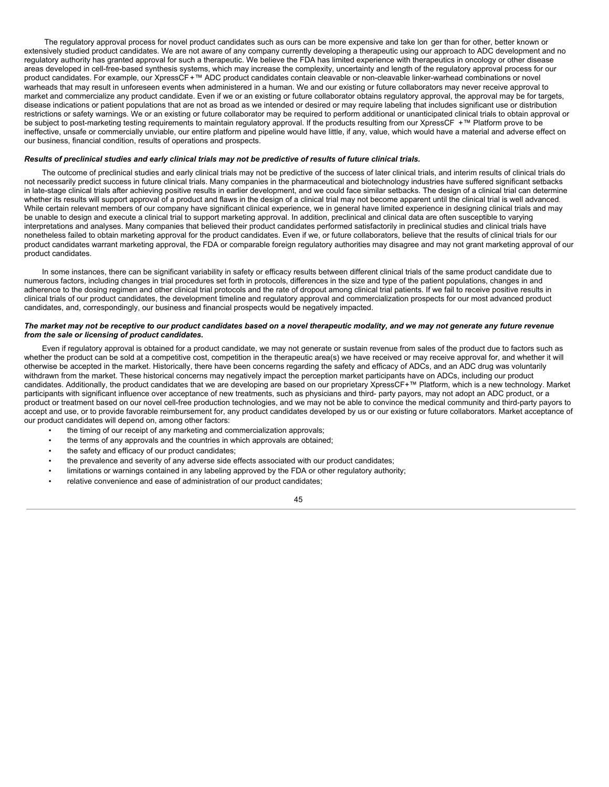The regulatory approval process for novel product candidates such as ours can be more expensive and take lon ger than for other, better known or extensively studied product candidates. We are not aware of any company currently developing a therapeutic using our approach to ADC development and no regulatory authority has granted approval for such a therapeutic. We believe the FDA has limited experience with therapeutics in oncology or other disease areas developed in cell-free-based synthesis systems, which may increase the complexity, uncertainty and length of the regulatory approval process for our product candidates. For example, our XpressCF+™ ADC product candidates contain cleavable or non-cleavable linker-warhead combinations or novel warheads that may result in unforeseen events when administered in a human. We and our existing or future collaborators may never receive approval to market and commercialize any product candidate. Even if we or an existing or future collaborator obtains regulatory approval, the approval may be for targets, disease indications or patient populations that are not as broad as we intended or desired or may require labeling that includes significant use or distribution restrictions or safety warnings. We or an existing or future collaborator may be required to perform additional or unanticipated clinical trials to obtain approval or be subject to post-marketing testing requirements to maintain regulatory approval. If the products resulting from our XpressCF +™ Platform prove to be ineffective, unsafe or commercially unviable, our entire platform and pipeline would have little, if any, value, which would have a material and adverse effect on our business, financial condition, results of operations and prospects.

# Results of preclinical studies and early clinical trials may not be predictive of results of future clinical trials.

The outcome of preclinical studies and early clinical trials may not be predictive of the success of later clinical trials, and interim results of clinical trials do not necessarily predict success in future clinical trials. Many companies in the pharmaceutical and biotechnology industries have suffered significant setbacks in late-stage clinical trials after achieving positive results in earlier development, and we could face similar setbacks. The design of a clinical trial can determine whether its results will support approval of a product and flaws in the design of a clinical trial may not become apparent until the clinical trial is well advanced. While certain relevant members of our company have significant clinical experience, we in general have limited experience in designing clinical trials and may be unable to design and execute a clinical trial to support marketing approval. In addition, preclinical and clinical data are often susceptible to varying interpretations and analyses. Many companies that believed their product candidates performed satisfactorily in preclinical studies and clinical trials have nonetheless failed to obtain marketing approval for the product candidates. Even if we, or future collaborators, believe that the results of clinical trials for our product candidates warrant marketing approval, the FDA or comparable foreign regulatory authorities may disagree and may not grant marketing approval of our product candidates.

In some instances, there can be significant variability in safety or efficacy results between different clinical trials of the same product candidate due to numerous factors, including changes in trial procedures set forth in protocols, differences in the size and type of the patient populations, changes in and adherence to the dosing regimen and other clinical trial protocols and the rate of dropout among clinical trial patients. If we fail to receive positive results in clinical trials of our product candidates, the development timeline and regulatory approval and commercialization prospects for our most advanced product candidates, and, correspondingly, our business and financial prospects would be negatively impacted.

## The market may not be receptive to our product candidates based on a novel therapeutic modality, and we may not generate any future revenue *from the sale or licensing of product candidates.*

Even if regulatory approval is obtained for a product candidate, we may not generate or sustain revenue from sales of the product due to factors such as whether the product can be sold at a competitive cost, competition in the therapeutic area(s) we have received or may receive approval for, and whether it will otherwise be accepted in the market. Historically, there have been concerns regarding the safety and efficacy of ADCs, and an ADC drug was voluntarily withdrawn from the market. These historical concerns may negatively impact the perception market participants have on ADCs, including our product candidates. Additionally, the product candidates that we are developing are based on our proprietary XpressCF+™ Platform, which is a new technology. Market participants with significant influence over acceptance of new treatments, such as physicians and third- party payors, may not adopt an ADC product, or a product or treatment based on our novel cell-free production technologies, and we may not be able to convince the medical community and third-party payors to accept and use, or to provide favorable reimbursement for, any product candidates developed by us or our existing or future collaborators. Market acceptance of our product candidates will depend on, among other factors:

- the timing of our receipt of any marketing and commercialization approvals;
- the terms of any approvals and the countries in which approvals are obtained;
- the safety and efficacy of our product candidates;
- the prevalence and severity of any adverse side effects associated with our product candidates;
- limitations or warnings contained in any labeling approved by the FDA or other regulatory authority;
- relative convenience and ease of administration of our product candidates;
	- 45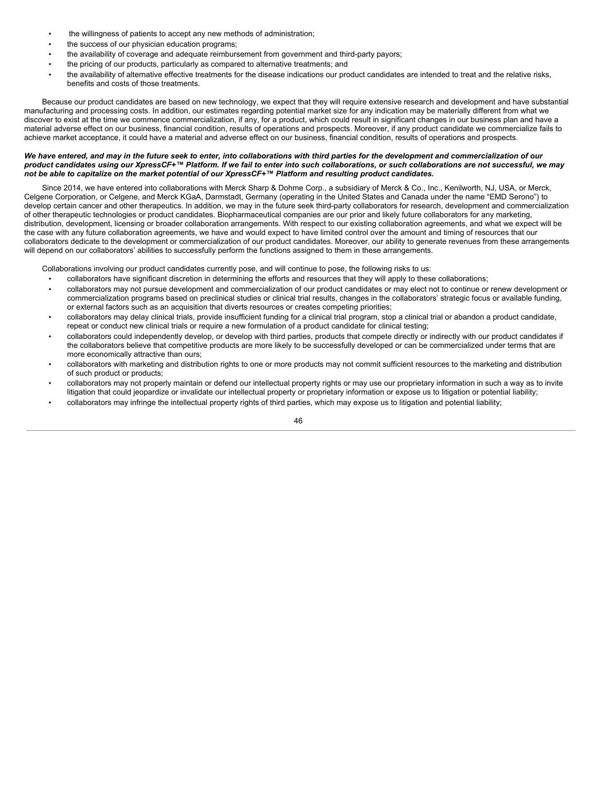- the willingness of patients to accept any new methods of administration;
- the success of our physician education programs;
- the availability of coverage and adequate reimbursement from government and third-party payors;
- the pricing of our products, particularly as compared to alternative treatments; and
- the availability of alternative effective treatments for the disease indications our product candidates are intended to treat and the relative risks, benefits and costs of those treatments.

Because our product candidates are based on new technology, we expect that they will require extensive research and development and have substantial manufacturing and processing costs. In addition, our estimates regarding potential market size for any indication may be materially different from what we discover to exist at the time we commence commercialization, if any, for a product, which could result in significant changes in our business plan and have a material adverse effect on our business, financial condition, results of operations and prospects. Moreover, if any product candidate we commercialize fails to achieve market acceptance, it could have a material and adverse effect on our business, financial condition, results of operations and prospects.

# We have entered, and may in the future seek to enter, into collaborations with third parties for the development and commercialization of our product candidates using our XpressCF+™ Platform. If we fail to enter into such collaborations, or such collaborations are not successful, we may not be able to capitalize on the market potential of our XpressCF+™ Platform and resulting product candidates.

Since 2014, we have entered into collaborations with Merck Sharp & Dohme Corp., a subsidiary of Merck & Co., Inc., Kenilworth, NJ, USA, or Merck, Celgene Corporation, or Celgene, and Merck KGaA, Darmstadt, Germany (operating in the United States and Canada under the name "EMD Serono") to develop certain cancer and other therapeutics. In addition, we may in the future seek third-party collaborators for research, development and commercialization of other therapeutic technologies or product candidates. Biopharmaceutical companies are our prior and likely future collaborators for any marketing, distribution, development, licensing or broader collaboration arrangements. With respect to our existing collaboration agreements, and what we expect will be the case with any future collaboration agreements, we have and would expect to have limited control over the amount and timing of resources that our collaborators dedicate to the development or commercialization of our product candidates. Moreover, our ability to generate revenues from these arrangements will depend on our collaborators' abilities to successfully perform the functions assigned to them in these arrangements.

Collaborations involving our product candidates currently pose, and will continue to pose, the following risks to us:

- collaborators have significant discretion in determining the efforts and resources that they will apply to these collaborations;
- collaborators may not pursue development and commercialization of our product candidates or may elect not to continue or renew development or commercialization programs based on preclinical studies or clinical trial results, changes in the collaborators' strategic focus or available funding, or external factors such as an acquisition that diverts resources or creates competing priorities;
- collaborators may delay clinical trials, provide insufficient funding for a clinical trial program, stop a clinical trial or abandon a product candidate, repeat or conduct new clinical trials or require a new formulation of a product candidate for clinical testing;
- collaborators could independently develop, or develop with third parties, products that compete directly or indirectly with our product candidates if the collaborators believe that competitive products are more likely to be successfully developed or can be commercialized under terms that are more economically attractive than ours;
- collaborators with marketing and distribution rights to one or more products may not commit sufficient resources to the marketing and distribution of such product or products;
- collaborators may not properly maintain or defend our intellectual property rights or may use our proprietary information in such a way as to invite litigation that could jeopardize or invalidate our intellectual property or proprietary information or expose us to litigation or potential liability;
- collaborators may infringe the intellectual property rights of third parties, which may expose us to litigation and potential liability;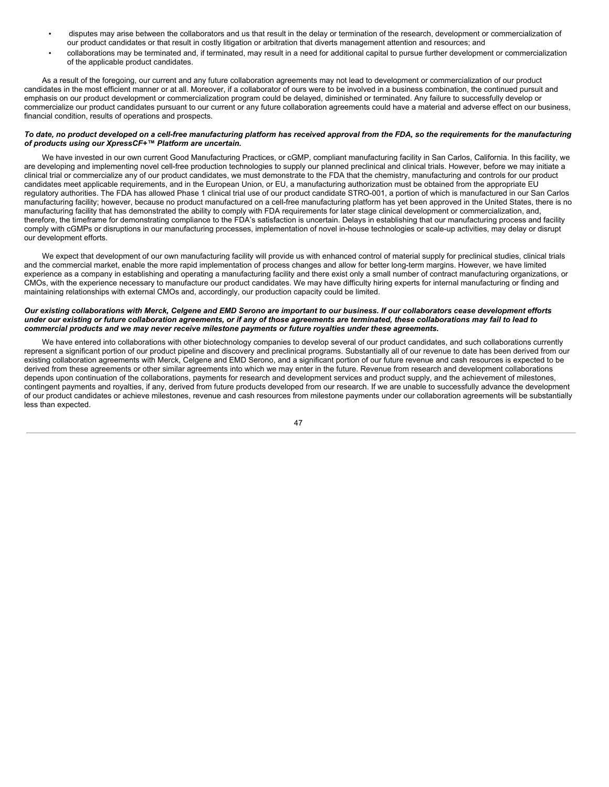- disputes may arise between the collaborators and us that result in the delay or termination of the research, development or commercialization of our product candidates or that result in costly litigation or arbitration that diverts management attention and resources; and
- collaborations may be terminated and, if terminated, may result in a need for additional capital to pursue further development or commercialization of the applicable product candidates.

As a result of the foregoing, our current and any future collaboration agreements may not lead to development or commercialization of our product candidates in the most efficient manner or at all. Moreover, if a collaborator of ours were to be involved in a business combination, the continued pursuit and emphasis on our product development or commercialization program could be delayed, diminished or terminated. Any failure to successfully develop or commercialize our product candidates pursuant to our current or any future collaboration agreements could have a material and adverse effect on our business, financial condition, results of operations and prospects.

# To date, no product developed on a cell-free manufacturing platform has received approval from the FDA, so the requirements for the manufacturing *of products using our XpressCF+™ Platform are uncertain.*

We have invested in our own current Good Manufacturing Practices, or cGMP, compliant manufacturing facility in San Carlos, California. In this facility, we are developing and implementing novel cell-free production technologies to supply our planned preclinical and clinical trials. However, before we may initiate a clinical trial or commercialize any of our product candidates, we must demonstrate to the FDA that the chemistry, manufacturing and controls for our product candidates meet applicable requirements, and in the European Union, or EU, a manufacturing authorization must be obtained from the appropriate EU regulatory authorities. The FDA has allowed Phase 1 clinical trial use of our product candidate STRO-001, a portion of which is manufactured in our San Carlos manufacturing facility; however, because no product manufactured on a cell-free manufacturing platform has yet been approved in the United States, there is no manufacturing facility that has demonstrated the ability to comply with FDA requirements for later stage clinical development or commercialization, and, therefore, the timeframe for demonstrating compliance to the FDA's satisfaction is uncertain. Delays in establishing that our manufacturing process and facility comply with cGMPs or disruptions in our manufacturing processes, implementation of novel in-house technologies or scale-up activities, may delay or disrupt our development efforts.

We expect that development of our own manufacturing facility will provide us with enhanced control of material supply for preclinical studies, clinical trials and the commercial market, enable the more rapid implementation of process changes and allow for better long-term margins. However, we have limited experience as a company in establishing and operating a manufacturing facility and there exist only a small number of contract manufacturing organizations, or CMOs, with the experience necessary to manufacture our product candidates. We may have difficulty hiring experts for internal manufacturing or finding and maintaining relationships with external CMOs and, accordingly, our production capacity could be limited.

# Our existing collaborations with Merck, Celgene and EMD Serono are important to our business. If our collaborators cease development efforts under our existing or future collaboration agreements, or if any of those agreements are terminated, these collaborations may fail to lead to *commercial products and we may never receive milestone payments or future royalties under these agreements.*

We have entered into collaborations with other biotechnology companies to develop several of our product candidates, and such collaborations currently represent a significant portion of our product pipeline and discovery and preclinical programs. Substantially all of our revenue to date has been derived from our existing collaboration agreements with Merck, Celgene and EMD Serono, and a significant portion of our future revenue and cash resources is expected to be derived from these agreements or other similar agreements into which we may enter in the future. Revenue from research and development collaborations depends upon continuation of the collaborations, payments for research and development services and product supply, and the achievement of milestones, contingent payments and royalties, if any, derived from future products developed from our research. If we are unable to successfully advance the development of our product candidates or achieve milestones, revenue and cash resources from milestone payments under our collaboration agreements will be substantially less than expected.

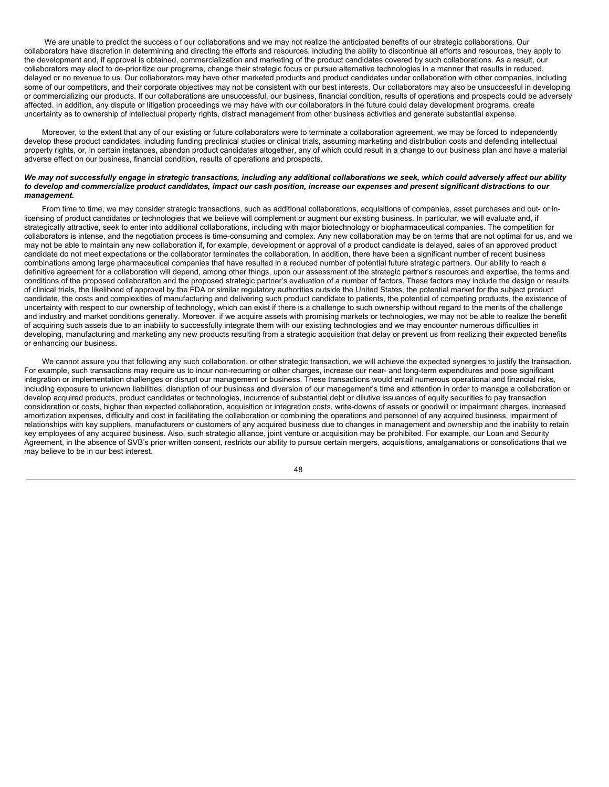We are unable to predict the success of our collaborations and we may not realize the anticipated benefits of our strategic collaborations. Our collaborators have discretion in determining and directing the efforts and resources, including the ability to discontinue all efforts and resources, they apply to the development and, if approval is obtained, commercialization and marketing of the product candidates covered by such collaborations. As a result, our collaborators may elect to de-prioritize our programs, change their strategic focus or pursue alternative technologies in a manner that results in reduced, delayed or no revenue to us. Our collaborators may have other marketed products and product candidates under collaboration with other companies, including some of our competitors, and their corporate objectives may not be consistent with our best interests. Our collaborators may also be unsuccessful in developing or commercializing our products. If our collaborations are unsuccessful, our business, financial condition, results of operations and prospects could be adversely affected. In addition, any dispute or litigation proceedings we may have with our collaborators in the future could delay development programs, create uncertainty as to ownership of intellectual property rights, distract management from other business activities and generate substantial expense.

Moreover, to the extent that any of our existing or future collaborators were to terminate a collaboration agreement, we may be forced to independently develop these product candidates, including funding preclinical studies or clinical trials, assuming marketing and distribution costs and defending intellectual property rights, or, in certain instances, abandon product candidates altogether, any of which could result in a change to our business plan and have a material adverse effect on our business, financial condition, results of operations and prospects.

#### We may not successfully engage in strategic transactions, including any additional collaborations we seek, which could adversely affect our ability to develop and commercialize product candidates, impact our cash position, increase our expenses and present significant distractions to our *management.*

From time to time, we may consider strategic transactions, such as additional collaborations, acquisitions of companies, asset purchases and out- or inlicensing of product candidates or technologies that we believe will complement or augment our existing business. In particular, we will evaluate and, if strategically attractive, seek to enter into additional collaborations, including with major biotechnology or biopharmaceutical companies. The competition for collaborators is intense, and the negotiation process is time-consuming and complex. Any new collaboration may be on terms that are not optimal for us, and we may not be able to maintain any new collaboration if, for example, development or approval of a product candidate is delayed, sales of an approved product candidate do not meet expectations or the collaborator terminates the collaboration. In addition, there have been a significant number of recent business combinations among large pharmaceutical companies that have resulted in a reduced number of potential future strategic partners. Our ability to reach a definitive agreement for a collaboration will depend, among other things, upon our assessment of the strategic partner's resources and expertise, the terms and conditions of the proposed collaboration and the proposed strategic partner's evaluation of a number of factors. These factors may include the design or results of clinical trials, the likelihood of approval by the FDA or similar regulatory authorities outside the United States, the potential market for the subject product candidate, the costs and complexities of manufacturing and delivering such product candidate to patients, the potential of competing products, the existence of uncertainty with respect to our ownership of technology, which can exist if there is a challenge to such ownership without regard to the merits of the challenge and industry and market conditions generally. Moreover, if we acquire assets with promising markets or technologies, we may not be able to realize the benefit of acquiring such assets due to an inability to successfully integrate them with our existing technologies and we may encounter numerous difficulties in developing, manufacturing and marketing any new products resulting from a strategic acquisition that delay or prevent us from realizing their expected benefits or enhancing our business.

We cannot assure you that following any such collaboration, or other strategic transaction, we will achieve the expected synergies to justify the transaction. For example, such transactions may require us to incur non-recurring or other charges, increase our near- and long-term expenditures and pose significant integration or implementation challenges or disrupt our management or business. These transactions would entail numerous operational and financial risks, including exposure to unknown liabilities, disruption of our business and diversion of our management's time and attention in order to manage a collaboration or develop acquired products, product candidates or technologies, incurrence of substantial debt or dilutive issuances of equity securities to pay transaction consideration or costs, higher than expected collaboration, acquisition or integration costs, write-downs of assets or goodwill or impairment charges, increased amortization expenses, difficulty and cost in facilitating the collaboration or combining the operations and personnel of any acquired business, impairment of relationships with key suppliers, manufacturers or customers of any acquired business due to changes in management and ownership and the inability to retain key employees of any acquired business. Also, such strategic alliance, joint venture or acquisition may be prohibited. For example, our Loan and Security Agreement, in the absence of SVB's prior written consent, restricts our ability to pursue certain mergers, acquisitions, amalgamations or consolidations that we may believe to be in our best interest.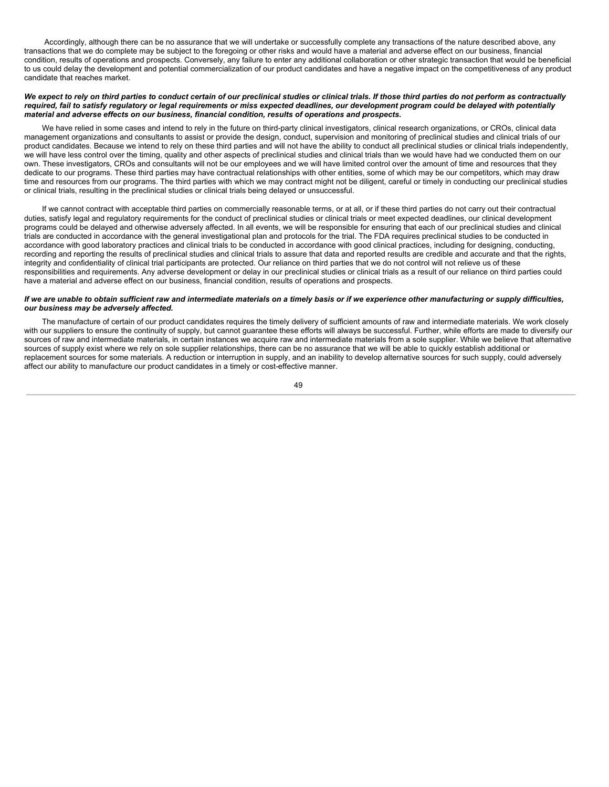Accordingly, although there can be no assurance that we will undertake or successfully complete any transactions of the nature described above, any transactions that we do complete may be subject to the foregoing or other risks and would have a material and adverse effect on our business, financial condition, results of operations and prospects. Conversely, any failure to enter any additional collaboration or other strategic transaction that would be beneficial to us could delay the development and potential commercialization of our product candidates and have a negative impact on the competitiveness of any product candidate that reaches market.

## We expect to rely on third parties to conduct certain of our preclinical studies or clinical trials. If those third parties do not perform as contractually required, fail to satisfy regulatory or legal requirements or miss expected deadlines, our development program could be delayed with potentially *material and adverse effects on our business, financial condition, results of operations and prospects.*

We have relied in some cases and intend to rely in the future on third-party clinical investigators, clinical research organizations, or CROs, clinical data management organizations and consultants to assist or provide the design, conduct, supervision and monitoring of preclinical studies and clinical trials of our product candidates. Because we intend to rely on these third parties and will not have the ability to conduct all preclinical studies or clinical trials independently, we will have less control over the timing, quality and other aspects of preclinical studies and clinical trials than we would have had we conducted them on our own. These investigators, CROs and consultants will not be our employees and we will have limited control over the amount of time and resources that they dedicate to our programs. These third parties may have contractual relationships with other entities, some of which may be our competitors, which may draw time and resources from our programs. The third parties with which we may contract might not be diligent, careful or timely in conducting our preclinical studies or clinical trials, resulting in the preclinical studies or clinical trials being delayed or unsuccessful.

If we cannot contract with acceptable third parties on commercially reasonable terms, or at all, or if these third parties do not carry out their contractual duties, satisfy legal and regulatory requirements for the conduct of preclinical studies or clinical trials or meet expected deadlines, our clinical development programs could be delayed and otherwise adversely affected. In all events, we will be responsible for ensuring that each of our preclinical studies and clinical trials are conducted in accordance with the general investigational plan and protocols for the trial. The FDA requires preclinical studies to be conducted in accordance with good laboratory practices and clinical trials to be conducted in accordance with good clinical practices, including for designing, conducting, recording and reporting the results of preclinical studies and clinical trials to assure that data and reported results are credible and accurate and that the rights, integrity and confidentiality of clinical trial participants are protected. Our reliance on third parties that we do not control will not relieve us of these responsibilities and requirements. Any adverse development or delay in our preclinical studies or clinical trials as a result of our reliance on third parties could have a material and adverse effect on our business, financial condition, results of operations and prospects.

# If we are unable to obtain sufficient raw and intermediate materials on a timely basis or if we experience other manufacturing or supply difficulties, *our business may be adversely affected.*

The manufacture of certain of our product candidates requires the timely delivery of sufficient amounts of raw and intermediate materials. We work closely with our suppliers to ensure the continuity of supply, but cannot guarantee these efforts will always be successful. Further, while efforts are made to diversify our sources of raw and intermediate materials, in certain instances we acquire raw and intermediate materials from a sole supplier. While we believe that alternative sources of supply exist where we rely on sole supplier relationships, there can be no assurance that we will be able to quickly establish additional or replacement sources for some materials. A reduction or interruption in supply, and an inability to develop alternative sources for such supply, could adversely affect our ability to manufacture our product candidates in a timely or cost-effective manner.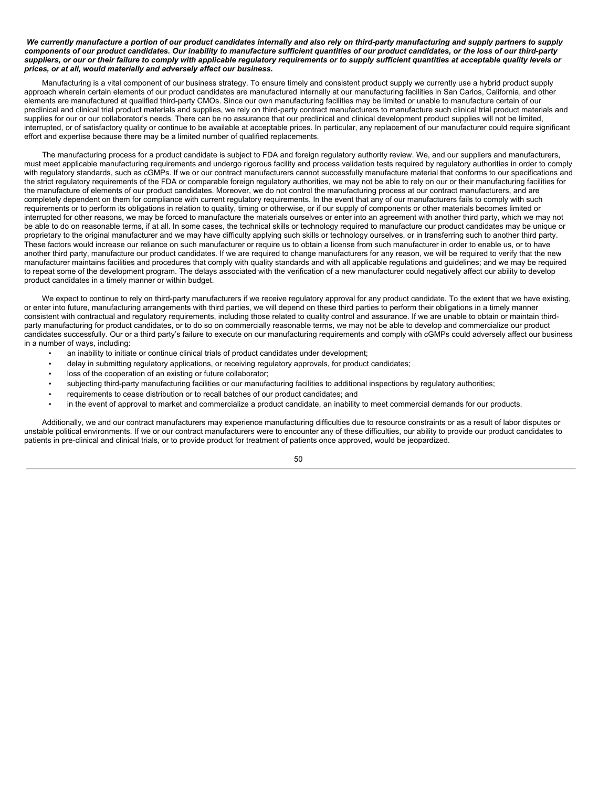#### We currently manufacture a portion of our product candidates internally and also rely on third-party manufacturing and supply partners to supply components of our product candidates. Our inability to manufacture sufficient quantities of our product candidates, or the loss of our third-party suppliers, or our or their failure to comply with applicable regulatory requirements or to supply sufficient quantities at acceptable quality levels or *prices, or at all, would materially and adversely affect our business.*

Manufacturing is a vital component of our business strategy. To ensure timely and consistent product supply we currently use a hybrid product supply approach wherein certain elements of our product candidates are manufactured internally at our manufacturing facilities in San Carlos, California, and other elements are manufactured at qualified third-party CMOs. Since our own manufacturing facilities may be limited or unable to manufacture certain of our preclinical and clinical trial product materials and supplies, we rely on third-party contract manufacturers to manufacture such clinical trial product materials and supplies for our or our collaborator's needs. There can be no assurance that our preclinical and clinical development product supplies will not be limited, interrupted, or of satisfactory quality or continue to be available at acceptable prices. In particular, any replacement of our manufacturer could require significant effort and expertise because there may be a limited number of qualified replacements.

The manufacturing process for a product candidate is subject to FDA and foreign regulatory authority review. We, and our suppliers and manufacturers, must meet applicable manufacturing requirements and undergo rigorous facility and process validation tests required by regulatory authorities in order to comply with regulatory standards, such as cGMPs. If we or our contract manufacturers cannot successfully manufacture material that conforms to our specifications and the strict regulatory requirements of the FDA or comparable foreign regulatory authorities, we may not be able to rely on our or their manufacturing facilities for the manufacture of elements of our product candidates. Moreover, we do not control the manufacturing process at our contract manufacturers, and are completely dependent on them for compliance with current regulatory requirements. In the event that any of our manufacturers fails to comply with such requirements or to perform its obligations in relation to quality, timing or otherwise, or if our supply of components or other materials becomes limited or interrupted for other reasons, we may be forced to manufacture the materials ourselves or enter into an agreement with another third party, which we may not be able to do on reasonable terms, if at all. In some cases, the technical skills or technology required to manufacture our product candidates may be unique or proprietary to the original manufacturer and we may have difficulty applying such skills or technology ourselves, or in transferring such to another third party. These factors would increase our reliance on such manufacturer or require us to obtain a license from such manufacturer in order to enable us, or to have another third party, manufacture our product candidates. If we are required to change manufacturers for any reason, we will be required to verify that the new manufacturer maintains facilities and procedures that comply with quality standards and with all applicable regulations and guidelines; and we may be required to repeat some of the development program. The delays associated with the verification of a new manufacturer could negatively affect our ability to develop product candidates in a timely manner or within budget.

We expect to continue to rely on third-party manufacturers if we receive regulatory approval for any product candidate. To the extent that we have existing, or enter into future, manufacturing arrangements with third parties, we will depend on these third parties to perform their obligations in a timely manner consistent with contractual and regulatory requirements, including those related to quality control and assurance. If we are unable to obtain or maintain thirdparty manufacturing for product candidates, or to do so on commercially reasonable terms, we may not be able to develop and commercialize our product candidates successfully. Our or a third party's failure to execute on our manufacturing requirements and comply with cGMPs could adversely affect our business in a number of ways, including:

- an inability to initiate or continue clinical trials of product candidates under development;
- delay in submitting regulatory applications, or receiving regulatory approvals, for product candidates;
- loss of the cooperation of an existing or future collaborator;
- subjecting third-party manufacturing facilities or our manufacturing facilities to additional inspections by regulatory authorities;
- requirements to cease distribution or to recall batches of our product candidates; and
- in the event of approval to market and commercialize a product candidate, an inability to meet commercial demands for our products.

Additionally, we and our contract manufacturers may experience manufacturing difficulties due to resource constraints or as a result of labor disputes or unstable political environments. If we or our contract manufacturers were to encounter any of these difficulties, our ability to provide our product candidates to patients in pre-clinical and clinical trials, or to provide product for treatment of patients once approved, would be jeopardized.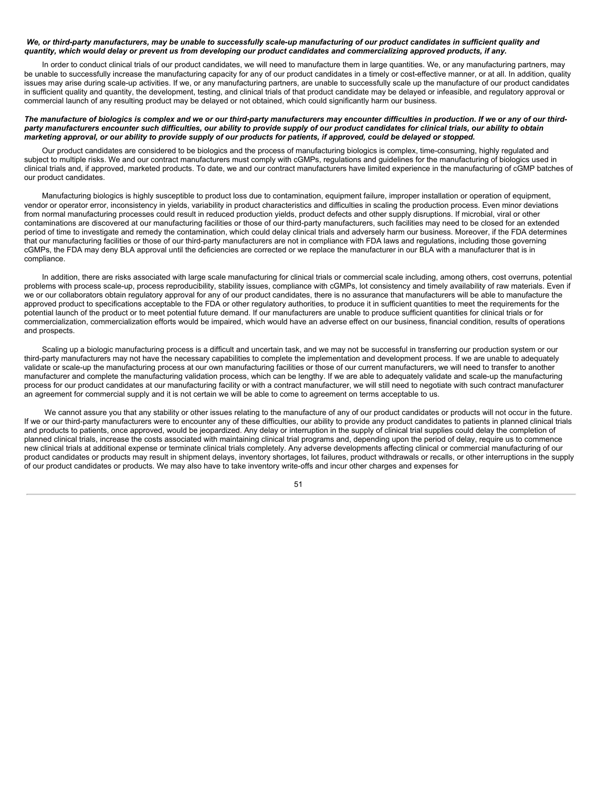#### We, or third-party manufacturers, may be unable to successfully scale-up manufacturing of our product candidates in sufficient quality and quantity, which would delay or prevent us from developing our product candidates and commercializing approved products, if any.

In order to conduct clinical trials of our product candidates, we will need to manufacture them in large quantities. We, or any manufacturing partners, may be unable to successfully increase the manufacturing capacity for any of our product candidates in a timely or cost-effective manner, or at all. In addition, quality issues may arise during scale-up activities. If we, or any manufacturing partners, are unable to successfully scale up the manufacture of our product candidates in sufficient quality and quantity, the development, testing, and clinical trials of that product candidate may be delayed or infeasible, and regulatory approval or commercial launch of any resulting product may be delayed or not obtained, which could significantly harm our business.

# The manufacture of biologics is complex and we or our third-party manufacturers may encounter difficulties in production. If we or any of our thirdparty manufacturers encounter such difficulties, our ability to provide supply of our product candidates for clinical trials, our ability to obtain marketing approval, or our ability to provide supply of our products for patients, if approved, could be delayed or stopped.

Our product candidates are considered to be biologics and the process of manufacturing biologics is complex, time-consuming, highly regulated and subject to multiple risks. We and our contract manufacturers must comply with cGMPs, regulations and guidelines for the manufacturing of biologics used in clinical trials and, if approved, marketed products. To date, we and our contract manufacturers have limited experience in the manufacturing of cGMP batches of our product candidates.

Manufacturing biologics is highly susceptible to product loss due to contamination, equipment failure, improper installation or operation of equipment, vendor or operator error, inconsistency in yields, variability in product characteristics and difficulties in scaling the production process. Even minor deviations from normal manufacturing processes could result in reduced production yields, product defects and other supply disruptions. If microbial, viral or other contaminations are discovered at our manufacturing facilities or those of our third-party manufacturers, such facilities may need to be closed for an extended period of time to investigate and remedy the contamination, which could delay clinical trials and adversely harm our business. Moreover, if the FDA determines that our manufacturing facilities or those of our third-party manufacturers are not in compliance with FDA laws and regulations, including those governing cGMPs, the FDA may deny BLA approval until the deficiencies are corrected or we replace the manufacturer in our BLA with a manufacturer that is in compliance.

In addition, there are risks associated with large scale manufacturing for clinical trials or commercial scale including, among others, cost overruns, potential problems with process scale-up, process reproducibility, stability issues, compliance with cGMPs, lot consistency and timely availability of raw materials. Even if we or our collaborators obtain regulatory approval for any of our product candidates, there is no assurance that manufacturers will be able to manufacture the approved product to specifications acceptable to the FDA or other regulatory authorities, to produce it in sufficient quantities to meet the requirements for the potential launch of the product or to meet potential future demand. If our manufacturers are unable to produce sufficient quantities for clinical trials or for commercialization, commercialization efforts would be impaired, which would have an adverse effect on our business, financial condition, results of operations and prospects.

Scaling up a biologic manufacturing process is a difficult and uncertain task, and we may not be successful in transferring our production system or our third-party manufacturers may not have the necessary capabilities to complete the implementation and development process. If we are unable to adequately validate or scale-up the manufacturing process at our own manufacturing facilities or those of our current manufacturers, we will need to transfer to another manufacturer and complete the manufacturing validation process, which can be lengthy. If we are able to adequately validate and scale-up the manufacturing process for our product candidates at our manufacturing facility or with a contract manufacturer, we will still need to negotiate with such contract manufacturer an agreement for commercial supply and it is not certain we will be able to come to agreement on terms acceptable to us.

We cannot assure you that any stability or other issues relating to the manufacture of any of our product candidates or products will not occur in the future. If we or our third-party manufacturers were to encounter any of these difficulties, our ability to provide any product candidates to patients in planned clinical trials and products to patients, once approved, would be jeopardized. Any delay or interruption in the supply of clinical trial supplies could delay the completion of planned clinical trials, increase the costs associated with maintaining clinical trial programs and, depending upon the period of delay, require us to commence new clinical trials at additional expense or terminate clinical trials completely. Any adverse developments affecting clinical or commercial manufacturing of our product candidates or products may result in shipment delays, inventory shortages, lot failures, product withdrawals or recalls, or other interruptions in the supply of our product candidates or products. We may also have to take inventory write-offs and incur other charges and expenses for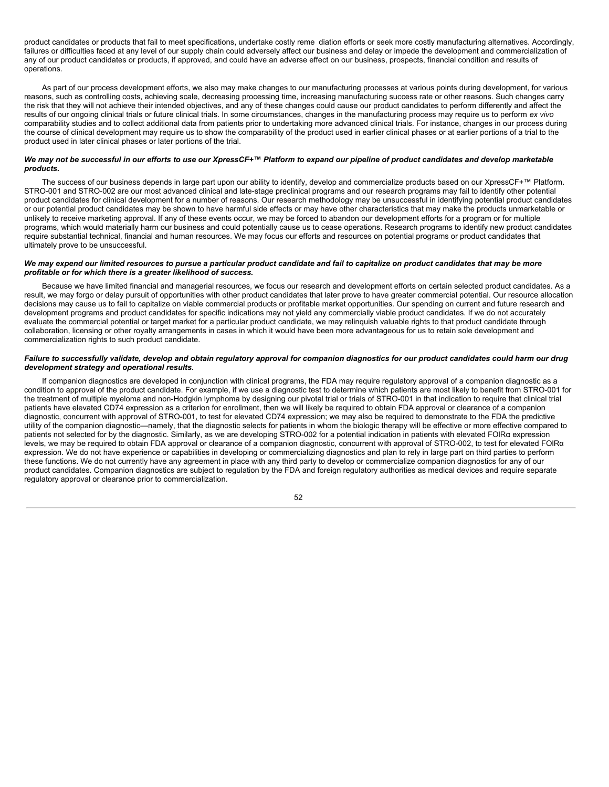product candidates or products that fail to meet specifications, undertake costly reme diation efforts or seek more costly manufacturing alternatives. Accordingly, failures or difficulties faced at any level of our supply chain could adversely affect our business and delay or impede the development and commercialization of any of our product candidates or products, if approved, and could have an adverse effect on our business, prospects, financial condition and results of operations.

As part of our process development efforts, we also may make changes to our manufacturing processes at various points during development, for various reasons, such as controlling costs, achieving scale, decreasing processing time, increasing manufacturing success rate or other reasons. Such changes carry the risk that they will not achieve their intended objectives, and any of these changes could cause our product candidates to perform differently and affect the results of our ongoing clinical trials or future clinical trials. In some circumstances, changes in the manufacturing process may require us to perform *ex vivo* comparability studies and to collect additional data from patients prior to undertaking more advanced clinical trials. For instance, changes in our process during the course of clinical development may require us to show the comparability of the product used in earlier clinical phases or at earlier portions of a trial to the product used in later clinical phases or later portions of the trial.

# We may not be successful in our efforts to use our XpressCF+™ Platform to expand our pipeline of product candidates and develop marketable *products.*

The success of our business depends in large part upon our ability to identify, develop and commercialize products based on our XpressCF+™ Platform. STRO-001 and STRO-002 are our most advanced clinical and late-stage preclinical programs and our research programs may fail to identify other potential product candidates for clinical development for a number of reasons. Our research methodology may be unsuccessful in identifying potential product candidates or our potential product candidates may be shown to have harmful side effects or may have other characteristics that may make the products unmarketable or unlikely to receive marketing approval. If any of these events occur, we may be forced to abandon our development efforts for a program or for multiple programs, which would materially harm our business and could potentially cause us to cease operations. Research programs to identify new product candidates require substantial technical, financial and human resources. We may focus our efforts and resources on potential programs or product candidates that ultimately prove to be unsuccessful.

## We may expend our limited resources to pursue a particular product candidate and fail to capitalize on product candidates that may be more *profitable or for which there is a greater likelihood of success.*

Because we have limited financial and managerial resources, we focus our research and development efforts on certain selected product candidates. As a result, we may forgo or delay pursuit of opportunities with other product candidates that later prove to have greater commercial potential. Our resource allocation decisions may cause us to fail to capitalize on viable commercial products or profitable market opportunities. Our spending on current and future research and development programs and product candidates for specific indications may not yield any commercially viable product candidates. If we do not accurately evaluate the commercial potential or target market for a particular product candidate, we may relinquish valuable rights to that product candidate through collaboration, licensing or other royalty arrangements in cases in which it would have been more advantageous for us to retain sole development and commercialization rights to such product candidate.

# Failure to successfully validate, develop and obtain requlatory approval for companion diagnostics for our product candidates could harm our drug *development strategy and operational results.*

If companion diagnostics are developed in conjunction with clinical programs, the FDA may require regulatory approval of a companion diagnostic as a condition to approval of the product candidate. For example, if we use a diagnostic test to determine which patients are most likely to benefit from STRO-001 for the treatment of multiple myeloma and non-Hodgkin lymphoma by designing our pivotal trial or trials of STRO-001 in that indication to require that clinical trial patients have elevated CD74 expression as a criterion for enrollment, then we will likely be required to obtain FDA approval or clearance of a companion diagnostic, concurrent with approval of STRO-001, to test for elevated CD74 expression; we may also be required to demonstrate to the FDA the predictive utility of the companion diagnostic—namely, that the diagnostic selects for patients in whom the biologic therapy will be effective or more effective compared to patients not selected for by the diagnostic. Similarly, as we are developing STRO-002 for a potential indication in patients with elevated FOlRα expression levels, we may be required to obtain FDA approval or clearance of a companion diagnostic, concurrent with approval of STRO-002, to test for elevated FOlRα expression. We do not have experience or capabilities in developing or commercializing diagnostics and plan to rely in large part on third parties to perform these functions. We do not currently have any agreement in place with any third party to develop or commercialize companion diagnostics for any of our product candidates. Companion diagnostics are subject to regulation by the FDA and foreign regulatory authorities as medical devices and require separate regulatory approval or clearance prior to commercialization.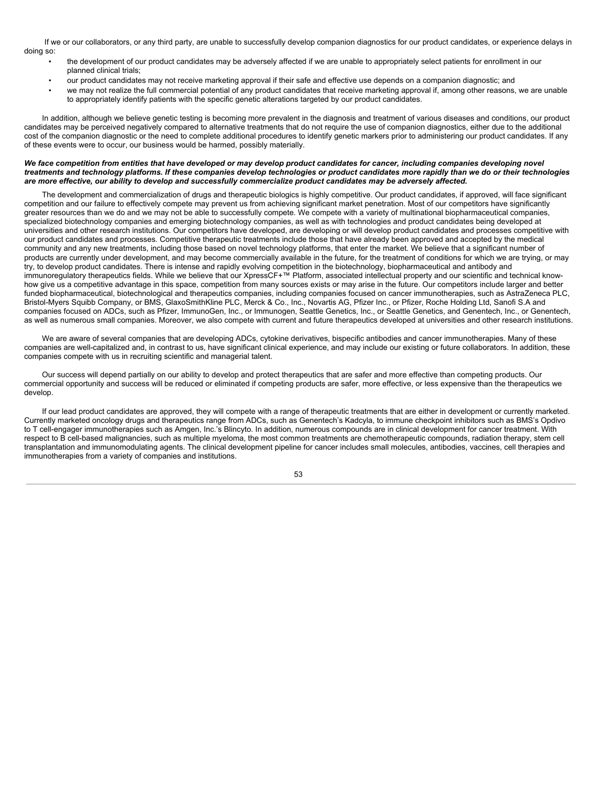If we or our collaborators, or any third party, are unable to successfully develop companion diagnostics for our product candidates, or experience delays in doing so:

- the development of our product candidates may be adversely affected if we are unable to appropriately select patients for enrollment in our planned clinical trials;
- our product candidates may not receive marketing approval if their safe and effective use depends on a companion diagnostic; and
- we may not realize the full commercial potential of any product candidates that receive marketing approval if, among other reasons, we are unable to appropriately identify patients with the specific genetic alterations targeted by our product candidates.

In addition, although we believe genetic testing is becoming more prevalent in the diagnosis and treatment of various diseases and conditions, our product candidates may be perceived negatively compared to alternative treatments that do not require the use of companion diagnostics, either due to the additional cost of the companion diagnostic or the need to complete additional procedures to identify genetic markers prior to administering our product candidates. If any of these events were to occur, our business would be harmed, possibly materially.

# We face competition from entities that have developed or may develop product candidates for cancer, including companies developing novel treatments and technology platforms. If these companies develop technologies or product candidates more rapidly than we do or their technologies are more effective, our ability to develop and successfully commercialize product candidates may be adversely affected.

The development and commercialization of drugs and therapeutic biologics is highly competitive. Our product candidates, if approved, will face significant competition and our failure to effectively compete may prevent us from achieving significant market penetration. Most of our competitors have significantly greater resources than we do and we may not be able to successfully compete. We compete with a variety of multinational biopharmaceutical companies, specialized biotechnology companies and emerging biotechnology companies, as well as with technologies and product candidates being developed at universities and other research institutions. Our competitors have developed, are developing or will develop product candidates and processes competitive with our product candidates and processes. Competitive therapeutic treatments include those that have already been approved and accepted by the medical community and any new treatments, including those based on novel technology platforms, that enter the market. We believe that a significant number of products are currently under development, and may become commercially available in the future, for the treatment of conditions for which we are trying, or may try, to develop product candidates. There is intense and rapidly evolving competition in the biotechnology, biopharmaceutical and antibody and immunoregulatory therapeutics fields. While we believe that our XpressCF+™ Platform, associated intellectual property and our scientific and technical knowhow give us a competitive advantage in this space, competition from many sources exists or may arise in the future. Our competitors include larger and better funded biopharmaceutical, biotechnological and therapeutics companies, including companies focused on cancer immunotherapies, such as AstraZeneca PLC, Bristol-Myers Squibb Company, or BMS, GlaxoSmithKline PLC, Merck & Co., Inc., Novartis AG, Pfizer Inc., or Pfizer, Roche Holding Ltd, Sanofi S.A and companies focused on ADCs, such as Pfizer, ImmunoGen, Inc., or Immunogen, Seattle Genetics, Inc., or Seattle Genetics, and Genentech, Inc., or Genentech, as well as numerous small companies. Moreover, we also compete with current and future therapeutics developed at universities and other research institutions.

We are aware of several companies that are developing ADCs, cytokine derivatives, bispecific antibodies and cancer immunotherapies. Many of these companies are well-capitalized and, in contrast to us, have significant clinical experience, and may include our existing or future collaborators. In addition, these companies compete with us in recruiting scientific and managerial talent.

Our success will depend partially on our ability to develop and protect therapeutics that are safer and more effective than competing products. Our commercial opportunity and success will be reduced or eliminated if competing products are safer, more effective, or less expensive than the therapeutics we develop.

If our lead product candidates are approved, they will compete with a range of therapeutic treatments that are either in development or currently marketed. Currently marketed oncology drugs and therapeutics range from ADCs, such as Genentech's Kadcyla, to immune checkpoint inhibitors such as BMS's Opdivo to T cell-engager immunotherapies such as Amgen, Inc.'s Blincyto. In addition, numerous compounds are in clinical development for cancer treatment. With respect to B cell-based malignancies, such as multiple myeloma, the most common treatments are chemotherapeutic compounds, radiation therapy, stem cell transplantation and immunomodulating agents. The clinical development pipeline for cancer includes small molecules, antibodies, vaccines, cell therapies and immunotherapies from a variety of companies and institutions.

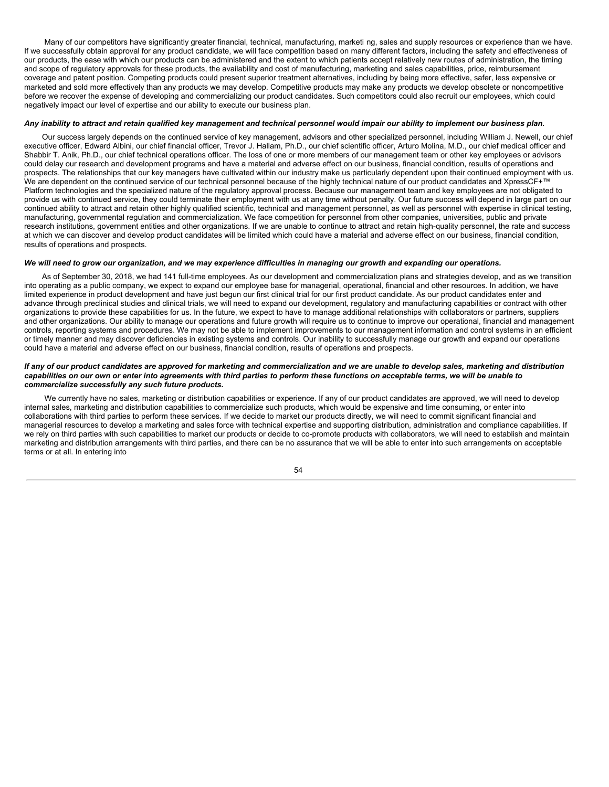Many of our competitors have significantly greater financial, technical, manufacturing, marketi ng, sales and supply resources or experience than we have. If we successfully obtain approval for any product candidate, we will face competition based on many different factors, including the safety and effectiveness of our products, the ease with which our products can be administered and the extent to which patients accept relatively new routes of administration, the timing and scope of regulatory approvals for these products, the availability and cost of manufacturing, marketing and sales capabilities, price, reimbursement coverage and patent position. Competing products could present superior treatment alternatives, including by being more effective, safer, less expensive or marketed and sold more effectively than any products we may develop. Competitive products may make any products we develop obsolete or noncompetitive before we recover the expense of developing and commercializing our product candidates. Such competitors could also recruit our employees, which could negatively impact our level of expertise and our ability to execute our business plan.

#### Any inability to attract and retain qualified key management and technical personnel would impair our ability to implement our business plan.

Our success largely depends on the continued service of key management, advisors and other specialized personnel, including William J. Newell, our chief executive officer, Edward Albini, our chief financial officer, Trevor J. Hallam, Ph.D., our chief scientific officer, Arturo Molina, M.D., our chief medical officer and Shabbir T. Anik, Ph.D., our chief technical operations officer. The loss of one or more members of our management team or other key employees or advisors could delay our research and development programs and have a material and adverse effect on our business, financial condition, results of operations and prospects. The relationships that our key managers have cultivated within our industry make us particularly dependent upon their continued employment with us. We are dependent on the continued service of our technical personnel because of the highly technical nature of our product candidates and XpressCF+<sup>™</sup> Platform technologies and the specialized nature of the regulatory approval process. Because our management team and key employees are not obligated to provide us with continued service, they could terminate their employment with us at any time without penalty. Our future success will depend in large part on our continued ability to attract and retain other highly qualified scientific, technical and management personnel, as well as personnel with expertise in clinical testing, manufacturing, governmental regulation and commercialization. We face competition for personnel from other companies, universities, public and private research institutions, government entities and other organizations. If we are unable to continue to attract and retain high-quality personnel, the rate and success at which we can discover and develop product candidates will be limited which could have a material and adverse effect on our business, financial condition, results of operations and prospects.

#### We will need to grow our organization, and we may experience difficulties in managing our growth and expanding our operations.

As of September 30, 2018, we had 141 full-time employees. As our development and commercialization plans and strategies develop, and as we transition into operating as a public company, we expect to expand our employee base for managerial, operational, financial and other resources. In addition, we have limited experience in product development and have just begun our first clinical trial for our first product candidate. As our product candidates enter and advance through preclinical studies and clinical trials, we will need to expand our development, regulatory and manufacturing capabilities or contract with other organizations to provide these capabilities for us. In the future, we expect to have to manage additional relationships with collaborators or partners, suppliers and other organizations. Our ability to manage our operations and future growth will require us to continue to improve our operational, financial and management controls, reporting systems and procedures. We may not be able to implement improvements to our management information and control systems in an efficient or timely manner and may discover deficiencies in existing systems and controls. Our inability to successfully manage our growth and expand our operations could have a material and adverse effect on our business, financial condition, results of operations and prospects.

#### If any of our product candidates are approved for marketing and commercialization and we are unable to develop sales, marketing and distribution capabilities on our own or enter into agreements with third parties to perform these functions on acceptable terms, we will be unable to *commercialize successfully any such future products.*

We currently have no sales, marketing or distribution capabilities or experience. If any of our product candidates are approved, we will need to develop internal sales, marketing and distribution capabilities to commercialize such products, which would be expensive and time consuming, or enter into collaborations with third parties to perform these services. If we decide to market our products directly, we will need to commit significant financial and managerial resources to develop a marketing and sales force with technical expertise and supporting distribution, administration and compliance capabilities. If we rely on third parties with such capabilities to market our products or decide to co-promote products with collaborators, we will need to establish and maintain marketing and distribution arrangements with third parties, and there can be no assurance that we will be able to enter into such arrangements on acceptable terms or at all. In entering into

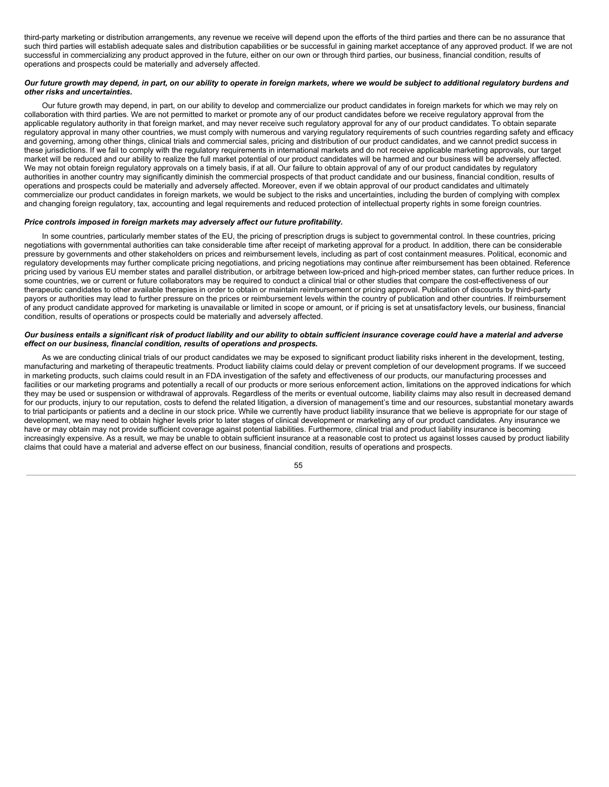third-party marketing or distribution arrangements, any revenue we receive will depend upon the efforts of the third parties and there can be no assurance that such third parties will establish adequate sales and distribution capabilities or be successful in gaining market acceptance of any approved product. If we are not successful in commercializing any product approved in the future, either on our own or through third parties, our business, financial condition, results of operations and prospects could be materially and adversely affected.

# Our future growth may depend, in part, on our ability to operate in foreign markets, where we would be subject to additional regulatory burdens and *other risks and uncertainties.*

Our future growth may depend, in part, on our ability to develop and commercialize our product candidates in foreign markets for which we may rely on collaboration with third parties. We are not permitted to market or promote any of our product candidates before we receive regulatory approval from the applicable regulatory authority in that foreign market, and may never receive such regulatory approval for any of our product candidates. To obtain separate regulatory approval in many other countries, we must comply with numerous and varying regulatory requirements of such countries regarding safety and efficacy and governing, among other things, clinical trials and commercial sales, pricing and distribution of our product candidates, and we cannot predict success in these jurisdictions. If we fail to comply with the regulatory requirements in international markets and do not receive applicable marketing approvals, our target market will be reduced and our ability to realize the full market potential of our product candidates will be harmed and our business will be adversely affected. We may not obtain foreign regulatory approvals on a timely basis, if at all. Our failure to obtain approval of any of our product candidates by regulatory authorities in another country may significantly diminish the commercial prospects of that product candidate and our business, financial condition, results of operations and prospects could be materially and adversely affected. Moreover, even if we obtain approval of our product candidates and ultimately commercialize our product candidates in foreign markets, we would be subject to the risks and uncertainties, including the burden of complying with complex and changing foreign regulatory, tax, accounting and legal requirements and reduced protection of intellectual property rights in some foreign countries.

# *Price controls imposed in foreign markets may adversely affect our future profitability.*

In some countries, particularly member states of the EU, the pricing of prescription drugs is subject to governmental control. In these countries, pricing negotiations with governmental authorities can take considerable time after receipt of marketing approval for a product. In addition, there can be considerable pressure by governments and other stakeholders on prices and reimbursement levels, including as part of cost containment measures. Political, economic and regulatory developments may further complicate pricing negotiations, and pricing negotiations may continue after reimbursement has been obtained. Reference pricing used by various EU member states and parallel distribution, or arbitrage between low-priced and high-priced member states, can further reduce prices. In some countries, we or current or future collaborators may be required to conduct a clinical trial or other studies that compare the cost-effectiveness of our therapeutic candidates to other available therapies in order to obtain or maintain reimbursement or pricing approval. Publication of discounts by third-party payors or authorities may lead to further pressure on the prices or reimbursement levels within the country of publication and other countries. If reimbursement of any product candidate approved for marketing is unavailable or limited in scope or amount, or if pricing is set at unsatisfactory levels, our business, financial condition, results of operations or prospects could be materially and adversely affected.

# Our business entails a significant risk of product liability and our ability to obtain sufficient insurance coverage could have a material and adverse *effect on our business, financial condition, results of operations and prospects.*

As we are conducting clinical trials of our product candidates we may be exposed to significant product liability risks inherent in the development, testing, manufacturing and marketing of therapeutic treatments. Product liability claims could delay or prevent completion of our development programs. If we succeed in marketing products, such claims could result in an FDA investigation of the safety and effectiveness of our products, our manufacturing processes and facilities or our marketing programs and potentially a recall of our products or more serious enforcement action, limitations on the approved indications for which they may be used or suspension or withdrawal of approvals. Regardless of the merits or eventual outcome, liability claims may also result in decreased demand for our products, injury to our reputation, costs to defend the related litigation, a diversion of management's time and our resources, substantial monetary awards to trial participants or patients and a decline in our stock price. While we currently have product liability insurance that we believe is appropriate for our stage of development, we may need to obtain higher levels prior to later stages of clinical development or marketing any of our product candidates. Any insurance we have or may obtain may not provide sufficient coverage against potential liabilities. Furthermore, clinical trial and product liability insurance is becoming increasingly expensive. As a result, we may be unable to obtain sufficient insurance at a reasonable cost to protect us against losses caused by product liability claims that could have a material and adverse effect on our business, financial condition, results of operations and prospects.

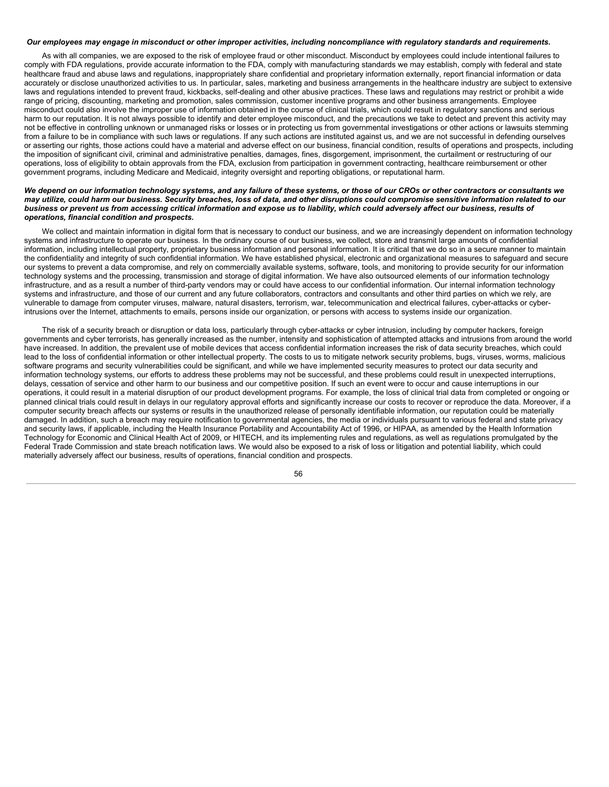## Our employees may engage in misconduct or other improper activities, including noncompliance with regulatory standards and requirements.

As with all companies, we are exposed to the risk of employee fraud or other misconduct. Misconduct by employees could include intentional failures to comply with FDA regulations, provide accurate information to the FDA, comply with manufacturing standards we may establish, comply with federal and state healthcare fraud and abuse laws and regulations, inappropriately share confidential and proprietary information externally, report financial information or data accurately or disclose unauthorized activities to us. In particular, sales, marketing and business arrangements in the healthcare industry are subject to extensive laws and regulations intended to prevent fraud, kickbacks, self-dealing and other abusive practices. These laws and regulations may restrict or prohibit a wide range of pricing, discounting, marketing and promotion, sales commission, customer incentive programs and other business arrangements. Employee misconduct could also involve the improper use of information obtained in the course of clinical trials, which could result in regulatory sanctions and serious harm to our reputation. It is not always possible to identify and deter employee misconduct, and the precautions we take to detect and prevent this activity may not be effective in controlling unknown or unmanaged risks or losses or in protecting us from governmental investigations or other actions or lawsuits stemming from a failure to be in compliance with such laws or regulations. If any such actions are instituted against us, and we are not successful in defending ourselves or asserting our rights, those actions could have a material and adverse effect on our business, financial condition, results of operations and prospects, including the imposition of significant civil, criminal and administrative penalties, damages, fines, disgorgement, imprisonment, the curtailment or restructuring of our operations, loss of eligibility to obtain approvals from the FDA, exclusion from participation in government contracting, healthcare reimbursement or other government programs, including Medicare and Medicaid, integrity oversight and reporting obligations, or reputational harm.

## We depend on our information technology systems, and any failure of these systems, or those of our CROs or other contractors or consultants we may utilize, could harm our business. Security breaches, loss of data, and other disruptions could compromise sensitive information related to our business or prevent us from accessing critical information and expose us to liability, which could adversely affect our business, results of *operations, financial condition and prospects.*

We collect and maintain information in digital form that is necessary to conduct our business, and we are increasingly dependent on information technology systems and infrastructure to operate our business. In the ordinary course of our business, we collect, store and transmit large amounts of confidential information, including intellectual property, proprietary business information and personal information. It is critical that we do so in a secure manner to maintain the confidentiality and integrity of such confidential information. We have established physical, electronic and organizational measures to safeguard and secure our systems to prevent a data compromise, and rely on commercially available systems, software, tools, and monitoring to provide security for our information technology systems and the processing, transmission and storage of digital information. We have also outsourced elements of our information technology infrastructure, and as a result a number of third-party vendors may or could have access to our confidential information. Our internal information technology systems and infrastructure, and those of our current and any future collaborators, contractors and consultants and other third parties on which we rely, are vulnerable to damage from computer viruses, malware, natural disasters, terrorism, war, telecommunication and electrical failures, cyber-attacks or cyberintrusions over the Internet, attachments to emails, persons inside our organization, or persons with access to systems inside our organization.

The risk of a security breach or disruption or data loss, particularly through cyber-attacks or cyber intrusion, including by computer hackers, foreign governments and cyber terrorists, has generally increased as the number, intensity and sophistication of attempted attacks and intrusions from around the world have increased. In addition, the prevalent use of mobile devices that access confidential information increases the risk of data security breaches, which could lead to the loss of confidential information or other intellectual property. The costs to us to mitigate network security problems, bugs, viruses, worms, malicious software programs and security vulnerabilities could be significant, and while we have implemented security measures to protect our data security and information technology systems, our efforts to address these problems may not be successful, and these problems could result in unexpected interruptions, delays, cessation of service and other harm to our business and our competitive position. If such an event were to occur and cause interruptions in our operations, it could result in a material disruption of our product development programs. For example, the loss of clinical trial data from completed or ongoing or planned clinical trials could result in delays in our regulatory approval efforts and significantly increase our costs to recover or reproduce the data. Moreover, if a computer security breach affects our systems or results in the unauthorized release of personally identifiable information, our reputation could be materially damaged. In addition, such a breach may require notification to governmental agencies, the media or individuals pursuant to various federal and state privacy and security laws, if applicable, including the Health Insurance Portability and Accountability Act of 1996, or HIPAA, as amended by the Health Information Technology for Economic and Clinical Health Act of 2009, or HITECH, and its implementing rules and regulations, as well as regulations promulgated by the Federal Trade Commission and state breach notification laws. We would also be exposed to a risk of loss or litigation and potential liability, which could materially adversely affect our business, results of operations, financial condition and prospects.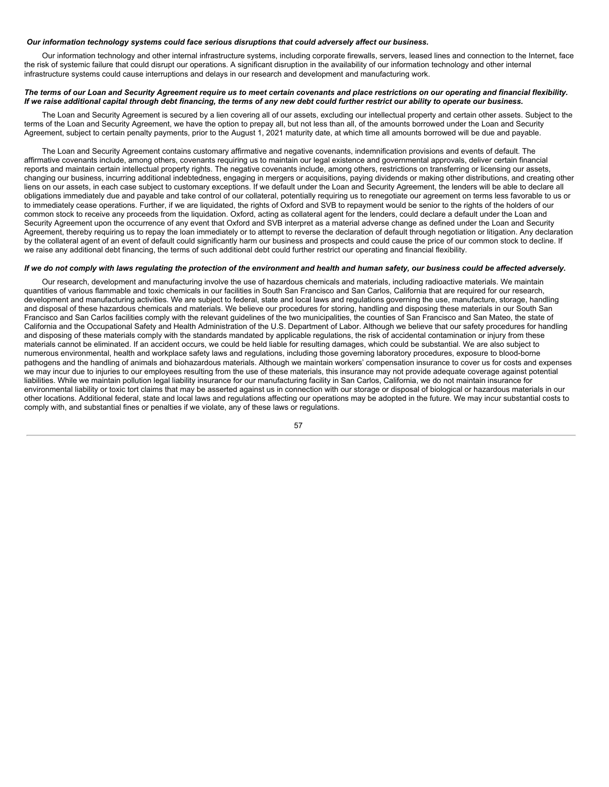# *Our information technology systems could face serious disruptions that could adversely affect our business.*

Our information technology and other internal infrastructure systems, including corporate firewalls, servers, leased lines and connection to the Internet, face the risk of systemic failure that could disrupt our operations. A significant disruption in the availability of our information technology and other internal infrastructure systems could cause interruptions and delays in our research and development and manufacturing work.

# The terms of our Loan and Security Agreement require us to meet certain covenants and place restrictions on our operating and financial flexibility. If we raise additional capital through debt financing, the terms of any new debt could further restrict our ability to operate our business.

The Loan and Security Agreement is secured by a lien covering all of our assets, excluding our intellectual property and certain other assets. Subject to the terms of the Loan and Security Agreement, we have the option to prepay all, but not less than all, of the amounts borrowed under the Loan and Security Agreement, subject to certain penalty payments, prior to the August 1, 2021 maturity date, at which time all amounts borrowed will be due and payable.

The Loan and Security Agreement contains customary affirmative and negative covenants, indemnification provisions and events of default. The affirmative covenants include, among others, covenants requiring us to maintain our legal existence and governmental approvals, deliver certain financial reports and maintain certain intellectual property rights. The negative covenants include, among others, restrictions on transferring or licensing our assets, changing our business, incurring additional indebtedness, engaging in mergers or acquisitions, paying dividends or making other distributions, and creating other liens on our assets, in each case subject to customary exceptions. If we default under the Loan and Security Agreement, the lenders will be able to declare all obligations immediately due and payable and take control of our collateral, potentially requiring us to renegotiate our agreement on terms less favorable to us or to immediately cease operations. Further, if we are liquidated, the rights of Oxford and SVB to repayment would be senior to the rights of the holders of our common stock to receive any proceeds from the liquidation. Oxford, acting as collateral agent for the lenders, could declare a default under the Loan and Security Agreement upon the occurrence of any event that Oxford and SVB interpret as a material adverse change as defined under the Loan and Security Agreement, thereby requiring us to repay the loan immediately or to attempt to reverse the declaration of default through negotiation or litigation. Any declaration by the collateral agent of an event of default could significantly harm our business and prospects and could cause the price of our common stock to decline. If we raise any additional debt financing, the terms of such additional debt could further restrict our operating and financial flexibility.

# If we do not comply with laws regulating the protection of the environment and health and human safety, our business could be affected adversely.

Our research, development and manufacturing involve the use of hazardous chemicals and materials, including radioactive materials. We maintain quantities of various flammable and toxic chemicals in our facilities in South San Francisco and San Carlos, California that are required for our research, development and manufacturing activities. We are subject to federal, state and local laws and regulations governing the use, manufacture, storage, handling and disposal of these hazardous chemicals and materials. We believe our procedures for storing, handling and disposing these materials in our South San Francisco and San Carlos facilities comply with the relevant guidelines of the two municipalities, the counties of San Francisco and San Mateo, the state of California and the Occupational Safety and Health Administration of the U.S. Department of Labor. Although we believe that our safety procedures for handling and disposing of these materials comply with the standards mandated by applicable regulations, the risk of accidental contamination or injury from these materials cannot be eliminated. If an accident occurs, we could be held liable for resulting damages, which could be substantial. We are also subject to numerous environmental, health and workplace safety laws and regulations, including those governing laboratory procedures, exposure to blood-borne pathogens and the handling of animals and biohazardous materials. Although we maintain workers' compensation insurance to cover us for costs and expenses we may incur due to injuries to our employees resulting from the use of these materials, this insurance may not provide adequate coverage against potential liabilities. While we maintain pollution legal liability insurance for our manufacturing facility in San Carlos, California, we do not maintain insurance for environmental liability or toxic tort claims that may be asserted against us in connection with our storage or disposal of biological or hazardous materials in our other locations. Additional federal, state and local laws and regulations affecting our operations may be adopted in the future. We may incur substantial costs to comply with, and substantial fines or penalties if we violate, any of these laws or regulations.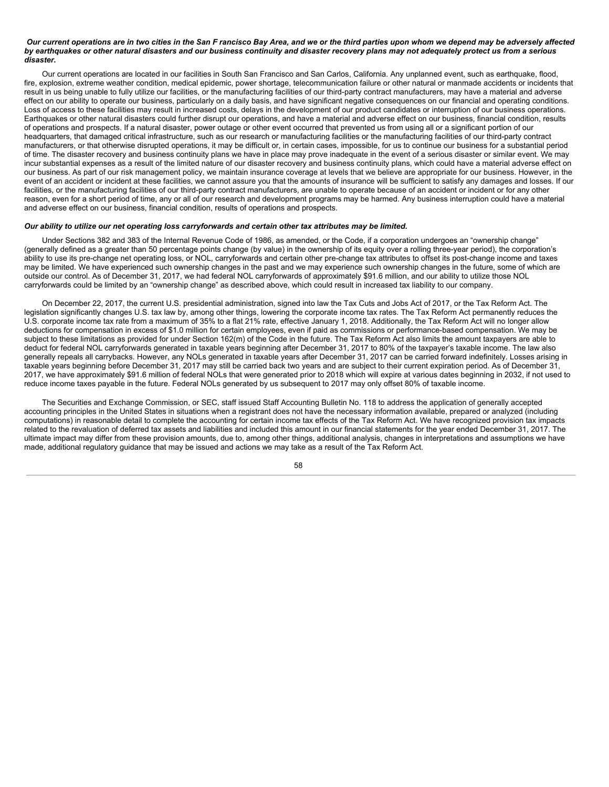#### Our current operations are in two cities in the San F rancisco Bay Area, and we or the third parties upon whom we depend may be adversely affected by earthquakes or other natural disasters and our business continuity and disaster recovery plans may not adequately protect us from a serious *disaster.*

Our current operations are located in our facilities in South San Francisco and San Carlos, California. Any unplanned event, such as earthquake, flood, fire, explosion, extreme weather condition, medical epidemic, power shortage, telecommunication failure or other natural or manmade accidents or incidents that result in us being unable to fully utilize our facilities, or the manufacturing facilities of our third-party contract manufacturers, may have a material and adverse effect on our ability to operate our business, particularly on a daily basis, and have significant negative consequences on our financial and operating conditions. Loss of access to these facilities may result in increased costs, delays in the development of our product candidates or interruption of our business operations. Earthquakes or other natural disasters could further disrupt our operations, and have a material and adverse effect on our business, financial condition, results of operations and prospects. If a natural disaster, power outage or other event occurred that prevented us from using all or a significant portion of our headquarters, that damaged critical infrastructure, such as our research or manufacturing facilities or the manufacturing facilities of our third-party contract manufacturers, or that otherwise disrupted operations, it may be difficult or, in certain cases, impossible, for us to continue our business for a substantial period of time. The disaster recovery and business continuity plans we have in place may prove inadequate in the event of a serious disaster or similar event. We may incur substantial expenses as a result of the limited nature of our disaster recovery and business continuity plans, which could have a material adverse effect on our business. As part of our risk management policy, we maintain insurance coverage at levels that we believe are appropriate for our business. However, in the event of an accident or incident at these facilities, we cannot assure you that the amounts of insurance will be sufficient to satisfy any damages and losses. If our facilities, or the manufacturing facilities of our third-party contract manufacturers, are unable to operate because of an accident or incident or for any other reason, even for a short period of time, any or all of our research and development programs may be harmed. Any business interruption could have a material and adverse effect on our business, financial condition, results of operations and prospects.

## Our ability to utilize our net operating loss carryforwards and certain other tax attributes may be limited.

Under Sections 382 and 383 of the Internal Revenue Code of 1986, as amended, or the Code, if a corporation undergoes an "ownership change" (generally defined as a greater than 50 percentage points change (by value) in the ownership of its equity over a rolling three-year period), the corporation's ability to use its pre-change net operating loss, or NOL, carryforwards and certain other pre-change tax attributes to offset its post-change income and taxes may be limited. We have experienced such ownership changes in the past and we may experience such ownership changes in the future, some of which are outside our control. As of December 31, 2017, we had federal NOL carryforwards of approximately \$91.6 million, and our ability to utilize those NOL carryforwards could be limited by an "ownership change" as described above, which could result in increased tax liability to our company.

On December 22, 2017, the current U.S. presidential administration, signed into law the Tax Cuts and Jobs Act of 2017, or the Tax Reform Act. The legislation significantly changes U.S. tax law by, among other things, lowering the corporate income tax rates. The Tax Reform Act permanently reduces the U.S. corporate income tax rate from a maximum of 35% to a flat 21% rate, effective January 1, 2018. Additionally, the Tax Reform Act will no longer allow deductions for compensation in excess of \$1.0 million for certain employees, even if paid as commissions or performance-based compensation. We may be subject to these limitations as provided for under Section 162(m) of the Code in the future. The Tax Reform Act also limits the amount taxpayers are able to deduct for federal NOL carryforwards generated in taxable years beginning after December 31, 2017 to 80% of the taxpayer's taxable income. The law also generally repeals all carrybacks. However, any NOLs generated in taxable years after December 31, 2017 can be carried forward indefinitely. Losses arising in taxable years beginning before December 31, 2017 may still be carried back two years and are subject to their current expiration period. As of December 31, 2017, we have approximately \$91.6 million of federal NOLs that were generated prior to 2018 which will expire at various dates beginning in 2032, if not used to reduce income taxes payable in the future. Federal NOLs generated by us subsequent to 2017 may only offset 80% of taxable income.

The Securities and Exchange Commission, or SEC, staff issued Staff Accounting Bulletin No. 118 to address the application of generally accepted accounting principles in the United States in situations when a registrant does not have the necessary information available, prepared or analyzed (including computations) in reasonable detail to complete the accounting for certain income tax effects of the Tax Reform Act. We have recognized provision tax impacts related to the revaluation of deferred tax assets and liabilities and included this amount in our financial statements for the year ended December 31, 2017. The ultimate impact may differ from these provision amounts, due to, among other things, additional analysis, changes in interpretations and assumptions we have made, additional regulatory guidance that may be issued and actions we may take as a result of the Tax Reform Act.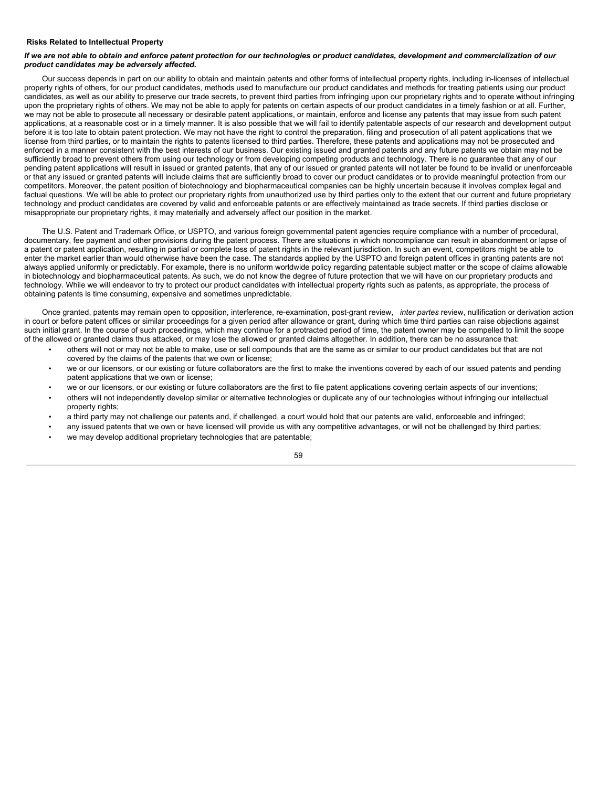# **Risks Related to Intellectual Property**

# If we are not able to obtain and enforce patent protection for our technologies or product candidates, development and commercialization of our *product candidates may be adversely affected.*

Our success depends in part on our ability to obtain and maintain patents and other forms of intellectual property rights, including in-licenses of intellectual property rights of others, for our product candidates, methods used to manufacture our product candidates and methods for treating patients using our product candidates, as well as our ability to preserve our trade secrets, to prevent third parties from infringing upon our proprietary rights and to operate without infringing upon the proprietary rights of others. We may not be able to apply for patents on certain aspects of our product candidates in a timely fashion or at all. Further, we may not be able to prosecute all necessary or desirable patent applications, or maintain, enforce and license any patents that may issue from such patent applications, at a reasonable cost or in a timely manner. It is also possible that we will fail to identify patentable aspects of our research and development output before it is too late to obtain patent protection. We may not have the right to control the preparation, filing and prosecution of all patent applications that we license from third parties, or to maintain the rights to patents licensed to third parties. Therefore, these patents and applications may not be prosecuted and enforced in a manner consistent with the best interests of our business. Our existing issued and granted patents and any future patents we obtain may not be sufficiently broad to prevent others from using our technology or from developing competing products and technology. There is no guarantee that any of our pending patent applications will result in issued or granted patents, that any of our issued or granted patents will not later be found to be invalid or unenforceable or that any issued or granted patents will include claims that are sufficiently broad to cover our product candidates or to provide meaningful protection from our competitors. Moreover, the patent position of biotechnology and biopharmaceutical companies can be highly uncertain because it involves complex legal and factual questions. We will be able to protect our proprietary rights from unauthorized use by third parties only to the extent that our current and future proprietary technology and product candidates are covered by valid and enforceable patents or are effectively maintained as trade secrets. If third parties disclose or misappropriate our proprietary rights, it may materially and adversely affect our position in the market.

The U.S. Patent and Trademark Office, or USPTO, and various foreign governmental patent agencies require compliance with a number of procedural, documentary, fee payment and other provisions during the patent process. There are situations in which noncompliance can result in abandonment or lapse of a patent or patent application, resulting in partial or complete loss of patent rights in the relevant jurisdiction. In such an event, competitors might be able to enter the market earlier than would otherwise have been the case. The standards applied by the USPTO and foreign patent offices in granting patents are not always applied uniformly or predictably. For example, there is no uniform worldwide policy regarding patentable subject matter or the scope of claims allowable in biotechnology and biopharmaceutical patents. As such, we do not know the degree of future protection that we will have on our proprietary products and technology. While we will endeavor to try to protect our product candidates with intellectual property rights such as patents, as appropriate, the process of obtaining patents is time consuming, expensive and sometimes unpredictable.

Once granted, patents may remain open to opposition, interference, re-examination, post-grant review, *inter partes* review, nullification or derivation action in court or before patent offices or similar proceedings for a given period after allowance or grant, during which time third parties can raise objections against such initial grant. In the course of such proceedings, which may continue for a protracted period of time, the patent owner may be compelled to limit the scope of the allowed or granted claims thus attacked, or may lose the allowed or granted claims altogether. In addition, there can be no assurance that:

- others will not or may not be able to make, use or sell compounds that are the same as or similar to our product candidates but that are not covered by the claims of the patents that we own or license;
- we or our licensors, or our existing or future collaborators are the first to make the inventions covered by each of our issued patents and pending patent applications that we own or license;
- we or our licensors, or our existing or future collaborators are the first to file patent applications covering certain aspects of our inventions;
- others will not independently develop similar or alternative technologies or duplicate any of our technologies without infringing our intellectual property rights;
- a third party may not challenge our patents and, if challenged, a court would hold that our patents are valid, enforceable and infringed;
- any issued patents that we own or have licensed will provide us with any competitive advantages, or will not be challenged by third parties;
- we may develop additional proprietary technologies that are patentable;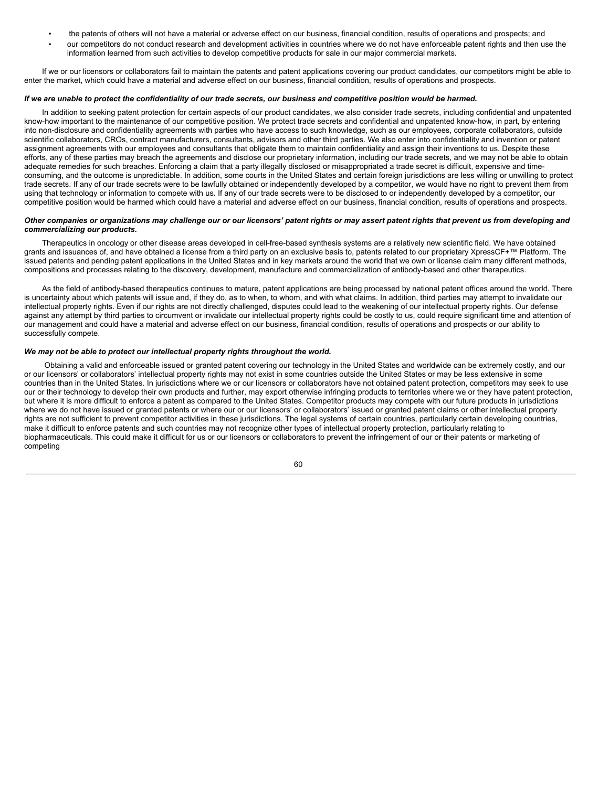- the patents of others will not have a material or adverse effect on our business, financial condition, results of operations and prospects; and
- our competitors do not conduct research and development activities in countries where we do not have enforceable patent rights and then use the information learned from such activities to develop competitive products for sale in our major commercial markets.

If we or our licensors or collaborators fail to maintain the patents and patent applications covering our product candidates, our competitors might be able to enter the market, which could have a material and adverse effect on our business, financial condition, results of operations and prospects.

## If we are unable to protect the confidentiality of our trade secrets, our business and competitive position would be harmed.

In addition to seeking patent protection for certain aspects of our product candidates, we also consider trade secrets, including confidential and unpatented know-how important to the maintenance of our competitive position. We protect trade secrets and confidential and unpatented know-how, in part, by entering into non-disclosure and confidentiality agreements with parties who have access to such knowledge, such as our employees, corporate collaborators, outside scientific collaborators, CROs, contract manufacturers, consultants, advisors and other third parties. We also enter into confidentiality and invention or patent assignment agreements with our employees and consultants that obligate them to maintain confidentiality and assign their inventions to us. Despite these efforts, any of these parties may breach the agreements and disclose our proprietary information, including our trade secrets, and we may not be able to obtain adequate remedies for such breaches. Enforcing a claim that a party illegally disclosed or misappropriated a trade secret is difficult, expensive and timeconsuming, and the outcome is unpredictable. In addition, some courts in the United States and certain foreign jurisdictions are less willing or unwilling to protect trade secrets. If any of our trade secrets were to be lawfully obtained or independently developed by a competitor, we would have no right to prevent them from using that technology or information to compete with us. If any of our trade secrets were to be disclosed to or independently developed by a competitor, our competitive position would be harmed which could have a material and adverse effect on our business, financial condition, results of operations and prospects.

# Other companies or organizations may challenge our or our licensors' patent rights or may assert patent rights that prevent us from developing and *commercializing our products.*

Therapeutics in oncology or other disease areas developed in cell-free-based synthesis systems are a relatively new scientific field. We have obtained grants and issuances of, and have obtained a license from a third party on an exclusive basis to, patents related to our proprietary XpressCF+™ Platform. The issued patents and pending patent applications in the United States and in key markets around the world that we own or license claim many different methods, compositions and processes relating to the discovery, development, manufacture and commercialization of antibody-based and other therapeutics.

As the field of antibody-based therapeutics continues to mature, patent applications are being processed by national patent offices around the world. There is uncertainty about which patents will issue and, if they do, as to when, to whom, and with what claims. In addition, third parties may attempt to invalidate our intellectual property rights. Even if our rights are not directly challenged, disputes could lead to the weakening of our intellectual property rights. Our defense against any attempt by third parties to circumvent or invalidate our intellectual property rights could be costly to us, could require significant time and attention of our management and could have a material and adverse effect on our business, financial condition, results of operations and prospects or our ability to successfully compete.

# *We may not be able to protect our intellectual property rights throughout the world.*

Obtaining a valid and enforceable issued or granted patent covering our technology in the United States and worldwide can be extremely costly, and our or our licensors' or collaborators' intellectual property rights may not exist in some countries outside the United States or may be less extensive in some countries than in the United States. In jurisdictions where we or our licensors or collaborators have not obtained patent protection, competitors may seek to use our or their technology to develop their own products and further, may export otherwise infringing products to territories where we or they have patent protection, but where it is more difficult to enforce a patent as compared to the United States. Competitor products may compete with our future products in jurisdictions where we do not have issued or granted patents or where our or our licensors' or collaborators' issued or granted patent claims or other intellectual property rights are not sufficient to prevent competitor activities in these jurisdictions. The legal systems of certain countries, particularly certain developing countries, make it difficult to enforce patents and such countries may not recognize other types of intellectual property protection, particularly relating to biopharmaceuticals. This could make it difficult for us or our licensors or collaborators to prevent the infringement of our or their patents or marketing of competing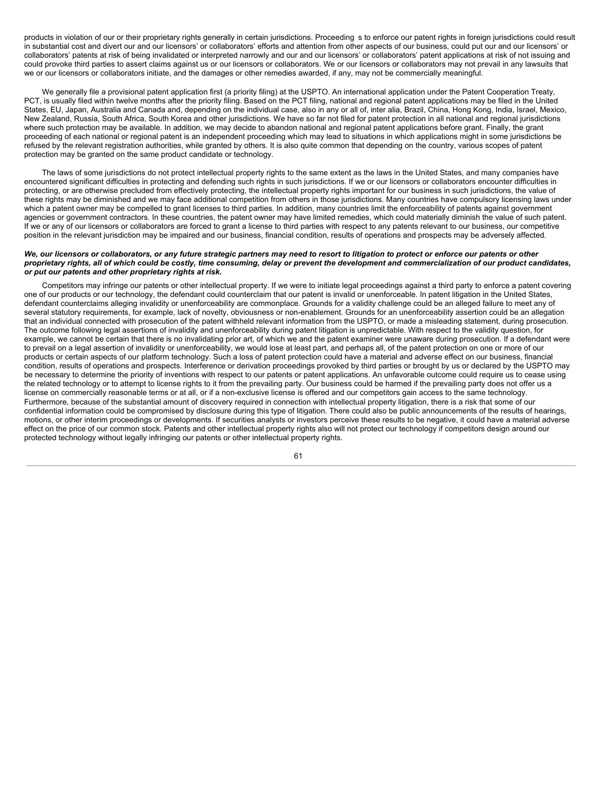products in violation of our or their proprietary rights generally in certain jurisdictions. Proceeding s to enforce our patent rights in foreign jurisdictions could result in substantial cost and divert our and our licensors' or collaborators' efforts and attention from other aspects of our business, could put our and our licensors' or collaborators' patents at risk of being invalidated or interpreted narrowly and our and our licensors' or collaborators' patent applications at risk of not issuing and could provoke third parties to assert claims against us or our licensors or collaborators. We or our licensors or collaborators may not prevail in any lawsuits that we or our licensors or collaborators initiate, and the damages or other remedies awarded, if any, may not be commercially meaningful.

We generally file a provisional patent application first (a priority filing) at the USPTO. An international application under the Patent Cooperation Treaty, PCT, is usually filed within twelve months after the priority filing. Based on the PCT filing, national and regional patent applications may be filed in the United States, EU, Japan, Australia and Canada and, depending on the individual case, also in any or all of, inter alia, Brazil, China, Hong Kong, India, Israel, Mexico, New Zealand, Russia, South Africa, South Korea and other jurisdictions. We have so far not filed for patent protection in all national and regional jurisdictions where such protection may be available. In addition, we may decide to abandon national and regional patent applications before grant. Finally, the grant proceeding of each national or regional patent is an independent proceeding which may lead to situations in which applications might in some jurisdictions be refused by the relevant registration authorities, while granted by others. It is also quite common that depending on the country, various scopes of patent protection may be granted on the same product candidate or technology.

The laws of some jurisdictions do not protect intellectual property rights to the same extent as the laws in the United States, and many companies have encountered significant difficulties in protecting and defending such rights in such jurisdictions. If we or our licensors or collaborators encounter difficulties in protecting, or are otherwise precluded from effectively protecting, the intellectual property rights important for our business in such jurisdictions, the value of these rights may be diminished and we may face additional competition from others in those jurisdictions. Many countries have compulsory licensing laws under which a patent owner may be compelled to grant licenses to third parties. In addition, many countries limit the enforceability of patents against government agencies or government contractors. In these countries, the patent owner may have limited remedies, which could materially diminish the value of such patent. If we or any of our licensors or collaborators are forced to grant a license to third parties with respect to any patents relevant to our business, our competitive position in the relevant jurisdiction may be impaired and our business, financial condition, results of operations and prospects may be adversely affected.

# We, our licensors or collaborators, or any future strategic partners may need to resort to litigation to protect or enforce our patents or other proprietary rights, all of which could be costly, time consuming, delay or prevent the development and commercialization of our product candidates, *or put our patents and other proprietary rights at risk.*

Competitors may infringe our patents or other intellectual property. If we were to initiate legal proceedings against a third party to enforce a patent covering one of our products or our technology, the defendant could counterclaim that our patent is invalid or unenforceable. In patent litigation in the United States, defendant counterclaims alleging invalidity or unenforceability are commonplace. Grounds for a validity challenge could be an alleged failure to meet any of several statutory requirements, for example, lack of novelty, obviousness or non-enablement. Grounds for an unenforceability assertion could be an allegation that an individual connected with prosecution of the patent withheld relevant information from the USPTO, or made a misleading statement, during prosecution. The outcome following legal assertions of invalidity and unenforceability during patent litigation is unpredictable. With respect to the validity question, for example, we cannot be certain that there is no invalidating prior art, of which we and the patent examiner were unaware during prosecution. If a defendant were to prevail on a legal assertion of invalidity or unenforceability, we would lose at least part, and perhaps all, of the patent protection on one or more of our products or certain aspects of our platform technology. Such a loss of patent protection could have a material and adverse effect on our business, financial condition, results of operations and prospects. Interference or derivation proceedings provoked by third parties or brought by us or declared by the USPTO may be necessary to determine the priority of inventions with respect to our patents or patent applications. An unfavorable outcome could require us to cease using the related technology or to attempt to license rights to it from the prevailing party. Our business could be harmed if the prevailing party does not offer us a license on commercially reasonable terms or at all, or if a non-exclusive license is offered and our competitors gain access to the same technology. Furthermore, because of the substantial amount of discovery required in connection with intellectual property litigation, there is a risk that some of our confidential information could be compromised by disclosure during this type of litigation. There could also be public announcements of the results of hearings, motions, or other interim proceedings or developments. If securities analysts or investors perceive these results to be negative, it could have a material adverse effect on the price of our common stock. Patents and other intellectual property rights also will not protect our technology if competitors design around our protected technology without legally infringing our patents or other intellectual property rights.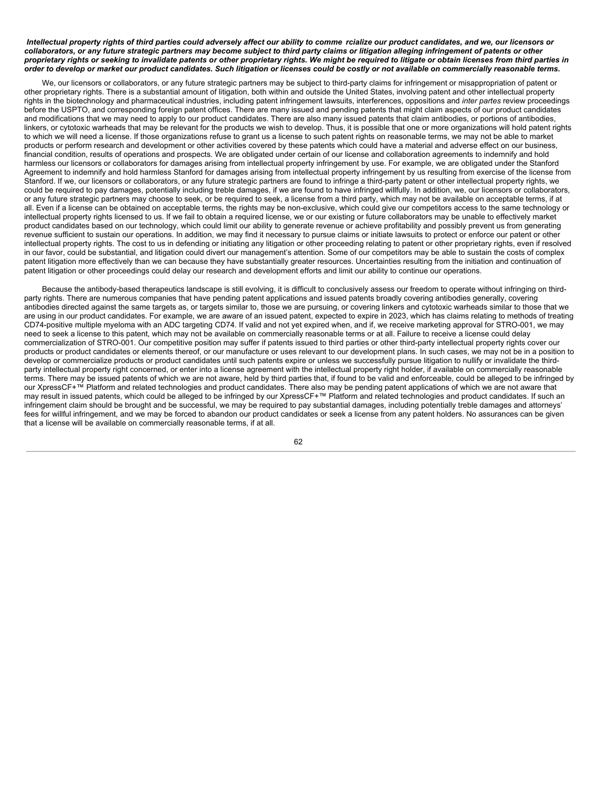#### Intellectual property rights of third parties could adversely affect our ability to comme rcialize our product candidates, and we, our licensors or collaborators, or any future strategic partners may become subject to third party claims or litigation alleging infringement of patents or other proprietary rights or seeking to invalidate patents or other proprietary rights. We might be required to litigate or obtain licenses from third parties in order to develop or market our product candidates. Such litigation or licenses could be costly or not available on commercially reasonable terms.

We, our licensors or collaborators, or any future strategic partners may be subject to third-party claims for infringement or misappropriation of patent or other proprietary rights. There is a substantial amount of litigation, both within and outside the United States, involving patent and other intellectual property rights in the biotechnology and pharmaceutical industries, including patent infringement lawsuits, interferences, oppositions and *inter partes* review proceedings before the USPTO, and corresponding foreign patent offices. There are many issued and pending patents that might claim aspects of our product candidates and modifications that we may need to apply to our product candidates. There are also many issued patents that claim antibodies, or portions of antibodies, linkers, or cytotoxic warheads that may be relevant for the products we wish to develop. Thus, it is possible that one or more organizations will hold patent rights to which we will need a license. If those organizations refuse to grant us a license to such patent rights on reasonable terms, we may not be able to market products or perform research and development or other activities covered by these patents which could have a material and adverse effect on our business, financial condition, results of operations and prospects. We are obligated under certain of our license and collaboration agreements to indemnify and hold harmless our licensors or collaborators for damages arising from intellectual property infringement by use. For example, we are obligated under the Stanford Agreement to indemnify and hold harmless Stanford for damages arising from intellectual property infringement by us resulting from exercise of the license from Stanford. If we, our licensors or collaborators, or any future strategic partners are found to infringe a third-party patent or other intellectual property rights, we could be required to pay damages, potentially including treble damages, if we are found to have infringed willfully. In addition, we, our licensors or collaborators, or any future strategic partners may choose to seek, or be required to seek, a license from a third party, which may not be available on acceptable terms, if at all. Even if a license can be obtained on acceptable terms, the rights may be non-exclusive, which could give our competitors access to the same technology or intellectual property rights licensed to us. If we fail to obtain a required license, we or our existing or future collaborators may be unable to effectively market product candidates based on our technology, which could limit our ability to generate revenue or achieve profitability and possibly prevent us from generating revenue sufficient to sustain our operations. In addition, we may find it necessary to pursue claims or initiate lawsuits to protect or enforce our patent or other intellectual property rights. The cost to us in defending or initiating any litigation or other proceeding relating to patent or other proprietary rights, even if resolved in our favor, could be substantial, and litigation could divert our management's attention. Some of our competitors may be able to sustain the costs of complex patent litigation more effectively than we can because they have substantially greater resources. Uncertainties resulting from the initiation and continuation of patent litigation or other proceedings could delay our research and development efforts and limit our ability to continue our operations.

Because the antibody-based therapeutics landscape is still evolving, it is difficult to conclusively assess our freedom to operate without infringing on thirdparty rights. There are numerous companies that have pending patent applications and issued patents broadly covering antibodies generally, covering antibodies directed against the same targets as, or targets similar to, those we are pursuing, or covering linkers and cytotoxic warheads similar to those that we are using in our product candidates. For example, we are aware of an issued patent, expected to expire in 2023, which has claims relating to methods of treating CD74-positive multiple myeloma with an ADC targeting CD74. If valid and not yet expired when, and if, we receive marketing approval for STRO-001, we may need to seek a license to this patent, which may not be available on commercially reasonable terms or at all. Failure to receive a license could delay commercialization of STRO-001. Our competitive position may suffer if patents issued to third parties or other third-party intellectual property rights cover our products or product candidates or elements thereof, or our manufacture or uses relevant to our development plans. In such cases, we may not be in a position to develop or commercialize products or product candidates until such patents expire or unless we successfully pursue litigation to nullify or invalidate the thirdparty intellectual property right concerned, or enter into a license agreement with the intellectual property right holder, if available on commercially reasonable terms. There may be issued patents of which we are not aware, held by third parties that, if found to be valid and enforceable, could be alleged to be infringed by our XpressCF+™ Platform and related technologies and product candidates. There also may be pending patent applications of which we are not aware that may result in issued patents, which could be alleged to be infringed by our XpressCF+™ Platform and related technologies and product candidates. If such an infringement claim should be brought and be successful, we may be required to pay substantial damages, including potentially treble damages and attorneys' fees for willful infringement, and we may be forced to abandon our product candidates or seek a license from any patent holders. No assurances can be given that a license will be available on commercially reasonable terms, if at all.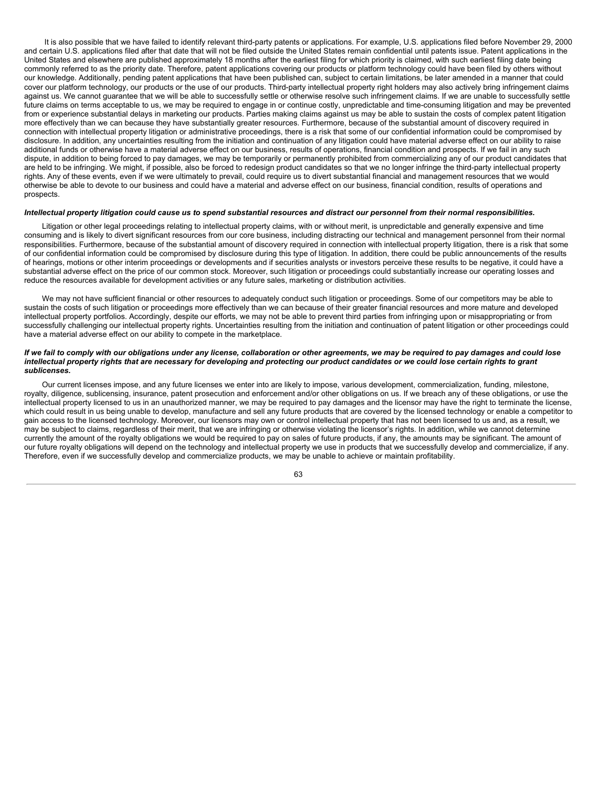It is also possible that we have failed to identify relevant third-party patents or applications. For example, U.S. applications filed before November 29, 2000 and certain U.S. applications filed after that date that will not be filed outside the United States remain confidential until patents issue. Patent applications in the United States and elsewhere are published approximately 18 months after the earliest filing for which priority is claimed, with such earliest filing date being commonly referred to as the priority date. Therefore, patent applications covering our products or platform technology could have been filed by others without our knowledge. Additionally, pending patent applications that have been published can, subject to certain limitations, be later amended in a manner that could cover our platform technology, our products or the use of our products. Third-party intellectual property right holders may also actively bring infringement claims against us. We cannot quarantee that we will be able to successfully settle or otherwise resolve such infringement claims. If we are unable to successfully settle future claims on terms acceptable to us, we may be required to engage in or continue costly, unpredictable and time-consuming litigation and may be prevented from or experience substantial delays in marketing our products. Parties making claims against us may be able to sustain the costs of complex patent litigation more effectively than we can because they have substantially greater resources. Furthermore, because of the substantial amount of discovery required in connection with intellectual property litigation or administrative proceedings, there is a risk that some of our confidential information could be compromised by disclosure. In addition, any uncertainties resulting from the initiation and continuation of any litigation could have material adverse effect on our ability to raise additional funds or otherwise have a material adverse effect on our business, results of operations, financial condition and prospects. If we fail in any such dispute, in addition to being forced to pay damages, we may be temporarily or permanently prohibited from commercializing any of our product candidates that are held to be infringing. We might, if possible, also be forced to redesign product candidates so that we no longer infringe the third-party intellectual property rights. Any of these events, even if we were ultimately to prevail, could require us to divert substantial financial and management resources that we would otherwise be able to devote to our business and could have a material and adverse effect on our business, financial condition, results of operations and prospects.

# Intellectual property litigation could cause us to spend substantial resources and distract our personnel from their normal responsibilities.

Litigation or other legal proceedings relating to intellectual property claims, with or without merit, is unpredictable and generally expensive and time consuming and is likely to divert significant resources from our core business, including distracting our technical and management personnel from their normal responsibilities. Furthermore, because of the substantial amount of discovery required in connection with intellectual property litigation, there is a risk that some of our confidential information could be compromised by disclosure during this type of litigation. In addition, there could be public announcements of the results of hearings, motions or other interim proceedings or developments and if securities analysts or investors perceive these results to be negative, it could have a substantial adverse effect on the price of our common stock. Moreover, such litigation or proceedings could substantially increase our operating losses and reduce the resources available for development activities or any future sales, marketing or distribution activities.

We may not have sufficient financial or other resources to adequately conduct such litigation or proceedings. Some of our competitors may be able to sustain the costs of such litigation or proceedings more effectively than we can because of their greater financial resources and more mature and developed intellectual property portfolios. Accordingly, despite our efforts, we may not be able to prevent third parties from infringing upon or misappropriating or from successfully challenging our intellectual property rights. Uncertainties resulting from the initiation and continuation of patent litigation or other proceedings could have a material adverse effect on our ability to compete in the marketplace.

#### If we fail to comply with our obligations under any license, collaboration or other agreements, we may be required to pay damages and could lose intellectual property rights that are necessary for developing and protecting our product candidates or we could lose certain rights to grant *sublicenses.*

Our current licenses impose, and any future licenses we enter into are likely to impose, various development, commercialization, funding, milestone, royalty, diligence, sublicensing, insurance, patent prosecution and enforcement and/or other obligations on us. If we breach any of these obligations, or use the intellectual property licensed to us in an unauthorized manner, we may be required to pay damages and the licensor may have the right to terminate the license, which could result in us being unable to develop, manufacture and sell any future products that are covered by the licensed technology or enable a competitor to gain access to the licensed technology. Moreover, our licensors may own or control intellectual property that has not been licensed to us and, as a result, we may be subject to claims, regardless of their merit, that we are infringing or otherwise violating the licensor's rights. In addition, while we cannot determine currently the amount of the royalty obligations we would be required to pay on sales of future products, if any, the amounts may be significant. The amount of our future royalty obligations will depend on the technology and intellectual property we use in products that we successfully develop and commercialize, if any. Therefore, even if we successfully develop and commercialize products, we may be unable to achieve or maintain profitability.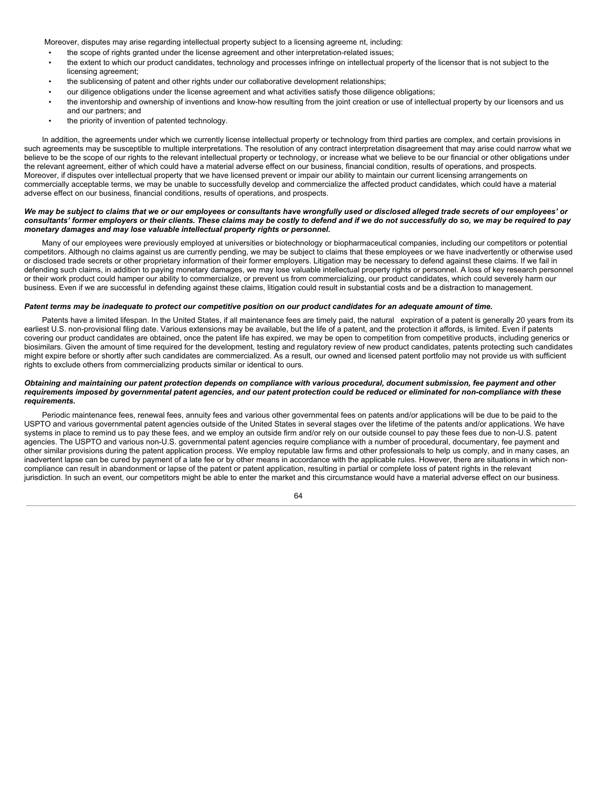Moreover, disputes may arise regarding intellectual property subject to a licensing agreeme nt, including:

- the scope of rights granted under the license agreement and other interpretation-related issues;
- the extent to which our product candidates, technology and processes infringe on intellectual property of the licensor that is not subject to the licensing agreement;
- the sublicensing of patent and other rights under our collaborative development relationships;
- our diligence obligations under the license agreement and what activities satisfy those diligence obligations;
- the inventorship and ownership of inventions and know-how resulting from the joint creation or use of intellectual property by our licensors and us and our partners; and
- the priority of invention of patented technology.

In addition, the agreements under which we currently license intellectual property or technology from third parties are complex, and certain provisions in such agreements may be susceptible to multiple interpretations. The resolution of any contract interpretation disagreement that may arise could narrow what we believe to be the scope of our rights to the relevant intellectual property or technology, or increase what we believe to be our financial or other obligations under the relevant agreement, either of which could have a material adverse effect on our business, financial condition, results of operations, and prospects. Moreover, if disputes over intellectual property that we have licensed prevent or impair our ability to maintain our current licensing arrangements on commercially acceptable terms, we may be unable to successfully develop and commercialize the affected product candidates, which could have a material adverse effect on our business, financial conditions, results of operations, and prospects.

# We may be subject to claims that we or our employees or consultants have wrongfully used or disclosed alleged trade secrets of our employees' or consultants' former employers or their clients. These claims may be costly to defend and if we do not successfully do so, we may be required to pay *monetary damages and may lose valuable intellectual property rights or personnel.*

Many of our employees were previously employed at universities or biotechnology or biopharmaceutical companies, including our competitors or potential competitors. Although no claims against us are currently pending, we may be subject to claims that these employees or we have inadvertently or otherwise used or disclosed trade secrets or other proprietary information of their former employers. Litigation may be necessary to defend against these claims. If we fail in defending such claims, in addition to paying monetary damages, we may lose valuable intellectual property rights or personnel. A loss of key research personnel or their work product could hamper our ability to commercialize, or prevent us from commercializing, our product candidates, which could severely harm our business. Even if we are successful in defending against these claims, litigation could result in substantial costs and be a distraction to management.

## Patent terms may be inadequate to protect our competitive position on our product candidates for an adequate amount of time.

Patents have a limited lifespan. In the United States, if all maintenance fees are timely paid, the natural expiration of a patent is generally 20 years from its earliest U.S. non-provisional filing date. Various extensions may be available, but the life of a patent, and the protection it affords, is limited. Even if patents covering our product candidates are obtained, once the patent life has expired, we may be open to competition from competitive products, including generics or biosimilars. Given the amount of time required for the development, testing and regulatory review of new product candidates, patents protecting such candidates might expire before or shortly after such candidates are commercialized. As a result, our owned and licensed patent portfolio may not provide us with sufficient rights to exclude others from commercializing products similar or identical to ours.

# Obtaining and maintaining our patent protection depends on compliance with various procedural, document submission, fee payment and other requirements imposed by governmental patent agencies, and our patent protection could be reduced or eliminated for non-compliance with these *requirements.*

Periodic maintenance fees, renewal fees, annuity fees and various other governmental fees on patents and/or applications will be due to be paid to the USPTO and various governmental patent agencies outside of the United States in several stages over the lifetime of the patents and/or applications. We have systems in place to remind us to pay these fees, and we employ an outside firm and/or rely on our outside counsel to pay these fees due to non-U.S. patent agencies. The USPTO and various non-U.S. governmental patent agencies require compliance with a number of procedural, documentary, fee payment and other similar provisions during the patent application process. We employ reputable law firms and other professionals to help us comply, and in many cases, an inadvertent lapse can be cured by payment of a late fee or by other means in accordance with the applicable rules. However, there are situations in which noncompliance can result in abandonment or lapse of the patent or patent application, resulting in partial or complete loss of patent rights in the relevant jurisdiction. In such an event, our competitors might be able to enter the market and this circumstance would have a material adverse effect on our business.

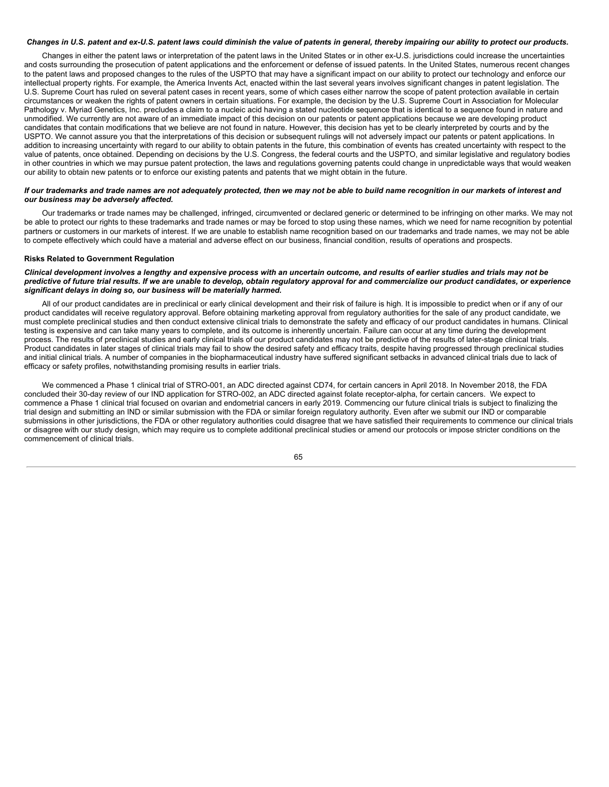# Changes in U.S. patent and ex-U.S. patent laws could diminish the value of patents in general, thereby impairing our ability to protect our products.

Changes in either the patent laws or interpretation of the patent laws in the United States or in other ex-U.S. jurisdictions could increase the uncertainties and costs surrounding the prosecution of patent applications and the enforcement or defense of issued patents. In the United States, numerous recent changes to the patent laws and proposed changes to the rules of the USPTO that may have a significant impact on our ability to protect our technology and enforce our intellectual property rights. For example, the America Invents Act, enacted within the last several years involves significant changes in patent legislation. The U.S. Supreme Court has ruled on several patent cases in recent years, some of which cases either narrow the scope of patent protection available in certain circumstances or weaken the rights of patent owners in certain situations. For example, the decision by the U.S. Supreme Court in Association for Molecular Pathology v. Myriad Genetics, Inc. precludes a claim to a nucleic acid having a stated nucleotide sequence that is identical to a sequence found in nature and unmodified. We currently are not aware of an immediate impact of this decision on our patents or patent applications because we are developing product candidates that contain modifications that we believe are not found in nature. However, this decision has yet to be clearly interpreted by courts and by the USPTO. We cannot assure you that the interpretations of this decision or subsequent rulings will not adversely impact our patents or patent applications. In addition to increasing uncertainty with regard to our ability to obtain patents in the future, this combination of events has created uncertainty with respect to the value of patents, once obtained. Depending on decisions by the U.S. Congress, the federal courts and the USPTO, and similar legislative and regulatory bodies in other countries in which we may pursue patent protection, the laws and regulations governing patents could change in unpredictable ways that would weaken our ability to obtain new patents or to enforce our existing patents and patents that we might obtain in the future.

# If our trademarks and trade names are not adequately protected, then we may not be able to build name recognition in our markets of interest and *our business may be adversely affected.*

Our trademarks or trade names may be challenged, infringed, circumvented or declared generic or determined to be infringing on other marks. We may not be able to protect our rights to these trademarks and trade names or may be forced to stop using these names, which we need for name recognition by potential partners or customers in our markets of interest. If we are unable to establish name recognition based on our trademarks and trade names, we may not be able to compete effectively which could have a material and adverse effect on our business, financial condition, results of operations and prospects.

#### **Risks Related to Government Regulation**

# Clinical development involves a lengthy and expensive process with an uncertain outcome, and results of earlier studies and trials may not be predictive of future trial results. If we are unable to develop, obtain regulatory approval for and commercialize our product candidates, or experience *significant delays in doing so, our business will be materially harmed.*

All of our product candidates are in preclinical or early clinical development and their risk of failure is high. It is impossible to predict when or if any of our product candidates will receive regulatory approval. Before obtaining marketing approval from regulatory authorities for the sale of any product candidate, we must complete preclinical studies and then conduct extensive clinical trials to demonstrate the safety and efficacy of our product candidates in humans. Clinical testing is expensive and can take many years to complete, and its outcome is inherently uncertain. Failure can occur at any time during the development process. The results of preclinical studies and early clinical trials of our product candidates may not be predictive of the results of later-stage clinical trials. Product candidates in later stages of clinical trials may fail to show the desired safety and efficacy traits, despite having progressed through preclinical studies and initial clinical trials. A number of companies in the biopharmaceutical industry have suffered significant setbacks in advanced clinical trials due to lack of efficacy or safety profiles, notwithstanding promising results in earlier trials.

We commenced a Phase 1 clinical trial of STRO-001, an ADC directed against CD74, for certain cancers in April 2018. In November 2018, the FDA concluded their 30-day review of our IND application for STRO-002, an ADC directed against folate receptor-alpha, for certain cancers. We expect to commence a Phase 1 clinical trial focused on ovarian and endometrial cancers in early 2019. Commencing our future clinical trials is subject to finalizing the trial design and submitting an IND or similar submission with the FDA or similar foreign regulatory authority. Even after we submit our IND or comparable submissions in other jurisdictions, the FDA or other regulatory authorities could disagree that we have satisfied their requirements to commence our clinical trials or disagree with our study design, which may require us to complete additional preclinical studies or amend our protocols or impose stricter conditions on the commencement of clinical trials.

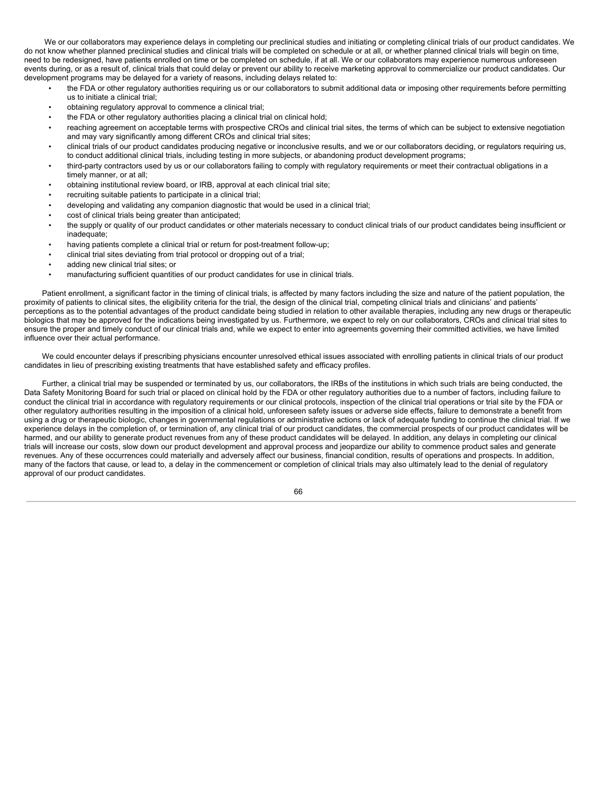We or our collaborators may experience delays in completing our preclinical studies and initiating or completing clinical trials of our product candidates. We do not know whether planned preclinical studies and clinical trials will be completed on schedule or at all, or whether planned clinical trials will begin on time, need to be redesigned, have patients enrolled on time or be completed on schedule, if at all. We or our collaborators may experience numerous unforeseen events during, or as a result of, clinical trials that could delay or prevent our ability to receive marketing approval to commercialize our product candidates. Our development programs may be delayed for a variety of reasons, including delays related to:

- the FDA or other regulatory authorities requiring us or our collaborators to submit additional data or imposing other requirements before permitting us to initiate a clinical trial;
- obtaining regulatory approval to commence a clinical trial;
- the FDA or other regulatory authorities placing a clinical trial on clinical hold;
- reaching agreement on acceptable terms with prospective CROs and clinical trial sites, the terms of which can be subject to extensive negotiation and may vary significantly among different CROs and clinical trial sites;
- clinical trials of our product candidates producing negative or inconclusive results, and we or our collaborators deciding, or regulators requiring us, to conduct additional clinical trials, including testing in more subjects, or abandoning product development programs;
- third-party contractors used by us or our collaborators failing to comply with regulatory requirements or meet their contractual obligations in a timely manner, or at all;
- obtaining institutional review board, or IRB, approval at each clinical trial site;
- recruiting suitable patients to participate in a clinical trial;
- developing and validating any companion diagnostic that would be used in a clinical trial;
- cost of clinical trials being greater than anticipated;
- the supply or quality of our product candidates or other materials necessary to conduct clinical trials of our product candidates being insufficient or inadequate;
- having patients complete a clinical trial or return for post-treatment follow-up;
- clinical trial sites deviating from trial protocol or dropping out of a trial;
- adding new clinical trial sites; or
- manufacturing sufficient quantities of our product candidates for use in clinical trials.

Patient enrollment, a significant factor in the timing of clinical trials, is affected by many factors including the size and nature of the patient population, the proximity of patients to clinical sites, the eligibility criteria for the trial, the design of the clinical trial, competing clinical trials and clinicians' and patients' perceptions as to the potential advantages of the product candidate being studied in relation to other available therapies, including any new drugs or therapeutic biologics that may be approved for the indications being investigated by us. Furthermore, we expect to rely on our collaborators, CROs and clinical trial sites to ensure the proper and timely conduct of our clinical trials and, while we expect to enter into agreements governing their committed activities, we have limited influence over their actual performance.

We could encounter delays if prescribing physicians encounter unresolved ethical issues associated with enrolling patients in clinical trials of our product candidates in lieu of prescribing existing treatments that have established safety and efficacy profiles.

Further, a clinical trial may be suspended or terminated by us, our collaborators, the IRBs of the institutions in which such trials are being conducted, the Data Safety Monitoring Board for such trial or placed on clinical hold by the FDA or other regulatory authorities due to a number of factors, including failure to conduct the clinical trial in accordance with regulatory requirements or our clinical protocols, inspection of the clinical trial operations or trial site by the FDA or other regulatory authorities resulting in the imposition of a clinical hold, unforeseen safety issues or adverse side effects, failure to demonstrate a benefit from using a drug or therapeutic biologic, changes in governmental regulations or administrative actions or lack of adequate funding to continue the clinical trial. If we experience delays in the completion of, or termination of, any clinical trial of our product candidates, the commercial prospects of our product candidates will be harmed, and our ability to generate product revenues from any of these product candidates will be delayed. In addition, any delays in completing our clinical trials will increase our costs, slow down our product development and approval process and jeopardize our ability to commence product sales and generate revenues. Any of these occurrences could materially and adversely affect our business, financial condition, results of operations and prospects. In addition, many of the factors that cause, or lead to, a delay in the commencement or completion of clinical trials may also ultimately lead to the denial of regulatory approval of our product candidates.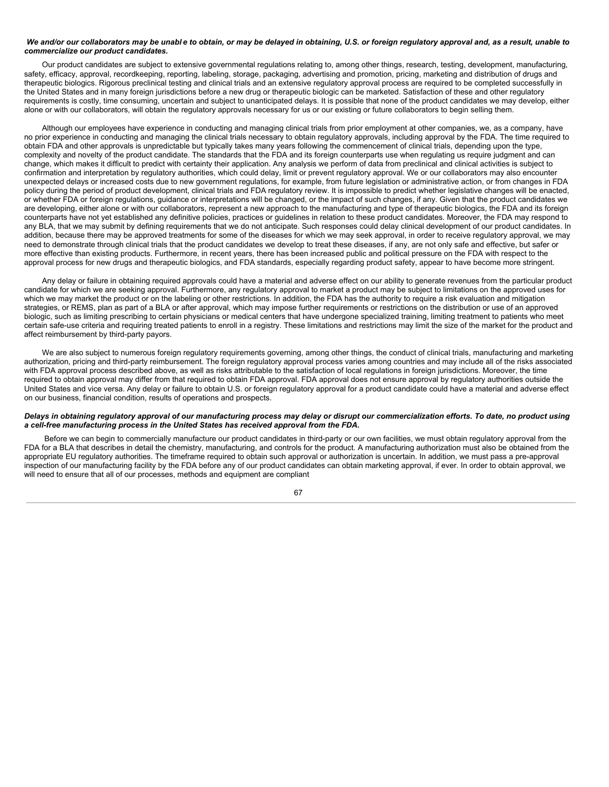# We and/or our collaborators may be unable to obtain, or may be delayed in obtaining, U.S. or foreign regulatory approval and, as a result, unable to *commercialize our product candidates.*

Our product candidates are subject to extensive governmental regulations relating to, among other things, research, testing, development, manufacturing, safety, efficacy, approval, recordkeeping, reporting, labeling, storage, packaging, advertising and promotion, pricing, marketing and distribution of drugs and therapeutic biologics. Rigorous preclinical testing and clinical trials and an extensive regulatory approval process are required to be completed successfully in the United States and in many foreign jurisdictions before a new drug or therapeutic biologic can be marketed. Satisfaction of these and other regulatory requirements is costly, time consuming, uncertain and subject to unanticipated delays. It is possible that none of the product candidates we may develop, either alone or with our collaborators, will obtain the regulatory approvals necessary for us or our existing or future collaborators to begin selling them.

Although our employees have experience in conducting and managing clinical trials from prior employment at other companies, we, as a company, have no prior experience in conducting and managing the clinical trials necessary to obtain regulatory approvals, including approval by the FDA. The time required to obtain FDA and other approvals is unpredictable but typically takes many years following the commencement of clinical trials, depending upon the type, complexity and novelty of the product candidate. The standards that the FDA and its foreign counterparts use when regulating us require judgment and can change, which makes it difficult to predict with certainty their application. Any analysis we perform of data from preclinical and clinical activities is subject to confirmation and interpretation by regulatory authorities, which could delay, limit or prevent regulatory approval. We or our collaborators may also encounter unexpected delays or increased costs due to new government regulations, for example, from future legislation or administrative action, or from changes in FDA policy during the period of product development, clinical trials and FDA regulatory review. It is impossible to predict whether legislative changes will be enacted, or whether FDA or foreign regulations, guidance or interpretations will be changed, or the impact of such changes, if any. Given that the product candidates we are developing, either alone or with our collaborators, represent a new approach to the manufacturing and type of therapeutic biologics, the FDA and its foreign counterparts have not yet established any definitive policies, practices or guidelines in relation to these product candidates. Moreover, the FDA may respond to any BLA, that we may submit by defining requirements that we do not anticipate. Such responses could delay clinical development of our product candidates. In addition, because there may be approved treatments for some of the diseases for which we may seek approval, in order to receive regulatory approval, we may need to demonstrate through clinical trials that the product candidates we develop to treat these diseases, if any, are not only safe and effective, but safer or more effective than existing products. Furthermore, in recent years, there has been increased public and political pressure on the FDA with respect to the approval process for new drugs and therapeutic biologics, and FDA standards, especially regarding product safety, appear to have become more stringent.

Any delay or failure in obtaining required approvals could have a material and adverse effect on our ability to generate revenues from the particular product candidate for which we are seeking approval. Furthermore, any regulatory approval to market a product may be subject to limitations on the approved uses for which we may market the product or on the labeling or other restrictions. In addition, the FDA has the authority to require a risk evaluation and mitigation strategies, or REMS, plan as part of a BLA or after approval, which may impose further requirements or restrictions on the distribution or use of an approved biologic, such as limiting prescribing to certain physicians or medical centers that have undergone specialized training, limiting treatment to patients who meet certain safe-use criteria and requiring treated patients to enroll in a registry. These limitations and restrictions may limit the size of the market for the product and affect reimbursement by third-party payors.

We are also subject to numerous foreign regulatory requirements governing, among other things, the conduct of clinical trials, manufacturing and marketing authorization, pricing and third-party reimbursement. The foreign regulatory approval process varies among countries and may include all of the risks associated with FDA approval process described above, as well as risks attributable to the satisfaction of local regulations in foreign jurisdictions. Moreover, the time required to obtain approval may differ from that required to obtain FDA approval. FDA approval does not ensure approval by regulatory authorities outside the United States and vice versa. Any delay or failure to obtain U.S. or foreign regulatory approval for a product candidate could have a material and adverse effect on our business, financial condition, results of operations and prospects.

# Delays in obtaining regulatory approval of our manufacturing process may delay or disrupt our commercialization efforts. To date, no product using *a cell-free manufacturing process in the United States has received approval from the FDA.*

Before we can begin to commercially manufacture our product candidates in third-party or our own facilities, we must obtain regulatory approval from the FDA for a BLA that describes in detail the chemistry, manufacturing, and controls for the product. A manufacturing authorization must also be obtained from the appropriate EU regulatory authorities. The timeframe required to obtain such approval or authorization is uncertain. In addition, we must pass a pre-approval inspection of our manufacturing facility by the FDA before any of our product candidates can obtain marketing approval, if ever. In order to obtain approval, we will need to ensure that all of our processes, methods and equipment are compliant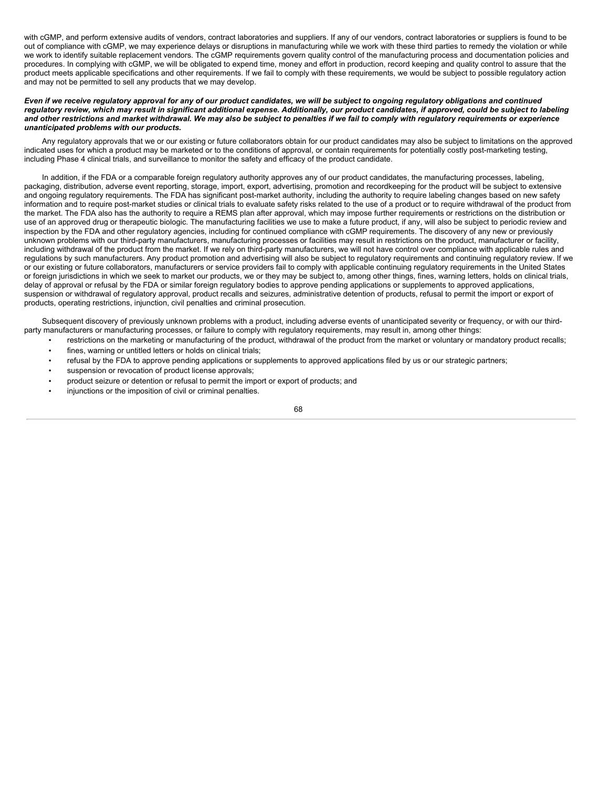with cGMP, and perform extensive audits of vendors, contract laboratories and suppliers. If any of our vendors, contract laboratories or suppliers is found to be out of compliance with cGMP, we may experience delays or disruptions in manufacturing while we work with these third parties to remedy the violation or while we work to identify suitable replacement vendors. The cGMP requirements govern quality control of the manufacturing process and documentation policies and procedures. In complying with cGMP, we will be obligated to expend time, money and effort in production, record keeping and quality control to assure that the product meets applicable specifications and other requirements. If we fail to comply with these requirements, we would be subject to possible regulatory action and may not be permitted to sell any products that we may develop.

# Even if we receive regulatory approval for any of our product candidates, we will be subject to ongoing regulatory obligations and continued regulatory review, which may result in significant additional expense. Additionally, our product candidates, if approved, could be subject to labeling and other restrictions and market withdrawal. We may also be subject to penalties if we fail to comply with regulatory requirements or experience *unanticipated problems with our products.*

Any regulatory approvals that we or our existing or future collaborators obtain for our product candidates may also be subject to limitations on the approved indicated uses for which a product may be marketed or to the conditions of approval, or contain requirements for potentially costly post-marketing testing, including Phase 4 clinical trials, and surveillance to monitor the safety and efficacy of the product candidate.

In addition, if the FDA or a comparable foreign regulatory authority approves any of our product candidates, the manufacturing processes, labeling, packaging, distribution, adverse event reporting, storage, import, export, advertising, promotion and recordkeeping for the product will be subject to extensive and ongoing regulatory requirements. The FDA has significant post-market authority, including the authority to require labeling changes based on new safety information and to require post-market studies or clinical trials to evaluate safety risks related to the use of a product or to require withdrawal of the product from the market. The FDA also has the authority to require a REMS plan after approval, which may impose further requirements or restrictions on the distribution or use of an approved drug or therapeutic biologic. The manufacturing facilities we use to make a future product, if any, will also be subject to periodic review and inspection by the FDA and other regulatory agencies, including for continued compliance with cGMP requirements. The discovery of any new or previously unknown problems with our third-party manufacturers, manufacturing processes or facilities may result in restrictions on the product, manufacturer or facility, including withdrawal of the product from the market. If we rely on third-party manufacturers, we will not have control over compliance with applicable rules and regulations by such manufacturers. Any product promotion and advertising will also be subject to regulatory requirements and continuing regulatory review. If we or our existing or future collaborators, manufacturers or service providers fail to comply with applicable continuing regulatory requirements in the United States or foreign jurisdictions in which we seek to market our products, we or they may be subject to, among other things, fines, warning letters, holds on clinical trials, delay of approval or refusal by the FDA or similar foreign regulatory bodies to approve pending applications or supplements to approved applications, suspension or withdrawal of regulatory approval, product recalls and seizures, administrative detention of products, refusal to permit the import or export of products, operating restrictions, injunction, civil penalties and criminal prosecution.

Subsequent discovery of previously unknown problems with a product, including adverse events of unanticipated severity or frequency, or with our thirdparty manufacturers or manufacturing processes, or failure to comply with regulatory requirements, may result in, among other things:

- restrictions on the marketing or manufacturing of the product, withdrawal of the product from the market or voluntary or mandatory product recalls;
- fines, warning or untitled letters or holds on clinical trials;
- refusal by the FDA to approve pending applications or supplements to approved applications filed by us or our strategic partners;
- suspension or revocation of product license approvals;
- product seizure or detention or refusal to permit the import or export of products; and
- injunctions or the imposition of civil or criminal penalties.

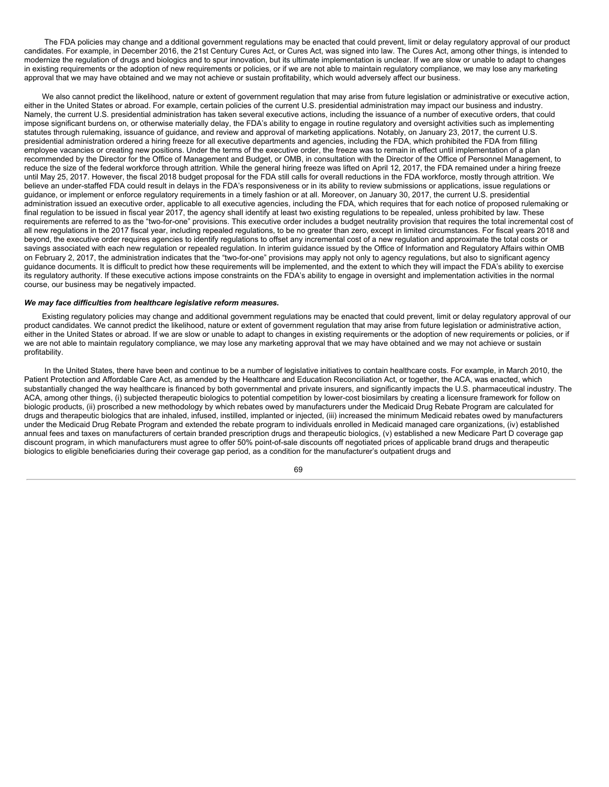The FDA policies may change and a dditional government regulations may be enacted that could prevent, limit or delay regulatory approval of our product candidates. For example, in December 2016, the 21st Century Cures Act, or Cures Act, was signed into law. The Cures Act, among other things, is intended to modernize the regulation of drugs and biologics and to spur innovation, but its ultimate implementation is unclear. If we are slow or unable to adapt to changes in existing requirements or the adoption of new requirements or policies, or if we are not able to maintain regulatory compliance, we may lose any marketing approval that we may have obtained and we may not achieve or sustain profitability, which would adversely affect our business.

We also cannot predict the likelihood, nature or extent of government regulation that may arise from future legislation or administrative or executive action, either in the United States or abroad. For example, certain policies of the current U.S. presidential administration may impact our business and industry. Namely, the current U.S. presidential administration has taken several executive actions, including the issuance of a number of executive orders, that could impose significant burdens on, or otherwise materially delay, the FDA's ability to engage in routine regulatory and oversight activities such as implementing statutes through rulemaking, issuance of guidance, and review and approval of marketing applications. Notably, on January 23, 2017, the current U.S. presidential administration ordered a hiring freeze for all executive departments and agencies, including the FDA, which prohibited the FDA from filling employee vacancies or creating new positions. Under the terms of the executive order, the freeze was to remain in effect until implementation of a plan recommended by the Director for the Office of Management and Budget, or OMB, in consultation with the Director of the Office of Personnel Management, to reduce the size of the federal workforce through attrition. While the general hiring freeze was lifted on April 12, 2017, the FDA remained under a hiring freeze until May 25, 2017. However, the fiscal 2018 budget proposal for the FDA still calls for overall reductions in the FDA workforce, mostly through attrition. We believe an under-staffed FDA could result in delays in the FDA's responsiveness or in its ability to review submissions or applications, issue regulations or guidance, or implement or enforce regulatory requirements in a timely fashion or at all. Moreover, on January 30, 2017, the current U.S. presidential administration issued an executive order, applicable to all executive agencies, including the FDA, which requires that for each notice of proposed rulemaking or final regulation to be issued in fiscal year 2017, the agency shall identify at least two existing regulations to be repealed, unless prohibited by law. These requirements are referred to as the "two-for-one" provisions. This executive order includes a budget neutrality provision that requires the total incremental cost of all new regulations in the 2017 fiscal year, including repealed regulations, to be no greater than zero, except in limited circumstances. For fiscal years 2018 and beyond, the executive order requires agencies to identify regulations to offset any incremental cost of a new regulation and approximate the total costs or savings associated with each new regulation or repealed regulation. In interim guidance issued by the Office of Information and Regulatory Affairs within OMB on February 2, 2017, the administration indicates that the "two-for-one" provisions may apply not only to agency regulations, but also to significant agency guidance documents. It is difficult to predict how these requirements will be implemented, and the extent to which they will impact the FDA's ability to exercise its regulatory authority. If these executive actions impose constraints on the FDA's ability to engage in oversight and implementation activities in the normal course, our business may be negatively impacted.

#### *We may face difficulties from healthcare legislative reform measures.*

Existing regulatory policies may change and additional government regulations may be enacted that could prevent, limit or delay regulatory approval of our product candidates. We cannot predict the likelihood, nature or extent of government regulation that may arise from future legislation or administrative action, either in the United States or abroad. If we are slow or unable to adapt to changes in existing requirements or the adoption of new requirements or policies, or if we are not able to maintain regulatory compliance, we may lose any marketing approval that we may have obtained and we may not achieve or sustain profitability.

In the United States, there have been and continue to be a number of legislative initiatives to contain healthcare costs. For example, in March 2010, the Patient Protection and Affordable Care Act, as amended by the Healthcare and Education Reconciliation Act, or together, the ACA, was enacted, which substantially changed the way healthcare is financed by both governmental and private insurers, and significantly impacts the U.S. pharmaceutical industry. The ACA, among other things, (i) subjected therapeutic biologics to potential competition by lower-cost biosimilars by creating a licensure framework for follow on biologic products, (ii) proscribed a new methodology by which rebates owed by manufacturers under the Medicaid Drug Rebate Program are calculated for drugs and therapeutic biologics that are inhaled, infused, instilled, implanted or injected, (iii) increased the minimum Medicaid rebates owed by manufacturers under the Medicaid Drug Rebate Program and extended the rebate program to individuals enrolled in Medicaid managed care organizations, (iv) established annual fees and taxes on manufacturers of certain branded prescription drugs and therapeutic biologics, (v) established a new Medicare Part D coverage gap discount program, in which manufacturers must agree to offer 50% point-of-sale discounts off negotiated prices of applicable brand drugs and therapeutic biologics to eligible beneficiaries during their coverage gap period, as a condition for the manufacturer's outpatient drugs and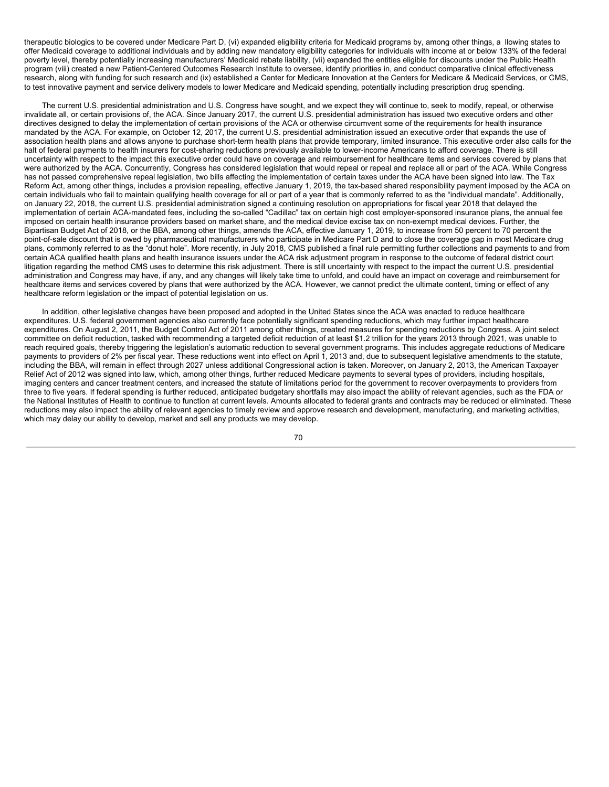therapeutic biologics to be covered under Medicare Part D, (vi) expanded eligibility criteria for Medicaid programs by, among other things, a llowing states to offer Medicaid coverage to additional individuals and by adding new mandatory eligibility categories for individuals with income at or below 133% of the federal poverty level, thereby potentially increasing manufacturers' Medicaid rebate liability, (vii) expanded the entities eligible for discounts under the Public Health program (viii) created a new Patient-Centered Outcomes Research Institute to oversee, identify priorities in, and conduct comparative clinical effectiveness research, along with funding for such research and (ix) established a Center for Medicare Innovation at the Centers for Medicare & Medicaid Services, or CMS, to test innovative payment and service delivery models to lower Medicare and Medicaid spending, potentially including prescription drug spending.

The current U.S. presidential administration and U.S. Congress have sought, and we expect they will continue to, seek to modify, repeal, or otherwise invalidate all, or certain provisions of, the ACA. Since January 2017, the current U.S. presidential administration has issued two executive orders and other directives designed to delay the implementation of certain provisions of the ACA or otherwise circumvent some of the requirements for health insurance mandated by the ACA. For example, on October 12, 2017, the current U.S. presidential administration issued an executive order that expands the use of association health plans and allows anyone to purchase short-term health plans that provide temporary, limited insurance. This executive order also calls for the halt of federal payments to health insurers for cost-sharing reductions previously available to lower-income Americans to afford coverage. There is still uncertainty with respect to the impact this executive order could have on coverage and reimbursement for healthcare items and services covered by plans that were authorized by the ACA. Concurrently, Congress has considered legislation that would repeal or repeal and replace all or part of the ACA. While Congress has not passed comprehensive repeal legislation, two bills affecting the implementation of certain taxes under the ACA have been signed into law. The Tax Reform Act, among other things, includes a provision repealing, effective January 1, 2019, the tax-based shared responsibility payment imposed by the ACA on certain individuals who fail to maintain qualifying health coverage for all or part of a year that is commonly referred to as the "individual mandate". Additionally, on January 22, 2018, the current U.S. presidential administration signed a continuing resolution on appropriations for fiscal year 2018 that delayed the implementation of certain ACA-mandated fees, including the so-called "Cadillac" tax on certain high cost employer-sponsored insurance plans, the annual fee imposed on certain health insurance providers based on market share, and the medical device excise tax on non-exempt medical devices. Further, the Bipartisan Budget Act of 2018, or the BBA, among other things, amends the ACA, effective January 1, 2019, to increase from 50 percent to 70 percent the point-of-sale discount that is owed by pharmaceutical manufacturers who participate in Medicare Part D and to close the coverage gap in most Medicare drug plans, commonly referred to as the "donut hole". More recently, in July 2018, CMS published a final rule permitting further collections and payments to and from certain ACA qualified health plans and health insurance issuers under the ACA risk adjustment program in response to the outcome of federal district court litigation regarding the method CMS uses to determine this risk adjustment. There is still uncertainty with respect to the impact the current U.S. presidential administration and Congress may have, if any, and any changes will likely take time to unfold, and could have an impact on coverage and reimbursement for healthcare items and services covered by plans that were authorized by the ACA. However, we cannot predict the ultimate content, timing or effect of any healthcare reform legislation or the impact of potential legislation on us.

In addition, other legislative changes have been proposed and adopted in the United States since the ACA was enacted to reduce healthcare expenditures. U.S. federal government agencies also currently face potentially significant spending reductions, which may further impact healthcare expenditures. On August 2, 2011, the Budget Control Act of 2011 among other things, created measures for spending reductions by Congress. A joint select committee on deficit reduction, tasked with recommending a targeted deficit reduction of at least \$1.2 trillion for the years 2013 through 2021, was unable to reach required goals, thereby triggering the legislation's automatic reduction to several government programs. This includes aggregate reductions of Medicare payments to providers of 2% per fiscal year. These reductions went into effect on April 1, 2013 and, due to subsequent legislative amendments to the statute, including the BBA, will remain in effect through 2027 unless additional Congressional action is taken. Moreover, on January 2, 2013, the American Taxpayer Relief Act of 2012 was signed into law, which, among other things, further reduced Medicare payments to several types of providers, including hospitals, imaging centers and cancer treatment centers, and increased the statute of limitations period for the government to recover overpayments to providers from three to five years. If federal spending is further reduced, anticipated budgetary shortfalls may also impact the ability of relevant agencies, such as the FDA or the National Institutes of Health to continue to function at current levels. Amounts allocated to federal grants and contracts may be reduced or eliminated. These reductions may also impact the ability of relevant agencies to timely review and approve research and development, manufacturing, and marketing activities, which may delay our ability to develop, market and sell any products we may develop.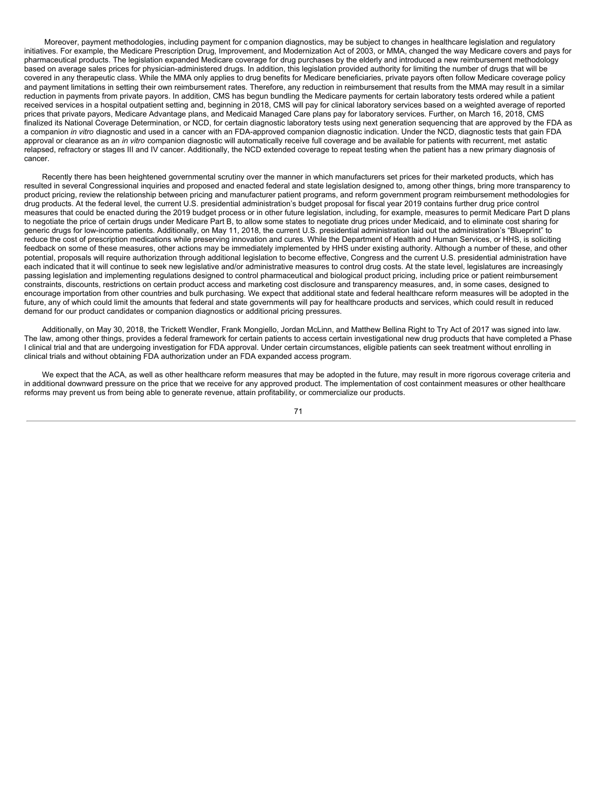Moreover, payment methodologies, including payment for c ompanion diagnostics, may be subject to changes in healthcare legislation and regulatory initiatives. For example, the Medicare Prescription Drug, Improvement, and Modernization Act of 2003, or MMA, changed the way Medicare covers and pays for pharmaceutical products. The legislation expanded Medicare coverage for drug purchases by the elderly and introduced a new reimbursement methodology based on average sales prices for physician-administered drugs. In addition, this legislation provided authority for limiting the number of drugs that will be covered in any therapeutic class. While the MMA only applies to drug benefits for Medicare beneficiaries, private payors often follow Medicare coverage policy and payment limitations in setting their own reimbursement rates. Therefore, any reduction in reimbursement that results from the MMA may result in a similar reduction in payments from private payors. In addition, CMS has begun bundling the Medicare payments for certain laboratory tests ordered while a patient received services in a hospital outpatient setting and, beginning in 2018, CMS will pay for clinical laboratory services based on a weighted average of reported prices that private payors, Medicare Advantage plans, and Medicaid Managed Care plans pay for laboratory services. Further, on March 16, 2018, CMS finalized its National Coverage Determination, or NCD, for certain diagnostic laboratory tests using next generation sequencing that are approved by the FDA as a companion *in vitro* diagnostic and used in a cancer with an FDA-approved companion diagnostic indication. Under the NCD, diagnostic tests that gain FDA approval or clearance as an *in vitro* companion diagnostic will automatically receive full coverage and be available for patients with recurrent, met astatic relapsed, refractory or stages III and IV cancer. Additionally, the NCD extended coverage to repeat testing when the patient has a new primary diagnosis of cancer.

Recently there has been heightened governmental scrutiny over the manner in which manufacturers set prices for their marketed products, which has resulted in several Congressional inquiries and proposed and enacted federal and state legislation designed to, among other things, bring more transparency to product pricing, review the relationship between pricing and manufacturer patient programs, and reform government program reimbursement methodologies for drug products. At the federal level, the current U.S. presidential administration's budget proposal for fiscal year 2019 contains further drug price control measures that could be enacted during the 2019 budget process or in other future legislation, including, for example, measures to permit Medicare Part D plans to negotiate the price of certain drugs under Medicare Part B, to allow some states to negotiate drug prices under Medicaid, and to eliminate cost sharing for generic drugs for low-income patients. Additionally, on May 11, 2018, the current U.S. presidential administration laid out the administration's "Blueprint" to reduce the cost of prescription medications while preserving innovation and cures. While the Department of Health and Human Services, or HHS, is soliciting feedback on some of these measures, other actions may be immediately implemented by HHS under existing authority. Although a number of these, and other potential, proposals will require authorization through additional legislation to become effective, Congress and the current U.S. presidential administration have each indicated that it will continue to seek new legislative and/or administrative measures to control drug costs. At the state level, legislatures are increasingly passing legislation and implementing regulations designed to control pharmaceutical and biological product pricing, including price or patient reimbursement constraints, discounts, restrictions on certain product access and marketing cost disclosure and transparency measures, and, in some cases, designed to encourage importation from other countries and bulk purchasing. We expect that additional state and federal healthcare reform measures will be adopted in the future, any of which could limit the amounts that federal and state governments will pay for healthcare products and services, which could result in reduced demand for our product candidates or companion diagnostics or additional pricing pressures.

Additionally, on May 30, 2018, the Trickett Wendler, Frank Mongiello, Jordan McLinn, and Matthew Bellina Right to Try Act of 2017 was signed into law. The law, among other things, provides a federal framework for certain patients to access certain investigational new drug products that have completed a Phase I clinical trial and that are undergoing investigation for FDA approval. Under certain circumstances, eligible patients can seek treatment without enrolling in clinical trials and without obtaining FDA authorization under an FDA expanded access program.

We expect that the ACA, as well as other healthcare reform measures that may be adopted in the future, may result in more rigorous coverage criteria and in additional downward pressure on the price that we receive for any approved product. The implementation of cost containment measures or other healthcare reforms may prevent us from being able to generate revenue, attain profitability, or commercialize our products.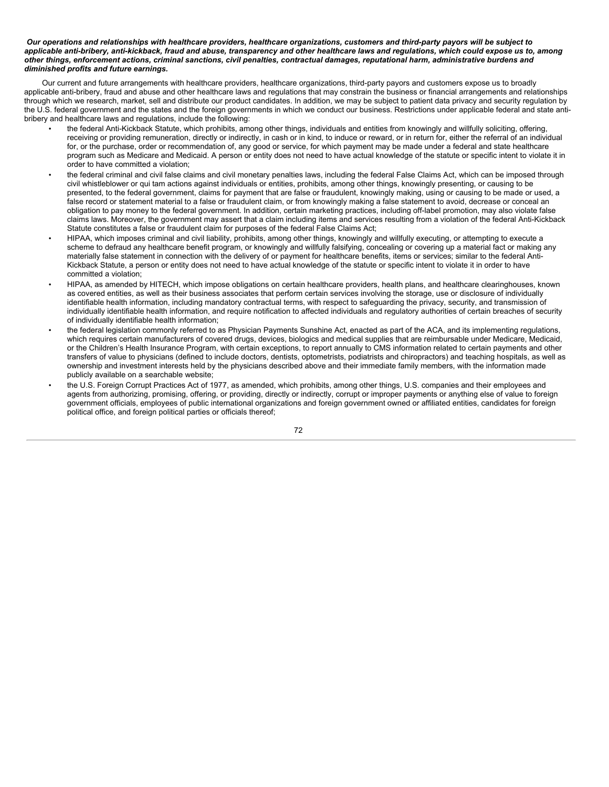#### Our operations and relationships with healthcare providers, healthcare organizations, customers and third-party payors will be subject to applicable anti-bribery, anti-kickback, fraud and abuse, transparency and other healthcare laws and requlations, which could expose us to, among other things, enforcement actions, criminal sanctions, civil penalties, contractual damages, reputational harm, administrative burdens and *diminished profits and future earnings.*

Our current and future arrangements with healthcare providers, healthcare organizations, third-party payors and customers expose us to broadly applicable anti-bribery, fraud and abuse and other healthcare laws and regulations that may constrain the business or financial arrangements and relationships through which we research, market, sell and distribute our product candidates. In addition, we may be subject to patient data privacy and security regulation by the U.S. federal government and the states and the foreign governments in which we conduct our business. Restrictions under applicable federal and state antibribery and healthcare laws and regulations, include the following:

- the federal Anti-Kickback Statute, which prohibits, among other things, individuals and entities from knowingly and willfully soliciting, offering, receiving or providing remuneration, directly or indirectly, in cash or in kind, to induce or reward, or in return for, either the referral of an individual for, or the purchase, order or recommendation of, any good or service, for which payment may be made under a federal and state healthcare program such as Medicare and Medicaid. A person or entity does not need to have actual knowledge of the statute or specific intent to violate it in order to have committed a violation;
- the federal criminal and civil false claims and civil monetary penalties laws, including the federal False Claims Act, which can be imposed through civil whistleblower or qui tam actions against individuals or entities, prohibits, among other things, knowingly presenting, or causing to be presented, to the federal government, claims for payment that are false or fraudulent, knowingly making, using or causing to be made or used, a false record or statement material to a false or fraudulent claim, or from knowingly making a false statement to avoid, decrease or conceal an obligation to pay money to the federal government. In addition, certain marketing practices, including off-label promotion, may also violate false claims laws. Moreover, the government may assert that a claim including items and services resulting from a violation of the federal Anti-Kickback Statute constitutes a false or fraudulent claim for purposes of the federal False Claims Act;
- HIPAA, which imposes criminal and civil liability, prohibits, among other things, knowingly and willfully executing, or attempting to execute a scheme to defraud any healthcare benefit program, or knowingly and willfully falsifying, concealing or covering up a material fact or making any materially false statement in connection with the delivery of or payment for healthcare benefits, items or services; similar to the federal Anti-Kickback Statute, a person or entity does not need to have actual knowledge of the statute or specific intent to violate it in order to have committed a violation;
- HIPAA, as amended by HITECH, which impose obligations on certain healthcare providers, health plans, and healthcare clearinghouses, known as covered entities, as well as their business associates that perform certain services involving the storage, use or disclosure of individually identifiable health information, including mandatory contractual terms, with respect to safeguarding the privacy, security, and transmission of individually identifiable health information, and require notification to affected individuals and regulatory authorities of certain breaches of security of individually identifiable health information;
- the federal legislation commonly referred to as Physician Payments Sunshine Act, enacted as part of the ACA, and its implementing regulations, which requires certain manufacturers of covered drugs, devices, biologics and medical supplies that are reimbursable under Medicare, Medicaid, or the Children's Health Insurance Program, with certain exceptions, to report annually to CMS information related to certain payments and other transfers of value to physicians (defined to include doctors, dentists, optometrists, podiatrists and chiropractors) and teaching hospitals, as well as ownership and investment interests held by the physicians described above and their immediate family members, with the information made publicly available on a searchable website;
- the U.S. Foreign Corrupt Practices Act of 1977, as amended, which prohibits, among other things, U.S. companies and their employees and agents from authorizing, promising, offering, or providing, directly or indirectly, corrupt or improper payments or anything else of value to foreign government officials, employees of public international organizations and foreign government owned or affiliated entities, candidates for foreign political office, and foreign political parties or officials thereof;

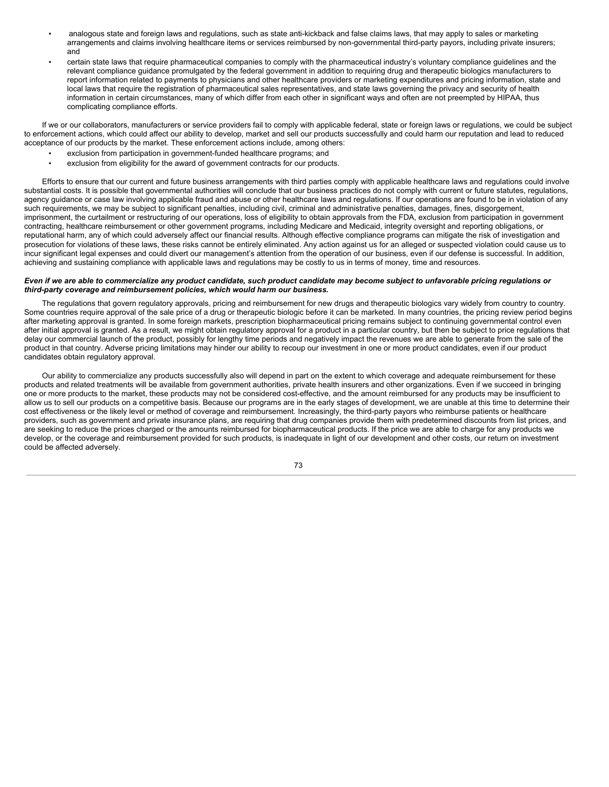- analogous state and foreign laws and regulations, such as state anti-kickback and false claims laws, that may apply to sales or marketing arrangements and claims involving healthcare items or services reimbursed by non-governmental third-party payors, including private insurers; and
- certain state laws that require pharmaceutical companies to comply with the pharmaceutical industry's voluntary compliance guidelines and the relevant compliance guidance promulgated by the federal government in addition to requiring drug and therapeutic biologics manufacturers to report information related to payments to physicians and other healthcare providers or marketing expenditures and pricing information, state and local laws that require the registration of pharmaceutical sales representatives, and state laws governing the privacy and security of health information in certain circumstances, many of which differ from each other in significant ways and often are not preempted by HIPAA, thus complicating compliance efforts.

If we or our collaborators, manufacturers or service providers fail to comply with applicable federal, state or foreign laws or regulations, we could be subject to enforcement actions, which could affect our ability to develop, market and sell our products successfully and could harm our reputation and lead to reduced acceptance of our products by the market. These enforcement actions include, among others:

- exclusion from participation in government-funded healthcare programs; and
- exclusion from eligibility for the award of government contracts for our products.

Efforts to ensure that our current and future business arrangements with third parties comply with applicable healthcare laws and regulations could involve substantial costs. It is possible that governmental authorities will conclude that our business practices do not comply with current or future statutes, regulations, agency guidance or case law involving applicable fraud and abuse or other healthcare laws and regulations. If our operations are found to be in violation of any such requirements, we may be subject to significant penalties, including civil, criminal and administrative penalties, damages, fines, disgorgement, imprisonment, the curtailment or restructuring of our operations, loss of eligibility to obtain approvals from the FDA, exclusion from participation in government contracting, healthcare reimbursement or other government programs, including Medicare and Medicaid, integrity oversight and reporting obligations, or reputational harm, any of which could adversely affect our financial results. Although effective compliance programs can mitigate the risk of investigation and prosecution for violations of these laws, these risks cannot be entirely eliminated. Any action against us for an alleged or suspected violation could cause us to incur significant legal expenses and could divert our management's attention from the operation of our business, even if our defense is successful. In addition, achieving and sustaining compliance with applicable laws and regulations may be costly to us in terms of money, time and resources.

#### Even if we are able to commercialize any product candidate, such product candidate may become subject to unfavorable pricing regulations or *third-party coverage and reimbursement policies, which would harm our business.*

The regulations that govern regulatory approvals, pricing and reimbursement for new drugs and therapeutic biologics vary widely from country to country. Some countries require approval of the sale price of a drug or therapeutic biologic before it can be marketed. In many countries, the pricing review period begins after marketing approval is granted. In some foreign markets, prescription biopharmaceutical pricing remains subject to continuing governmental control even after initial approval is granted. As a result, we might obtain regulatory approval for a product in a particular country, but then be subject to price regulations that delay our commercial launch of the product, possibly for lengthy time periods and negatively impact the revenues we are able to generate from the sale of the product in that country. Adverse pricing limitations may hinder our ability to recoup our investment in one or more product candidates, even if our product candidates obtain regulatory approval.

Our ability to commercialize any products successfully also will depend in part on the extent to which coverage and adequate reimbursement for these products and related treatments will be available from government authorities, private health insurers and other organizations. Even if we succeed in bringing one or more products to the market, these products may not be considered cost-effective, and the amount reimbursed for any products may be insufficient to allow us to sell our products on a competitive basis. Because our programs are in the early stages of development, we are unable at this time to determine their cost effectiveness or the likely level or method of coverage and reimbursement. Increasingly, the third-party payors who reimburse patients or healthcare providers, such as government and private insurance plans, are requiring that drug companies provide them with predetermined discounts from list prices, and are seeking to reduce the prices charged or the amounts reimbursed for biopharmaceutical products. If the price we are able to charge for any products we develop, or the coverage and reimbursement provided for such products, is inadequate in light of our development and other costs, our return on investment could be affected adversely.

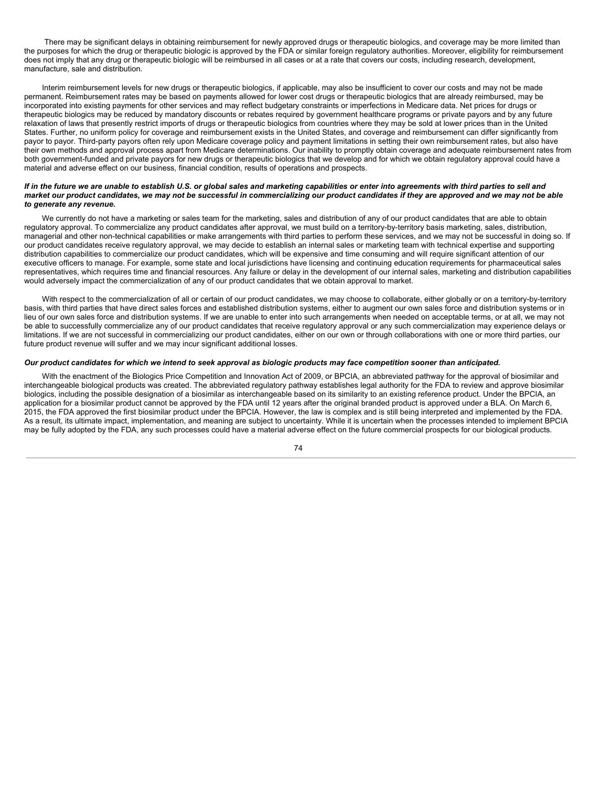There may be significant delays in obtaining reimbursement for newly approved drugs or therapeutic biologics, and coverage may be more limited than the purposes for which the drug or therapeutic biologic is approved by the FDA or similar foreign regulatory authorities. Moreover, eligibility for reimbursement does not imply that any drug or therapeutic biologic will be reimbursed in all cases or at a rate that covers our costs, including research, development, manufacture, sale and distribution.

Interim reimbursement levels for new drugs or therapeutic biologics, if applicable, may also be insufficient to cover our costs and may not be made permanent. Reimbursement rates may be based on payments allowed for lower cost drugs or therapeutic biologics that are already reimbursed, may be incorporated into existing payments for other services and may reflect budgetary constraints or imperfections in Medicare data. Net prices for drugs or therapeutic biologics may be reduced by mandatory discounts or rebates required by government healthcare programs or private payors and by any future relaxation of laws that presently restrict imports of drugs or therapeutic biologics from countries where they may be sold at lower prices than in the United States. Further, no uniform policy for coverage and reimbursement exists in the United States, and coverage and reimbursement can differ significantly from payor to payor. Third-party payors often rely upon Medicare coverage policy and payment limitations in setting their own reimbursement rates, but also have their own methods and approval process apart from Medicare determinations. Our inability to promptly obtain coverage and adequate reimbursement rates from both government-funded and private payors for new drugs or therapeutic biologics that we develop and for which we obtain regulatory approval could have a material and adverse effect on our business, financial condition, results of operations and prospects.

#### If in the future we are unable to establish U.S. or global sales and marketing capabilities or enter into agreements with third parties to sell and market our product candidates, we may not be successful in commercializing our product candidates if they are approved and we may not be able *to generate any revenue.*

We currently do not have a marketing or sales team for the marketing, sales and distribution of any of our product candidates that are able to obtain regulatory approval. To commercialize any product candidates after approval, we must build on a territory-by-territory basis marketing, sales, distribution, managerial and other non-technical capabilities or make arrangements with third parties to perform these services, and we may not be successful in doing so. If our product candidates receive regulatory approval, we may decide to establish an internal sales or marketing team with technical expertise and supporting distribution capabilities to commercialize our product candidates, which will be expensive and time consuming and will require significant attention of our executive officers to manage. For example, some state and local jurisdictions have licensing and continuing education requirements for pharmaceutical sales representatives, which requires time and financial resources. Any failure or delay in the development of our internal sales, marketing and distribution capabilities would adversely impact the commercialization of any of our product candidates that we obtain approval to market.

With respect to the commercialization of all or certain of our product candidates, we may choose to collaborate, either globally or on a territory-by-territory basis, with third parties that have direct sales forces and established distribution systems, either to augment our own sales force and distribution systems or in lieu of our own sales force and distribution systems. If we are unable to enter into such arrangements when needed on acceptable terms, or at all, we may not be able to successfully commercialize any of our product candidates that receive regulatory approval or any such commercialization may experience delays or limitations. If we are not successful in commercializing our product candidates, either on our own or through collaborations with one or more third parties, our future product revenue will suffer and we may incur significant additional losses.

#### Our product candidates for which we intend to seek approval as biologic products may face competition sooner than anticipated.

With the enactment of the Biologics Price Competition and Innovation Act of 2009, or BPCIA, an abbreviated pathway for the approval of biosimilar and interchangeable biological products was created. The abbreviated regulatory pathway establishes legal authority for the FDA to review and approve biosimilar biologics, including the possible designation of a biosimilar as interchangeable based on its similarity to an existing reference product. Under the BPCIA, an application for a biosimilar product cannot be approved by the FDA until 12 years after the original branded product is approved under a BLA. On March 6, 2015, the FDA approved the first biosimilar product under the BPCIA. However, the law is complex and is still being interpreted and implemented by the FDA. As a result, its ultimate impact, implementation, and meaning are subject to uncertainty. While it is uncertain when the processes intended to implement BPCIA may be fully adopted by the FDA, any such processes could have a material adverse effect on the future commercial prospects for our biological products.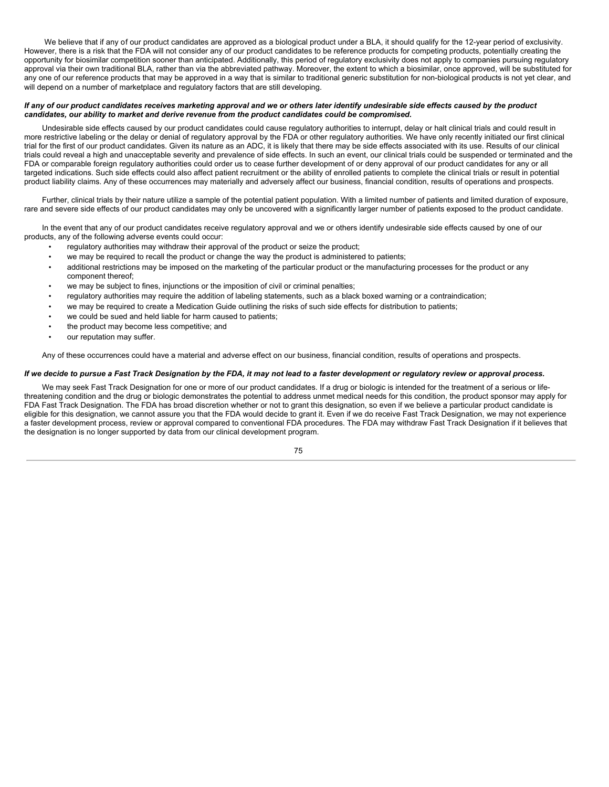We believe that if any of our product candidates are approved as a biological product under a BLA, it should qualify for the 12-year period of exclusivity. However, there is a risk that the FDA will not consider any of our product candidates to be reference products for competing products, potentially creating the opportunity for biosimilar competition sooner than anticipated. Additionally, this period of regulatory exclusivity does not apply to companies pursuing regulatory approval via their own traditional BLA, rather than via the abbreviated pathway. Moreover, the extent to which a biosimilar, once approved, will be substituted for any one of our reference products that may be approved in a way that is similar to traditional generic substitution for non-biological products is not yet clear, and will depend on a number of marketplace and regulatory factors that are still developing.

#### If any of our product candidates receives marketing approval and we or others later identify undesirable side effects caused by the product *candidates, our ability to market and derive revenue from the product candidates could be compromised.*

Undesirable side effects caused by our product candidates could cause regulatory authorities to interrupt, delay or halt clinical trials and could result in more restrictive labeling or the delay or denial of regulatory approval by the FDA or other regulatory authorities. We have only recently initiated our first clinical trial for the first of our product candidates. Given its nature as an ADC, it is likely that there may be side effects associated with its use. Results of our clinical trials could reveal a high and unacceptable severity and prevalence of side effects. In such an event, our clinical trials could be suspended or terminated and the FDA or comparable foreign regulatory authorities could order us to cease further development of or deny approval of our product candidates for any or all targeted indications. Such side effects could also affect patient recruitment or the ability of enrolled patients to complete the clinical trials or result in potential product liability claims. Any of these occurrences may materially and adversely affect our business, financial condition, results of operations and prospects.

Further, clinical trials by their nature utilize a sample of the potential patient population. With a limited number of patients and limited duration of exposure, rare and severe side effects of our product candidates may only be uncovered with a significantly larger number of patients exposed to the product candidate.

In the event that any of our product candidates receive regulatory approval and we or others identify undesirable side effects caused by one of our products, any of the following adverse events could occur:

- regulatory authorities may withdraw their approval of the product or seize the product;
- we may be required to recall the product or change the way the product is administered to patients;
- additional restrictions may be imposed on the marketing of the particular product or the manufacturing processes for the product or any component thereof;
- we may be subject to fines, injunctions or the imposition of civil or criminal penalties;
- regulatory authorities may require the addition of labeling statements, such as a black boxed warning or a contraindication;
- we may be required to create a Medication Guide outlining the risks of such side effects for distribution to patients;
- we could be sued and held liable for harm caused to patients;
- the product may become less competitive; and
- our reputation may suffer.

Any of these occurrences could have a material and adverse effect on our business, financial condition, results of operations and prospects.

#### If we decide to pursue a Fast Track Designation by the FDA, it may not lead to a faster development or regulatory review or approval process.

We may seek Fast Track Designation for one or more of our product candidates. If a drug or biologic is intended for the treatment of a serious or lifethreatening condition and the drug or biologic demonstrates the potential to address unmet medical needs for this condition, the product sponsor may apply for FDA Fast Track Designation. The FDA has broad discretion whether or not to grant this designation, so even if we believe a particular product candidate is eligible for this designation, we cannot assure you that the FDA would decide to grant it. Even if we do receive Fast Track Designation, we may not experience a faster development process, review or approval compared to conventional FDA procedures. The FDA may withdraw Fast Track Designation if it believes that the designation is no longer supported by data from our clinical development program.

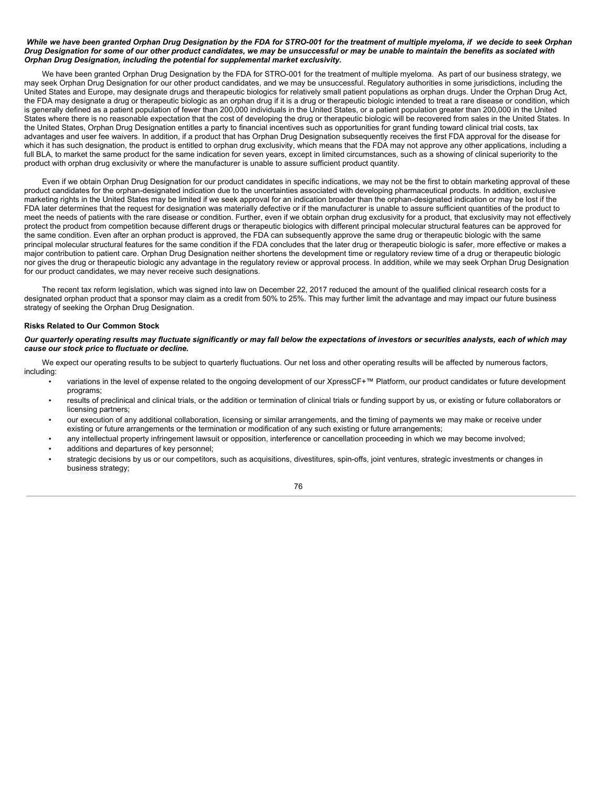#### While we have been granted Orphan Drug Designation by the FDA for STRO-001 for the treatment of multiple myeloma, if we decide to seek Orphan Drua Designation for some of our other product candidates, we may be unsuccessful or may be unable to maintain the benefits as sociated with *Orphan Drug Designation, including the potential for supplemental market exclusivity.*

We have been granted Orphan Drug Designation by the FDA for STRO-001 for the treatment of multiple myeloma. As part of our business strategy, we may seek Orphan Drug Designation for our other product candidates, and we may be unsuccessful. Regulatory authorities in some jurisdictions, including the United States and Europe, may designate drugs and therapeutic biologics for relatively small patient populations as orphan drugs. Under the Orphan Drug Act, the FDA may designate a drug or therapeutic biologic as an orphan drug if it is a drug or therapeutic biologic intended to treat a rare disease or condition, which is generally defined as a patient population of fewer than 200,000 individuals in the United States, or a patient population greater than 200,000 in the United States where there is no reasonable expectation that the cost of developing the drug or therapeutic biologic will be recovered from sales in the United States. In the United States, Orphan Drug Designation entitles a party to financial incentives such as opportunities for grant funding toward clinical trial costs, tax advantages and user fee waivers. In addition, if a product that has Orphan Drug Designation subsequently receives the first FDA approval for the disease for which it has such designation, the product is entitled to orphan drug exclusivity, which means that the FDA may not approve any other applications, including a full BLA, to market the same product for the same indication for seven years, except in limited circumstances, such as a showing of clinical superiority to the product with orphan drug exclusivity or where the manufacturer is unable to assure sufficient product quantity.

Even if we obtain Orphan Drug Designation for our product candidates in specific indications, we may not be the first to obtain marketing approval of these product candidates for the orphan-designated indication due to the uncertainties associated with developing pharmaceutical products. In addition, exclusive marketing rights in the United States may be limited if we seek approval for an indication broader than the orphan-designated indication or may be lost if the FDA later determines that the request for designation was materially defective or if the manufacturer is unable to assure sufficient quantities of the product to meet the needs of patients with the rare disease or condition. Further, even if we obtain orphan drug exclusivity for a product, that exclusivity may not effectively protect the product from competition because different drugs or therapeutic biologics with different principal molecular structural features can be approved for the same condition. Even after an orphan product is approved, the FDA can subsequently approve the same drug or therapeutic biologic with the same principal molecular structural features for the same condition if the FDA concludes that the later drug or therapeutic biologic is safer, more effective or makes a major contribution to patient care. Orphan Drug Designation neither shortens the development time or regulatory review time of a drug or therapeutic biologic nor gives the drug or therapeutic biologic any advantage in the regulatory review or approval process. In addition, while we may seek Orphan Drug Designation for our product candidates, we may never receive such designations.

The recent tax reform legislation, which was signed into law on December 22, 2017 reduced the amount of the qualified clinical research costs for a designated orphan product that a sponsor may claim as a credit from 50% to 25%. This may further limit the advantage and may impact our future business strategy of seeking the Orphan Drug Designation.

#### **Risks Related to Our Common Stock**

#### Our quarterly operating results may fluctuate significantly or may fall below the expectations of investors or securities analysts, each of which may *cause our stock price to fluctuate or decline.*

We expect our operating results to be subject to quarterly fluctuations. Our net loss and other operating results will be affected by numerous factors, including:

- variations in the level of expense related to the ongoing development of our XpressCF+™ Platform, our product candidates or future development programs;
- results of preclinical and clinical trials, or the addition or termination of clinical trials or funding support by us, or existing or future collaborators or licensing partners;
- our execution of any additional collaboration, licensing or similar arrangements, and the timing of payments we may make or receive under existing or future arrangements or the termination or modification of any such existing or future arrangements;
- any intellectual property infringement lawsuit or opposition, interference or cancellation proceeding in which we may become involved;
- additions and departures of key personnel;
- strategic decisions by us or our competitors, such as acquisitions, divestitures, spin-offs, joint ventures, strategic investments or changes in business strategy;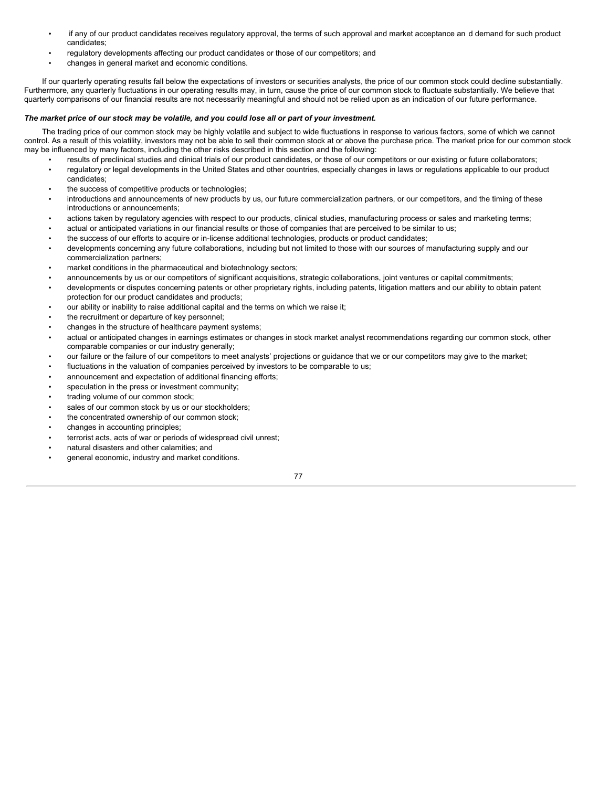- if any of our product candidates receives regulatory approval, the terms of such approval and market acceptance an d demand for such product candidates;
- regulatory developments affecting our product candidates or those of our competitors; and
- changes in general market and economic conditions.

If our quarterly operating results fall below the expectations of investors or securities analysts, the price of our common stock could decline substantially. Furthermore, any quarterly fluctuations in our operating results may, in turn, cause the price of our common stock to fluctuate substantially. We believe that quarterly comparisons of our financial results are not necessarily meaningful and should not be relied upon as an indication of our future performance.

#### The market price of our stock may be volatile, and you could lose all or part of your investment.

The trading price of our common stock may be highly volatile and subject to wide fluctuations in response to various factors, some of which we cannot control. As a result of this volatility, investors may not be able to sell their common stock at or above the purchase price. The market price for our common stock may be influenced by many factors, including the other risks described in this section and the following:

- results of preclinical studies and clinical trials of our product candidates, or those of our competitors or our existing or future collaborators;
- regulatory or legal developments in the United States and other countries, especially changes in laws or regulations applicable to our product candidates;
- the success of competitive products or technologies;
- introductions and announcements of new products by us, our future commercialization partners, or our competitors, and the timing of these introductions or announcements;
- actions taken by regulatory agencies with respect to our products, clinical studies, manufacturing process or sales and marketing terms;
- actual or anticipated variations in our financial results or those of companies that are perceived to be similar to us;
- the success of our efforts to acquire or in-license additional technologies, products or product candidates;
- developments concerning any future collaborations, including but not limited to those with our sources of manufacturing supply and our commercialization partners;
- market conditions in the pharmaceutical and biotechnology sectors;
- announcements by us or our competitors of significant acquisitions, strategic collaborations, joint ventures or capital commitments;
- developments or disputes concerning patents or other proprietary rights, including patents, litigation matters and our ability to obtain patent protection for our product candidates and products;
- our ability or inability to raise additional capital and the terms on which we raise it;
- the recruitment or departure of key personnel;
- changes in the structure of healthcare payment systems;
- actual or anticipated changes in earnings estimates or changes in stock market analyst recommendations regarding our common stock, other comparable companies or our industry generally;
- our failure or the failure of our competitors to meet analysts' projections or guidance that we or our competitors may give to the market;
- fluctuations in the valuation of companies perceived by investors to be comparable to us;
- announcement and expectation of additional financing efforts;
- speculation in the press or investment community;
- trading volume of our common stock:
- sales of our common stock by us or our stockholders:
- the concentrated ownership of our common stock;
- changes in accounting principles;
- terrorist acts, acts of war or periods of widespread civil unrest;
- natural disasters and other calamities; and
- general economic, industry and market conditions.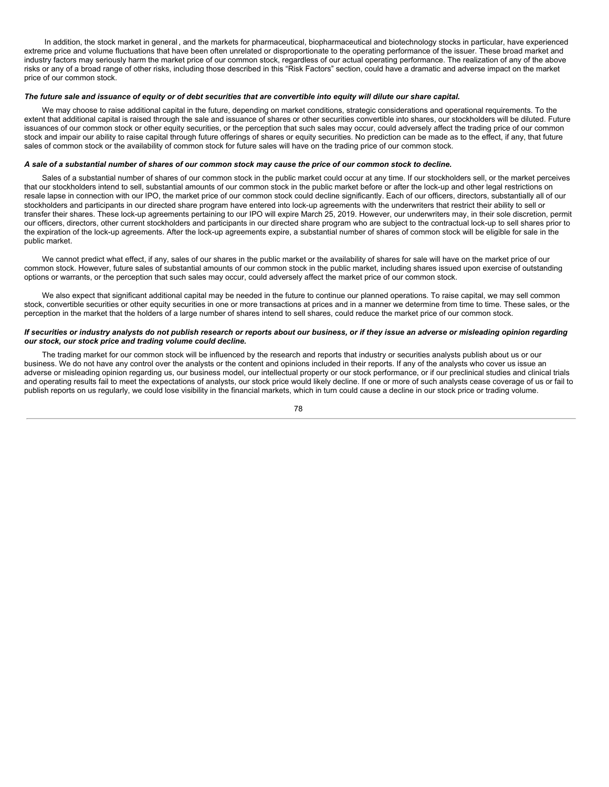In addition, the stock market in general , and the markets for pharmaceutical, biopharmaceutical and biotechnology stocks in particular, have experienced extreme price and volume fluctuations that have been often unrelated or disproportionate to the operating performance of the issuer. These broad market and industry factors may seriously harm the market price of our common stock, regardless of our actual operating performance. The realization of any of the above risks or any of a broad range of other risks, including those described in this "Risk Factors" section, could have a dramatic and adverse impact on the market price of our common stock.

#### The future sale and issuance of equity or of debt securities that are convertible into equity will dilute our share capital.

We may choose to raise additional capital in the future, depending on market conditions, strategic considerations and operational requirements. To the extent that additional capital is raised through the sale and issuance of shares or other securities convertible into shares, our stockholders will be diluted. Future issuances of our common stock or other equity securities, or the perception that such sales may occur, could adversely affect the trading price of our common stock and impair our ability to raise capital through future offerings of shares or equity securities. No prediction can be made as to the effect, if any, that future sales of common stock or the availability of common stock for future sales will have on the trading price of our common stock.

#### A sale of a substantial number of shares of our common stock may cause the price of our common stock to decline.

Sales of a substantial number of shares of our common stock in the public market could occur at any time. If our stockholders sell, or the market perceives that our stockholders intend to sell, substantial amounts of our common stock in the public market before or after the lock-up and other legal restrictions on resale lapse in connection with our IPO, the market price of our common stock could decline significantly. Each of our officers, directors, substantially all of our stockholders and participants in our directed share program have entered into lock-up agreements with the underwriters that restrict their ability to sell or transfer their shares. These lock-up agreements pertaining to our IPO will expire March 25, 2019. However, our underwriters may, in their sole discretion, permit our officers, directors, other current stockholders and participants in our directed share program who are subject to the contractual lock-up to sell shares prior to the expiration of the lock-up agreements. After the lock-up agreements expire, a substantial number of shares of common stock will be eligible for sale in the public market.

We cannot predict what effect, if any, sales of our shares in the public market or the availability of shares for sale will have on the market price of our common stock. However, future sales of substantial amounts of our common stock in the public market, including shares issued upon exercise of outstanding options or warrants, or the perception that such sales may occur, could adversely affect the market price of our common stock.

We also expect that significant additional capital may be needed in the future to continue our planned operations. To raise capital, we may sell common stock, convertible securities or other equity securities in one or more transactions at prices and in a manner we determine from time to time. These sales, or the perception in the market that the holders of a large number of shares intend to sell shares, could reduce the market price of our common stock.

#### If securities or industry analysts do not publish research or reports about our business, or if they issue an adverse or misleading opinion regarding *our stock, our stock price and trading volume could decline.*

The trading market for our common stock will be influenced by the research and reports that industry or securities analysts publish about us or our business. We do not have any control over the analysts or the content and opinions included in their reports. If any of the analysts who cover us issue an adverse or misleading opinion regarding us, our business model, our intellectual property or our stock performance, or if our preclinical studies and clinical trials and operating results fail to meet the expectations of analysts, our stock price would likely decline. If one or more of such analysts cease coverage of us or fail to publish reports on us regularly, we could lose visibility in the financial markets, which in turn could cause a decline in our stock price or trading volume.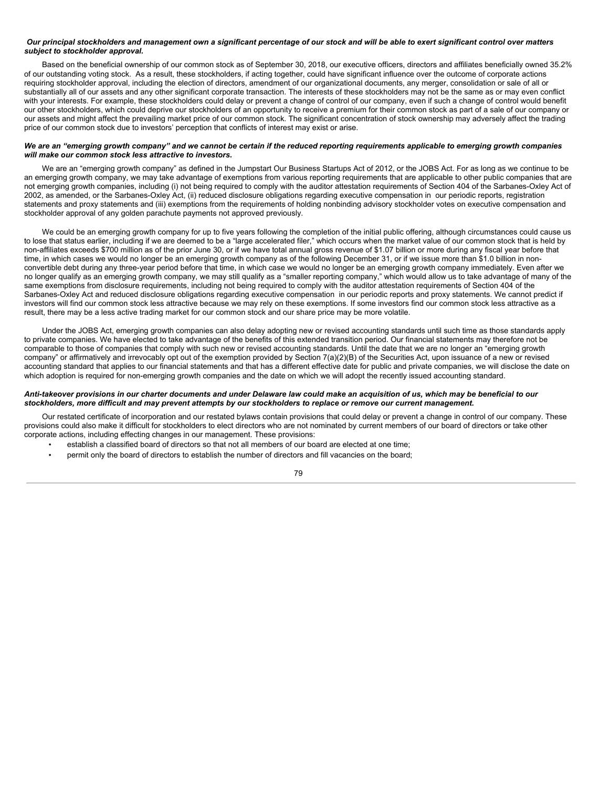#### Our principal stockholders and management own a significant percentage of our stock and will be able to exert significant control over matters *subject to stockholder approval.*

Based on the beneficial ownership of our common stock as of September 30, 2018, our executive officers, directors and affiliates beneficially owned 35.2% of our outstanding voting stock. As a result, these stockholders, if acting together, could have significant influence over the outcome of corporate actions requiring stockholder approval, including the election of directors, amendment of our organizational documents, any merger, consolidation or sale of all or substantially all of our assets and any other significant corporate transaction. The interests of these stockholders may not be the same as or may even conflict with your interests. For example, these stockholders could delay or prevent a change of control of our company, even if such a change of control would benefit our other stockholders, which could deprive our stockholders of an opportunity to receive a premium for their common stock as part of a sale of our company or our assets and might affect the prevailing market price of our common stock. The significant concentration of stock ownership may adversely affect the trading price of our common stock due to investors' perception that conflicts of interest may exist or arise.

#### We are an "emerging growth company" and we cannot be certain if the reduced reporting requirements applicable to emerging growth companies *will make our common stock less attractive to investors.*

We are an "emerging growth company" as defined in the Jumpstart Our Business Startups Act of 2012, or the JOBS Act. For as long as we continue to be an emerging growth company, we may take advantage of exemptions from various reporting requirements that are applicable to other public companies that are not emerging growth companies, including (i) not being required to comply with the auditor attestation requirements of Section 404 of the Sarbanes-Oxley Act of 2002, as amended, or the Sarbanes-Oxley Act, (ii) reduced disclosure obligations regarding executive compensation in our periodic reports, registration statements and proxy statements and (iii) exemptions from the requirements of holding nonbinding advisory stockholder votes on executive compensation and stockholder approval of any golden parachute payments not approved previously.

We could be an emerging growth company for up to five years following the completion of the initial public offering, although circumstances could cause us to lose that status earlier, including if we are deemed to be a "large accelerated filer," which occurs when the market value of our common stock that is held by non-affiliates exceeds \$700 million as of the prior June 30, or if we have total annual gross revenue of \$1.07 billion or more during any fiscal year before that time, in which cases we would no longer be an emerging growth company as of the following December 31, or if we issue more than \$1.0 billion in nonconvertible debt during any three-year period before that time, in which case we would no longer be an emerging growth company immediately. Even after we no longer qualify as an emerging growth company, we may still qualify as a "smaller reporting company," which would allow us to take advantage of many of the same exemptions from disclosure requirements, including not being required to comply with the auditor attestation requirements of Section 404 of the Sarbanes-Oxley Act and reduced disclosure obligations regarding executive compensation in our periodic reports and proxy statements. We cannot predict if investors will find our common stock less attractive because we may rely on these exemptions. If some investors find our common stock less attractive as a result, there may be a less active trading market for our common stock and our share price may be more volatile.

Under the JOBS Act, emerging growth companies can also delay adopting new or revised accounting standards until such time as those standards apply to private companies. We have elected to take advantage of the benefits of this extended transition period. Our financial statements may therefore not be comparable to those of companies that comply with such new or revised accounting standards. Until the date that we are no longer an "emerging growth company" or affirmatively and irrevocably opt out of the exemption provided by Section 7(a)(2)(B) of the Securities Act, upon issuance of a new or revised accounting standard that applies to our financial statements and that has a different effective date for public and private companies, we will disclose the date on which adoption is required for non-emerging growth companies and the date on which we will adopt the recently issued accounting standard.

#### Anti-takeover provisions in our charter documents and under Delaware law could make an acquisition of us, which may be beneficial to our stockholders, more difficult and may prevent attempts by our stockholders to replace or remove our current management.

Our restated certificate of incorporation and our restated bylaws contain provisions that could delay or prevent a change in control of our company. These provisions could also make it difficult for stockholders to elect directors who are not nominated by current members of our board of directors or take other corporate actions, including effecting changes in our management. These provisions:

- establish a classified board of directors so that not all members of our board are elected at one time;
- permit only the board of directors to establish the number of directors and fill vacancies on the board;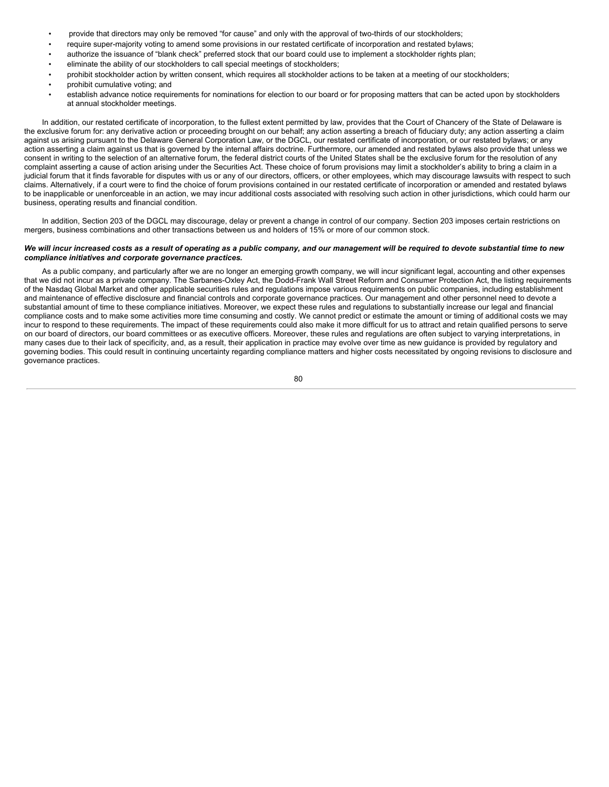- provide that directors may only be removed "for cause" and only with the approval of two-thirds of our stockholders;
- require super-majority voting to amend some provisions in our restated certificate of incorporation and restated bylaws;
- authorize the issuance of "blank check" preferred stock that our board could use to implement a stockholder rights plan;
- eliminate the ability of our stockholders to call special meetings of stockholders;
- prohibit stockholder action by written consent, which requires all stockholder actions to be taken at a meeting of our stockholders;
- prohibit cumulative voting; and
- establish advance notice requirements for nominations for election to our board or for proposing matters that can be acted upon by stockholders at annual stockholder meetings.

In addition, our restated certificate of incorporation, to the fullest extent permitted by law, provides that the Court of Chancery of the State of Delaware is the exclusive forum for: any derivative action or proceeding brought on our behalf; any action asserting a breach of fiduciary duty; any action asserting a claim against us arising pursuant to the Delaware General Corporation Law, or the DGCL, our restated certificate of incorporation, or our restated bylaws; or any action asserting a claim against us that is governed by the internal affairs doctrine. Furthermore, our amended and restated bylaws also provide that unless we consent in writing to the selection of an alternative forum, the federal district courts of the United States shall be the exclusive forum for the resolution of any complaint asserting a cause of action arising under the Securities Act. These choice of forum provisions may limit a stockholder's ability to bring a claim in a judicial forum that it finds favorable for disputes with us or any of our directors, officers, or other employees, which may discourage lawsuits with respect to such claims. Alternatively, if a court were to find the choice of forum provisions contained in our restated certificate of incorporation or amended and restated bylaws to be inapplicable or unenforceable in an action, we may incur additional costs associated with resolving such action in other jurisdictions, which could harm our business, operating results and financial condition.

In addition, Section 203 of the DGCL may discourage, delay or prevent a change in control of our company. Section 203 imposes certain restrictions on mergers, business combinations and other transactions between us and holders of 15% or more of our common stock.

#### We will incur increased costs as a result of operating as a public company, and our management will be required to devote substantial time to new *compliance initiatives and corporate governance practices.*

As a public company, and particularly after we are no longer an emerging growth company, we will incur significant legal, accounting and other expenses that we did not incur as a private company. The Sarbanes-Oxley Act, the Dodd-Frank Wall Street Reform and Consumer Protection Act, the listing requirements of the Nasdaq Global Market and other applicable securities rules and regulations impose various requirements on public companies, including establishment and maintenance of effective disclosure and financial controls and corporate governance practices. Our management and other personnel need to devote a substantial amount of time to these compliance initiatives. Moreover, we expect these rules and regulations to substantially increase our legal and financial compliance costs and to make some activities more time consuming and costly. We cannot predict or estimate the amount or timing of additional costs we may incur to respond to these requirements. The impact of these requirements could also make it more difficult for us to attract and retain qualified persons to serve on our board of directors, our board committees or as executive officers. Moreover, these rules and regulations are often subject to varying interpretations, in many cases due to their lack of specificity, and, as a result, their application in practice may evolve over time as new guidance is provided by regulatory and governing bodies. This could result in continuing uncertainty regarding compliance matters and higher costs necessitated by ongoing revisions to disclosure and governance practices.

$$
{}^{80}
$$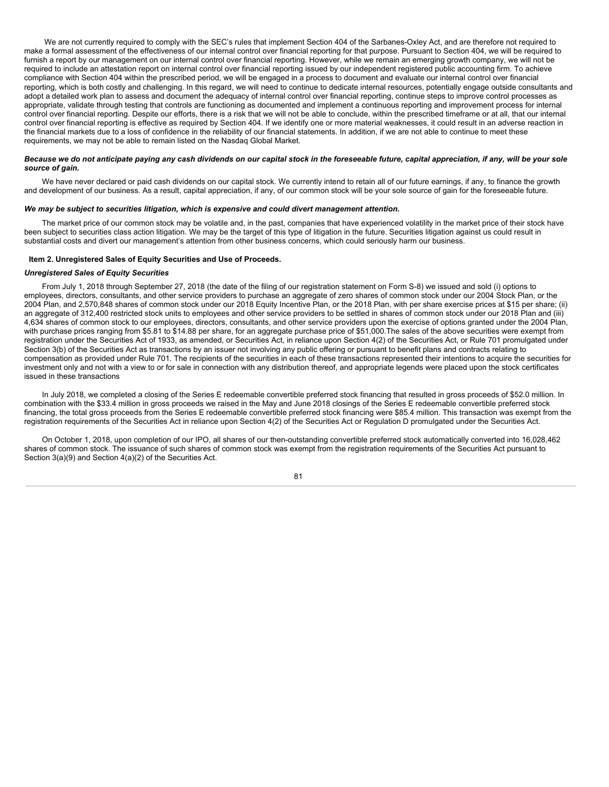We are not currently required to comply with the SEC's rules that implement Section 404 of the Sarbanes-Oxley Act, and are therefore not required to make a formal assessment of the effectiveness of our internal control over financial reporting for that purpose. Pursuant to Section 404, we will be required to furnish a report by our management on our internal control over financial reporting. However, while we remain an emerging growth company, we will not be required to include an attestation report on internal control over financial reporting issued by our independent registered public accounting firm. To achieve compliance with Section 404 within the prescribed period, we will be engaged in a process to document and evaluate our internal control over financial reporting, which is both costly and challenging. In this regard, we will need to continue to dedicate internal resources, potentially engage outside consultants and adopt a detailed work plan to assess and document the adequacy of internal control over financial reporting, continue steps to improve control processes as appropriate, validate through testing that controls are functioning as documented and implement a continuous reporting and improvement process for internal control over financial reporting. Despite our efforts, there is a risk that we will not be able to conclude, within the prescribed timeframe or at all, that our internal control over financial reporting is effective as required by Section 404. If we identify one or more material weaknesses, it could result in an adverse reaction in the financial markets due to a loss of confidence in the reliability of our financial statements. In addition, if we are not able to continue to meet these requirements, we may not be able to remain listed on the Nasdaq Global Market.

#### Because we do not anticipate paying any cash dividends on our capital stock in the foreseeable future, capital appreciation, if any, will be your sole *source of gain.*

We have never declared or paid cash dividends on our capital stock. We currently intend to retain all of our future earnings, if any, to finance the growth and development of our business. As a result, capital appreciation, if any, of our common stock will be your sole source of gain for the foreseeable future.

#### *We may be subject to securities litigation, which is expensive and could divert management attention.*

The market price of our common stock may be volatile and, in the past, companies that have experienced volatility in the market price of their stock have been subject to securities class action litigation. We may be the target of this type of litigation in the future. Securities litigation against us could result in substantial costs and divert our management's attention from other business concerns, which could seriously harm our business.

#### **Item 2. Unregistered Sales of Equity Securities and Use of Proceeds.**

#### *Unregistered Sales of Equity Securities*

From July 1, 2018 through September 27, 2018 (the date of the filing of our registration statement on Form S-8) we issued and sold (i) options to employees, directors, consultants, and other service providers to purchase an aggregate of zero shares of common stock under our 2004 Stock Plan, or the 2004 Plan, and 2,570,848 shares of common stock under our 2018 Equity Incentive Plan, or the 2018 Plan, with per share exercise prices at \$15 per share; (ii) an aggregate of 312,400 restricted stock units to employees and other service providers to be settled in shares of common stock under our 2018 Plan and (iii) 4,634 shares of common stock to our employees, directors, consultants, and other service providers upon the exercise of options granted under the 2004 Plan, with purchase prices ranging from \$5.81 to \$14.88 per share, for an aggregate purchase price of \$51,000. The sales of the above securities were exempt from registration under the Securities Act of 1933, as amended, or Securities Act, in reliance upon Section 4(2) of the Securities Act, or Rule 701 promulgated under Section 3(b) of the Securities Act as transactions by an issuer not involving any public offering or pursuant to benefit plans and contracts relating to compensation as provided under Rule 701. The recipients of the securities in each of these transactions represented their intentions to acquire the securities for investment only and not with a view to or for sale in connection with any distribution thereof, and appropriate legends were placed upon the stock certificates issued in these transactions

In July 2018, we completed a closing of the Series E redeemable convertible preferred stock financing that resulted in gross proceeds of \$52.0 million. In combination with the \$33.4 million in gross proceeds we raised in the May and June 2018 closings of the Series E redeemable convertible preferred stock financing, the total gross proceeds from the Series E redeemable convertible preferred stock financing were \$85.4 million. This transaction was exempt from the registration requirements of the Securities Act in reliance upon Section 4(2) of the Securities Act or Regulation D promulgated under the Securities Act.

On October 1, 2018, upon completion of our IPO, all shares of our then-outstanding convertible preferred stock automatically converted into 16,028,462 shares of common stock. The issuance of such shares of common stock was exempt from the registration requirements of the Securities Act pursuant to Section 3(a)(9) and Section 4(a)(2) of the Securities Act.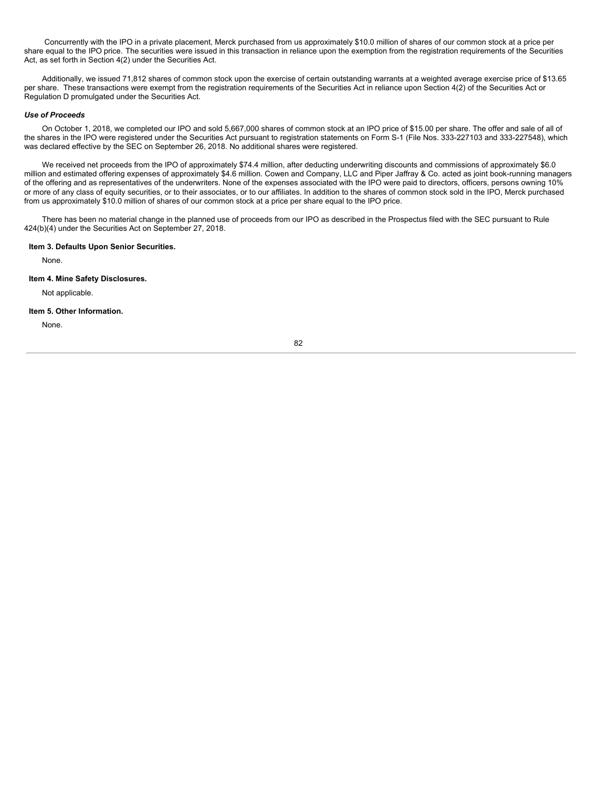Concurrently with the IPO in a private placement, Merck purchased from us approximately \$10.0 million of shares of our common stock at a price per share equal to the IPO price. The securities were issued in this transaction in reliance upon the exemption from the registration requirements of the Securities Act, as set forth in Section 4(2) under the Securities Act.

Additionally, we issued 71,812 shares of common stock upon the exercise of certain outstanding warrants at a weighted average exercise price of \$13.65 per share. These transactions were exempt from the registration requirements of the Securities Act in reliance upon Section 4(2) of the Securities Act or Regulation D promulgated under the Securities Act.

#### *Use of Proceeds*

On October 1, 2018, we completed our IPO and sold 5,667,000 shares of common stock at an IPO price of \$15.00 per share. The offer and sale of all of the shares in the IPO were registered under the Securities Act pursuant to registration statements on Form S-1 (File Nos. 333-227103 and 333-227548), which was declared effective by the SEC on September 26, 2018. No additional shares were registered.

We received net proceeds from the IPO of approximately \$74.4 million, after deducting underwriting discounts and commissions of approximately \$6.0 million and estimated offering expenses of approximately \$4.6 million. Cowen and Company, LLC and Piper Jaffray & Co. acted as joint book-running managers of the offering and as representatives of the underwriters. None of the expenses associated with the IPO were paid to directors, officers, persons owning 10% or more of any class of equity securities, or to their associates, or to our affiliates. In addition to the shares of common stock sold in the IPO, Merck purchased from us approximately \$10.0 million of shares of our common stock at a price per share equal to the IPO price.

There has been no material change in the planned use of proceeds from our IPO as described in the Prospectus filed with the SEC pursuant to Rule 424(b)(4) under the Securities Act on September 27, 2018.

### **Item 3. Defaults Upon Senior Securities.**

None.

#### **Item 4. Mine Safety Disclosures.**

Not applicable.

#### **Item 5. Other Information.**

None.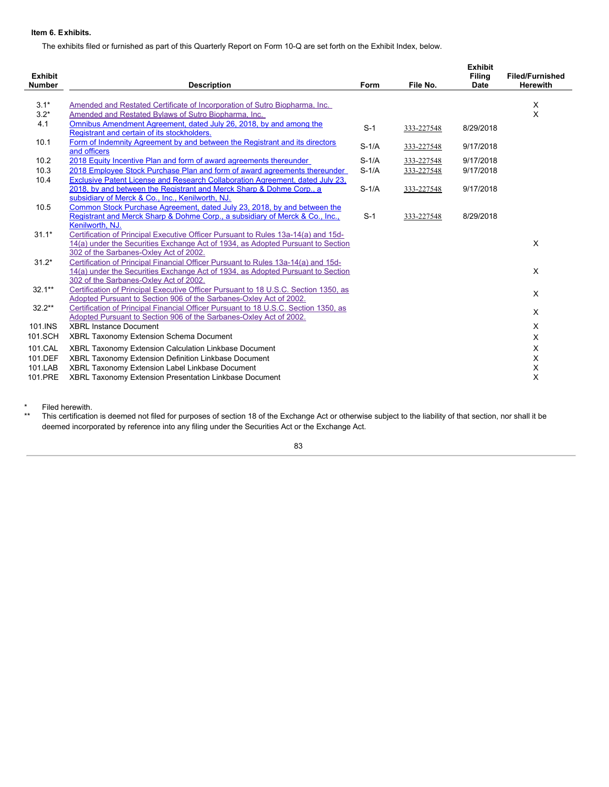# **Item 6. Exhibits.**

The exhibits filed or furnished as part of this Quarterly Report on Form 10-Q are set forth on the Exhibit Index, below.

|                                 |                                                                                                                                                           |         |            | <b>Exhibit</b>               |                                           |
|---------------------------------|-----------------------------------------------------------------------------------------------------------------------------------------------------------|---------|------------|------------------------------|-------------------------------------------|
| <b>Exhibit</b><br><b>Number</b> | <b>Description</b>                                                                                                                                        | Form    | File No.   | <b>Filing</b><br><b>Date</b> | <b>Filed/Furnished</b><br><b>Herewith</b> |
|                                 |                                                                                                                                                           |         |            |                              |                                           |
| $3.1*$                          | Amended and Restated Certificate of Incorporation of Sutro Biopharma, Inc.                                                                                |         |            |                              | X                                         |
| $3.2*$                          | Amended and Restated Bylaws of Sutro Biopharma, Inc.                                                                                                      |         |            |                              | X                                         |
| 4.1                             | Omnibus Amendment Agreement, dated July 26, 2018, by and among the                                                                                        | $S-1$   | 333-227548 | 8/29/2018                    |                                           |
|                                 | Registrant and certain of its stockholders.                                                                                                               |         |            |                              |                                           |
| 10.1                            | Form of Indemnity Agreement by and between the Registrant and its directors                                                                               | $S-1/A$ | 333-227548 | 9/17/2018                    |                                           |
| 10.2                            | and officers                                                                                                                                              | $S-1/A$ |            | 9/17/2018                    |                                           |
| 10.3                            | 2018 Equity Incentive Plan and form of award agreements thereunder<br>2018 Employee Stock Purchase Plan and form of award agreements thereunder           | $S-1/A$ | 333-227548 | 9/17/2018                    |                                           |
| 10.4                            | Exclusive Patent License and Research Collaboration Agreement, dated July 23,                                                                             |         | 333-227548 |                              |                                           |
|                                 | 2018, by and between the Registrant and Merck Sharp & Dohme Corp., a                                                                                      | $S-1/A$ | 333-227548 | 9/17/2018                    |                                           |
|                                 | subsidiary of Merck & Co., Inc., Kenilworth, NJ.                                                                                                          |         |            |                              |                                           |
| 10.5                            | Common Stock Purchase Agreement, dated July 23, 2018, by and between the                                                                                  |         |            |                              |                                           |
|                                 | Registrant and Merck Sharp & Dohme Corp., a subsidiary of Merck & Co., Inc.,                                                                              | $S-1$   | 333-227548 | 8/29/2018                    |                                           |
|                                 | Kenilworth, NJ.                                                                                                                                           |         |            |                              |                                           |
| $31.1*$                         | Certification of Principal Executive Officer Pursuant to Rules 13a-14(a) and 15d-                                                                         |         |            |                              |                                           |
|                                 | 14(a) under the Securities Exchange Act of 1934, as Adopted Pursuant to Section                                                                           |         |            |                              | X                                         |
|                                 | 302 of the Sarbanes-Oxley Act of 2002.                                                                                                                    |         |            |                              |                                           |
| $31.2*$                         | Certification of Principal Financial Officer Pursuant to Rules 13a-14(a) and 15d-                                                                         |         |            |                              |                                           |
|                                 | 14(a) under the Securities Exchange Act of 1934, as Adopted Pursuant to Section                                                                           |         |            |                              | $\times$                                  |
|                                 | 302 of the Sarbanes-Oxley Act of 2002.                                                                                                                    |         |            |                              |                                           |
| $32.1***$                       | Certification of Principal Executive Officer Pursuant to 18 U.S.C. Section 1350, as                                                                       |         |            |                              | $\times$                                  |
| $32.2**$                        | Adopted Pursuant to Section 906 of the Sarbanes-Oxley Act of 2002.<br>Certification of Principal Financial Officer Pursuant to 18 U.S.C. Section 1350, as |         |            |                              |                                           |
|                                 | Adopted Pursuant to Section 906 of the Sarbanes-Oxley Act of 2002.                                                                                        |         |            |                              | X                                         |
| 101.INS                         | <b>XBRL Instance Document</b>                                                                                                                             |         |            |                              | X                                         |
| 101.SCH                         | XBRL Taxonomy Extension Schema Document                                                                                                                   |         |            |                              | X                                         |
| 101.CAL                         | XBRL Taxonomy Extension Calculation Linkbase Document                                                                                                     |         |            |                              | X                                         |
| 101.DEF                         | XBRL Taxonomy Extension Definition Linkbase Document                                                                                                      |         |            |                              | $\mathsf X$                               |
| 101.LAB                         | XBRL Taxonomy Extension Label Linkbase Document                                                                                                           |         |            |                              | X                                         |
| 101.PRE                         | XBRL Taxonomy Extension Presentation Linkbase Document                                                                                                    |         |            |                              | $\mathsf{x}$                              |
|                                 |                                                                                                                                                           |         |            |                              |                                           |

\* Filed herewith.<br>\*\* This certification

This certification is deemed not filed for purposes of section 18 of the Exchange Act or otherwise subject to the liability of that section, nor shall it be deemed incorporated by reference into any filing under the Securities Act or the Exchange Act.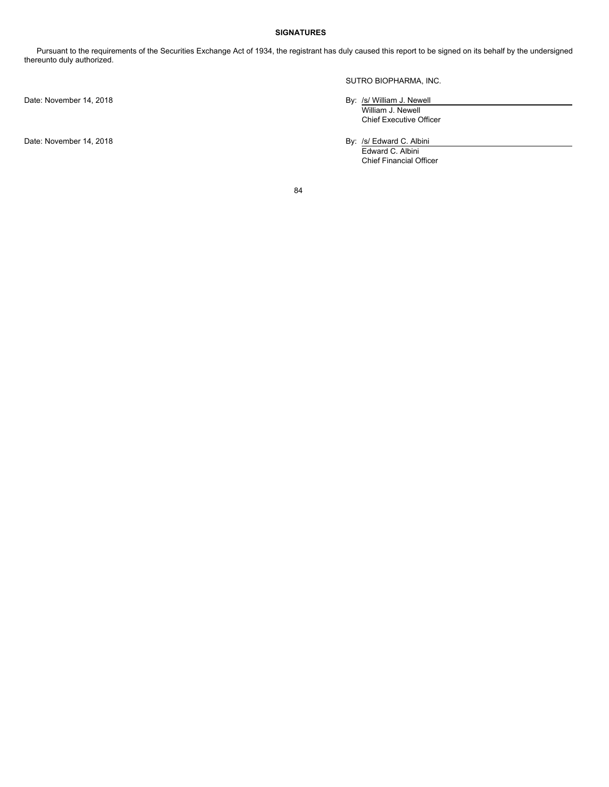# **SIGNATURES**

Pursuant to the requirements of the Securities Exchange Act of 1934, the registrant has duly caused this report to be signed on its behalf by the undersigned thereunto duly authorized.

Date: November 14, 2018 **By:** /s/ William J. Newell

Date: November 14, 2018 By: /s/ Edward C. Albini

SUTRO BIOPHARMA, INC.

William J. Newell Chief Executive Officer

Edward C. Albini Chief Financial Officer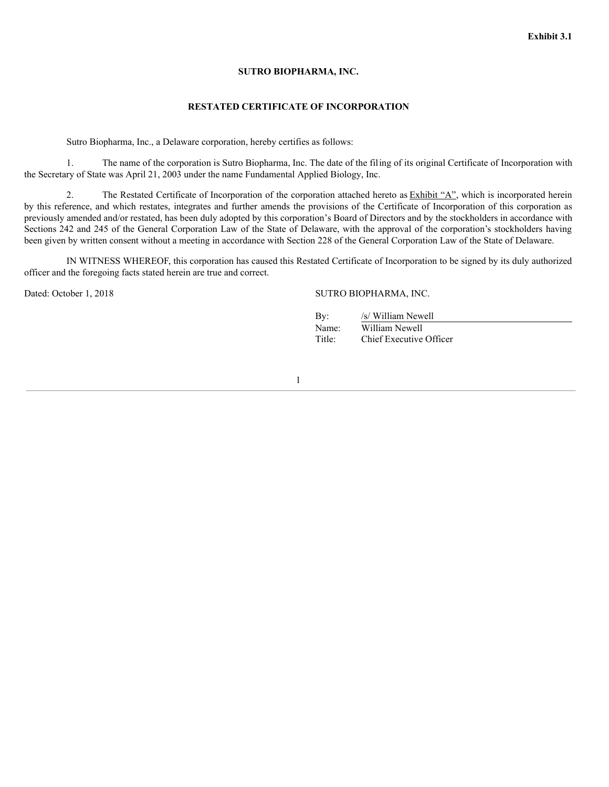### **SUTRO BIOPHARMA, INC.**

### **RESTATED CERTIFICATE OF INCORPORATION**

Sutro Biopharma, Inc., a Delaware corporation, hereby certifies as follows:

1. The name of the corporation is Sutro Biopharma, Inc. The date of the filing of its original Certificate of Incorporation with the Secretary of State was April 21, 2003 under the name Fundamental Applied Biology, Inc.

2. The Restated Certificate of Incorporation of the corporation attached hereto as Exhibit "A", which is incorporated herein by this reference, and which restates, integrates and further amends the provisions of the Certificate of Incorporation of this corporation as previously amended and/or restated, has been duly adopted by this corporation's Board of Directors and by the stockholders in accordance with Sections 242 and 245 of the General Corporation Law of the State of Delaware, with the approval of the corporation's stockholders having been given by written consent without a meeting in accordance with Section 228 of the General Corporation Law of the State of Delaware.

IN WITNESS WHEREOF, this corporation has caused this Restated Certificate of Incorporation to be signed by its duly authorized officer and the foregoing facts stated herein are true and correct.

Dated: October 1, 2018 SUTRO BIOPHARMA, INC.

| By:    | /s/ William Newell      |
|--------|-------------------------|
| Name:  | William Newell          |
| Title: | Chief Executive Officer |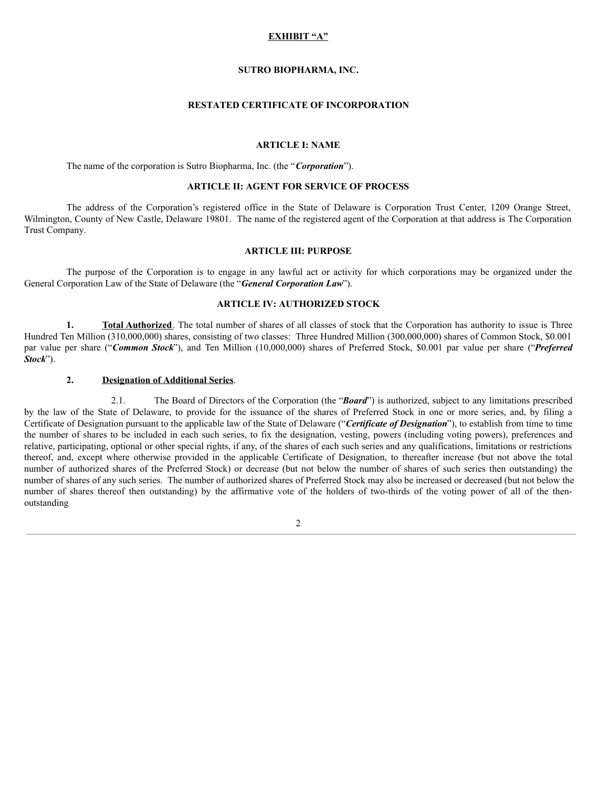# **EXHIBIT "A"**

### **SUTRO BIOPHARMA, INC.**

# **RESTATED CERTIFICATE OF INCORPORATION**

### **ARTICLE I: NAME**

The name of the corporation is Sutro Biopharma, Inc. (the "*Corporation*").

# **ARTICLE II: AGENT FOR SERVICE OF PROCESS**

The address of the Corporation's registered office in the State of Delaware is Corporation Trust Center, 1209 Orange Street, Wilmington, County of New Castle, Delaware 19801. The name of the registered agent of the Corporation at that address is The Corporation Trust Company.

### **ARTICLE III: PURPOSE**

The purpose of the Corporation is to engage in any lawful act or activity for which corporations may be organized under the General Corporation Law of the State of Delaware (the "*General Corporation Law*").

### **ARTICLE IV: AUTHORIZED STOCK**

**1. Total Authorized**. The total number of shares of all classes of stock that the Corporation has authority to issue is Three Hundred Ten Million (310,000,000) shares, consisting of two classes: Three Hundred Million (300,000,000) shares of Common Stock, \$0.001 par value per share ("*Common Stock*"), and Ten Million (10,000,000) shares of Preferred Stock, \$0.001 par value per share ("*Preferred Stock*").

### **2. Designation of Additional Series**.

2.1. The Board of Directors of the Corporation (the "*Board*") is authorized, subject to any limitations prescribed by the law of the State of Delaware, to provide for the issuance of the shares of Preferred Stock in one or more series, and, by filing a Certificate of Designation pursuant to the applicable law of the State of Delaware ("*Certificate of Designation*"), to establish from time to time the number of shares to be included in each such series, to fix the designation, vesting, powers (including voting powers), preferences and relative, participating, optional or other special rights, if any, of the shares of each such series and any qualifications, limitations or restrictions thereof, and, except where otherwise provided in the applicable Certificate of Designation, to thereafter increase (but not above the total number of authorized shares of the Preferred Stock) or decrease (but not below the number of shares of such series then outstanding) the number of shares of any such series. The number of authorized shares of Preferred Stock may also be increased or decreased (but not below the number of shares thereof then outstanding) by the affirmative vote of the holders of two-thirds of the voting power of all of the thenoutstanding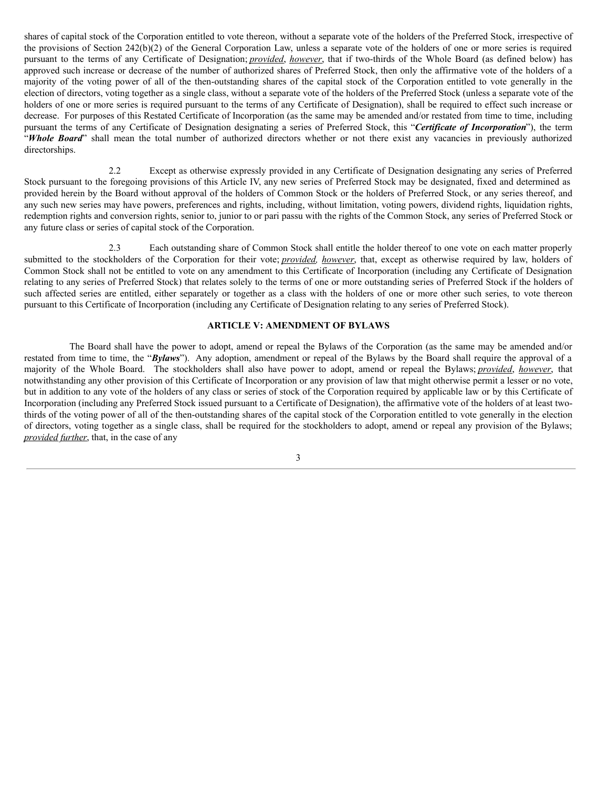<span id="page-88-0"></span>shares of capital stock of the Corporation entitled to vote thereon, without a separate vote of the holders of the Preferred Stock, irrespective of the provisions of Section 242(b)(2) of the General Corporation Law, unless a separate vote of the holders of one or more series is required pursuant to the terms of any Certificate of Designation; *provided*, *however*, that if two-thirds of the Whole Board (as defined below) has approved such increase or decrease of the number of authorized shares of Preferred Stock, then only the affirmative vote of the holders of a majority of the voting power of all of the then-outstanding shares of the capital stock of the Corporation entitled to vote generally in the election of directors, voting together as a single class, without a separate vote of the holders of the Preferred Stock (unless a separate vote of the holders of one or more series is required pursuant to the terms of any Certificate of Designation), shall be required to effect such increase or decrease. For purposes of this Restated Certificate of Incorporation (as the same may be amended and/or restated from time to time, including pursuant the terms of any Certificate of Designation designating a series of Preferred Stock, this "*Certificate of Incorporation*"), the term "*Whole Board*" shall mean the total number of authorized directors whether or not there exist any vacancies in previously authorized directorships.

2.2 Except as otherwise expressly provided in any Certificate of Designation designating any series of Preferred Stock pursuant to the foregoing provisions of this Article IV, any new series of Preferred Stock may be designated, fixed and determined as provided herein by the Board without approval of the holders of Common Stock or the holders of Preferred Stock, or any series thereof, and any such new series may have powers, preferences and rights, including, without limitation, voting powers, dividend rights, liquidation rights, redemption rights and conversion rights, senior to, junior to or pari passu with the rights of the Common Stock, any series of Preferred Stock or any future class or series of capital stock of the Corporation.

2.3 Each outstanding share of Common Stock shall entitle the holder thereof to one vote on each matter properly submitted to the stockholders of the Corporation for their vote; *provided, however*, that, except as otherwise required by law, holders of Common Stock shall not be entitled to vote on any amendment to this Certificate of Incorporation (including any Certificate of Designation relating to any series of Preferred Stock) that relates solely to the terms of one or more outstanding series of Preferred Stock if the holders of such affected series are entitled, either separately or together as a class with the holders of one or more other such series, to vote thereon pursuant to this Certificate of Incorporation (including any Certificate of Designation relating to any series of Preferred Stock).

### **ARTICLE V: AMENDMENT OF BYLAWS**

The Board shall have the power to adopt, amend or repeal the Bylaws of the Corporation (as the same may be amended and/or restated from time to time, the "*Bylaws*"). Any adoption, amendment or repeal of the Bylaws by the Board shall require the approval of a majority of the Whole Board. The stockholders shall also have power to adopt, amend or repeal the Bylaws; *provided*, *however*, that notwithstanding any other provision of this Certificate of Incorporation or any provision of law that might otherwise permit a lesser or no vote, but in addition to any vote of the holders of any class or series of stock of the Corporation required by applicable law or by this Certificate of Incorporation (including any Preferred Stock issued pursuant to a Certificate of Designation), the affirmative vote of the holders of at least twothirds of the voting power of all of the then-outstanding shares of the capital stock of the Corporation entitled to vote generally in the election of directors, voting together as a single class, shall be required for the stockholders to adopt, amend or repeal any provision of the Bylaws; *provided further*, that, in the case of any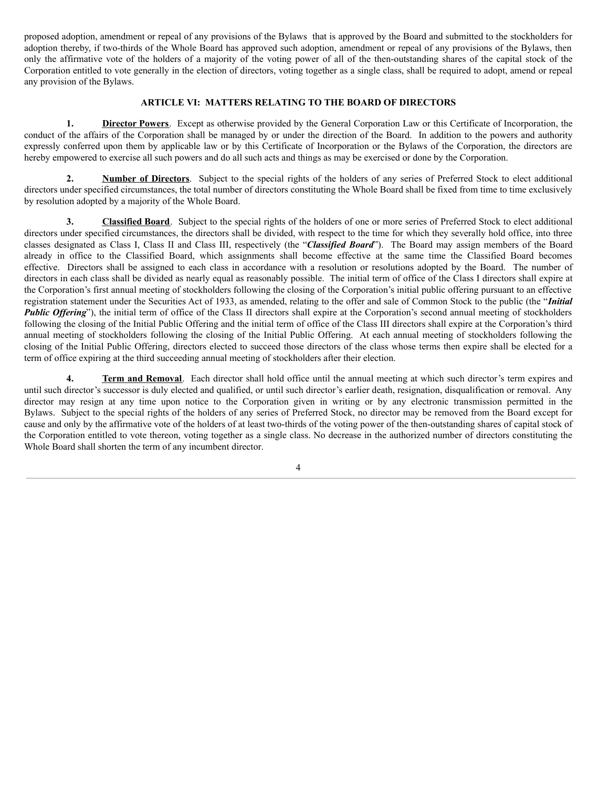proposed adoption, amendment or repeal of any provisions of the Bylaws that is approved by the Board and submitted to the stockholders for adoption thereby, if two-thirds of the Whole Board has approved such adoption, amendment or repeal of any provisions of the Bylaws, then only the affirmative vote of the holders of a majority of the voting power of all of the then-outstanding shares of the capital stock of the Corporation entitled to vote generally in the election of directors, voting together as a single class, shall be required to adopt, amend or repeal any provision of the Bylaws.

### **ARTICLE VI: MATTERS RELATING TO THE BOARD OF DIRECTORS**

**1. Director Powers**. Except as otherwise provided by the General Corporation Law or this Certificate of Incorporation, the conduct of the affairs of the Corporation shall be managed by or under the direction of the Board. In addition to the powers and authority expressly conferred upon them by applicable law or by this Certificate of Incorporation or the Bylaws of the Corporation, the directors are hereby empowered to exercise all such powers and do all such acts and things as may be exercised or done by the Corporation.

**2. Number of Directors**. Subject to the special rights of the holders of any series of Preferred Stock to elect additional directors under specified circumstances, the total number of directors constituting the Whole Board shall be fixed from time to time exclusively by resolution adopted by a majority of the Whole Board.

**3. Classified Board**. Subject to the special rights of the holders of one or more series of Preferred Stock to elect additional directors under specified circumstances, the directors shall be divided, with respect to the time for which they severally hold office, into three classes designated as Class I, Class II and Class III, respectively (the "*Classified Board*"). The Board may assign members of the Board already in office to the Classified Board, which assignments shall become effective at the same time the Classified Board becomes effective. Directors shall be assigned to each class in accordance with a resolution or resolutions adopted by the Board. The number of directors in each class shall be divided as nearly equal as reasonably possible. The initial term of office of the Class I directors shall expire at the Corporation's first annual meeting of stockholders following the closing of the Corporation's initial public offering pursuant to an effective registration statement under the Securities Act of 1933, as amended, relating to the offer and sale of Common Stock to the public (the "*Initial Public Offering*"), the initial term of office of the Class II directors shall expire at the Corporation's second annual meeting of stockholders following the closing of the Initial Public Offering and the initial term of office of the Class III directors shall expire at the Corporation's third annual meeting of stockholders following the closing of the Initial Public Offering. At each annual meeting of stockholders following the closing of the Initial Public Offering, directors elected to succeed those directors of the class whose terms then expire shall be elected for a term of office expiring at the third succeeding annual meeting of stockholders after their election.

**4. Term and Removal**. Each director shall hold office until the annual meeting at which such director's term expires and until such director's successor is duly elected and qualified, or until such director's earlier death, resignation, disqualification or removal. Any director may resign at any time upon notice to the Corporation given in writing or by any electronic transmission permitted in the Bylaws. Subject to the special rights of the holders of any series of Preferred Stock, no director may be removed from the Board except for cause and only by the affirmative vote of the holders of at least two-thirds of the voting power of the then-outstanding shares of capital stock of the Corporation entitled to vote thereon, voting together as a single class. No decrease in the authorized number of directors constituting the Whole Board shall shorten the term of any incumbent director.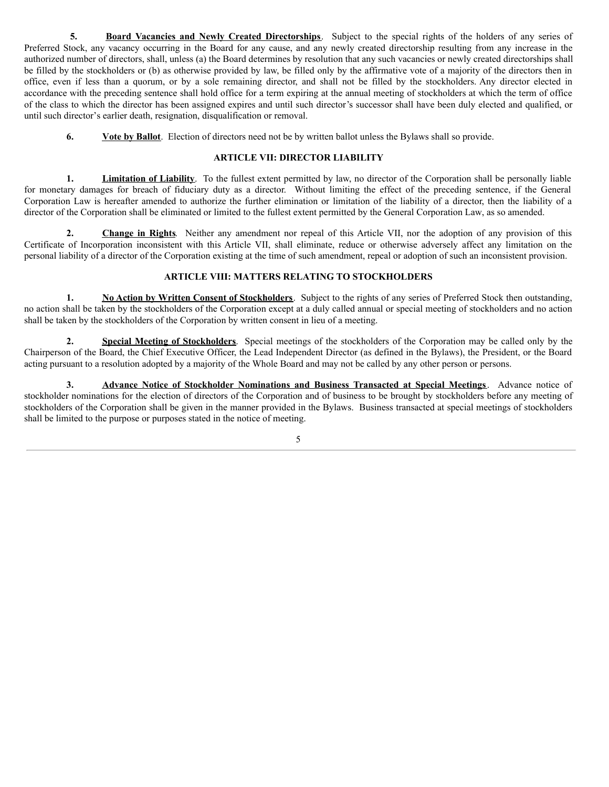**5. Board Vacancies and Newly Created Directorships**. Subject to the special rights of the holders of any series of Preferred Stock, any vacancy occurring in the Board for any cause, and any newly created directorship resulting from any increase in the authorized number of directors, shall, unless (a) the Board determines by resolution that any such vacancies or newly created directorships shall be filled by the stockholders or (b) as otherwise provided by law, be filled only by the affirmative vote of a majority of the directors then in office, even if less than a quorum, or by a sole remaining director, and shall not be filled by the stockholders. Any director elected in accordance with the preceding sentence shall hold office for a term expiring at the annual meeting of stockholders at which the term of office of the class to which the director has been assigned expires and until such director's successor shall have been duly elected and qualified, or until such director's earlier death, resignation, disqualification or removal.

**6. Vote by Ballot**. Election of directors need not be by written ballot unless the Bylaws shall so provide.

# **ARTICLE VII: DIRECTOR LIABILITY**

**1. Limitation of Liability**. To the fullest extent permitted by law, no director of the Corporation shall be personally liable for monetary damages for breach of fiduciary duty as a director. Without limiting the effect of the preceding sentence, if the General Corporation Law is hereafter amended to authorize the further elimination or limitation of the liability of a director, then the liability of a director of the Corporation shall be eliminated or limited to the fullest extent permitted by the General Corporation Law, as so amended.

**2. Change in Rights**. Neither any amendment nor repeal of this Article VII, nor the adoption of any provision of this Certificate of Incorporation inconsistent with this Article VII, shall eliminate, reduce or otherwise adversely affect any limitation on the personal liability of a director of the Corporation existing at the time of such amendment, repeal or adoption of such an inconsistent provision.

# **ARTICLE VIII: MATTERS RELATING TO STOCKHOLDERS**

**1. No Action by Written Consent of Stockholders**. Subject to the rights of any series of Preferred Stock then outstanding, no action shall be taken by the stockholders of the Corporation except at a duly called annual or special meeting of stockholders and no action shall be taken by the stockholders of the Corporation by written consent in lieu of a meeting.

**2. Special Meeting of Stockholders**. Special meetings of the stockholders of the Corporation may be called only by the Chairperson of the Board, the Chief Executive Officer, the Lead Independent Director (as defined in the Bylaws), the President, or the Board acting pursuant to a resolution adopted by a majority of the Whole Board and may not be called by any other person or persons.

**3. Advance Notice of Stockholder Nominations and Business Transacted at Special Meetings**. Advance notice of stockholder nominations for the election of directors of the Corporation and of business to be brought by stockholders before any meeting of stockholders of the Corporation shall be given in the manner provided in the Bylaws. Business transacted at special meetings of stockholders shall be limited to the purpose or purposes stated in the notice of meeting.

<sup>5</sup>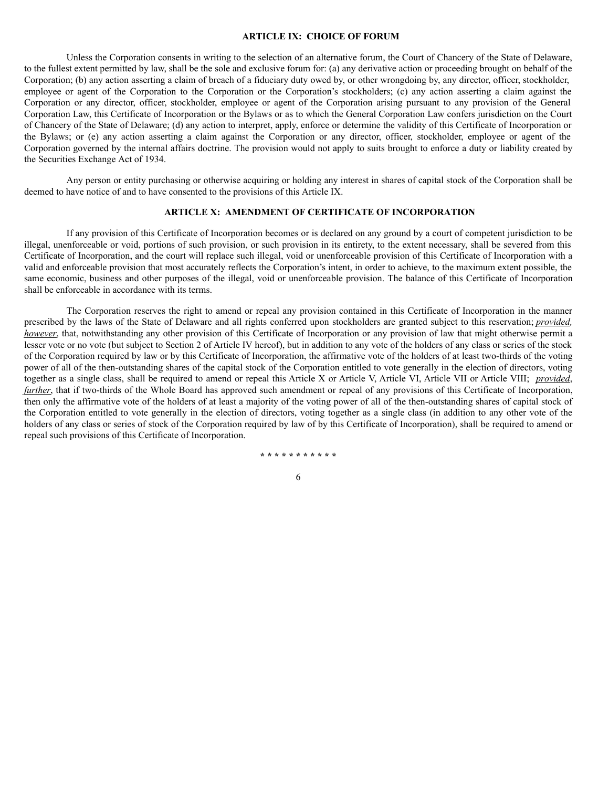### **ARTICLE IX: CHOICE OF FORUM**

Unless the Corporation consents in writing to the selection of an alternative forum, the Court of Chancery of the State of Delaware, to the fullest extent permitted by law, shall be the sole and exclusive forum for: (a) any derivative action or proceeding brought on behalf of the Corporation; (b) any action asserting a claim of breach of a fiduciary duty owed by, or other wrongdoing by, any director, officer, stockholder, employee or agent of the Corporation to the Corporation or the Corporation's stockholders; (c) any action asserting a claim against the Corporation or any director, officer, stockholder, employee or agent of the Corporation arising pursuant to any provision of the General Corporation Law, this Certificate of Incorporation or the Bylaws or as to which the General Corporation Law confers jurisdiction on the Court of Chancery of the State of Delaware; (d) any action to interpret, apply, enforce or determine the validity of this Certificate of Incorporation or the Bylaws; or (e) any action asserting a claim against the Corporation or any director, officer, stockholder, employee or agent of the Corporation governed by the internal affairs doctrine. The provision would not apply to suits brought to enforce a duty or liability created by the Securities Exchange Act of 1934.

Any person or entity purchasing or otherwise acquiring or holding any interest in shares of capital stock of the Corporation shall be deemed to have notice of and to have consented to the provisions of this Article IX.

# **ARTICLE X: AMENDMENT OF CERTIFICATE OF INCORPORATION**

If any provision of this Certificate of Incorporation becomes or is declared on any ground by a court of competent jurisdiction to be illegal, unenforceable or void, portions of such provision, or such provision in its entirety, to the extent necessary, shall be severed from this Certificate of Incorporation, and the court will replace such illegal, void or unenforceable provision of this Certificate of Incorporation with a valid and enforceable provision that most accurately reflects the Corporation's intent, in order to achieve, to the maximum extent possible, the same economic, business and other purposes of the illegal, void or unenforceable provision. The balance of this Certificate of Incorporation shall be enforceable in accordance with its terms.

The Corporation reserves the right to amend or repeal any provision contained in this Certificate of Incorporation in the manner prescribed by the laws of the State of Delaware and all rights conferred upon stockholders are granted subject to this reservation; *provided, however*, that, notwithstanding any other provision of this Certificate of Incorporation or any provision of law that might otherwise permit a lesser vote or no vote (but subject to Section 2 of Article IV hereof), but in addition to any vote of the holders of any class or series of the stock of the Corporation required by law or by this Certificate of Incorporation, the affirmative vote of the holders of at least two-thirds of the voting power of all of the then-outstanding shares of the capital stock of the Corporation entitled to vote generally in the election of directors, voting together as a single class, shall be required to amend or repeal this Article X or Article V, Article VI, Article VII or Article VIII; *provided*, *further*, that if two-thirds of the Whole Board has approved such amendment or repeal of any provisions of this Certificate of Incorporation, then only the affirmative vote of the holders of at least a majority of the voting power of all of the then-outstanding shares of capital stock of the Corporation entitled to vote generally in the election of directors, voting together as a single class (in addition to any other vote of the holders of any class or series of stock of the Corporation required by law of by this Certificate of Incorporation), shall be required to amend or repeal such provisions of this Certificate of Incorporation.

**\* \* \* \* \* \* \* \* \* \* \***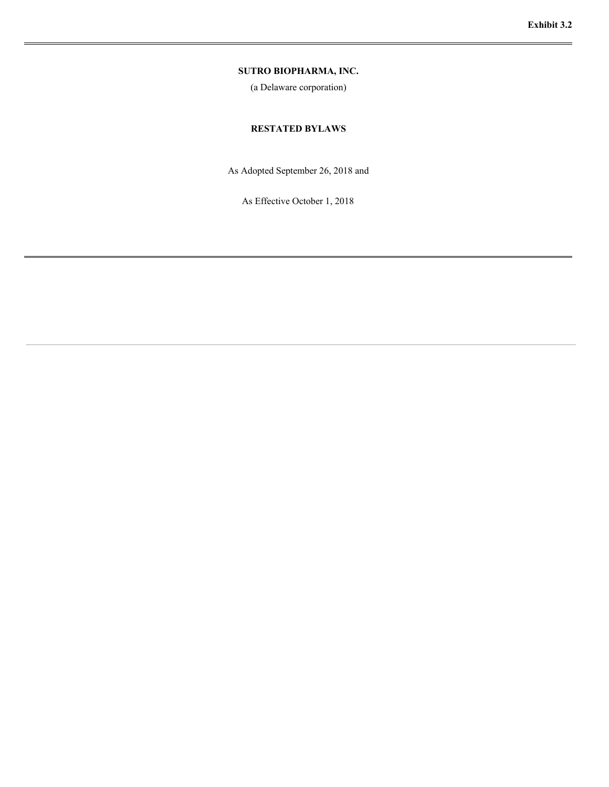# **SUTRO BIOPHARMA, INC.**

(a Delaware corporation)

# **RESTATED BYLAWS**

As Adopted September 26, 2018 and

As Effective October 1, 2018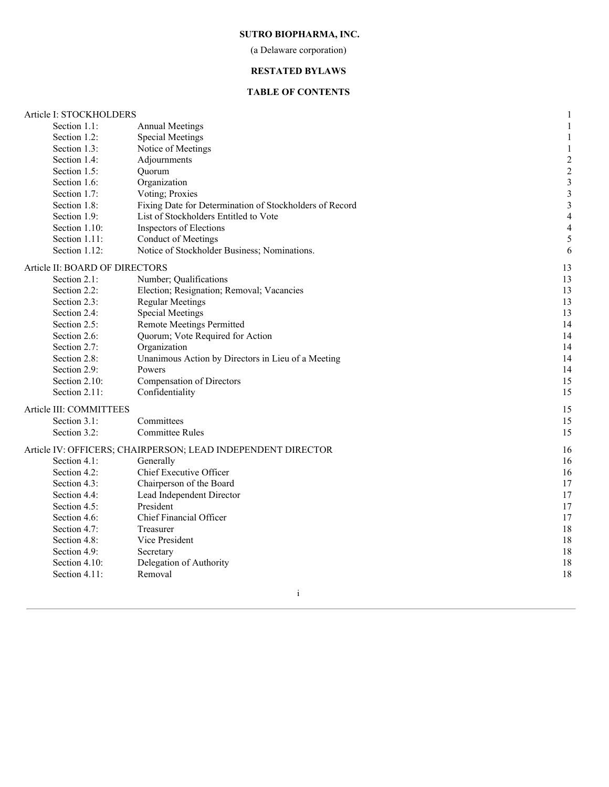#### **SUTRO BIOPHARMA, INC.**

# (a Delaware corporation)

# **RESTATED BYLAWS**

# **TABLE OF CONTENTS**

#### Article I: STOCKHOLDERS

| Article I: STOCKHOLDERS        |                                                              | $\mathbf{1}$            |
|--------------------------------|--------------------------------------------------------------|-------------------------|
| Section 1.1:                   | <b>Annual Meetings</b>                                       | $\mathbf{1}$            |
| Section 1.2:                   | <b>Special Meetings</b>                                      | $\mathbf{1}$            |
| Section 1.3:                   | Notice of Meetings                                           | $\mathbf{1}$            |
| Section 1.4:                   | Adjournments                                                 | $\overline{c}$          |
| Section 1.5:                   | Quorum                                                       | $\overline{c}$          |
| Section 1.6:                   | Organization                                                 | $\mathfrak{Z}$          |
| Section 1.7:                   | Voting; Proxies                                              | $\overline{\mathbf{3}}$ |
| Section 1.8:                   | Fixing Date for Determination of Stockholders of Record      | $\mathfrak{Z}$          |
| Section 1.9:                   | List of Stockholders Entitled to Vote                        | $\overline{4}$          |
| Section 1.10:                  | Inspectors of Elections                                      | $\overline{4}$          |
| Section 1.11:                  | Conduct of Meetings                                          | 5                       |
| Section 1.12:                  | Notice of Stockholder Business; Nominations.                 | 6                       |
| Article II: BOARD OF DIRECTORS |                                                              | 13                      |
| Section 2.1:                   | Number; Qualifications                                       | 13                      |
| Section 2.2:                   | Election; Resignation; Removal; Vacancies                    | 13                      |
| Section 2.3:                   | <b>Regular Meetings</b>                                      | 13                      |
| Section 2.4:                   | <b>Special Meetings</b>                                      | 13                      |
| Section 2.5:                   | <b>Remote Meetings Permitted</b>                             | 14                      |
| Section 2.6:                   | Quorum; Vote Required for Action                             | 14                      |
| Section 2.7:                   | Organization                                                 | 14                      |
| Section 2.8:                   | Unanimous Action by Directors in Lieu of a Meeting           | 14                      |
| Section 2.9:                   | Powers                                                       | 14                      |
| Section 2.10:                  | <b>Compensation of Directors</b>                             | 15                      |
| Section 2.11:                  | Confidentiality                                              | 15                      |
| Article III: COMMITTEES        |                                                              | 15                      |
| Section 3.1:                   | Committees                                                   | 15                      |
| Section 3.2:                   | <b>Committee Rules</b>                                       | 15                      |
|                                |                                                              |                         |
|                                | Article IV: OFFICERS; CHAIRPERSON; LEAD INDEPENDENT DIRECTOR | 16                      |
| Section 4.1:                   | Generally                                                    | 16                      |
| Section 4.2:                   | Chief Executive Officer                                      | 16                      |
| Section 4.3:                   | Chairperson of the Board                                     | 17                      |
| Section 4.4:                   | Lead Independent Director                                    | 17                      |
| Section 4.5:                   | President                                                    | 17                      |
| Section 4.6:                   | Chief Financial Officer                                      | 17                      |
| Section 4.7:                   | Treasurer                                                    | 18                      |
| Section 4.8:                   | Vice President                                               | $18\,$                  |
| Section 4.9:                   | Secretary                                                    | $18\,$                  |
| Section 4.10:                  | Delegation of Authority                                      | $18\,$                  |
| Section 4.11:                  | Removal                                                      | 18                      |
|                                | i                                                            |                         |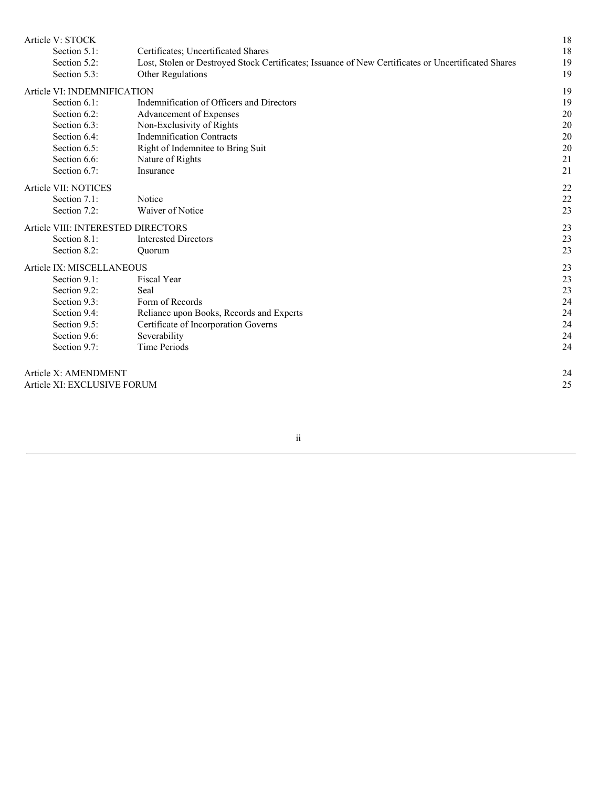| Article V: STOCK                   |                                                                                                     | 18 |
|------------------------------------|-----------------------------------------------------------------------------------------------------|----|
| Section 5.1:                       | Certificates; Uncertificated Shares                                                                 | 18 |
| Section 5.2:                       | Lost, Stolen or Destroyed Stock Certificates; Issuance of New Certificates or Uncertificated Shares | 19 |
| Section 5.3:                       | Other Regulations                                                                                   | 19 |
| Article VI: INDEMNIFICATION        |                                                                                                     | 19 |
| Section 6.1:                       | Indemnification of Officers and Directors                                                           | 19 |
| Section 6.2:                       | Advancement of Expenses                                                                             | 20 |
| Section 6.3:                       | Non-Exclusivity of Rights                                                                           | 20 |
| Section 6.4:                       | <b>Indemnification Contracts</b>                                                                    | 20 |
| Section 6.5:                       | Right of Indemnitee to Bring Suit                                                                   | 20 |
| Section 6.6:                       | Nature of Rights                                                                                    | 21 |
| Section 6.7:                       | Insurance                                                                                           | 21 |
| Article VII: NOTICES               |                                                                                                     | 22 |
| Section 7.1:                       | Notice                                                                                              | 22 |
| Section 7.2:                       | Waiver of Notice                                                                                    | 23 |
| Article VIII: INTERESTED DIRECTORS |                                                                                                     | 23 |
| Section 8.1:                       | <b>Interested Directors</b>                                                                         | 23 |
| Section 8.2:                       | Quorum                                                                                              | 23 |
| Article IX: MISCELLANEOUS          |                                                                                                     | 23 |
| Section 9.1:                       | Fiscal Year                                                                                         | 23 |
| Section 9.2:                       | Seal                                                                                                | 23 |
| Section 9.3:                       | Form of Records                                                                                     | 24 |
| Section 9.4:                       | Reliance upon Books, Records and Experts                                                            | 24 |
| Section 9.5:                       | Certificate of Incorporation Governs                                                                | 24 |
| Section 9.6:                       | Severability                                                                                        | 24 |
| Section 9.7:                       | Time Periods                                                                                        | 24 |
| Article X: AMENDMENT               |                                                                                                     | 24 |
| Article XI: EXCLUSIVE FORUM        |                                                                                                     |    |
|                                    |                                                                                                     | 25 |

ii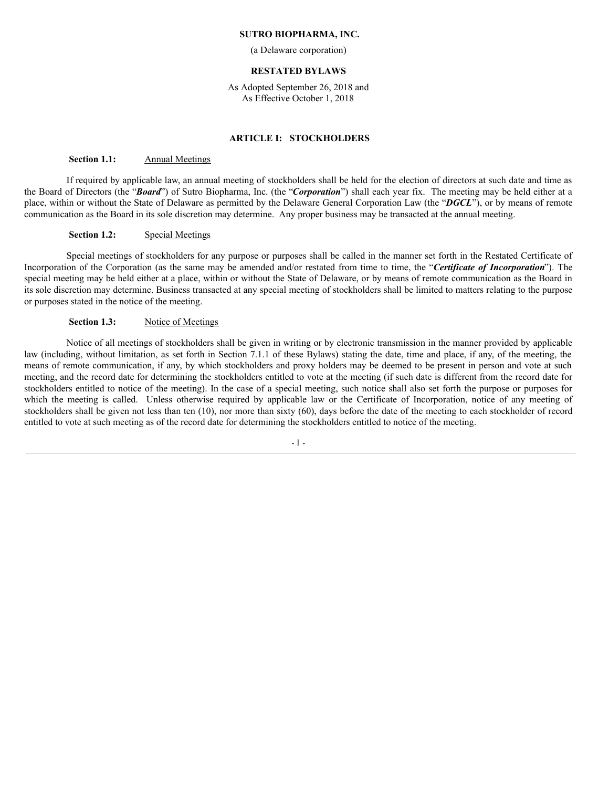### **SUTRO BIOPHARMA, INC.**

(a Delaware corporation)

# **RESTATED BYLAWS**

As Adopted September 26, 2018 and As Effective October 1, 2018

### **ARTICLE I: STOCKHOLDERS**

### **Section 1.1:** Annual Meetings

If required by applicable law, an annual meeting of stockholders shall be held for the election of directors at such date and time as the Board of Directors (the "*Board*") of Sutro Biopharma, Inc. (the "*Corporation*") shall each year fix. The meeting may be held either at a place, within or without the State of Delaware as permitted by the Delaware General Corporation Law (the "*DGCL*"), or by means of remote communication as the Board in its sole discretion may determine. Any proper business may be transacted at the annual meeting.

### **Section 1.2:** Special Meetings

Special meetings of stockholders for any purpose or purposes shall be called in the manner set forth in the Restated Certificate of Incorporation of the Corporation (as the same may be amended and/or restated from time to time, the "*Certificate of Incorporation*"). The special meeting may be held either at a place, within or without the State of Delaware, or by means of remote communication as the Board in its sole discretion may determine. Business transacted at any special meeting of stockholders shall be limited to matters relating to the purpose or purposes stated in the notice of the meeting.

# **Section 1.3:** Notice of Meetings

Notice of all meetings of stockholders shall be given in writing or by electronic transmission in the manner provided by applicable law (including, without limitation, as set forth in Section 7.1.1 of these Bylaws) stating the date, time and place, if any, of the meeting, the means of remote communication, if any, by which stockholders and proxy holders may be deemed to be present in person and vote at such meeting, and the record date for determining the stockholders entitled to vote at the meeting (if such date is different from the record date for stockholders entitled to notice of the meeting). In the case of a special meeting, such notice shall also set forth the purpose or purposes for which the meeting is called. Unless otherwise required by applicable law or the Certificate of Incorporation, notice of any meeting of stockholders shall be given not less than ten (10), nor more than sixty (60), days before the date of the meeting to each stockholder of record entitled to vote at such meeting as of the record date for determining the stockholders entitled to notice of the meeting.

#### - 1 -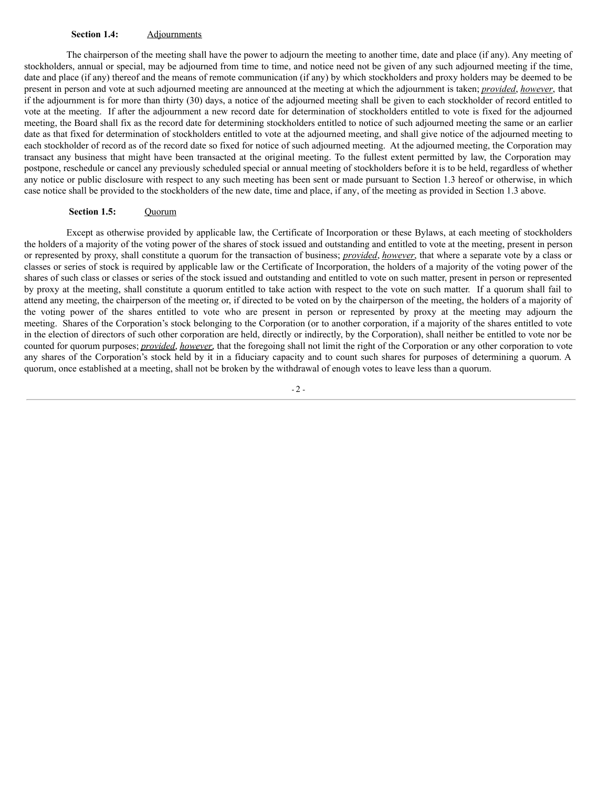### **Section 1.4:** Adjournments

The chairperson of the meeting shall have the power to adjourn the meeting to another time, date and place (if any). Any meeting of stockholders, annual or special, may be adjourned from time to time, and notice need not be given of any such adjourned meeting if the time, date and place (if any) thereof and the means of remote communication (if any) by which stockholders and proxy holders may be deemed to be present in person and vote at such adjourned meeting are announced at the meeting at which the adjournment is taken; *provided*, *however*, that if the adjournment is for more than thirty (30) days, a notice of the adjourned meeting shall be given to each stockholder of record entitled to vote at the meeting. If after the adjournment a new record date for determination of stockholders entitled to vote is fixed for the adjourned meeting, the Board shall fix as the record date for determining stockholders entitled to notice of such adjourned meeting the same or an earlier date as that fixed for determination of stockholders entitled to vote at the adjourned meeting, and shall give notice of the adjourned meeting to each stockholder of record as of the record date so fixed for notice of such adjourned meeting. At the adjourned meeting, the Corporation may transact any business that might have been transacted at the original meeting. To the fullest extent permitted by law, the Corporation may postpone, reschedule or cancel any previously scheduled special or annual meeting of stockholders before it is to be held, regardless of whether any notice or public disclosure with respect to any such meeting has been sent or made pursuant to Section 1.3 hereof or otherwise, in which case notice shall be provided to the stockholders of the new date, time and place, if any, of the meeting as provided in Section 1.3 above.

### **Section 1.5:** Ouorum

Except as otherwise provided by applicable law, the Certificate of Incorporation or these Bylaws, at each meeting of stockholders the holders of a majority of the voting power of the shares of stock issued and outstanding and entitled to vote at the meeting, present in person or represented by proxy, shall constitute a quorum for the transaction of business; *provided*, *however*, that where a separate vote by a class or classes or series of stock is required by applicable law or the Certificate of Incorporation, the holders of a majority of the voting power of the shares of such class or classes or series of the stock issued and outstanding and entitled to vote on such matter, present in person or represented by proxy at the meeting, shall constitute a quorum entitled to take action with respect to the vote on such matter. If a quorum shall fail to attend any meeting, the chairperson of the meeting or, if directed to be voted on by the chairperson of the meeting, the holders of a majority of the voting power of the shares entitled to vote who are present in person or represented by proxy at the meeting may adjourn the meeting. Shares of the Corporation's stock belonging to the Corporation (or to another corporation, if a majority of the shares entitled to vote in the election of directors of such other corporation are held, directly or indirectly, by the Corporation), shall neither be entitled to vote nor be counted for quorum purposes; *provided*, *however*, that the foregoing shall not limit the right of the Corporation or any other corporation to vote any shares of the Corporation's stock held by it in a fiduciary capacity and to count such shares for purposes of determining a quorum. A quorum, once established at a meeting, shall not be broken by the withdrawal of enough votes to leave less than a quorum.

 $-2 -$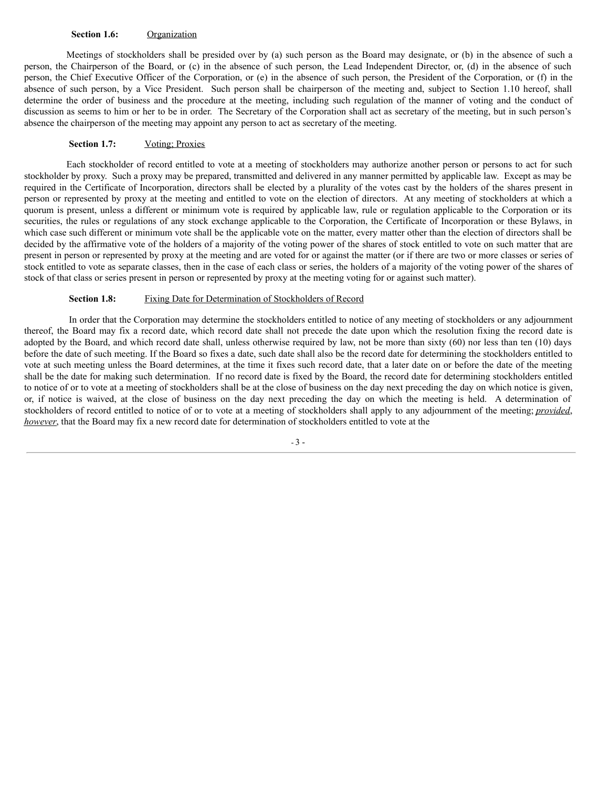### **Section 1.6:** Organization

Meetings of stockholders shall be presided over by (a) such person as the Board may designate, or (b) in the absence of such a person, the Chairperson of the Board, or (c) in the absence of such person, the Lead Independent Director, or, (d) in the absence of such person, the Chief Executive Officer of the Corporation, or (e) in the absence of such person, the President of the Corporation, or (f) in the absence of such person, by a Vice President. Such person shall be chairperson of the meeting and, subject to Section 1.10 hereof, shall determine the order of business and the procedure at the meeting, including such regulation of the manner of voting and the conduct of discussion as seems to him or her to be in order. The Secretary of the Corporation shall act as secretary of the meeting, but in such person's absence the chairperson of the meeting may appoint any person to act as secretary of the meeting.

### **Section 1.7:** Voting; Proxies

Each stockholder of record entitled to vote at a meeting of stockholders may authorize another person or persons to act for such stockholder by proxy. Such a proxy may be prepared, transmitted and delivered in any manner permitted by applicable law. Except as may be required in the Certificate of Incorporation, directors shall be elected by a plurality of the votes cast by the holders of the shares present in person or represented by proxy at the meeting and entitled to vote on the election of directors. At any meeting of stockholders at which a quorum is present, unless a different or minimum vote is required by applicable law, rule or regulation applicable to the Corporation or its securities, the rules or regulations of any stock exchange applicable to the Corporation, the Certificate of Incorporation or these Bylaws, in which case such different or minimum vote shall be the applicable vote on the matter, every matter other than the election of directors shall be decided by the affirmative vote of the holders of a majority of the voting power of the shares of stock entitled to vote on such matter that are present in person or represented by proxy at the meeting and are voted for or against the matter (or if there are two or more classes or series of stock entitled to vote as separate classes, then in the case of each class or series, the holders of a majority of the voting power of the shares of stock of that class or series present in person or represented by proxy at the meeting voting for or against such matter).

### **Section 1.8:** Fixing Date for Determination of Stockholders of Record

In order that the Corporation may determine the stockholders entitled to notice of any meeting of stockholders or any adjournment thereof, the Board may fix a record date, which record date shall not precede the date upon which the resolution fixing the record date is adopted by the Board, and which record date shall, unless otherwise required by law, not be more than sixty (60) nor less than ten (10) days before the date of such meeting. If the Board so fixes a date, such date shall also be the record date for determining the stockholders entitled to vote at such meeting unless the Board determines, at the time it fixes such record date, that a later date on or before the date of the meeting shall be the date for making such determination. If no record date is fixed by the Board, the record date for determining stockholders entitled to notice of or to vote at a meeting of stockholders shall be at the close of business on the day next preceding the day on which notice is given, or, if notice is waived, at the close of business on the day next preceding the day on which the meeting is held. A determination of stockholders of record entitled to notice of or to vote at a meeting of stockholders shall apply to any adjournment of the meeting; *provided*, *however*, that the Board may fix a new record date for determination of stockholders entitled to vote at the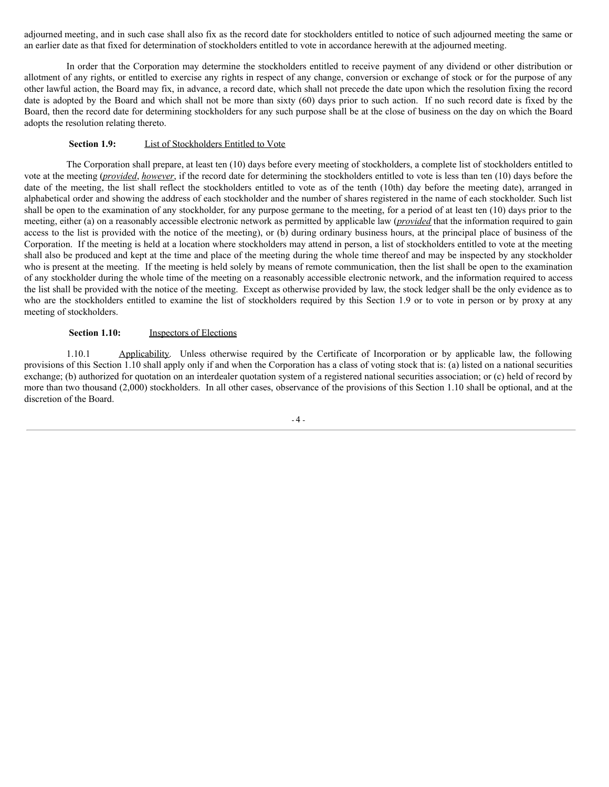adjourned meeting, and in such case shall also fix as the record date for stockholders entitled to notice of such adjourned meeting the same or an earlier date as that fixed for determination of stockholders entitled to vote in accordance herewith at the adjourned meeting.

In order that the Corporation may determine the stockholders entitled to receive payment of any dividend or other distribution or allotment of any rights, or entitled to exercise any rights in respect of any change, conversion or exchange of stock or for the purpose of any other lawful action, the Board may fix, in advance, a record date, which shall not precede the date upon which the resolution fixing the record date is adopted by the Board and which shall not be more than sixty (60) days prior to such action. If no such record date is fixed by the Board, then the record date for determining stockholders for any such purpose shall be at the close of business on the day on which the Board adopts the resolution relating thereto.

# **Section 1.9:** List of Stockholders Entitled to Vote

The Corporation shall prepare, at least ten (10) days before every meeting of stockholders, a complete list of stockholders entitled to vote at the meeting (*provided*, *however*, if the record date for determining the stockholders entitled to vote is less than ten (10) days before the date of the meeting, the list shall reflect the stockholders entitled to vote as of the tenth (10th) day before the meeting date), arranged in alphabetical order and showing the address of each stockholder and the number of shares registered in the name of each stockholder. Such list shall be open to the examination of any stockholder, for any purpose germane to the meeting, for a period of at least ten (10) days prior to the meeting, either (a) on a reasonably accessible electronic network as permitted by applicable law (*provided* that the information required to gain access to the list is provided with the notice of the meeting), or (b) during ordinary business hours, at the principal place of business of the Corporation. If the meeting is held at a location where stockholders may attend in person, a list of stockholders entitled to vote at the meeting shall also be produced and kept at the time and place of the meeting during the whole time thereof and may be inspected by any stockholder who is present at the meeting. If the meeting is held solely by means of remote communication, then the list shall be open to the examination of any stockholder during the whole time of the meeting on a reasonably accessible electronic network, and the information required to access the list shall be provided with the notice of the meeting. Except as otherwise provided by law, the stock ledger shall be the only evidence as to who are the stockholders entitled to examine the list of stockholders required by this Section 1.9 or to vote in person or by proxy at any meeting of stockholders.

### **Section 1.10:** Inspectors of Elections

1.10.1 Applicability. Unless otherwise required by the Certificate of Incorporation or by applicable law, the following provisions of this Section 1.10 shall apply only if and when the Corporation has a class of voting stock that is: (a) listed on a national securities exchange; (b) authorized for quotation on an interdealer quotation system of a registered national securities association; or (c) held of record by more than two thousand (2,000) stockholders. In all other cases, observance of the provisions of this Section 1.10 shall be optional, and at the discretion of the Board.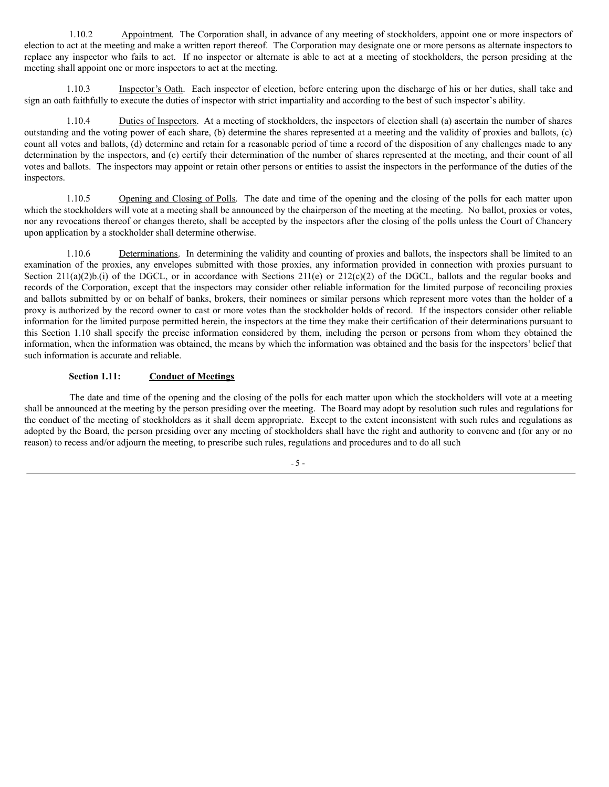1.10.2 Appointment. The Corporation shall, in advance of any meeting of stockholders, appoint one or more inspectors of election to act at the meeting and make a written report thereof. The Corporation may designate one or more persons as alternate inspectors to replace any inspector who fails to act. If no inspector or alternate is able to act at a meeting of stockholders, the person presiding at the meeting shall appoint one or more inspectors to act at the meeting.

1.10.3 Inspector's Oath. Each inspector of election, before entering upon the discharge of his or her duties, shall take and sign an oath faithfully to execute the duties of inspector with strict impartiality and according to the best of such inspector's ability.

1.10.4 Duties of Inspectors. At a meeting of stockholders, the inspectors of election shall (a) ascertain the number of shares outstanding and the voting power of each share, (b) determine the shares represented at a meeting and the validity of proxies and ballots, (c) count all votes and ballots, (d) determine and retain for a reasonable period of time a record of the disposition of any challenges made to any determination by the inspectors, and (e) certify their determination of the number of shares represented at the meeting, and their count of all votes and ballots. The inspectors may appoint or retain other persons or entities to assist the inspectors in the performance of the duties of the inspectors.

1.10.5 Opening and Closing of Polls. The date and time of the opening and the closing of the polls for each matter upon which the stockholders will vote at a meeting shall be announced by the chairperson of the meeting at the meeting. No ballot, proxies or votes, nor any revocations thereof or changes thereto, shall be accepted by the inspectors after the closing of the polls unless the Court of Chancery upon application by a stockholder shall determine otherwise.

1.10.6 Determinations. In determining the validity and counting of proxies and ballots, the inspectors shall be limited to an examination of the proxies, any envelopes submitted with those proxies, any information provided in connection with proxies pursuant to Section 211(a)(2)b.(i) of the DGCL, or in accordance with Sections 211(e) or  $212(c)(2)$  of the DGCL, ballots and the regular books and records of the Corporation, except that the inspectors may consider other reliable information for the limited purpose of reconciling proxies and ballots submitted by or on behalf of banks, brokers, their nominees or similar persons which represent more votes than the holder of a proxy is authorized by the record owner to cast or more votes than the stockholder holds of record. If the inspectors consider other reliable information for the limited purpose permitted herein, the inspectors at the time they make their certification of their determinations pursuant to this Section 1.10 shall specify the precise information considered by them, including the person or persons from whom they obtained the information, when the information was obtained, the means by which the information was obtained and the basis for the inspectors' belief that such information is accurate and reliable.

# **Section 1.11: Conduct of Meetings**

The date and time of the opening and the closing of the polls for each matter upon which the stockholders will vote at a meeting shall be announced at the meeting by the person presiding over the meeting. The Board may adopt by resolution such rules and regulations for the conduct of the meeting of stockholders as it shall deem appropriate. Except to the extent inconsistent with such rules and regulations as adopted by the Board, the person presiding over any meeting of stockholders shall have the right and authority to convene and (for any or no reason) to recess and/or adjourn the meeting, to prescribe such rules, regulations and procedures and to do all such

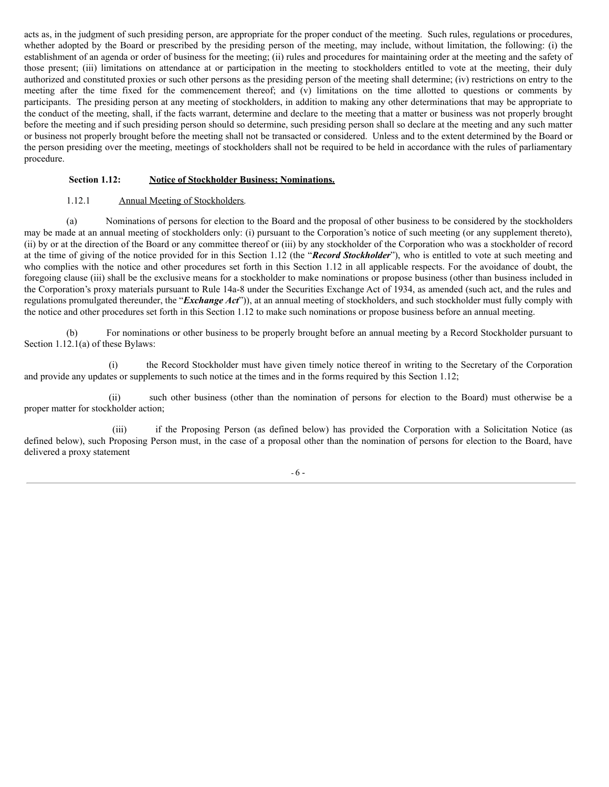acts as, in the judgment of such presiding person, are appropriate for the proper conduct of the meeting. Such rules, regulations or procedures, whether adopted by the Board or prescribed by the presiding person of the meeting, may include, without limitation, the following: (i) the establishment of an agenda or order of business for the meeting; (ii) rules and procedures for maintaining order at the meeting and the safety of those present; (iii) limitations on attendance at or participation in the meeting to stockholders entitled to vote at the meeting, their duly authorized and constituted proxies or such other persons as the presiding person of the meeting shall determine; (iv) restrictions on entry to the meeting after the time fixed for the commencement thereof; and (v) limitations on the time allotted to questions or comments by participants. The presiding person at any meeting of stockholders, in addition to making any other determinations that may be appropriate to the conduct of the meeting, shall, if the facts warrant, determine and declare to the meeting that a matter or business was not properly brought before the meeting and if such presiding person should so determine, such presiding person shall so declare at the meeting and any such matter or business not properly brought before the meeting shall not be transacted or considered. Unless and to the extent determined by the Board or the person presiding over the meeting, meetings of stockholders shall not be required to be held in accordance with the rules of parliamentary procedure.

# **Section 1.12: Notice of Stockholder Business; Nominations.**

# 1.12.1 Annual Meeting of Stockholders.

(a) Nominations of persons for election to the Board and the proposal of other business to be considered by the stockholders may be made at an annual meeting of stockholders only: (i) pursuant to the Corporation's notice of such meeting (or any supplement thereto), (ii) by or at the direction of the Board or any committee thereof or (iii) by any stockholder of the Corporation who was a stockholder of record at the time of giving of the notice provided for in this Section 1.12 (the "*Record Stockholder*"), who is entitled to vote at such meeting and who complies with the notice and other procedures set forth in this Section 1.12 in all applicable respects. For the avoidance of doubt, the foregoing clause (iii) shall be the exclusive means for a stockholder to make nominations or propose business (other than business included in the Corporation's proxy materials pursuant to Rule 14a-8 under the Securities Exchange Act of 1934, as amended (such act, and the rules and regulations promulgated thereunder, the "*Exchange Act*")), at an annual meeting of stockholders, and such stockholder must fully comply with the notice and other procedures set forth in this Section 1.12 to make such nominations or propose business before an annual meeting.

(b) For nominations or other business to be properly brought before an annual meeting by a Record Stockholder pursuant to Section 1.12.1(a) of these Bylaws:

(i) the Record Stockholder must have given timely notice thereof in writing to the Secretary of the Corporation and provide any updates or supplements to such notice at the times and in the forms required by this Section 1.12;

(ii) such other business (other than the nomination of persons for election to the Board) must otherwise be a proper matter for stockholder action;

(iii) if the Proposing Person (as defined below) has provided the Corporation with a Solicitation Notice (as defined below), such Proposing Person must, in the case of a proposal other than the nomination of persons for election to the Board, have delivered a proxy statement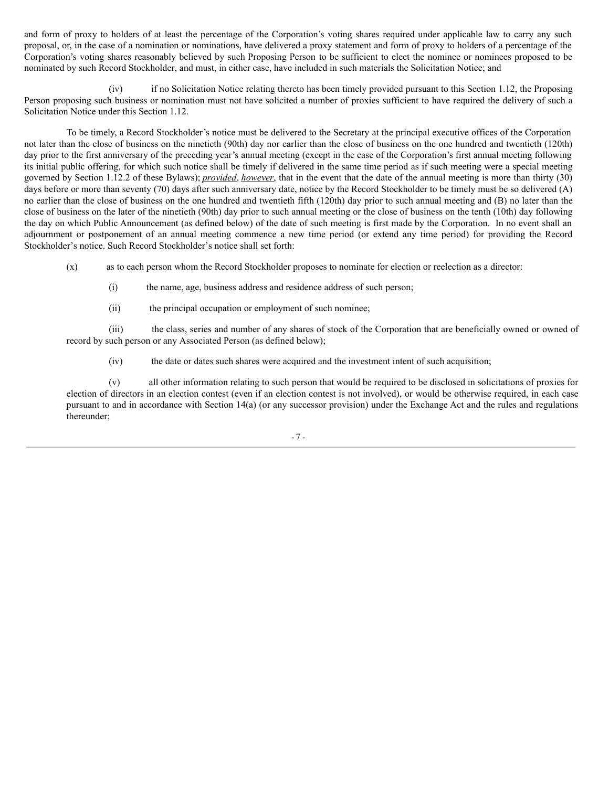and form of proxy to holders of at least the percentage of the Corporation's voting shares required under applicable law to carry any such proposal, or, in the case of a nomination or nominations, have delivered a proxy statement and form of proxy to holders of a percentage of the Corporation's voting shares reasonably believed by such Proposing Person to be sufficient to elect the nominee or nominees proposed to be nominated by such Record Stockholder, and must, in either case, have included in such materials the Solicitation Notice; and

(iv) if no Solicitation Notice relating thereto has been timely provided pursuant to this Section 1.12, the Proposing Person proposing such business or nomination must not have solicited a number of proxies sufficient to have required the delivery of such a Solicitation Notice under this Section 1.12.

To be timely, a Record Stockholder's notice must be delivered to the Secretary at the principal executive offices of the Corporation not later than the close of business on the ninetieth (90th) day nor earlier than the close of business on the one hundred and twentieth (120th) day prior to the first anniversary of the preceding year's annual meeting (except in the case of the Corporation's first annual meeting following its initial public offering, for which such notice shall be timely if delivered in the same time period as if such meeting were a special meeting governed by Section 1.12.2 of these Bylaws); *provided*, *however*, that in the event that the date of the annual meeting is more than thirty (30) days before or more than seventy (70) days after such anniversary date, notice by the Record Stockholder to be timely must be so delivered (A) no earlier than the close of business on the one hundred and twentieth fifth (120th) day prior to such annual meeting and (B) no later than the close of business on the later of the ninetieth (90th) day prior to such annual meeting or the close of business on the tenth (10th) day following the day on which Public Announcement (as defined below) of the date of such meeting is first made by the Corporation. In no event shall an adjournment or postponement of an annual meeting commence a new time period (or extend any time period) for providing the Record Stockholder's notice. Such Record Stockholder's notice shall set forth:

(x) as to each person whom the Record Stockholder proposes to nominate for election or reelection as a director:

- (i) the name, age, business address and residence address of such person;
- (ii) the principal occupation or employment of such nominee;

(iii) the class, series and number of any shares of stock of the Corporation that are beneficially owned or owned of record by such person or any Associated Person (as defined below);

(iv) the date or dates such shares were acquired and the investment intent of such acquisition;

(v) all other information relating to such person that would be required to be disclosed in solicitations of proxies for election of directors in an election contest (even if an election contest is not involved), or would be otherwise required, in each case pursuant to and in accordance with Section 14(a) (or any successor provision) under the Exchange Act and the rules and regulations thereunder;

- 7 -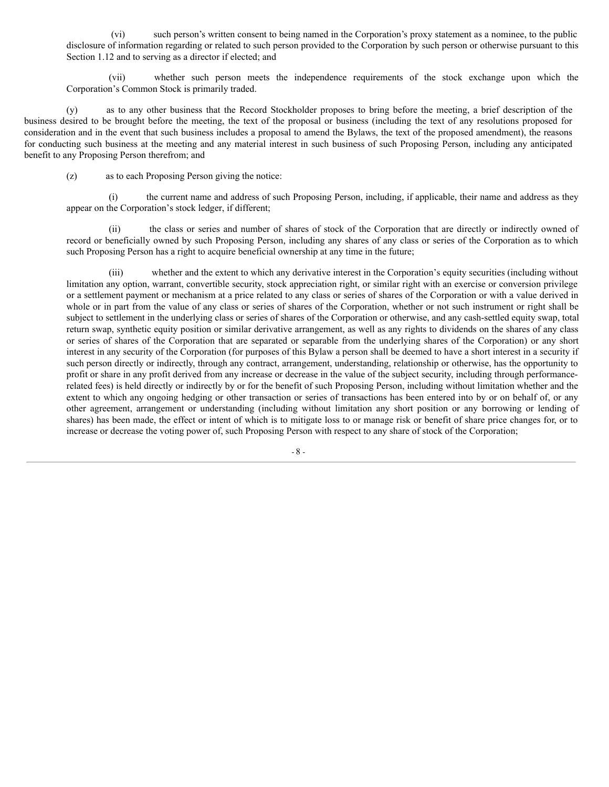(vi) such person's written consent to being named in the Corporation's proxy statement as a nominee, to the public disclosure of information regarding or related to such person provided to the Corporation by such person or otherwise pursuant to this Section 1.12 and to serving as a director if elected; and

(vii) whether such person meets the independence requirements of the stock exchange upon which the Corporation's Common Stock is primarily traded.

(y) as to any other business that the Record Stockholder proposes to bring before the meeting, a brief description of the business desired to be brought before the meeting, the text of the proposal or business (including the text of any resolutions proposed for consideration and in the event that such business includes a proposal to amend the Bylaws, the text of the proposed amendment), the reasons for conducting such business at the meeting and any material interest in such business of such Proposing Person, including any anticipated benefit to any Proposing Person therefrom; and

(z) as to each Proposing Person giving the notice:

(i) the current name and address of such Proposing Person, including, if applicable, their name and address as they appear on the Corporation's stock ledger, if different;

(ii) the class or series and number of shares of stock of the Corporation that are directly or indirectly owned of record or beneficially owned by such Proposing Person, including any shares of any class or series of the Corporation as to which such Proposing Person has a right to acquire beneficial ownership at any time in the future;

(iii) whether and the extent to which any derivative interest in the Corporation's equity securities (including without limitation any option, warrant, convertible security, stock appreciation right, or similar right with an exercise or conversion privilege or a settlement payment or mechanism at a price related to any class or series of shares of the Corporation or with a value derived in whole or in part from the value of any class or series of shares of the Corporation, whether or not such instrument or right shall be subject to settlement in the underlying class or series of shares of the Corporation or otherwise, and any cash-settled equity swap, total return swap, synthetic equity position or similar derivative arrangement, as well as any rights to dividends on the shares of any class or series of shares of the Corporation that are separated or separable from the underlying shares of the Corporation) or any short interest in any security of the Corporation (for purposes of this Bylaw a person shall be deemed to have a short interest in a security if such person directly or indirectly, through any contract, arrangement, understanding, relationship or otherwise, has the opportunity to profit or share in any profit derived from any increase or decrease in the value of the subject security, including through performancerelated fees) is held directly or indirectly by or for the benefit of such Proposing Person, including without limitation whether and the extent to which any ongoing hedging or other transaction or series of transactions has been entered into by or on behalf of, or any other agreement, arrangement or understanding (including without limitation any short position or any borrowing or lending of shares) has been made, the effect or intent of which is to mitigate loss to or manage risk or benefit of share price changes for, or to increase or decrease the voting power of, such Proposing Person with respect to any share of stock of the Corporation;

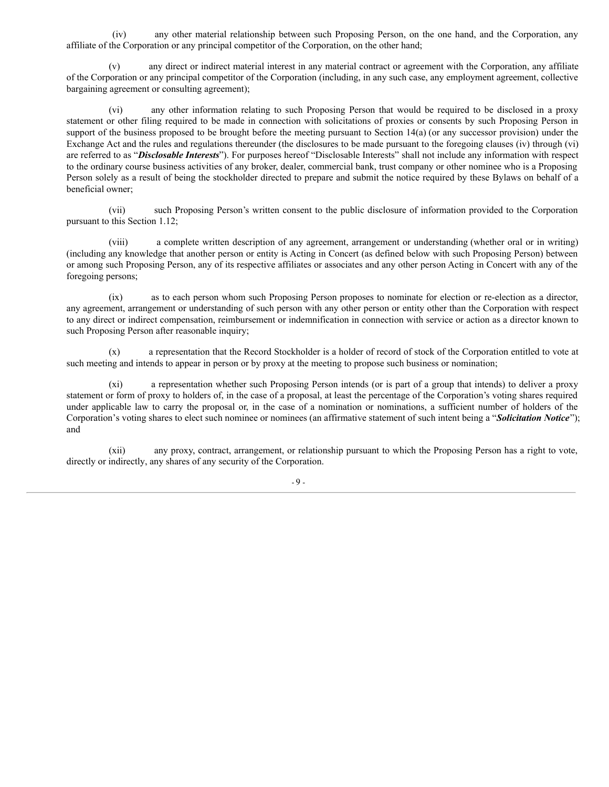(iv) any other material relationship between such Proposing Person, on the one hand, and the Corporation, any affiliate of the Corporation or any principal competitor of the Corporation, on the other hand;

(v) any direct or indirect material interest in any material contract or agreement with the Corporation, any affiliate of the Corporation or any principal competitor of the Corporation (including, in any such case, any employment agreement, collective bargaining agreement or consulting agreement);

(vi) any other information relating to such Proposing Person that would be required to be disclosed in a proxy statement or other filing required to be made in connection with solicitations of proxies or consents by such Proposing Person in support of the business proposed to be brought before the meeting pursuant to Section 14(a) (or any successor provision) under the Exchange Act and the rules and regulations thereunder (the disclosures to be made pursuant to the foregoing clauses (iv) through (vi) are referred to as "*Disclosable Interests*"). For purposes hereof "Disclosable Interests" shall not include any information with respect to the ordinary course business activities of any broker, dealer, commercial bank, trust company or other nominee who is a Proposing Person solely as a result of being the stockholder directed to prepare and submit the notice required by these Bylaws on behalf of a beneficial owner;

(vii) such Proposing Person's written consent to the public disclosure of information provided to the Corporation pursuant to this Section 1.12;

(viii) a complete written description of any agreement, arrangement or understanding (whether oral or in writing) (including any knowledge that another person or entity is Acting in Concert (as defined below with such Proposing Person) between or among such Proposing Person, any of its respective affiliates or associates and any other person Acting in Concert with any of the foregoing persons;

(ix) as to each person whom such Proposing Person proposes to nominate for election or re-election as a director, any agreement, arrangement or understanding of such person with any other person or entity other than the Corporation with respect to any direct or indirect compensation, reimbursement or indemnification in connection with service or action as a director known to such Proposing Person after reasonable inquiry;

(x) a representation that the Record Stockholder is a holder of record of stock of the Corporation entitled to vote at such meeting and intends to appear in person or by proxy at the meeting to propose such business or nomination;

(xi) a representation whether such Proposing Person intends (or is part of a group that intends) to deliver a proxy statement or form of proxy to holders of, in the case of a proposal, at least the percentage of the Corporation's voting shares required under applicable law to carry the proposal or, in the case of a nomination or nominations, a sufficient number of holders of the Corporation's voting shares to elect such nominee or nominees (an affirmative statement of such intent being a "*Solicitation Notice*"); and

(xii) any proxy, contract, arrangement, or relationship pursuant to which the Proposing Person has a right to vote, directly or indirectly, any shares of any security of the Corporation.

- 9 -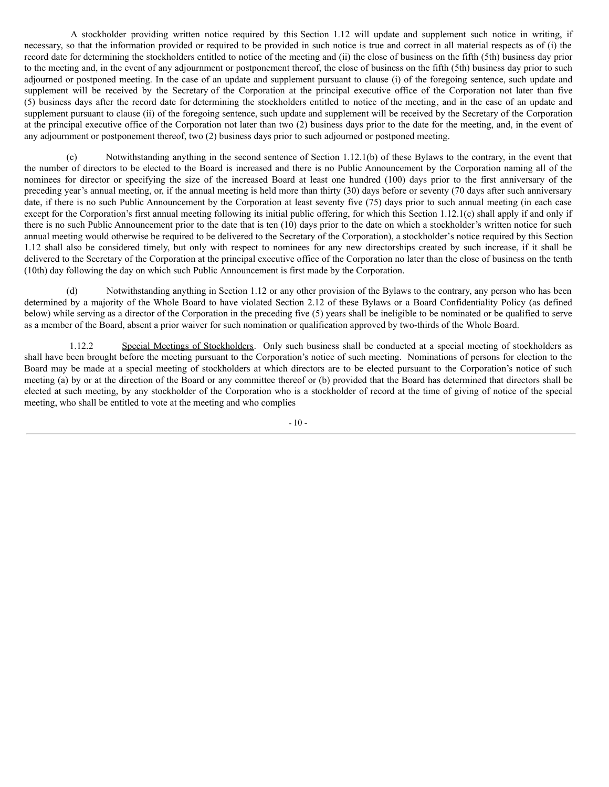A stockholder providing written notice required by this Section 1.12 will update and supplement such notice in writing, if necessary, so that the information provided or required to be provided in such notice is true and correct in all material respects as of (i) the record date for determining the stockholders entitled to notice of the meeting and (ii) the close of business on the fifth (5th) business day prior to the meeting and, in the event of any adjournment or postponement thereof, the close of business on the fifth (5th) business day prior to such adjourned or postponed meeting. In the case of an update and supplement pursuant to clause (i) of the foregoing sentence, such update and supplement will be received by the Secretary of the Corporation at the principal executive office of the Corporation not later than five (5) business days after the record date for determining the stockholders entitled to notice of the meeting, and in the case of an update and supplement pursuant to clause (ii) of the foregoing sentence, such update and supplement will be received by the Secretary of the Corporation at the principal executive office of the Corporation not later than two (2) business days prior to the date for the meeting, and, in the event of any adjournment or postponement thereof, two (2) business days prior to such adjourned or postponed meeting.

(c) Notwithstanding anything in the second sentence of Section 1.12.1(b) of these Bylaws to the contrary, in the event that the number of directors to be elected to the Board is increased and there is no Public Announcement by the Corporation naming all of the nominees for director or specifying the size of the increased Board at least one hundred (100) days prior to the first anniversary of the preceding year's annual meeting, or, if the annual meeting is held more than thirty (30) days before or seventy (70 days after such anniversary date, if there is no such Public Announcement by the Corporation at least seventy five (75) days prior to such annual meeting (in each case except for the Corporation's first annual meeting following its initial public offering, for which this Section 1.12.1(c) shall apply if and only if there is no such Public Announcement prior to the date that is ten (10) days prior to the date on which a stockholder's written notice for such annual meeting would otherwise be required to be delivered to the Secretary of the Corporation), a stockholder's notice required by this Section 1.12 shall also be considered timely, but only with respect to nominees for any new directorships created by such increase, if it shall be delivered to the Secretary of the Corporation at the principal executive office of the Corporation no later than the close of business on the tenth (10th) day following the day on which such Public Announcement is first made by the Corporation.

Notwithstanding anything in Section 1.12 or any other provision of the Bylaws to the contrary, any person who has been determined by a majority of the Whole Board to have violated Section 2.12 of these Bylaws or a Board Confidentiality Policy (as defined below) while serving as a director of the Corporation in the preceding five (5) years shall be ineligible to be nominated or be qualified to serve as a member of the Board, absent a prior waiver for such nomination or qualification approved by two-thirds of the Whole Board.

1.12.2 Special Meetings of Stockholders. Only such business shall be conducted at a special meeting of stockholders as shall have been brought before the meeting pursuant to the Corporation's notice of such meeting. Nominations of persons for election to the Board may be made at a special meeting of stockholders at which directors are to be elected pursuant to the Corporation's notice of such meeting (a) by or at the direction of the Board or any committee thereof or (b) provided that the Board has determined that directors shall be elected at such meeting, by any stockholder of the Corporation who is a stockholder of record at the time of giving of notice of the special meeting, who shall be entitled to vote at the meeting and who complies

- 10 -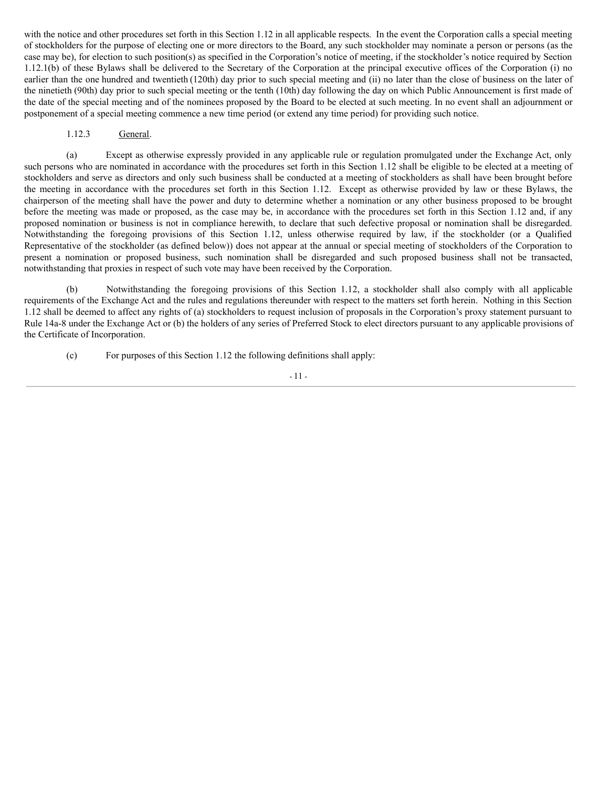with the notice and other procedures set forth in this Section 1.12 in all applicable respects. In the event the Corporation calls a special meeting of stockholders for the purpose of electing one or more directors to the Board, any such stockholder may nominate a person or persons (as the case may be), for election to such position(s) as specified in the Corporation's notice of meeting, if the stockholder's notice required by Section 1.12.1(b) of these Bylaws shall be delivered to the Secretary of the Corporation at the principal executive offices of the Corporation (i) no earlier than the one hundred and twentieth (120th) day prior to such special meeting and (ii) no later than the close of business on the later of the ninetieth (90th) day prior to such special meeting or the tenth (10th) day following the day on which Public Announcement is first made of the date of the special meeting and of the nominees proposed by the Board to be elected at such meeting. In no event shall an adjournment or postponement of a special meeting commence a new time period (or extend any time period) for providing such notice.

### 1.12.3 General.

(a) Except as otherwise expressly provided in any applicable rule or regulation promulgated under the Exchange Act, only such persons who are nominated in accordance with the procedures set forth in this Section 1.12 shall be eligible to be elected at a meeting of stockholders and serve as directors and only such business shall be conducted at a meeting of stockholders as shall have been brought before the meeting in accordance with the procedures set forth in this Section 1.12. Except as otherwise provided by law or these Bylaws, the chairperson of the meeting shall have the power and duty to determine whether a nomination or any other business proposed to be brought before the meeting was made or proposed, as the case may be, in accordance with the procedures set forth in this Section 1.12 and, if any proposed nomination or business is not in compliance herewith, to declare that such defective proposal or nomination shall be disregarded. Notwithstanding the foregoing provisions of this Section 1.12, unless otherwise required by law, if the stockholder (or a Qualified Representative of the stockholder (as defined below)) does not appear at the annual or special meeting of stockholders of the Corporation to present a nomination or proposed business, such nomination shall be disregarded and such proposed business shall not be transacted, notwithstanding that proxies in respect of such vote may have been received by the Corporation.

(b) Notwithstanding the foregoing provisions of this Section 1.12, a stockholder shall also comply with all applicable requirements of the Exchange Act and the rules and regulations thereunder with respect to the matters set forth herein. Nothing in this Section 1.12 shall be deemed to affect any rights of (a) stockholders to request inclusion of proposals in the Corporation's proxy statement pursuant to Rule 14a-8 under the Exchange Act or (b) the holders of any series of Preferred Stock to elect directors pursuant to any applicable provisions of the Certificate of Incorporation.

(c) For purposes of this Section 1.12 the following definitions shall apply:

- 11 -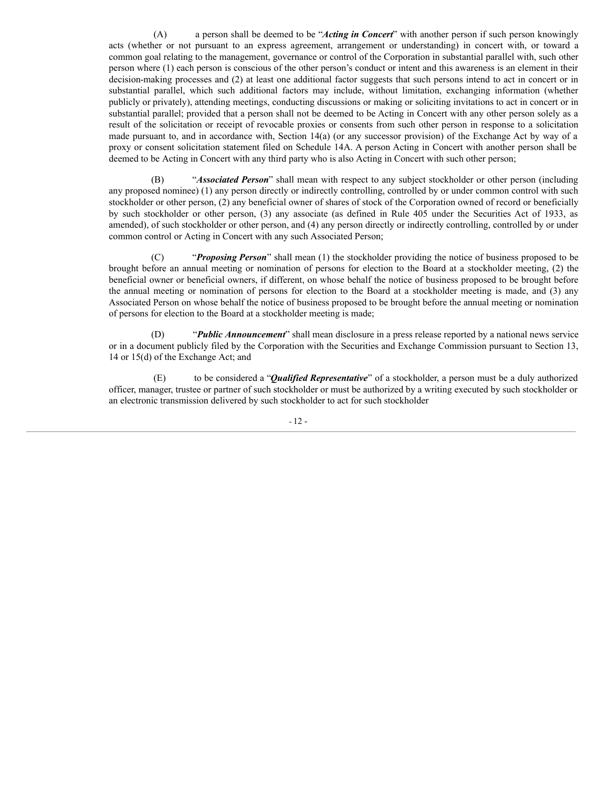<span id="page-106-0"></span>(A) a person shall be deemed to be "*Acting in Concert*" with another person if such person knowingly acts (whether or not pursuant to an express agreement, arrangement or understanding) in concert with, or toward a common goal relating to the management, governance or control of the Corporation in substantial parallel with, such other person where (1) each person is conscious of the other person's conduct or intent and this awareness is an element in their decision-making processes and (2) at least one additional factor suggests that such persons intend to act in concert or in substantial parallel, which such additional factors may include, without limitation, exchanging information (whether publicly or privately), attending meetings, conducting discussions or making or soliciting invitations to act in concert or in substantial parallel; provided that a person shall not be deemed to be Acting in Concert with any other person solely as a result of the solicitation or receipt of revocable proxies or consents from such other person in response to a solicitation made pursuant to, and in accordance with, Section 14(a) (or any successor provision) of the Exchange Act by way of a proxy or consent solicitation statement filed on Schedule 14A. A person Acting in Concert with another person shall be deemed to be Acting in Concert with any third party who is also Acting in Concert with such other person;

(B) "*Associated Person*" shall mean with respect to any subject stockholder or other person (including any proposed nominee) (1) any person directly or indirectly controlling, controlled by or under common control with such stockholder or other person, (2) any beneficial owner of shares of stock of the Corporation owned of record or beneficially by such stockholder or other person, (3) any associate (as defined in Rule 405 under the Securities Act of 1933, as amended), of such stockholder or other person, and (4) any person directly or indirectly controlling, controlled by or under common control or Acting in Concert with any such Associated Person;

(C) "*Proposing Person*" shall mean (1) the stockholder providing the notice of business proposed to be brought before an annual meeting or nomination of persons for election to the Board at a stockholder meeting, (2) the beneficial owner or beneficial owners, if different, on whose behalf the notice of business proposed to be brought before the annual meeting or nomination of persons for election to the Board at a stockholder meeting is made, and (3) any Associated Person on whose behalf the notice of business proposed to be brought before the annual meeting or nomination of persons for election to the Board at a stockholder meeting is made;

(D) "*Public Announcement*" shall mean disclosure in a press release reported by a national news service or in a document publicly filed by the Corporation with the Securities and Exchange Commission pursuant to Section 13, 14 or 15(d) of the Exchange Act; and

(E) to be considered a "*Qualified Representative*" of a stockholder, a person must be a duly authorized officer, manager, trustee or partner of such stockholder or must be authorized by a writing executed by such stockholder or an electronic transmission delivered by such stockholder to act for such stockholder

- 12 -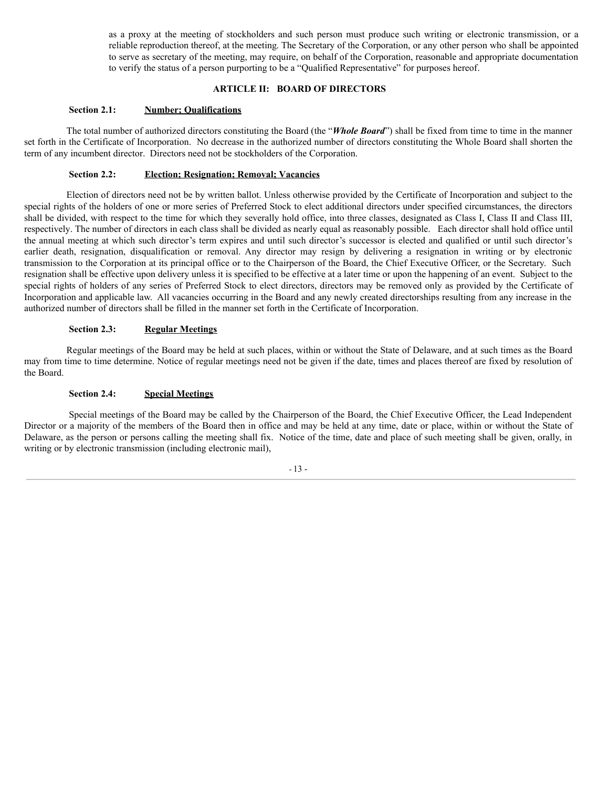as a proxy at the meeting of stockholders and such person must produce such writing or electronic transmission, or a reliable reproduction thereof, at the meeting. The Secretary of the Corporation, or any other person who shall be appointed to serve as secretary of the meeting, may require, on behalf of the Corporation, reasonable and appropriate documentation to verify the status of a person purporting to be a "Qualified Representative" for purposes hereof.

# **ARTICLE II: BOARD OF DIRECTORS**

### **Section 2.1: Number; Qualifications**

The total number of authorized directors constituting the Board (the "*Whole Board*") shall be fixed from time to time in the manner set forth in the Certificate of Incorporation. No decrease in the authorized number of directors constituting the Whole Board shall shorten the term of any incumbent director. Directors need not be stockholders of the Corporation.

# **Section 2.2: Election; Resignation; Removal; Vacancies**

Election of directors need not be by written ballot. Unless otherwise provided by the Certificate of Incorporation and subject to the special rights of the holders of one or more series of Preferred Stock to elect additional directors under specified circumstances, the directors shall be divided, with respect to the time for which they severally hold office, into three classes, designated as Class I, Class II and Class III, respectively. The number of directors in each class shall be divided as nearly equal as reasonably possible. Each director shall hold office until the annual meeting at which such director's term expires and until such director's successor is elected and qualified or until such director's earlier death, resignation, disqualification or removal. Any director may resign by delivering a resignation in writing or by electronic transmission to the Corporation at its principal office or to the Chairperson of the Board, the Chief Executive Officer, or the Secretary. Such resignation shall be effective upon delivery unless it is specified to be effective at a later time or upon the happening of an event. Subject to the special rights of holders of any series of Preferred Stock to elect directors, directors may be removed only as provided by the Certificate of Incorporation and applicable law. All vacancies occurring in the Board and any newly created directorships resulting from any increase in the authorized number of directors shall be filled in the manner set forth in the Certificate of Incorporation.

# **Section 2.3: Regular Meetings**

Regular meetings of the Board may be held at such places, within or without the State of Delaware, and at such times as the Board may from time to time determine. Notice of regular meetings need not be given if the date, times and places thereof are fixed by resolution of the Board.

### **Section 2.4: Special Meetings**

Special meetings of the Board may be called by the Chairperson of the Board, the Chief Executive Officer, the Lead Independent Director or a majority of the members of the Board then in office and may be held at any time, date or place, within or without the State of Delaware, as the person or persons calling the meeting shall fix. Notice of the time, date and place of such meeting shall be given, orally, in writing or by electronic transmission (including electronic mail),

- 13 -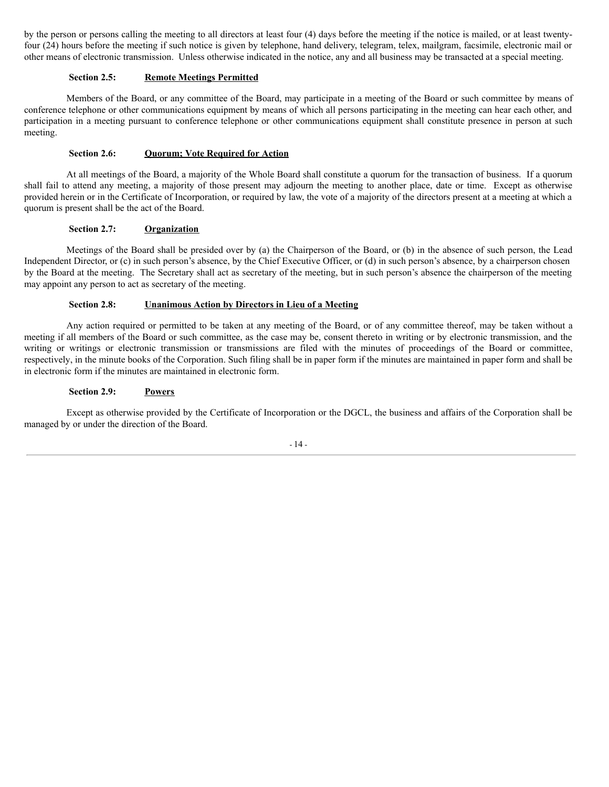by the person or persons calling the meeting to all directors at least four (4) days before the meeting if the notice is mailed, or at least twentyfour (24) hours before the meeting if such notice is given by telephone, hand delivery, telegram, telex, mailgram, facsimile, electronic mail or other means of electronic transmission. Unless otherwise indicated in the notice, any and all business may be transacted at a special meeting.

## **Section 2.5: Remote Meetings Permitted**

Members of the Board, or any committee of the Board, may participate in a meeting of the Board or such committee by means of conference telephone or other communications equipment by means of which all persons participating in the meeting can hear each other, and participation in a meeting pursuant to conference telephone or other communications equipment shall constitute presence in person at such meeting.

## **Section 2.6: Quorum; Vote Required for Action**

At all meetings of the Board, a majority of the Whole Board shall constitute a quorum for the transaction of business. If a quorum shall fail to attend any meeting, a majority of those present may adjourn the meeting to another place, date or time. Except as otherwise provided herein or in the Certificate of Incorporation, or required by law, the vote of a majority of the directors present at a meeting at which a quorum is present shall be the act of the Board.

## **Section 2.7: Organization**

Meetings of the Board shall be presided over by (a) the Chairperson of the Board, or (b) in the absence of such person, the Lead Independent Director, or (c) in such person's absence, by the Chief Executive Officer, or (d) in such person's absence, by a chairperson chosen by the Board at the meeting. The Secretary shall act as secretary of the meeting, but in such person's absence the chairperson of the meeting may appoint any person to act as secretary of the meeting.

## **Section 2.8: Unanimous Action by Directors in Lieu of a Meeting**

Any action required or permitted to be taken at any meeting of the Board, or of any committee thereof, may be taken without a meeting if all members of the Board or such committee, as the case may be, consent thereto in writing or by electronic transmission, and the writing or writings or electronic transmission or transmissions are filed with the minutes of proceedings of the Board or committee, respectively, in the minute books of the Corporation. Such filing shall be in paper form if the minutes are maintained in paper form and shall be in electronic form if the minutes are maintained in electronic form.

## **Section 2.9: Powers**

Except as otherwise provided by the Certificate of Incorporation or the DGCL, the business and affairs of the Corporation shall be managed by or under the direction of the Board.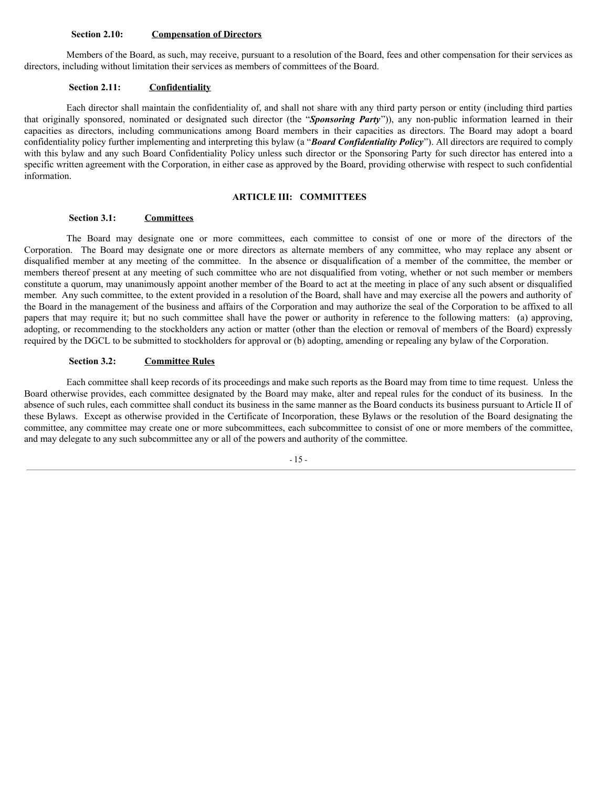#### **Section 2.10: Compensation of Directors**

Members of the Board, as such, may receive, pursuant to a resolution of the Board, fees and other compensation for their services as directors, including without limitation their services as members of committees of the Board.

## **Section 2.11: Confidentiality**

Each director shall maintain the confidentiality of, and shall not share with any third party person or entity (including third parties that originally sponsored, nominated or designated such director (the "**Sponsoring Party**")), any non-public information learned in their capacities as directors, including communications among Board members in their capacities as directors. The Board may adopt a board confidentiality policy further implementing and interpreting this bylaw (a "*Board Confidentiality Policy*"). All directors are required to comply with this bylaw and any such Board Confidentiality Policy unless such director or the Sponsoring Party for such director has entered into a specific written agreement with the Corporation, in either case as approved by the Board, providing otherwise with respect to such confidential information.

## **ARTICLE III: COMMITTEES**

#### **Section 3.1: Committees**

The Board may designate one or more committees, each committee to consist of one or more of the directors of the Corporation. The Board may designate one or more directors as alternate members of any committee, who may replace any absent or disqualified member at any meeting of the committee. In the absence or disqualification of a member of the committee, the member or members thereof present at any meeting of such committee who are not disqualified from voting, whether or not such member or members constitute a quorum, may unanimously appoint another member of the Board to act at the meeting in place of any such absent or disqualified member. Any such committee, to the extent provided in a resolution of the Board, shall have and may exercise all the powers and authority of the Board in the management of the business and affairs of the Corporation and may authorize the seal of the Corporation to be affixed to all papers that may require it; but no such committee shall have the power or authority in reference to the following matters: (a) approving, adopting, or recommending to the stockholders any action or matter (other than the election or removal of members of the Board) expressly required by the DGCL to be submitted to stockholders for approval or (b) adopting, amending or repealing any bylaw of the Corporation.

#### **Section 3.2: Committee Rules**

Each committee shall keep records of its proceedings and make such reports as the Board may from time to time request. Unless the Board otherwise provides, each committee designated by the Board may make, alter and repeal rules for the conduct of its business. In the absence of such rules, each committee shall conduct its business in the same manner as the Board conducts its business pursuant to Article II of these Bylaws. Except as otherwise provided in the Certificate of Incorporation, these Bylaws or the resolution of the Board designating the committee, any committee may create one or more subcommittees, each subcommittee to consist of one or more members of the committee, and may delegate to any such subcommittee any or all of the powers and authority of the committee.

- 15 -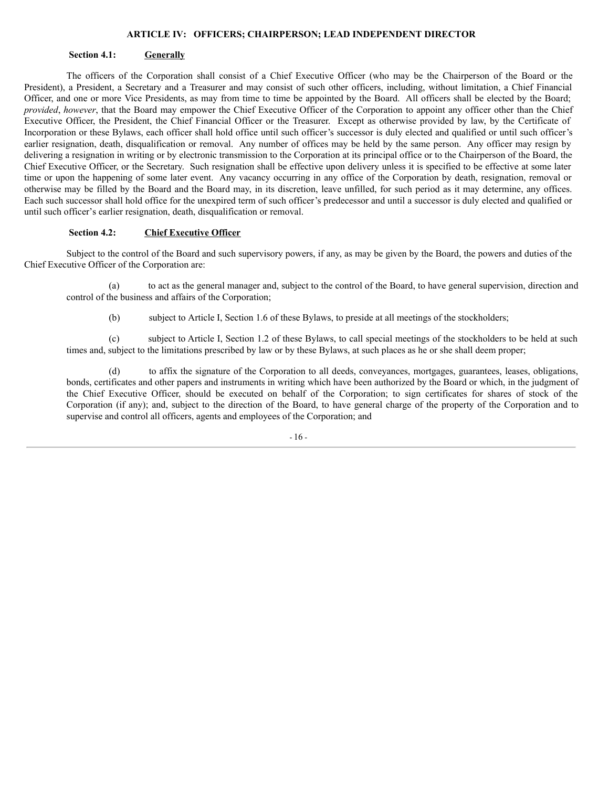## **ARTICLE IV: OFFICERS; CHAIRPERSON; LEAD INDEPENDENT DIRECTOR**

## **Section 4.1: Generally**

The officers of the Corporation shall consist of a Chief Executive Officer (who may be the Chairperson of the Board or the President), a President, a Secretary and a Treasurer and may consist of such other officers, including, without limitation, a Chief Financial Officer, and one or more Vice Presidents, as may from time to time be appointed by the Board. All officers shall be elected by the Board; *provided*, *however*, that the Board may empower the Chief Executive Officer of the Corporation to appoint any officer other than the Chief Executive Officer, the President, the Chief Financial Officer or the Treasurer. Except as otherwise provided by law, by the Certificate of Incorporation or these Bylaws, each officer shall hold office until such officer's successor is duly elected and qualified or until such officer's earlier resignation, death, disqualification or removal. Any number of offices may be held by the same person. Any officer may resign by delivering a resignation in writing or by electronic transmission to the Corporation at its principal office or to the Chairperson of the Board, the Chief Executive Officer, or the Secretary. Such resignation shall be effective upon delivery unless it is specified to be effective at some later time or upon the happening of some later event. Any vacancy occurring in any office of the Corporation by death, resignation, removal or otherwise may be filled by the Board and the Board may, in its discretion, leave unfilled, for such period as it may determine, any offices. Each such successor shall hold office for the unexpired term of such officer's predecessor and until a successor is duly elected and qualified or until such officer's earlier resignation, death, disqualification or removal.

#### **Section 4.2: Chief Executive Officer**

Subject to the control of the Board and such supervisory powers, if any, as may be given by the Board, the powers and duties of the Chief Executive Officer of the Corporation are:

(a) to act as the general manager and, subject to the control of the Board, to have general supervision, direction and control of the business and affairs of the Corporation;

(b) subject to Article I, Section 1.6 of these Bylaws, to preside at all meetings of the stockholders;

(c) subject to Article I, Section 1.2 of these Bylaws, to call special meetings of the stockholders to be held at such times and, subject to the limitations prescribed by law or by these Bylaws, at such places as he or she shall deem proper;

(d) to affix the signature of the Corporation to all deeds, conveyances, mortgages, guarantees, leases, obligations, bonds, certificates and other papers and instruments in writing which have been authorized by the Board or which, in the judgment of the Chief Executive Officer, should be executed on behalf of the Corporation; to sign certificates for shares of stock of the Corporation (if any); and, subject to the direction of the Board, to have general charge of the property of the Corporation and to supervise and control all officers, agents and employees of the Corporation; and

- 16 -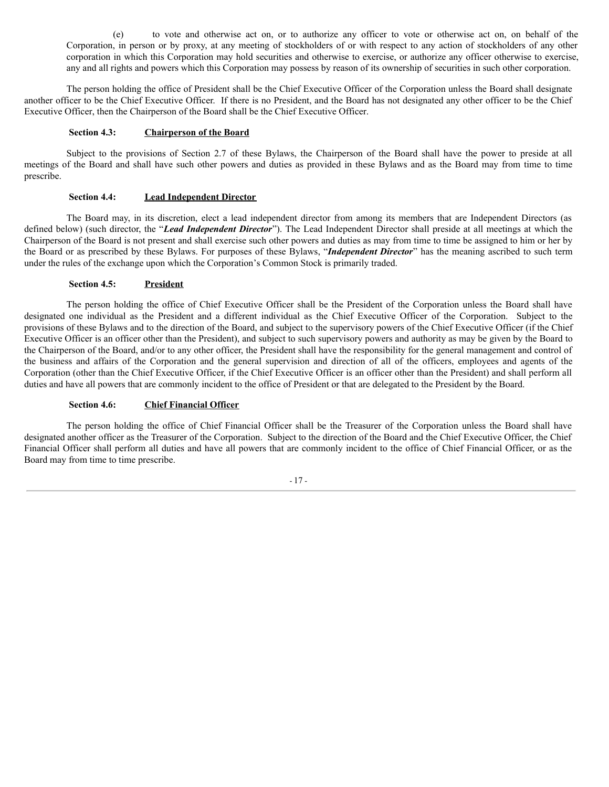(e) to vote and otherwise act on, or to authorize any officer to vote or otherwise act on, on behalf of the Corporation, in person or by proxy, at any meeting of stockholders of or with respect to any action of stockholders of any other corporation in which this Corporation may hold securities and otherwise to exercise, or authorize any officer otherwise to exercise, any and all rights and powers which this Corporation may possess by reason of its ownership of securities in such other corporation.

The person holding the office of President shall be the Chief Executive Officer of the Corporation unless the Board shall designate another officer to be the Chief Executive Officer. If there is no President, and the Board has not designated any other officer to be the Chief Executive Officer, then the Chairperson of the Board shall be the Chief Executive Officer.

## **Section 4.3: Chairperson of the Board**

Subject to the provisions of Section 2.7 of these Bylaws, the Chairperson of the Board shall have the power to preside at all meetings of the Board and shall have such other powers and duties as provided in these Bylaws and as the Board may from time to time prescribe.

#### **Section 4.4: Lead Independent Director**

The Board may, in its discretion, elect a lead independent director from among its members that are Independent Directors (as defined below) (such director, the "*Lead Independent Director*"). The Lead Independent Director shall preside at all meetings at which the Chairperson of the Board is not present and shall exercise such other powers and duties as may from time to time be assigned to him or her by the Board or as prescribed by these Bylaws. For purposes of these Bylaws, "*Independent Director*" has the meaning ascribed to such term under the rules of the exchange upon which the Corporation's Common Stock is primarily traded.

## **Section 4.5: President**

The person holding the office of Chief Executive Officer shall be the President of the Corporation unless the Board shall have designated one individual as the President and a different individual as the Chief Executive Officer of the Corporation. Subject to the provisions of these Bylaws and to the direction of the Board, and subject to the supervisory powers of the Chief Executive Officer (if the Chief Executive Officer is an officer other than the President), and subject to such supervisory powers and authority as may be given by the Board to the Chairperson of the Board, and/or to any other officer, the President shall have the responsibility for the general management and control of the business and affairs of the Corporation and the general supervision and direction of all of the officers, employees and agents of the Corporation (other than the Chief Executive Officer, if the Chief Executive Officer is an officer other than the President) and shall perform all duties and have all powers that are commonly incident to the office of President or that are delegated to the President by the Board.

## **Section 4.6: Chief Financial Officer**

The person holding the office of Chief Financial Officer shall be the Treasurer of the Corporation unless the Board shall have designated another officer as the Treasurer of the Corporation. Subject to the direction of the Board and the Chief Executive Officer, the Chief Financial Officer shall perform all duties and have all powers that are commonly incident to the office of Chief Financial Officer, or as the Board may from time to time prescribe.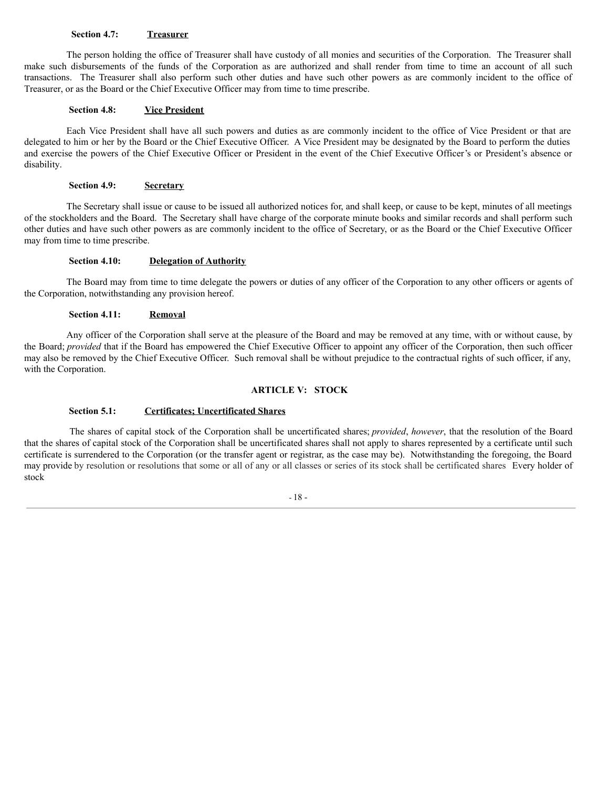## **Section 4.7: Treasurer**

The person holding the office of Treasurer shall have custody of all monies and securities of the Corporation. The Treasurer shall make such disbursements of the funds of the Corporation as are authorized and shall render from time to time an account of all such transactions. The Treasurer shall also perform such other duties and have such other powers as are commonly incident to the office of Treasurer, or as the Board or the Chief Executive Officer may from time to time prescribe.

## **Section 4.8: Vice President**

Each Vice President shall have all such powers and duties as are commonly incident to the office of Vice President or that are delegated to him or her by the Board or the Chief Executive Officer. A Vice President may be designated by the Board to perform the duties and exercise the powers of the Chief Executive Officer or President in the event of the Chief Executive Officer's or President's absence or disability.

# **Section 4.9: Secretary**

The Secretary shall issue or cause to be issued all authorized notices for, and shall keep, or cause to be kept, minutes of all meetings of the stockholders and the Board. The Secretary shall have charge of the corporate minute books and similar records and shall perform such other duties and have such other powers as are commonly incident to the office of Secretary, or as the Board or the Chief Executive Officer may from time to time prescribe.

## **Section 4.10: Delegation of Authority**

The Board may from time to time delegate the powers or duties of any officer of the Corporation to any other officers or agents of the Corporation, notwithstanding any provision hereof.

## **Section 4.11: Removal**

Any officer of the Corporation shall serve at the pleasure of the Board and may be removed at any time, with or without cause, by the Board; *provided* that if the Board has empowered the Chief Executive Officer to appoint any officer of the Corporation, then such officer may also be removed by the Chief Executive Officer. Such removal shall be without prejudice to the contractual rights of such officer, if any, with the Corporation.

## **ARTICLE V: STOCK**

# **Section 5.1: Certificates; Uncertificated Shares**

The shares of capital stock of the Corporation shall be uncertificated shares; *provided*, *however*, that the resolution of the Board that the shares of capital stock of the Corporation shall be uncertificated shares shall not apply to shares represented by a certificate until such certificate is surrendered to the Corporation (or the transfer agent or registrar, as the case may be). Notwithstanding the foregoing, the Board may provide by resolution or resolutions that some or all of any or all classes or series of its stock shall be certificated shares. Every holder of stock

#### - 18 -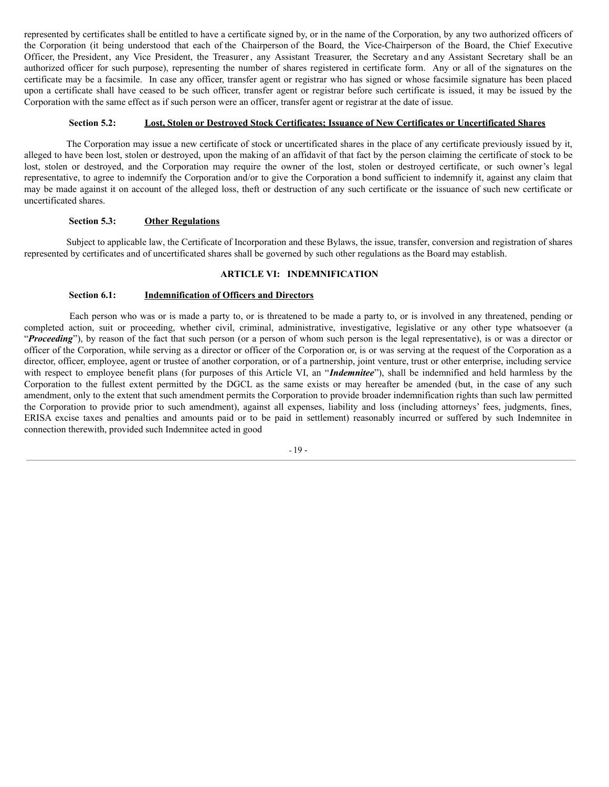represented by certificates shall be entitled to have a certificate signed by, or in the name of the Corporation, by any two authorized officers of the Corporation (it being understood that each of the Chairperson of the Board, the Vice-Chairperson of the Board, the Chief Executive Officer, the President, any Vice President, the Treasurer, any Assistant Treasurer, the Secretary and any Assistant Secretary shall be an authorized officer for such purpose), representing the number of shares registered in certificate form. Any or all of the signatures on the certificate may be a facsimile. In case any officer, transfer agent or registrar who has signed or whose facsimile signature has been placed upon a certificate shall have ceased to be such officer, transfer agent or registrar before such certificate is issued, it may be issued by the Corporation with the same effect as if such person were an officer, transfer agent or registrar at the date of issue.

#### **Section 5.2: Lost, Stolen or Destroyed Stock Certificates; Issuance of New Certificates or Uncertificated Shares**

The Corporation may issue a new certificate of stock or uncertificated shares in the place of any certificate previously issued by it, alleged to have been lost, stolen or destroyed, upon the making of an affidavit of that fact by the person claiming the certificate of stock to be lost, stolen or destroyed, and the Corporation may require the owner of the lost, stolen or destroyed certificate, or such owner's legal representative, to agree to indemnify the Corporation and/or to give the Corporation a bond sufficient to indemnify it, against any claim that may be made against it on account of the alleged loss, theft or destruction of any such certificate or the issuance of such new certificate or uncertificated shares.

#### **Section 5.3: Other Regulations**

Subject to applicable law, the Certificate of Incorporation and these Bylaws, the issue, transfer, conversion and registration of shares represented by certificates and of uncertificated shares shall be governed by such other regulations as the Board may establish.

## **ARTICLE VI: INDEMNIFICATION**

## **Section 6.1: Indemnification of Officers and Directors**

Each person who was or is made a party to, or is threatened to be made a party to, or is involved in any threatened, pending or completed action, suit or proceeding, whether civil, criminal, administrative, investigative, legislative or any other type whatsoever (a "*Proceeding*"), by reason of the fact that such person (or a person of whom such person is the legal representative), is or was a director or officer of the Corporation, while serving as a director or officer of the Corporation or, is or was serving at the request of the Corporation as a director, officer, employee, agent or trustee of another corporation, or of a partnership, joint venture, trust or other enterprise, including service with respect to employee benefit plans (for purposes of this Article VI, an "*Indemnitee*"), shall be indemnified and held harmless by the Corporation to the fullest extent permitted by the DGCL as the same exists or may hereafter be amended (but, in the case of any such amendment, only to the extent that such amendment permits the Corporation to provide broader indemnification rights than such law permitted the Corporation to provide prior to such amendment), against all expenses, liability and loss (including attorneys' fees, judgments, fines, ERISA excise taxes and penalties and amounts paid or to be paid in settlement) reasonably incurred or suffered by such Indemnitee in connection therewith, provided such Indemnitee acted in good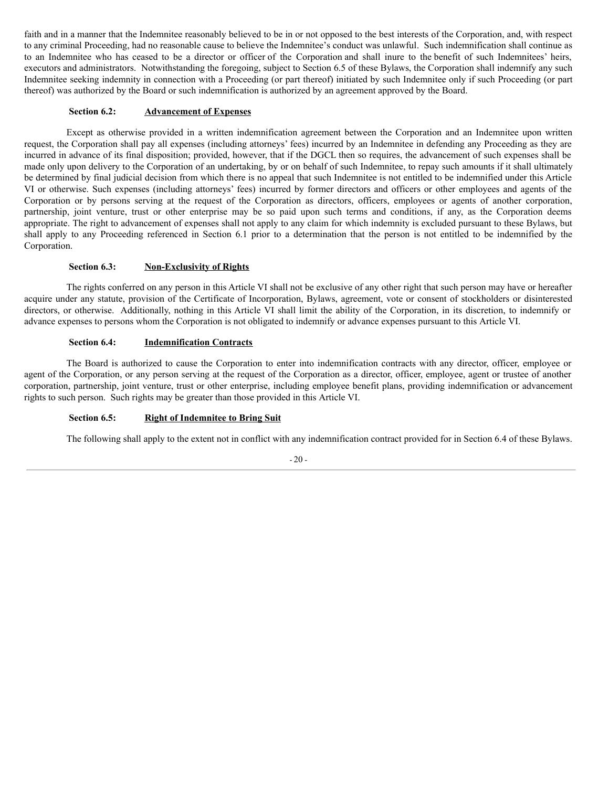faith and in a manner that the Indemnitee reasonably believed to be in or not opposed to the best interests of the Corporation, and, with respect to any criminal Proceeding, had no reasonable cause to believe the Indemnitee's conduct was unlawful. Such indemnification shall continue as to an Indemnitee who has ceased to be a director or officer of the Corporation and shall inure to the benefit of such Indemnitees' heirs, executors and administrators. Notwithstanding the foregoing, subject to Section 6.5 of these Bylaws, the Corporation shall indemnify any such Indemnitee seeking indemnity in connection with a Proceeding (or part thereof) initiated by such Indemnitee only if such Proceeding (or part thereof) was authorized by the Board or such indemnification is authorized by an agreement approved by the Board.

### **Section 6.2: Advancement of Expenses**

Except as otherwise provided in a written indemnification agreement between the Corporation and an Indemnitee upon written request, the Corporation shall pay all expenses (including attorneys' fees) incurred by an Indemnitee in defending any Proceeding as they are incurred in advance of its final disposition; provided, however, that if the DGCL then so requires, the advancement of such expenses shall be made only upon delivery to the Corporation of an undertaking, by or on behalf of such Indemnitee, to repay such amounts if it shall ultimately be determined by final judicial decision from which there is no appeal that such Indemnitee is not entitled to be indemnified under this Article VI or otherwise. Such expenses (including attorneys' fees) incurred by former directors and officers or other employees and agents of the Corporation or by persons serving at the request of the Corporation as directors, officers, employees or agents of another corporation, partnership, joint venture, trust or other enterprise may be so paid upon such terms and conditions, if any, as the Corporation deems appropriate. The right to advancement of expenses shall not apply to any claim for which indemnity is excluded pursuant to these Bylaws, but shall apply to any Proceeding referenced in Section 6.1 prior to a determination that the person is not entitled to be indemnified by the Corporation.

#### **Section 6.3: Non-Exclusivity of Rights**

The rights conferred on any person in this Article VI shall not be exclusive of any other right that such person may have or hereafter acquire under any statute, provision of the Certificate of Incorporation, Bylaws, agreement, vote or consent of stockholders or disinterested directors, or otherwise. Additionally, nothing in this Article VI shall limit the ability of the Corporation, in its discretion, to indemnify or advance expenses to persons whom the Corporation is not obligated to indemnify or advance expenses pursuant to this Article VI.

### **Section 6.4: Indemnification Contracts**

The Board is authorized to cause the Corporation to enter into indemnification contracts with any director, officer, employee or agent of the Corporation, or any person serving at the request of the Corporation as a director, officer, employee, agent or trustee of another corporation, partnership, joint venture, trust or other enterprise, including employee benefit plans, providing indemnification or advancement rights to such person. Such rights may be greater than those provided in this Article VI.

## **Section 6.5: Right of Indemnitee to Bring Suit**

The following shall apply to the extent not in conflict with any indemnification contract provided for in Section 6.4 of these Bylaws.

- 20 -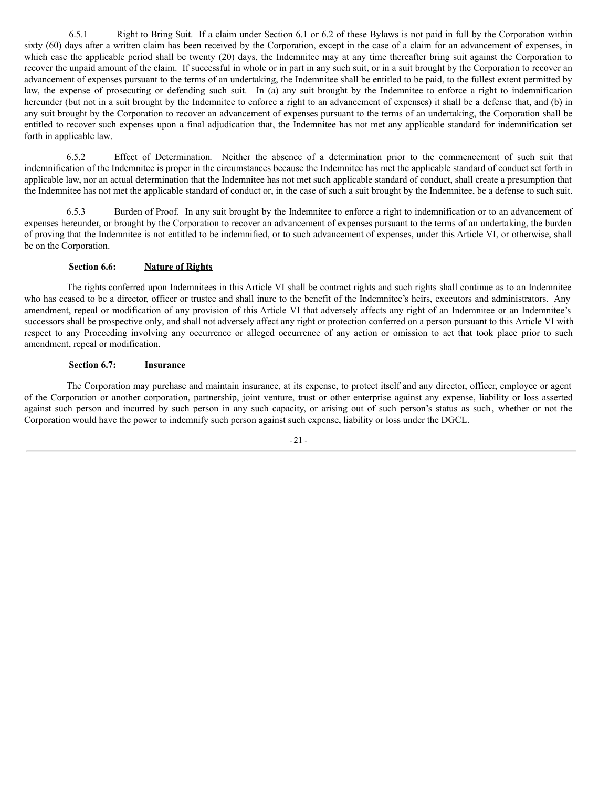6.5.1 Right to Bring Suit. If a claim under Section 6.1 or 6.2 of these Bylaws is not paid in full by the Corporation within sixty (60) days after a written claim has been received by the Corporation, except in the case of a claim for an advancement of expenses, in which case the applicable period shall be twenty (20) days, the Indemnitee may at any time thereafter bring suit against the Corporation to recover the unpaid amount of the claim. If successful in whole or in part in any such suit, or in a suit brought by the Corporation to recover an advancement of expenses pursuant to the terms of an undertaking, the Indemnitee shall be entitled to be paid, to the fullest extent permitted by law, the expense of prosecuting or defending such suit. In (a) any suit brought by the Indemnitee to enforce a right to indemnification hereunder (but not in a suit brought by the Indemnitee to enforce a right to an advancement of expenses) it shall be a defense that, and (b) in any suit brought by the Corporation to recover an advancement of expenses pursuant to the terms of an undertaking, the Corporation shall be entitled to recover such expenses upon a final adjudication that, the Indemnitee has not met any applicable standard for indemnification set forth in applicable law.

6.5.2 Effect of Determination. Neither the absence of a determination prior to the commencement of such suit that indemnification of the Indemnitee is proper in the circumstances because the Indemnitee has met the applicable standard of conduct set forth in applicable law, nor an actual determination that the Indemnitee has not met such applicable standard of conduct, shall create a presumption that the Indemnitee has not met the applicable standard of conduct or, in the case of such a suit brought by the Indemnitee, be a defense to such suit.

6.5.3 Burden of Proof. In any suit brought by the Indemnitee to enforce a right to indemnification or to an advancement of expenses hereunder, or brought by the Corporation to recover an advancement of expenses pursuant to the terms of an undertaking, the burden of proving that the Indemnitee is not entitled to be indemnified, or to such advancement of expenses, under this Article VI, or otherwise, shall be on the Corporation.

## **Section 6.6: Nature of Rights**

The rights conferred upon Indemnitees in this Article VI shall be contract rights and such rights shall continue as to an Indemnitee who has ceased to be a director, officer or trustee and shall inure to the benefit of the Indemnitee's heirs, executors and administrators. Any amendment, repeal or modification of any provision of this Article VI that adversely affects any right of an Indemnitee or an Indemnitee's successors shall be prospective only, and shall not adversely affect any right or protection conferred on a person pursuant to this Article VI with respect to any Proceeding involving any occurrence or alleged occurrence of any action or omission to act that took place prior to such amendment, repeal or modification.

## **Section 6.7: Insurance**

The Corporation may purchase and maintain insurance, at its expense, to protect itself and any director, officer, employee or agent of the Corporation or another corporation, partnership, joint venture, trust or other enterprise against any expense, liability or loss asserted against such person and incurred by such person in any such capacity, or arising out of such person's status as such , whether or not the Corporation would have the power to indemnify such person against such expense, liability or loss under the DGCL.

- 21 -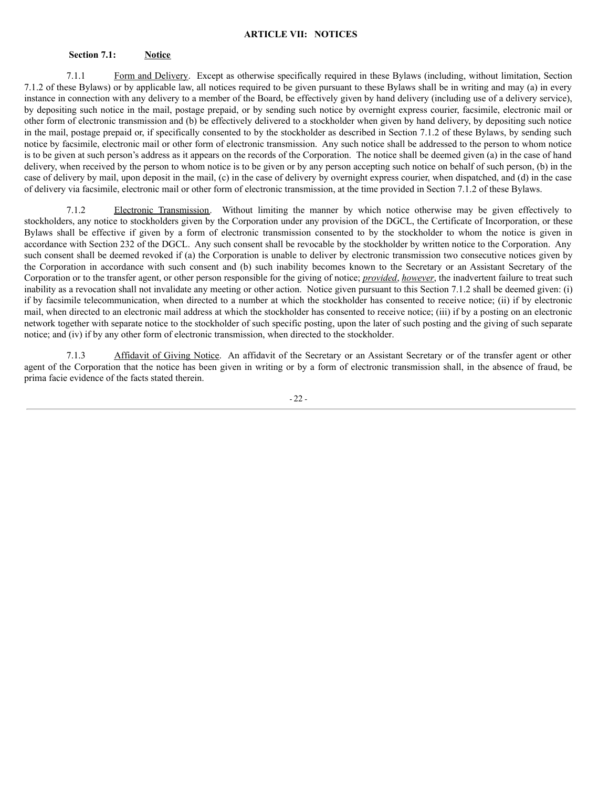## **ARTICLE VII: NOTICES**

#### **Section 7.1: Notice**

7.1.1 Form and Delivery. Except as otherwise specifically required in these Bylaws (including, without limitation, Section 7.1.2 of these Bylaws) or by applicable law, all notices required to be given pursuant to these Bylaws shall be in writing and may (a) in every instance in connection with any delivery to a member of the Board, be effectively given by hand delivery (including use of a delivery service), by depositing such notice in the mail, postage prepaid, or by sending such notice by overnight express courier, facsimile, electronic mail or other form of electronic transmission and (b) be effectively delivered to a stockholder when given by hand delivery, by depositing such notice in the mail, postage prepaid or, if specifically consented to by the stockholder as described in Section 7.1.2 of these Bylaws, by sending such notice by facsimile, electronic mail or other form of electronic transmission. Any such notice shall be addressed to the person to whom notice is to be given at such person's address as it appears on the records of the Corporation. The notice shall be deemed given (a) in the case of hand delivery, when received by the person to whom notice is to be given or by any person accepting such notice on behalf of such person, (b) in the case of delivery by mail, upon deposit in the mail, (c) in the case of delivery by overnight express courier, when dispatched, and (d) in the case of delivery via facsimile, electronic mail or other form of electronic transmission, at the time provided in Section 7.1.2 of these Bylaws.

7.1.2 Electronic Transmission. Without limiting the manner by which notice otherwise may be given effectively to stockholders, any notice to stockholders given by the Corporation under any provision of the DGCL, the Certificate of Incorporation, or these Bylaws shall be effective if given by a form of electronic transmission consented to by the stockholder to whom the notice is given in accordance with Section 232 of the DGCL. Any such consent shall be revocable by the stockholder by written notice to the Corporation. Any such consent shall be deemed revoked if (a) the Corporation is unable to deliver by electronic transmission two consecutive notices given by the Corporation in accordance with such consent and (b) such inability becomes known to the Secretary or an Assistant Secretary of the Corporation or to the transfer agent, or other person responsible for the giving of notice; *provided*, *however*, the inadvertent failure to treat such inability as a revocation shall not invalidate any meeting or other action. Notice given pursuant to this Section 7.1.2 shall be deemed given: (i) if by facsimile telecommunication, when directed to a number at which the stockholder has consented to receive notice; (ii) if by electronic mail, when directed to an electronic mail address at which the stockholder has consented to receive notice; (iii) if by a posting on an electronic network together with separate notice to the stockholder of such specific posting, upon the later of such posting and the giving of such separate notice; and (iv) if by any other form of electronic transmission, when directed to the stockholder.

Affidavit of Giving Notice. An affidavit of the Secretary or an Assistant Secretary or of the transfer agent or other agent of the Corporation that the notice has been given in writing or by a form of electronic transmission shall, in the absence of fraud, be prima facie evidence of the facts stated therein.

- 22 -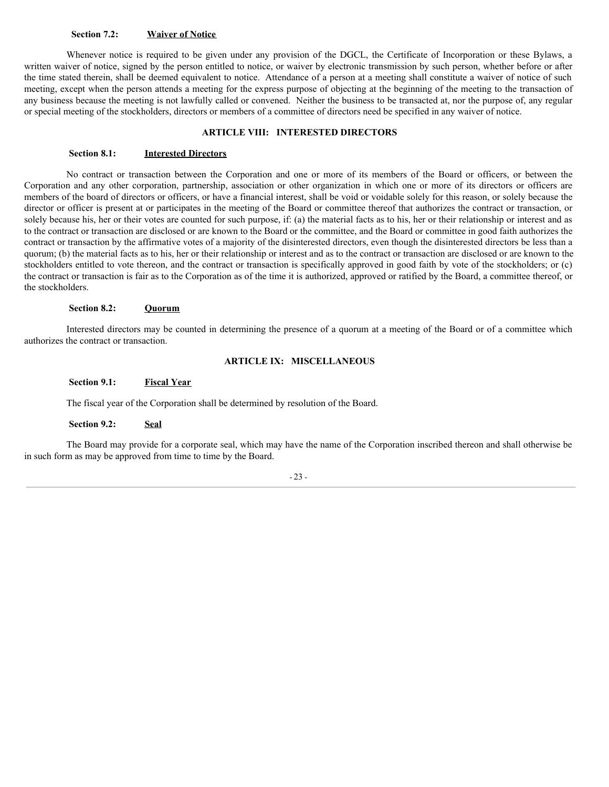## **Section 7.2: Waiver of Notice**

Whenever notice is required to be given under any provision of the DGCL, the Certificate of Incorporation or these Bylaws, a written waiver of notice, signed by the person entitled to notice, or waiver by electronic transmission by such person, whether before or after the time stated therein, shall be deemed equivalent to notice. Attendance of a person at a meeting shall constitute a waiver of notice of such meeting, except when the person attends a meeting for the express purpose of objecting at the beginning of the meeting to the transaction of any business because the meeting is not lawfully called or convened. Neither the business to be transacted at, nor the purpose of, any regular or special meeting of the stockholders, directors or members of a committee of directors need be specified in any waiver of notice.

## **ARTICLE VIII: INTERESTED DIRECTORS**

## **Section 8.1: Interested Directors**

No contract or transaction between the Corporation and one or more of its members of the Board or officers, or between the Corporation and any other corporation, partnership, association or other organization in which one or more of its directors or officers are members of the board of directors or officers, or have a financial interest, shall be void or voidable solely for this reason, or solely because the director or officer is present at or participates in the meeting of the Board or committee thereof that authorizes the contract or transaction, or solely because his, her or their votes are counted for such purpose, if: (a) the material facts as to his, her or their relationship or interest and as to the contract or transaction are disclosed or are known to the Board or the committee, and the Board or committee in good faith authorizes the contract or transaction by the affirmative votes of a majority of the disinterested directors, even though the disinterested directors be less than a quorum; (b) the material facts as to his, her or their relationship or interest and as to the contract or transaction are disclosed or are known to the stockholders entitled to vote thereon, and the contract or transaction is specifically approved in good faith by vote of the stockholders; or (c) the contract or transaction is fair as to the Corporation as of the time it is authorized, approved or ratified by the Board, a committee thereof, or the stockholders.

## **Section 8.2: Quorum**

Interested directors may be counted in determining the presence of a quorum at a meeting of the Board or of a committee which authorizes the contract or transaction.

# **ARTICLE IX: MISCELLANEOUS**

## **Section 9.1: Fiscal Year**

The fiscal year of the Corporation shall be determined by resolution of the Board.

#### **Section 9.2: Seal**

The Board may provide for a corporate seal, which may have the name of the Corporation inscribed thereon and shall otherwise be in such form as may be approved from time to time by the Board.

#### - 23 -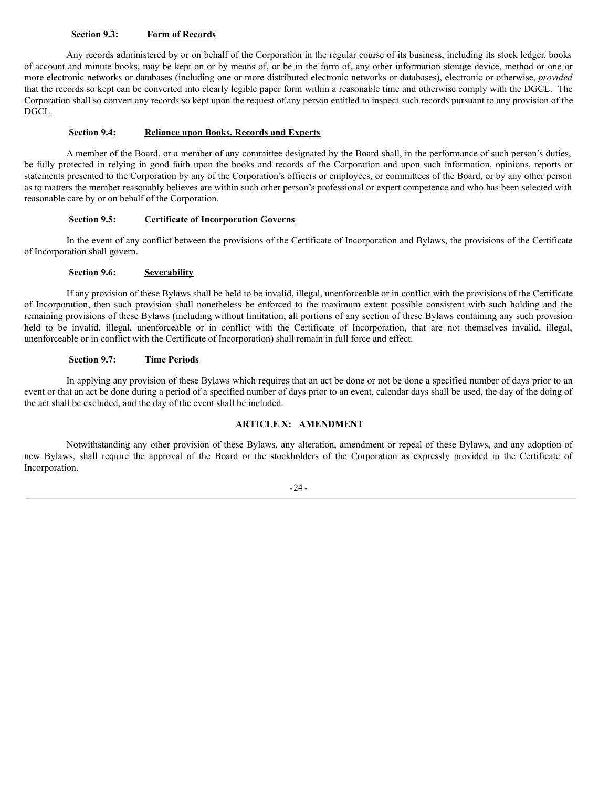## **Section 9.3: Form of Records**

Any records administered by or on behalf of the Corporation in the regular course of its business, including its stock ledger, books of account and minute books, may be kept on or by means of, or be in the form of, any other information storage device, method or one or more electronic networks or databases (including one or more distributed electronic networks or databases), electronic or otherwise, *provided* that the records so kept can be converted into clearly legible paper form within a reasonable time and otherwise comply with the DGCL. The Corporation shall so convert any records so kept upon the request of any person entitled to inspect such records pursuant to any provision of the DGCL.

## **Section 9.4: Reliance upon Books, Records and Experts**

A member of the Board, or a member of any committee designated by the Board shall, in the performance of such person's duties, be fully protected in relying in good faith upon the books and records of the Corporation and upon such information, opinions, reports or statements presented to the Corporation by any of the Corporation's officers or employees, or committees of the Board, or by any other person as to matters the member reasonably believes are within such other person's professional or expert competence and who has been selected with reasonable care by or on behalf of the Corporation.

### **Section 9.5: Certificate of Incorporation Governs**

In the event of any conflict between the provisions of the Certificate of Incorporation and Bylaws, the provisions of the Certificate of Incorporation shall govern.

## **Section 9.6: Severability**

If any provision of these Bylaws shall be held to be invalid, illegal, unenforceable or in conflict with the provisions of the Certificate of Incorporation, then such provision shall nonetheless be enforced to the maximum extent possible consistent with such holding and the remaining provisions of these Bylaws (including without limitation, all portions of any section of these Bylaws containing any such provision held to be invalid, illegal, unenforceable or in conflict with the Certificate of Incorporation, that are not themselves invalid, illegal, unenforceable or in conflict with the Certificate of Incorporation) shall remain in full force and effect.

## **Section 9.7: Time Periods**

In applying any provision of these Bylaws which requires that an act be done or not be done a specified number of days prior to an event or that an act be done during a period of a specified number of days prior to an event, calendar days shall be used, the day of the doing of the act shall be excluded, and the day of the event shall be included.

# **ARTICLE X: AMENDMENT**

Notwithstanding any other provision of these Bylaws, any alteration, amendment or repeal of these Bylaws, and any adoption of new Bylaws, shall require the approval of the Board or the stockholders of the Corporation as expressly provided in the Certificate of Incorporation.

- 24 -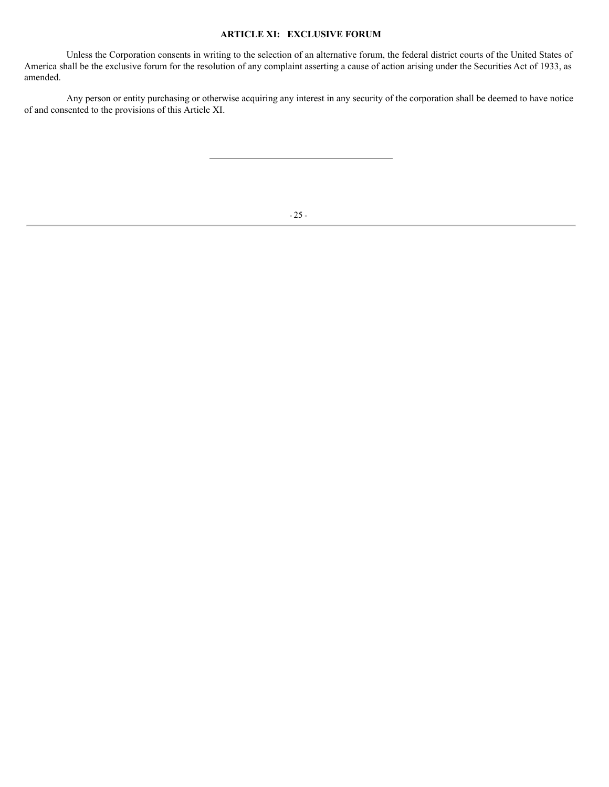# **ARTICLE XI: EXCLUSIVE FORUM**

Unless the Corporation consents in writing to the selection of an alternative forum, the federal district courts of the United States of America shall be the exclusive forum for the resolution of any complaint asserting a cause of action arising under the Securities Act of 1933, as amended.

Any person or entity purchasing or otherwise acquiring any interest in any security of the corporation shall be deemed to have notice of and consented to the provisions of this Article XI.

- 25 -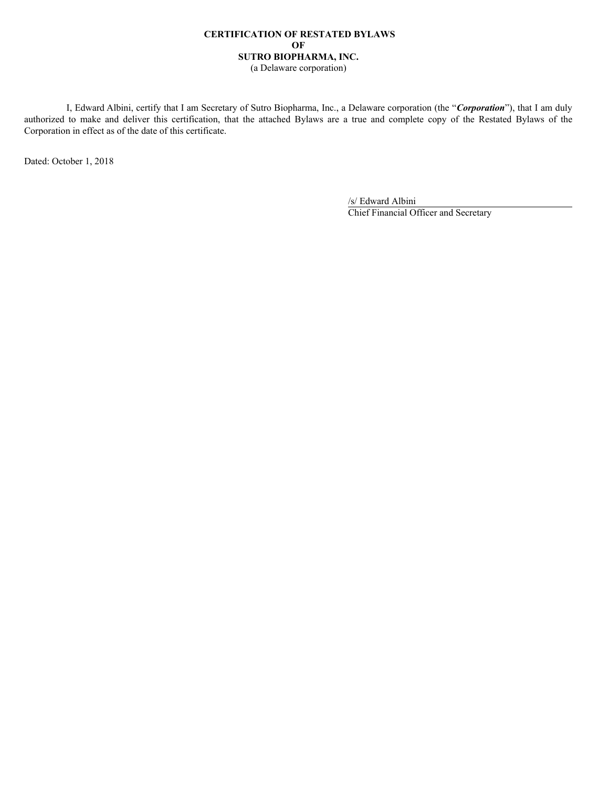# **CERTIFICATION OF RESTATED BYLAWS OF SUTRO BIOPHARMA, INC.** (a Delaware corporation)

I, Edward Albini, certify that I am Secretary of Sutro Biopharma, Inc., a Delaware corporation (the "*Corporation*"), that I am duly authorized to make and deliver this certification, that the attached Bylaws are a true and complete copy of the Restated Bylaws of the Corporation in effect as of the date of this certificate.

Dated: October 1, 2018

/s/ Edward Albini Chief Financial Officer and Secretary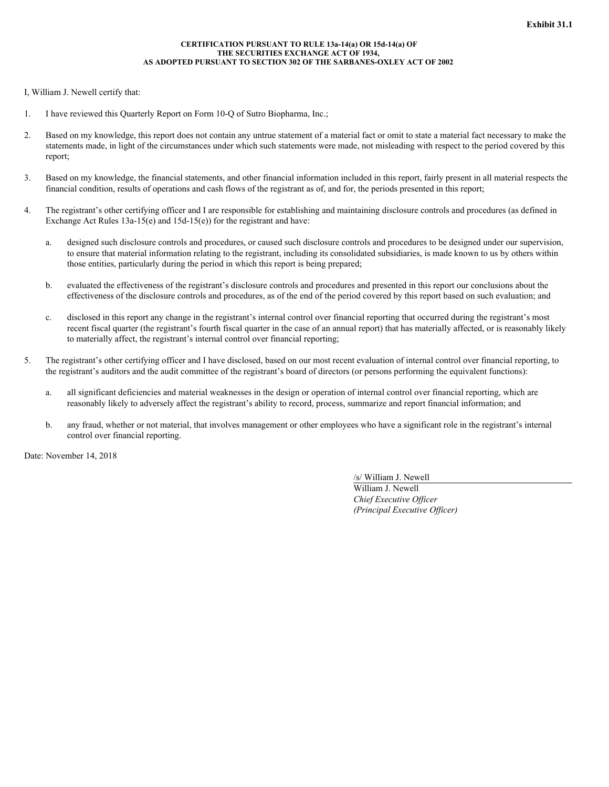#### **CERTIFICATION PURSUANT TO RULE 13a-14(a) OR 15d-14(a) OF THE SECURITIES EXCHANGE ACT OF 1934, AS ADOPTED PURSUANT TO SECTION 302 OF THE SARBANES-OXLEY ACT OF 2002**

I, William J. Newell certify that:

- 1. I have reviewed this Quarterly Report on Form 10-Q of Sutro Biopharma, Inc.;
- 2. Based on my knowledge, this report does not contain any untrue statement of a material fact or omit to state a material fact necessary to make the statements made, in light of the circumstances under which such statements were made, not misleading with respect to the period covered by this report;
- 3. Based on my knowledge, the financial statements, and other financial information included in this report, fairly present in all material respects the financial condition, results of operations and cash flows of the registrant as of, and for, the periods presented in this report;
- 4. The registrant's other certifying officer and I are responsible for establishing and maintaining disclosure controls and procedures (as defined in Exchange Act Rules 13a-15(e) and 15d-15(e)) for the registrant and have:
	- a. designed such disclosure controls and procedures, or caused such disclosure controls and procedures to be designed under our supervision, to ensure that material information relating to the registrant, including its consolidated subsidiaries, is made known to us by others within those entities, particularly during the period in which this report is being prepared;
	- b. evaluated the effectiveness of the registrant's disclosure controls and procedures and presented in this report our conclusions about the effectiveness of the disclosure controls and procedures, as of the end of the period covered by this report based on such evaluation; and
	- c. disclosed in this report any change in the registrant's internal control over financial reporting that occurred during the registrant's most recent fiscal quarter (the registrant's fourth fiscal quarter in the case of an annual report) that has materially affected, or is reasonably likely to materially affect, the registrant's internal control over financial reporting;
- 5. The registrant's other certifying officer and I have disclosed, based on our most recent evaluation of internal control over financial reporting, to the registrant's auditors and the audit committee of the registrant's board of directors (or persons performing the equivalent functions):
	- a. all significant deficiencies and material weaknesses in the design or operation of internal control over financial reporting, which are reasonably likely to adversely affect the registrant's ability to record, process, summarize and report financial information; and
	- b. any fraud, whether or not material, that involves management or other employees who have a significant role in the registrant's internal control over financial reporting.

Date: November 14, 2018

/s/ William J. Newell

William J. Newell *Chief Executive Of icer (Principal Executive Of icer)*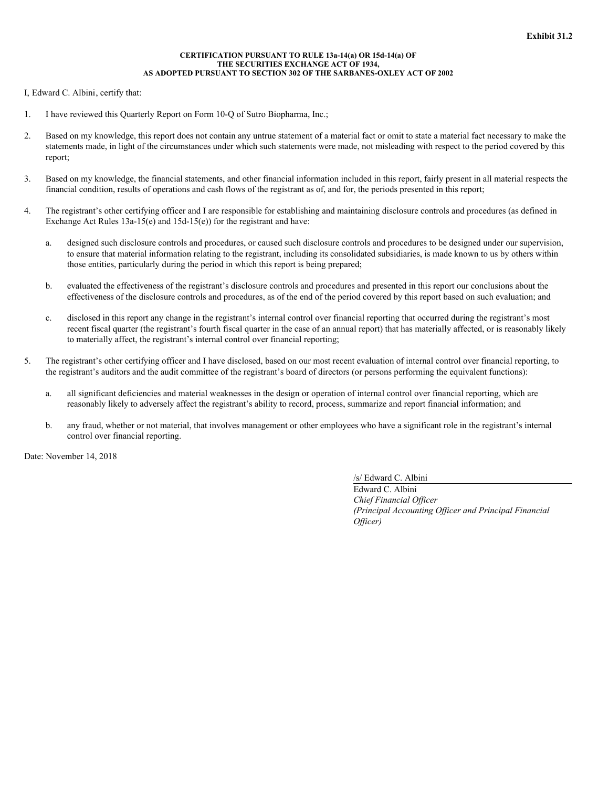#### **CERTIFICATION PURSUANT TO RULE 13a-14(a) OR 15d-14(a) OF THE SECURITIES EXCHANGE ACT OF 1934, AS ADOPTED PURSUANT TO SECTION 302 OF THE SARBANES-OXLEY ACT OF 2002**

I, Edward C. Albini, certify that:

- 1. I have reviewed this Quarterly Report on Form 10-Q of Sutro Biopharma, Inc.;
- 2. Based on my knowledge, this report does not contain any untrue statement of a material fact or omit to state a material fact necessary to make the statements made, in light of the circumstances under which such statements were made, not misleading with respect to the period covered by this report;
- 3. Based on my knowledge, the financial statements, and other financial information included in this report, fairly present in all material respects the financial condition, results of operations and cash flows of the registrant as of, and for, the periods presented in this report;
- 4. The registrant's other certifying officer and I are responsible for establishing and maintaining disclosure controls and procedures (as defined in Exchange Act Rules 13a-15(e) and 15d-15(e)) for the registrant and have:
	- a. designed such disclosure controls and procedures, or caused such disclosure controls and procedures to be designed under our supervision, to ensure that material information relating to the registrant, including its consolidated subsidiaries, is made known to us by others within those entities, particularly during the period in which this report is being prepared;
	- b. evaluated the effectiveness of the registrant's disclosure controls and procedures and presented in this report our conclusions about the effectiveness of the disclosure controls and procedures, as of the end of the period covered by this report based on such evaluation; and
	- c. disclosed in this report any change in the registrant's internal control over financial reporting that occurred during the registrant's most recent fiscal quarter (the registrant's fourth fiscal quarter in the case of an annual report) that has materially affected, or is reasonably likely to materially affect, the registrant's internal control over financial reporting;
- 5. The registrant's other certifying officer and I have disclosed, based on our most recent evaluation of internal control over financial reporting, to the registrant's auditors and the audit committee of the registrant's board of directors (or persons performing the equivalent functions):
	- a. all significant deficiencies and material weaknesses in the design or operation of internal control over financial reporting, which are reasonably likely to adversely affect the registrant's ability to record, process, summarize and report financial information; and
	- b. any fraud, whether or not material, that involves management or other employees who have a significant role in the registrant's internal control over financial reporting.

Date: November 14, 2018

/s/ Edward C. Albini

Edward C. Albini *Chief Financial Of icer (Principal Accounting Of icer and Principal Financial Of icer)*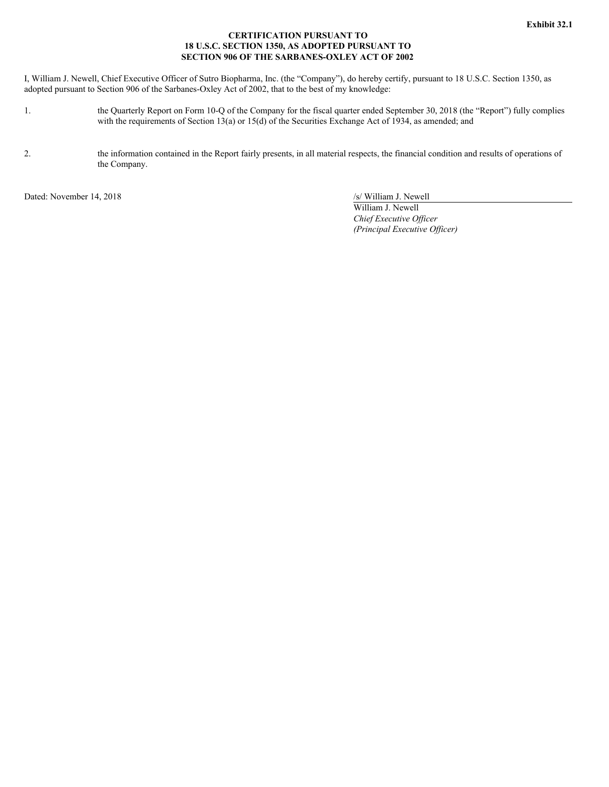### **CERTIFICATION PURSUANT TO 18 U.S.C. SECTION 1350, AS ADOPTED PURSUANT TO SECTION 906 OF THE SARBANES-OXLEY ACT OF 2002**

I, William J. Newell, Chief Executive Officer of Sutro Biopharma, Inc. (the "Company"), do hereby certify, pursuant to 18 U.S.C. Section 1350, as adopted pursuant to Section 906 of the Sarbanes-Oxley Act of 2002, that to the best of my knowledge:

- 1. the Quarterly Report on Form 10-Q of the Company for the fiscal quarter ended September 30, 2018 (the "Report") fully complies with the requirements of Section 13(a) or 15(d) of the Securities Exchange Act of 1934, as amended; and
- 2. the information contained in the Report fairly presents, in all material respects, the financial condition and results of operations of the Company.

Dated: November 14, 2018 /s/ William J. Newell

William J. Newell *Chief Executive Of icer (Principal Executive Of icer)*